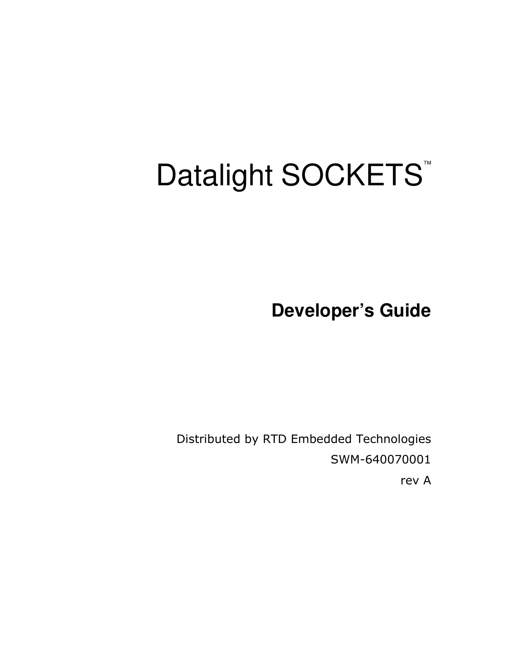# Datalight SOCKETS<sup>™</sup>

**Developer's Guide**

Distributed by RTD Embedded Technologies SWM-640070001 rev A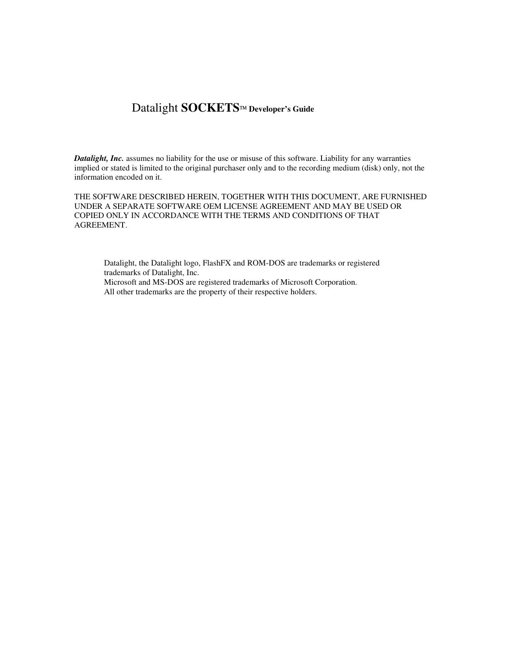# Datalight **SOCKETS Developer's Guide**

*Datalight, Inc.* assumes no liability for the use or misuse of this software. Liability for any warranties implied or stated is limited to the original purchaser only and to the recording medium (disk) only, not the information encoded on it.

THE SOFTWARE DESCRIBED HEREIN, TOGETHER WITH THIS DOCUMENT, ARE FURNISHED UNDER A SEPARATE SOFTWARE OEM LICENSE AGREEMENT AND MAY BE USED OR COPIED ONLY IN ACCORDANCE WITH THE TERMS AND CONDITIONS OF THAT AGREEMENT.

Datalight, the Datalight logo, FlashFX and ROM-DOS are trademarks or registered trademarks of Datalight, Inc. Microsoft and MS-DOS are registered trademarks of Microsoft Corporation. All other trademarks are the property of their respective holders.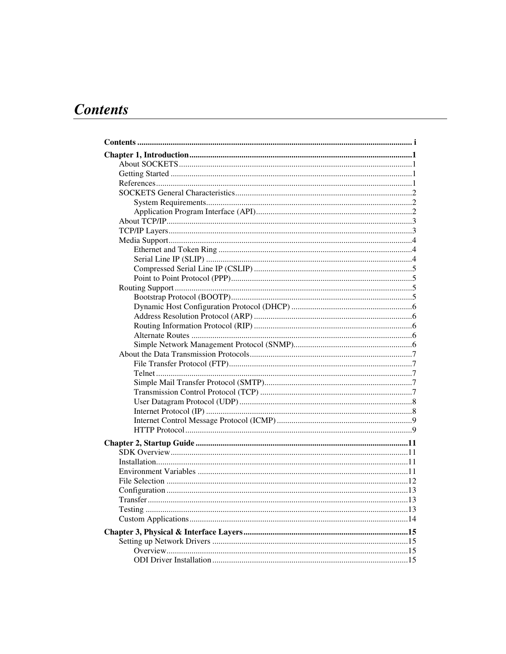# **Contents**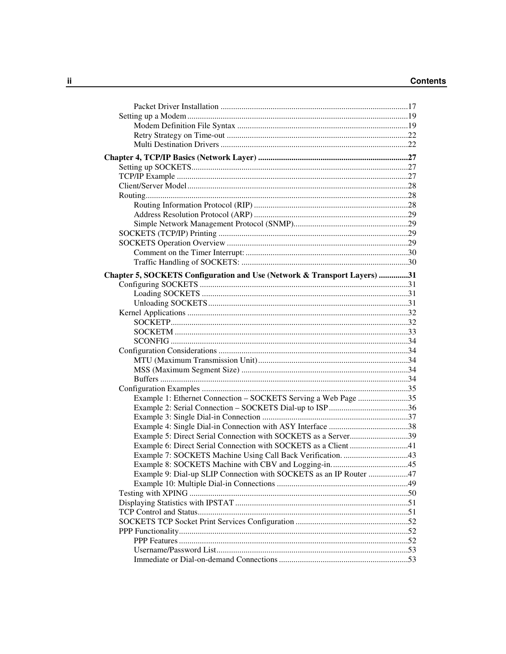| Chapter 5, SOCKETS Configuration and Use (Network & Transport Layers) 31 |  |
|--------------------------------------------------------------------------|--|
|                                                                          |  |
|                                                                          |  |
|                                                                          |  |
|                                                                          |  |
|                                                                          |  |
|                                                                          |  |
|                                                                          |  |
|                                                                          |  |
|                                                                          |  |
|                                                                          |  |
|                                                                          |  |
|                                                                          |  |
| Example 1: Ethernet Connection - SOCKETS Serving a Web Page 35           |  |
|                                                                          |  |
|                                                                          |  |
|                                                                          |  |
| Example 5: Direct Serial Connection with SOCKETS as a Server39           |  |
| Example 6: Direct Serial Connection with SOCKETS as a Client 41          |  |
|                                                                          |  |
|                                                                          |  |
| Example 9: Dial-up SLIP Connection with SOCKETS as an IP Router 47       |  |
|                                                                          |  |
|                                                                          |  |
|                                                                          |  |
|                                                                          |  |
|                                                                          |  |
|                                                                          |  |
|                                                                          |  |
|                                                                          |  |
|                                                                          |  |
|                                                                          |  |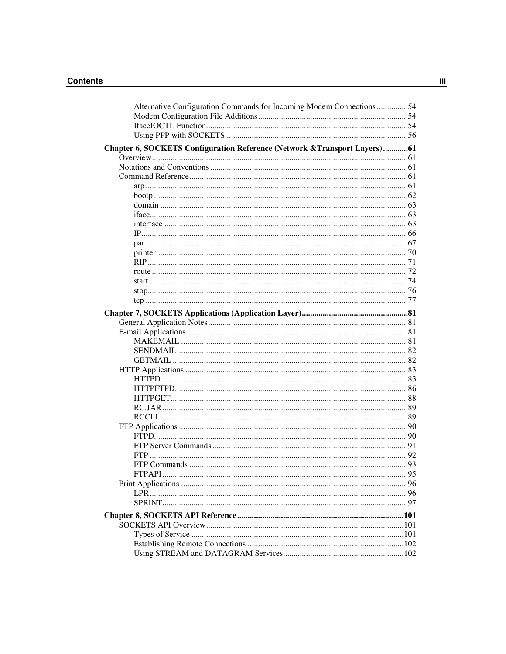#### **Contents**

| Alternative Configuration Commands for Incoming Modem Connections 54      |  |
|---------------------------------------------------------------------------|--|
|                                                                           |  |
|                                                                           |  |
|                                                                           |  |
| Chapter 6, SOCKETS Configuration Reference (Network & Transport Layers)61 |  |
|                                                                           |  |
|                                                                           |  |
|                                                                           |  |
|                                                                           |  |
|                                                                           |  |
|                                                                           |  |
|                                                                           |  |
|                                                                           |  |
|                                                                           |  |
|                                                                           |  |
|                                                                           |  |
|                                                                           |  |
|                                                                           |  |
|                                                                           |  |
|                                                                           |  |
|                                                                           |  |
|                                                                           |  |
|                                                                           |  |
|                                                                           |  |
|                                                                           |  |
|                                                                           |  |
|                                                                           |  |
|                                                                           |  |
|                                                                           |  |
|                                                                           |  |
|                                                                           |  |
|                                                                           |  |
|                                                                           |  |
|                                                                           |  |
|                                                                           |  |
|                                                                           |  |
|                                                                           |  |
|                                                                           |  |
|                                                                           |  |
|                                                                           |  |
|                                                                           |  |
|                                                                           |  |
|                                                                           |  |
|                                                                           |  |
|                                                                           |  |
|                                                                           |  |
|                                                                           |  |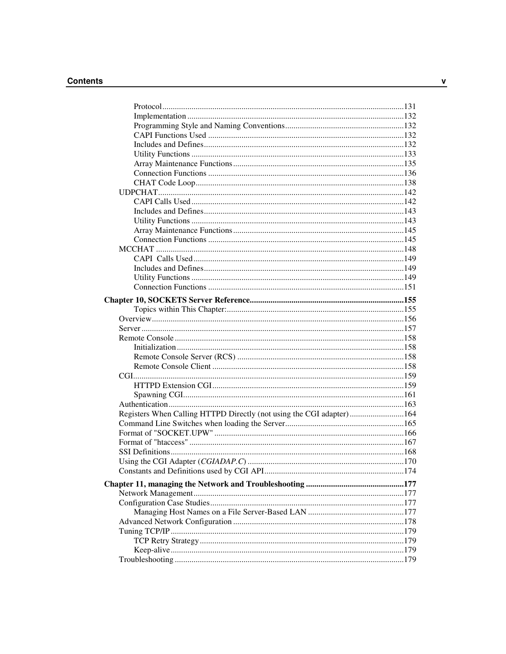#### **Contents**

| Registers When Calling HTTPD Directly (not using the CGI adapter)164 |  |
|----------------------------------------------------------------------|--|
|                                                                      |  |
|                                                                      |  |
|                                                                      |  |
|                                                                      |  |
|                                                                      |  |
|                                                                      |  |
|                                                                      |  |
|                                                                      |  |
|                                                                      |  |
|                                                                      |  |
|                                                                      |  |
|                                                                      |  |
|                                                                      |  |
|                                                                      |  |
|                                                                      |  |
|                                                                      |  |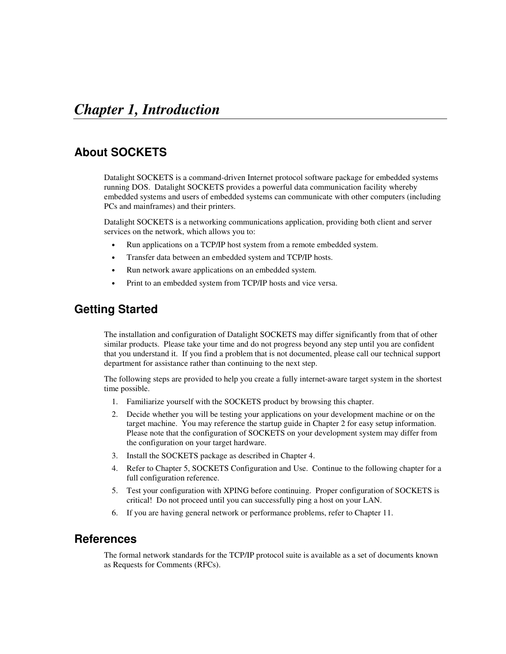# **About SOCKETS**

Datalight SOCKETS is a command-driven Internet protocol software package for embedded systems running DOS. Datalight SOCKETS provides a powerful data communication facility whereby embedded systems and users of embedded systems can communicate with other computers (including PCs and mainframes) and their printers.

Datalight SOCKETS is a networking communications application, providing both client and server services on the network, which allows you to:

- Run applications on a TCP/IP host system from a remote embedded system.
- Transfer data between an embedded system and TCP/IP hosts.
- Run network aware applications on an embedded system.
- Print to an embedded system from TCP/IP hosts and vice versa.

# **Getting Started**

The installation and configuration of Datalight SOCKETS may differ significantly from that of other similar products. Please take your time and do not progress beyond any step until you are confident that you understand it. If you find a problem that is not documented, please call our technical support department for assistance rather than continuing to the next step.

The following steps are provided to help you create a fully internet-aware target system in the shortest time possible.

- 1. Familiarize yourself with the SOCKETS product by browsing this chapter.
- 2. Decide whether you will be testing your applications on your development machine or on the target machine. You may reference the startup guide in Chapter 2 for easy setup information. Please note that the configuration of SOCKETS on your development system may differ from the configuration on your target hardware.
- 3. Install the SOCKETS package as described in Chapter 4.
- 4. Refer to Chapter 5, SOCKETS Configuration and Use. Continue to the following chapter for a full configuration reference.
- 5. Test your configuration with XPING before continuing. Proper configuration of SOCKETS is critical! Do not proceed until you can successfully ping a host on your LAN.
- 6. If you are having general network or performance problems, refer to Chapter 11.

# **References**

The formal network standards for the TCP/IP protocol suite is available as a set of documents known as Requests for Comments (RFCs).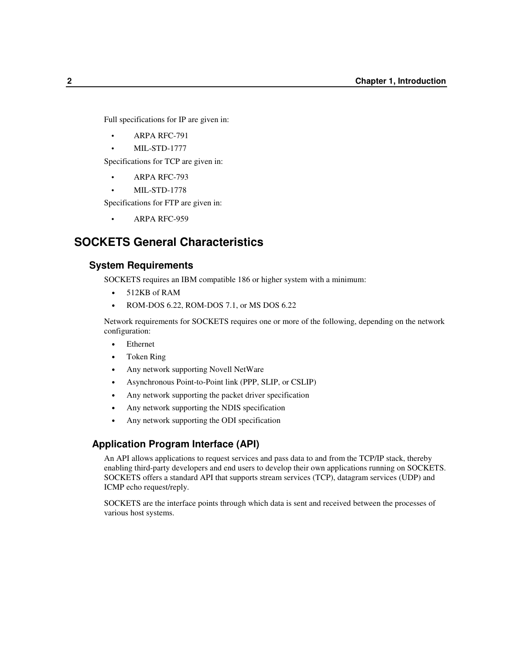Full specifications for IP are given in:

- ARPA RFC-791
- MIL-STD-1777

Specifications for TCP are given in:

- ARPA RFC-793
- MIL-STD-1778

Specifications for FTP are given in:

• ARPA RFC-959

# **SOCKETS General Characteristics**

# **System Requirements**

SOCKETS requires an IBM compatible 186 or higher system with a minimum:

- 512KB of RAM
- ROM-DOS 6.22, ROM-DOS 7.1, or MS DOS 6.22

Network requirements for SOCKETS requires one or more of the following, depending on the network configuration:

- **Ethernet**
- Token Ring
- Any network supporting Novell NetWare
- Asynchronous Point-to-Point link (PPP, SLIP, or CSLIP)
- Any network supporting the packet driver specification
- Any network supporting the NDIS specification
- Any network supporting the ODI specification

## **Application Program Interface (API)**

An API allows applications to request services and pass data to and from the TCP/IP stack, thereby enabling third-party developers and end users to develop their own applications running on SOCKETS. SOCKETS offers a standard API that supports stream services (TCP), datagram services (UDP) and ICMP echo request/reply.

SOCKETS are the interface points through which data is sent and received between the processes of various host systems.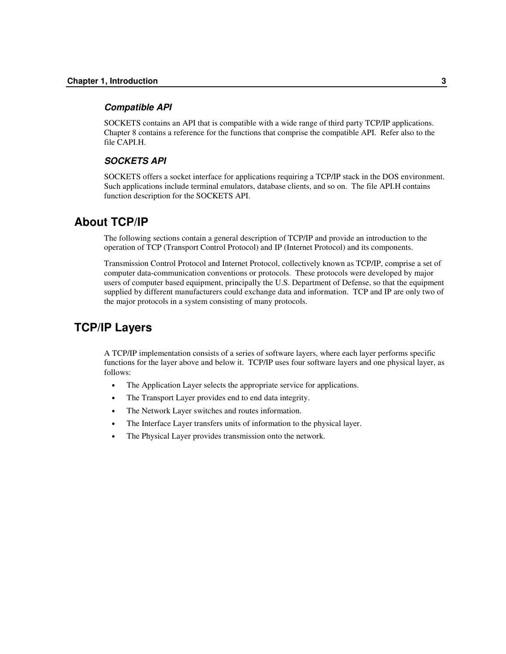#### *Compatible API*

SOCKETS contains an API that is compatible with a wide range of third party TCP/IP applications. Chapter 8 contains a reference for the functions that comprise the compatible API. Refer also to the file CAPI.H.

## *SOCKETS API*

SOCKETS offers a socket interface for applications requiring a TCP/IP stack in the DOS environment. Such applications include terminal emulators, database clients, and so on. The file API.H contains function description for the SOCKETS API.

# **About TCP/IP**

The following sections contain a general description of TCP/IP and provide an introduction to the operation of TCP (Transport Control Protocol) and IP (Internet Protocol) and its components.

Transmission Control Protocol and Internet Protocol, collectively known as TCP/IP, comprise a set of computer data-communication conventions or protocols. These protocols were developed by major users of computer based equipment, principally the U.S. Department of Defense, so that the equipment supplied by different manufacturers could exchange data and information. TCP and IP are only two of the major protocols in a system consisting of many protocols.

# **TCP/IP Layers**

A TCP/IP implementation consists of a series of software layers, where each layer performs specific functions for the layer above and below it. TCP/IP uses four software layers and one physical layer, as follows:

- The Application Layer selects the appropriate service for applications.
- The Transport Layer provides end to end data integrity.
- The Network Layer switches and routes information.
- The Interface Layer transfers units of information to the physical layer.
- The Physical Layer provides transmission onto the network.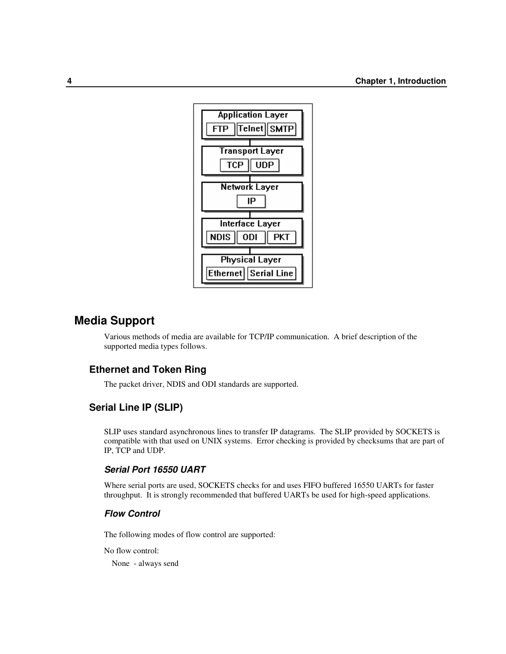

# **Media Support**

Various methods of media are available for TCP/IP communication. A brief description of the supported media types follows.

# **Ethernet and Token Ring**

The packet driver, NDIS and ODI standards are supported.

## **Serial Line IP (SLIP)**

SLIP uses standard asynchronous lines to transfer IP datagrams. The SLIP provided by SOCKETS is compatible with that used on UNIX systems. Error checking is provided by checksums that are part of IP, TCP and UDP.

## *Serial Port 16550 UART*

Where serial ports are used, SOCKETS checks for and uses FIFO buffered 16550 UARTs for faster throughput. It is strongly recommended that buffered UARTs be used for high-speed applications.

## *Flow Control*

The following modes of flow control are supported:

No flow control:

None - always send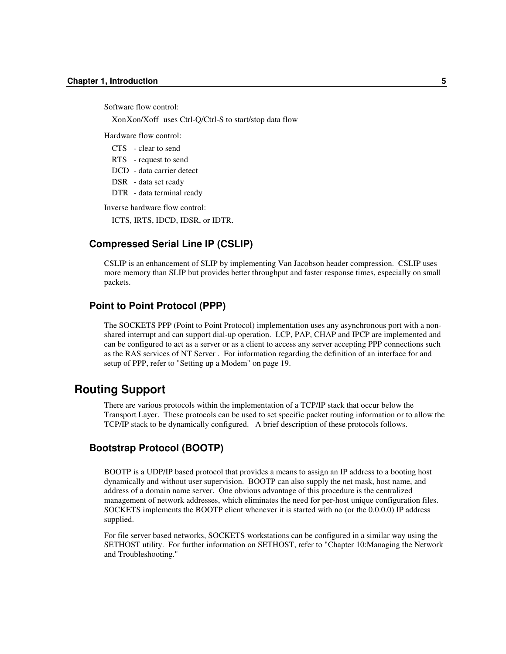Software flow control:

XonXon/Xoff uses Ctrl-Q/Ctrl-S to start/stop data flow

Hardware flow control:

CTS - clear to send

RTS - request to send

DCD - data carrier detect

DSR - data set ready

DTR - data terminal ready

Inverse hardware flow control:

ICTS, IRTS, IDCD, IDSR, or IDTR.

## **Compressed Serial Line IP (CSLIP)**

CSLIP is an enhancement of SLIP by implementing Van Jacobson header compression. CSLIP uses more memory than SLIP but provides better throughput and faster response times, especially on small packets.

## **Point to Point Protocol (PPP)**

The SOCKETS PPP (Point to Point Protocol) implementation uses any asynchronous port with a nonshared interrupt and can support dial-up operation. LCP, PAP, CHAP and IPCP are implemented and can be configured to act as a server or as a client to access any server accepting PPP connections such as the RAS services of NT Server . For information regarding the definition of an interface for and setup of PPP, refer to "Setting up a Modem" on page 19.

# **Routing Support**

There are various protocols within the implementation of a TCP/IP stack that occur below the Transport Layer. These protocols can be used to set specific packet routing information or to allow the TCP/IP stack to be dynamically configured. A brief description of these protocols follows.

# **Bootstrap Protocol (BOOTP)**

BOOTP is a UDP/IP based protocol that provides a means to assign an IP address to a booting host dynamically and without user supervision. BOOTP can also supply the net mask, host name, and address of a domain name server. One obvious advantage of this procedure is the centralized management of network addresses, which eliminates the need for per-host unique configuration files. SOCKETS implements the BOOTP client whenever it is started with no (or the 0.0.0.0) IP address supplied.

For file server based networks, SOCKETS workstations can be configured in a similar way using the SETHOST utility. For further information on SETHOST, refer to "Chapter 10:Managing the Network and Troubleshooting."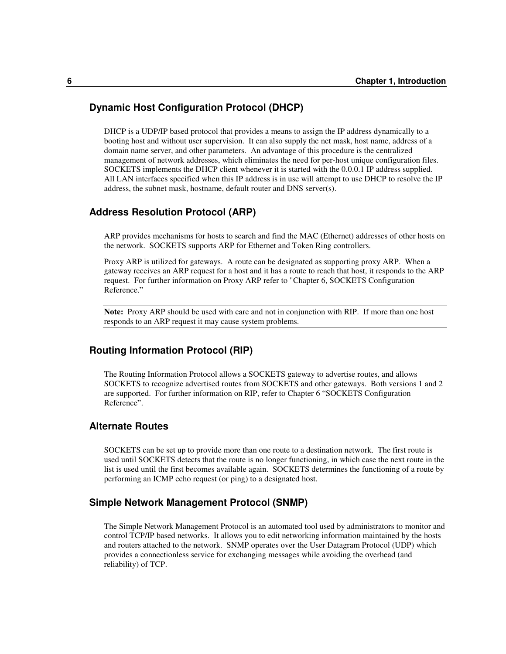## **Dynamic Host Configuration Protocol (DHCP)**

DHCP is a UDP/IP based protocol that provides a means to assign the IP address dynamically to a booting host and without user supervision. It can also supply the net mask, host name, address of a domain name server, and other parameters. An advantage of this procedure is the centralized management of network addresses, which eliminates the need for per-host unique configuration files. SOCKETS implements the DHCP client whenever it is started with the 0.0.0.1 IP address supplied. All LAN interfaces specified when this IP address is in use will attempt to use DHCP to resolve the IP address, the subnet mask, hostname, default router and DNS server(s).

## **Address Resolution Protocol (ARP)**

ARP provides mechanisms for hosts to search and find the MAC (Ethernet) addresses of other hosts on the network. SOCKETS supports ARP for Ethernet and Token Ring controllers.

Proxy ARP is utilized for gateways. A route can be designated as supporting proxy ARP. When a gateway receives an ARP request for a host and it has a route to reach that host, it responds to the ARP request. For further information on Proxy ARP refer to "Chapter 6, SOCKETS Configuration Reference."

**Note:** Proxy ARP should be used with care and not in conjunction with RIP. If more than one host responds to an ARP request it may cause system problems.

## **Routing Information Protocol (RIP)**

The Routing Information Protocol allows a SOCKETS gateway to advertise routes, and allows SOCKETS to recognize advertised routes from SOCKETS and other gateways. Both versions 1 and 2 are supported. For further information on RIP, refer to Chapter 6 "SOCKETS Configuration Reference".

## **Alternate Routes**

SOCKETS can be set up to provide more than one route to a destination network. The first route is used until SOCKETS detects that the route is no longer functioning, in which case the next route in the list is used until the first becomes available again. SOCKETS determines the functioning of a route by performing an ICMP echo request (or ping) to a designated host.

## **Simple Network Management Protocol (SNMP)**

The Simple Network Management Protocol is an automated tool used by administrators to monitor and control TCP/IP based networks. It allows you to edit networking information maintained by the hosts and routers attached to the network. SNMP operates over the User Datagram Protocol (UDP) which provides a connectionless service for exchanging messages while avoiding the overhead (and reliability) of TCP.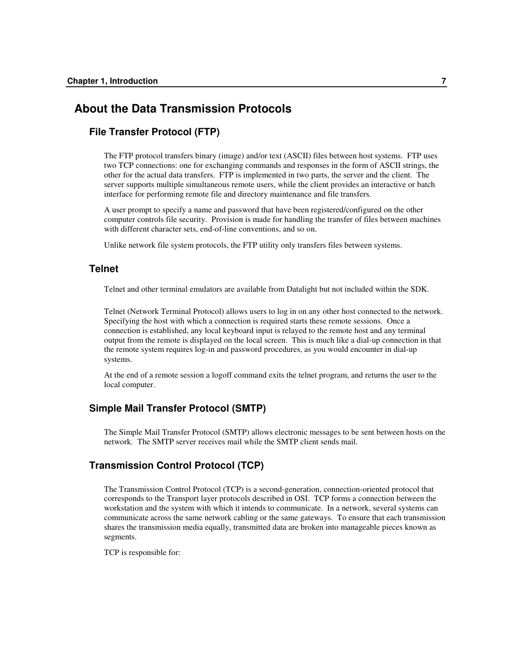# **About the Data Transmission Protocols**

## **File Transfer Protocol (FTP)**

The FTP protocol transfers binary (image) and/or text (ASCII) files between host systems. FTP uses two TCP connections: one for exchanging commands and responses in the form of ASCII strings, the other for the actual data transfers. FTP is implemented in two parts, the server and the client. The server supports multiple simultaneous remote users, while the client provides an interactive or batch interface for performing remote file and directory maintenance and file transfers.

A user prompt to specify a name and password that have been registered/configured on the other computer controls file security. Provision is made for handling the transfer of files between machines with different character sets, end-of-line conventions, and so on.

Unlike network file system protocols, the FTP utility only transfers files between systems.

# **Telnet**

Telnet and other terminal emulators are available from Datalight but not included within the SDK.

Telnet (Network Terminal Protocol) allows users to log in on any other host connected to the network. Specifying the host with which a connection is required starts these remote sessions. Once a connection is established, any local keyboard input is relayed to the remote host and any terminal output from the remote is displayed on the local screen. This is much like a dial-up connection in that the remote system requires log-in and password procedures, as you would encounter in dial-up systems.

At the end of a remote session a logoff command exits the telnet program, and returns the user to the local computer.

# **Simple Mail Transfer Protocol (SMTP)**

The Simple Mail Transfer Protocol (SMTP) allows electronic messages to be sent between hosts on the network. The SMTP server receives mail while the SMTP client sends mail.

# **Transmission Control Protocol (TCP)**

The Transmission Control Protocol (TCP) is a second-generation, connection-oriented protocol that corresponds to the Transport layer protocols described in OSI. TCP forms a connection between the workstation and the system with which it intends to communicate. In a network, several systems can communicate across the same network cabling or the same gateways. To ensure that each transmission shares the transmission media equally, transmitted data are broken into manageable pieces known as segments.

TCP is responsible for: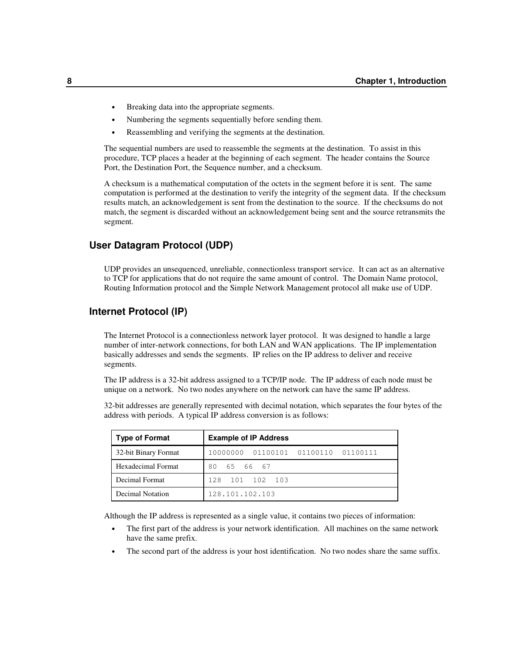- Breaking data into the appropriate segments.
- Numbering the segments sequentially before sending them.
- Reassembling and verifying the segments at the destination.

The sequential numbers are used to reassemble the segments at the destination. To assist in this procedure, TCP places a header at the beginning of each segment. The header contains the Source Port, the Destination Port, the Sequence number, and a checksum.

A checksum is a mathematical computation of the octets in the segment before it is sent. The same computation is performed at the destination to verify the integrity of the segment data. If the checksum results match, an acknowledgement is sent from the destination to the source. If the checksums do not match, the segment is discarded without an acknowledgement being sent and the source retransmits the segment.

# **User Datagram Protocol (UDP)**

UDP provides an unsequenced, unreliable, connectionless transport service. It can act as an alternative to TCP for applications that do not require the same amount of control. The Domain Name protocol, Routing Information protocol and the Simple Network Management protocol all make use of UDP.

#### **Internet Protocol (IP)**

The Internet Protocol is a connectionless network layer protocol. It was designed to handle a large number of inter-network connections, for both LAN and WAN applications. The IP implementation basically addresses and sends the segments. IP relies on the IP address to deliver and receive segments.

The IP address is a 32-bit address assigned to a TCP/IP node. The IP address of each node must be unique on a network. No two nodes anywhere on the network can have the same IP address.

32-bit addresses are generally represented with decimal notation, which separates the four bytes of the address with periods. A typical IP address conversion is as follows:

| <b>Type of Format</b> | <b>Example of IP Address</b>           |  |  |
|-----------------------|----------------------------------------|--|--|
| 32-bit Binary Format  | 10000000<br>01100101 01100110 01100111 |  |  |
| Hexadecimal Format    | 80<br>65 66 67                         |  |  |
| Decimal Format        | 128 101 102 103                        |  |  |
| Decimal Notation      | 128.101.102.103                        |  |  |

Although the IP address is represented as a single value, it contains two pieces of information:

- The first part of the address is your network identification. All machines on the same network have the same prefix.
- The second part of the address is your host identification. No two nodes share the same suffix.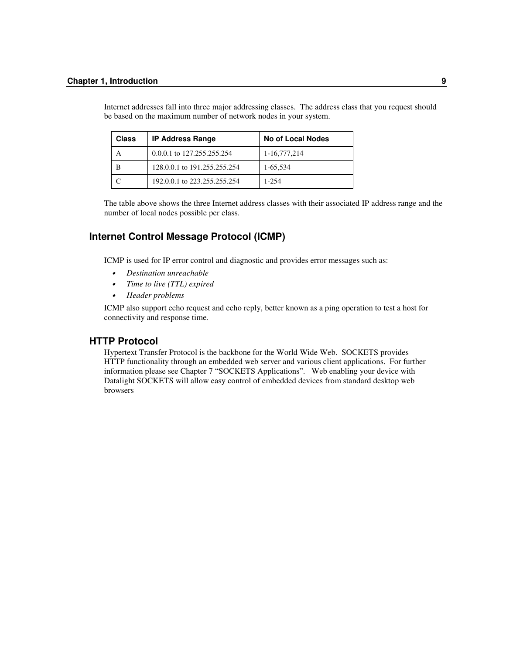| <b>Class</b> | <b>IP Address Range</b>      | No of Local Nodes |
|--------------|------------------------------|-------------------|
|              | 0.0.0.1 to 127.255.255.254   | 1-16,777,214      |
| в            | 128,0,0,1 to 191,255,255,254 | 1-65,534          |
|              | 192,0,0.1 to 223,255,255,254 | 1-254             |

Internet addresses fall into three major addressing classes. The address class that you request should be based on the maximum number of network nodes in your system.

The table above shows the three Internet address classes with their associated IP address range and the number of local nodes possible per class.

# **Internet Control Message Protocol (ICMP)**

ICMP is used for IP error control and diagnostic and provides error messages such as:

- •*Destination unreachable*
- •*Time to live (TTL) expired*
- •*Header problems*

ICMP also support echo request and echo reply, better known as a ping operation to test a host for connectivity and response time.

## **HTTP Protocol**

Hypertext Transfer Protocol is the backbone for the World Wide Web. SOCKETS provides HTTP functionality through an embedded web server and various client applications. For further information please see Chapter 7 "SOCKETS Applications". Web enabling your device with Datalight SOCKETS will allow easy control of embedded devices from standard desktop web browsers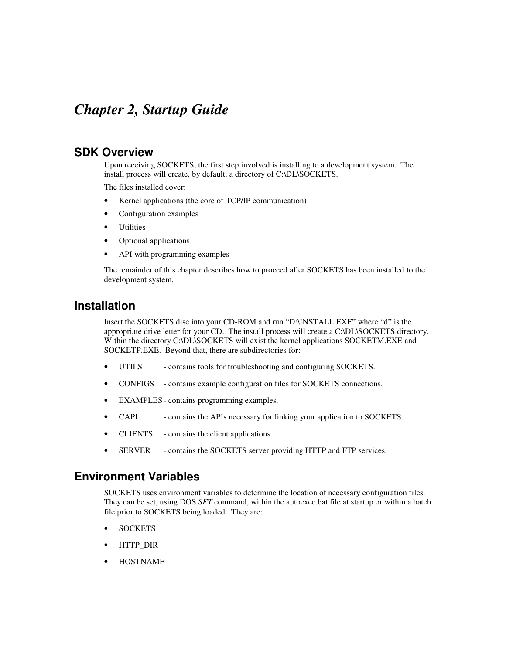# **SDK Overview**

Upon receiving SOCKETS, the first step involved is installing to a development system. The install process will create, by default, a directory of C:\DL\SOCKETS.

The files installed cover:

- Kernel applications (the core of TCP/IP communication)
- Configuration examples
- **Utilities**
- Optional applications
- API with programming examples

The remainder of this chapter describes how to proceed after SOCKETS has been installed to the development system.

# **Installation**

Insert the SOCKETS disc into your CD-ROM and run "D:\INSTALL.EXE" where "d" is the appropriate drive letter for your CD. The install process will create a C:\DL\SOCKETS directory. Within the directory C:\DL\SOCKETS will exist the kernel applications SOCKETM.EXE and SOCKETP.EXE. Beyond that, there are subdirectories for:

- UTILS contains tools for troubleshooting and configuring SOCKETS.
- CONFIGS contains example configuration files for SOCKETS connections.
- EXAMPLES- contains programming examples.
- CAPI contains the APIs necessary for linking your application to SOCKETS.
- CLIENTS contains the client applications.
- SERVER contains the SOCKETS server providing HTTP and FTP services.

# **Environment Variables**

SOCKETS uses environment variables to determine the location of necessary configuration files. They can be set, using DOS *SET* command, within the autoexec.bat file at startup or within a batch file prior to SOCKETS being loaded. They are:

- SOCKETS
- HTTP\_DIR
- HOSTNAME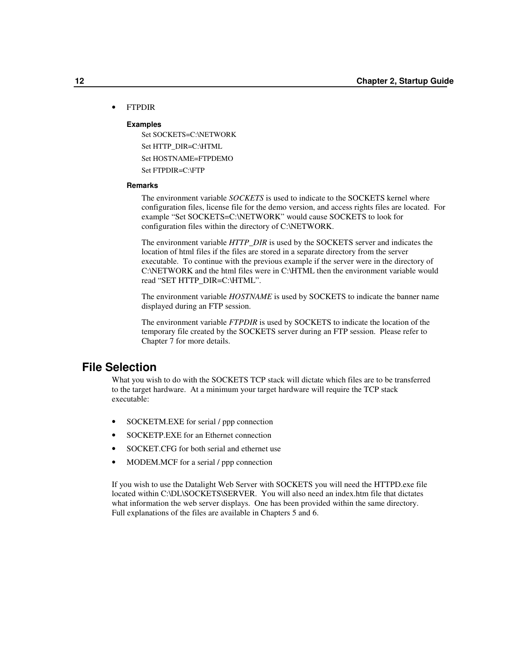#### • FTPDIR

#### **Examples**

Set SOCKETS=C:\NETWORK Set HTTP\_DIR=C:\HTML Set HOSTNAME=FTPDEMO Set FTPDIR=C:\FTP

#### **Remarks**

The environment variable *SOCKETS* is used to indicate to the SOCKETS kernel where configuration files, license file for the demo version, and access rights files are located. For example "Set SOCKETS=C:\NETWORK" would cause SOCKETS to look for configuration files within the directory of C:\NETWORK.

The environment variable *HTTP\_DIR* is used by the SOCKETS server and indicates the location of html files if the files are stored in a separate directory from the server executable. To continue with the previous example if the server were in the directory of C:\NETWORK and the html files were in C:\HTML then the environment variable would read "SET HTTP\_DIR=C:\HTML".

The environment variable *HOSTNAME* is used by SOCKETS to indicate the banner name displayed during an FTP session.

The environment variable *FTPDIR* is used by SOCKETS to indicate the location of the temporary file created by the SOCKETS server during an FTP session. Please refer to Chapter 7 for more details.

# **File Selection**

What you wish to do with the SOCKETS TCP stack will dictate which files are to be transferred to the target hardware. At a minimum your target hardware will require the TCP stack executable:

- SOCKETM.EXE for serial / ppp connection
- SOCKETP.EXE for an Ethernet connection
- SOCKET.CFG for both serial and ethernet use
- MODEM.MCF for a serial / ppp connection

If you wish to use the Datalight Web Server with SOCKETS you will need the HTTPD.exe file located within C:\DL\SOCKETS\SERVER. You will also need an index.htm file that dictates what information the web server displays. One has been provided within the same directory. Full explanations of the files are available in Chapters 5 and 6.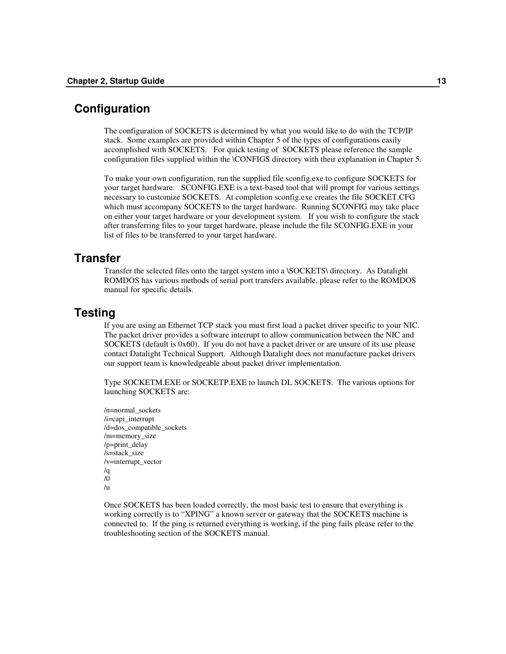# **Configuration**

The configuration of SOCKETS is determined by what you would like to do with the TCP/IP stack. Some examples are provided within Chapter 5 of the types of configurations easily accomplished with SOCKETS. For quick testing of SOCKETS please reference the sample configuration files supplied within the \CONFIGS directory with their explanation in Chapter 5.

To make your own configuration, run the supplied file sconfig.exe to configure SOCKETS for your target hardware. SCONFIG.EXE is a text-based tool that will prompt for various settings necessary to customize SOCKETS. At completion sconfig.exe creates the file SOCKET.CFG which must accompany SOCKETS to the target hardware. Running SCONFIG may take place on either your target hardware or your development system. If you wish to configure the stack after transferring files to your target hardware, please include the file SCONFIG.EXE in your list of files to be transferred to your target hardware.

# **Transfer**

Transfer the selected files onto the target system into a \SOCKETS\ directory. As Datalight ROMDOS has various methods of serial port transfers available, please refer to the ROMDOS manual for specific details.

# **Testing**

If you are using an Ethernet TCP stack you must first load a packet driver specific to your NIC. The packet driver provides a software interrupt to allow communication between the NIC and SOCKETS (default is 0x60). If you do not have a packet driver or are unsure of its use please contact Datalight Technical Support. Although Datalight does not manufacture packet drivers our support team is knowledgeable about packet driver implementation.

Type SOCKETM.EXE or SOCKETP.EXE to launch DL SOCKETS. The various options for launching SOCKETS are:

/n=normal\_sockets /i=capi\_interrupt /d=dos\_compatible\_sockets /m=memory\_size /p=print\_delay /s=stack\_size /v=interrupt\_vector /q /0 /u

Once SOCKETS has been loaded correctly, the most basic test to ensure that everything is working correctly is to "XPING" a known server or gateway that the SOCKETS machine is connected to. If the ping is returned everything is working, if the ping fails please refer to the troubleshooting section of the SOCKETS manual.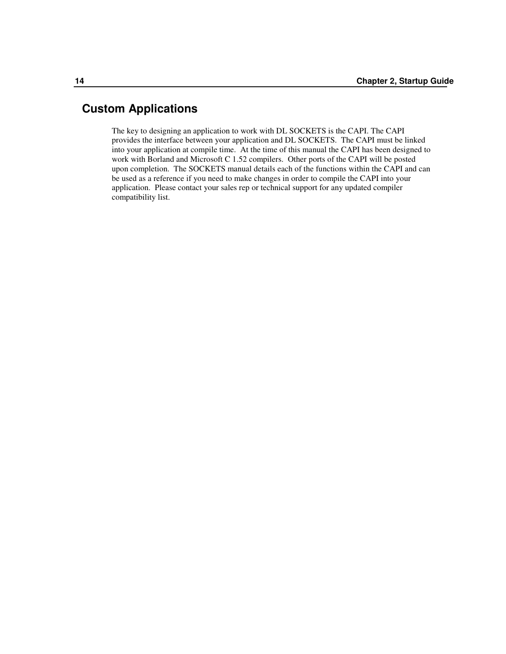# **Custom Applications**

The key to designing an application to work with DL SOCKETS is the CAPI. The CAPI provides the interface between your application and DL SOCKETS. The CAPI must be linked into your application at compile time. At the time of this manual the CAPI has been designed to work with Borland and Microsoft C 1.52 compilers. Other ports of the CAPI will be posted upon completion. The SOCKETS manual details each of the functions within the CAPI and can be used as a reference if you need to make changes in order to compile the CAPI into your application. Please contact your sales rep or technical support for any updated compiler compatibility list.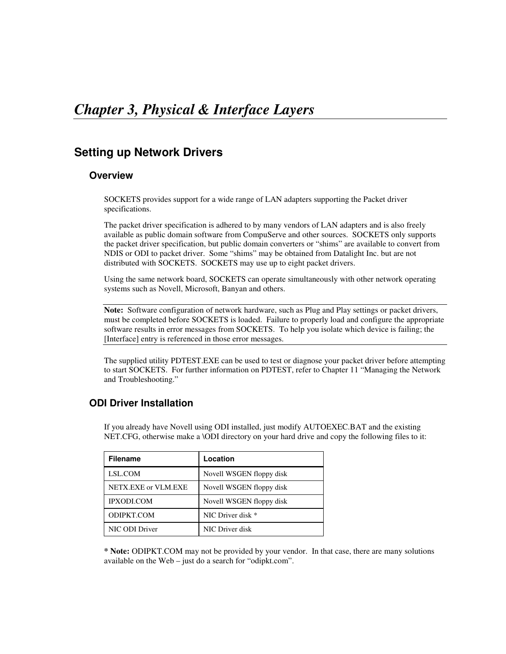# **Setting up Network Drivers**

# **Overview**

SOCKETS provides support for a wide range of LAN adapters supporting the Packet driver specifications.

The packet driver specification is adhered to by many vendors of LAN adapters and is also freely available as public domain software from CompuServe and other sources. SOCKETS only supports the packet driver specification, but public domain converters or "shims" are available to convert from NDIS or ODI to packet driver. Some "shims" may be obtained from Datalight Inc. but are not distributed with SOCKETS. SOCKETS may use up to eight packet drivers.

Using the same network board, SOCKETS can operate simultaneously with other network operating systems such as Novell, Microsoft, Banyan and others.

**Note:** Software configuration of network hardware, such as Plug and Play settings or packet drivers, must be completed before SOCKETS is loaded. Failure to properly load and configure the appropriate software results in error messages from SOCKETS. To help you isolate which device is failing; the [Interface] entry is referenced in those error messages.

The supplied utility PDTEST.EXE can be used to test or diagnose your packet driver before attempting to start SOCKETS. For further information on PDTEST, refer to Chapter 11 "Managing the Network and Troubleshooting."

# **ODI Driver Installation**

If you already have Novell using ODI installed, just modify AUTOEXEC.BAT and the existing NET.CFG, otherwise make a \ODI directory on your hard drive and copy the following files to it:

| <b>Filename</b>     | Location                 |
|---------------------|--------------------------|
| LSL.COM             | Novell WSGEN floppy disk |
| NETX.EXE or VLM.EXE | Novell WSGEN floppy disk |
| <b>IPXODI.COM</b>   | Novell WSGEN floppy disk |
| ODIPKT.COM          | NIC Driver disk *        |
| NIC ODI Driver      | NIC Driver disk          |

**\* Note:** ODIPKT.COM may not be provided by your vendor. In that case, there are many solutions available on the Web – just do a search for "odipkt.com".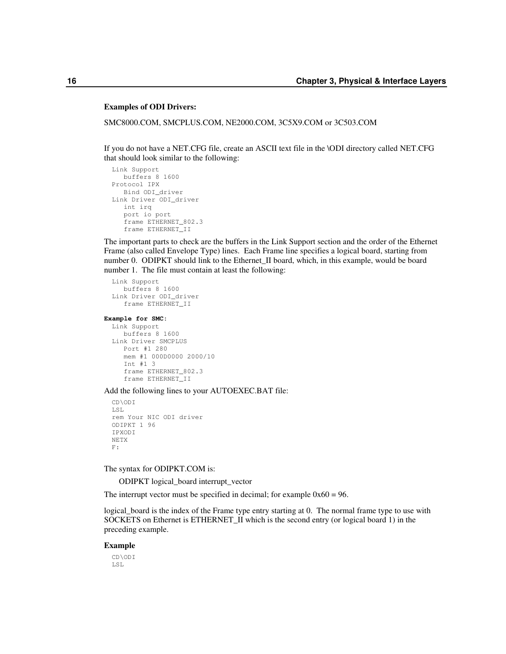#### **Examples of ODI Drivers:**

SMC8000.COM, SMCPLUS.COM, NE2000.COM, 3C5X9.COM or 3C503.COM

If you do not have a NET.CFG file, create an ASCII text file in the \ODI directory called NET.CFG that should look similar to the following:

```
Link Support
  buffers 8 1600
Protocol IPX
  Bind ODI_driver
Link Driver ODI_driver
  int irq
   port io port
   frame ETHERNET_802.3
   frame ETHERNET_II
```
The important parts to check are the buffers in the Link Support section and the order of the Ethernet Frame (also called Envelope Type) lines. Each Frame line specifies a logical board, starting from number 0. ODIPKT should link to the Ethernet II board, which, in this example, would be board number 1. The file must contain at least the following:

```
Link Support
   buffers 8 1600
Link Driver ODI_driver
   frame ETHERNET_II
```
#### **Example for SMC:**

```
Link Support
  buffers 8 1600
Link Driver SMCPLUS
  Port #1 280
   mem #1 000D0000 2000/10
   Int #1 3
   frame ETHERNET_802.3
   frame ETHERNET_II
```
Add the following lines to your AUTOEXEC.BAT file:

```
CD\ODI
LSL
rem Your NIC ODI driver
ODIPKT 1 96
IPXODI
NETX
F:
```
The syntax for ODIPKT.COM is:

ODIPKT logical\_board interrupt\_vector

The interrupt vector must be specified in decimal; for example  $0x60 = 96$ .

logical\_board is the index of the Frame type entry starting at 0. The normal frame type to use with SOCKETS on Ethernet is ETHERNET\_II which is the second entry (or logical board 1) in the preceding example.

#### **Example**

CD\ODI LSL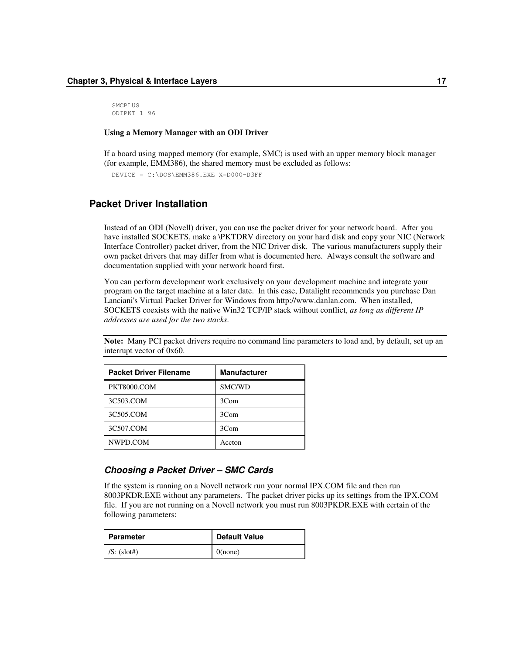**SMCPLUS** ODIPKT 1 96

#### **Using a Memory Manager with an ODI Driver**

If a board using mapped memory (for example, SMC) is used with an upper memory block manager (for example, EMM386), the shared memory must be excluded as follows:

DEVICE = C:\DOS\EMM386.EXE X=D000-D3FF

# **Packet Driver Installation**

Instead of an ODI (Novell) driver, you can use the packet driver for your network board. After you have installed SOCKETS, make a \PKTDRV directory on your hard disk and copy your NIC (Network Interface Controller) packet driver, from the NIC Driver disk. The various manufacturers supply their own packet drivers that may differ from what is documented here. Always consult the software and documentation supplied with your network board first.

You can perform development work exclusively on your development machine and integrate your program on the target machine at a later date. In this case, Datalight recommends you purchase Dan Lanciani's Virtual Packet Driver for Windows from http://www.danlan.com. When installed, SOCKETS coexists with the native Win32 TCP/IP stack without conflict, *as long as different IP addresses are used for the two stacks*.

**Note:** Many PCI packet drivers require no command line parameters to load and, by default, set up an interrupt vector of 0x60.

| <b>Packet Driver Filename</b> | <b>Manufacturer</b> |
|-------------------------------|---------------------|
| PKT8000.COM                   | SMC/WD              |
| 3C503.COM                     | 3Com                |
| 3C505.COM                     | 3Com                |
| 3C507.COM                     | 3Com                |
| NWPD.COM                      | Accton              |

## *Choosing a Packet Driver – SMC Cards*

If the system is running on a Novell network run your normal IPX.COM file and then run 8003PKDR.EXE without any parameters. The packet driver picks up its settings from the IPX.COM file. If you are not running on a Novell network you must run 8003PKDR.EXE with certain of the following parameters:

| Parameter          | <b>Default Value</b> |
|--------------------|----------------------|
| $\mid$ /S: (slot#) | $0$ (none)           |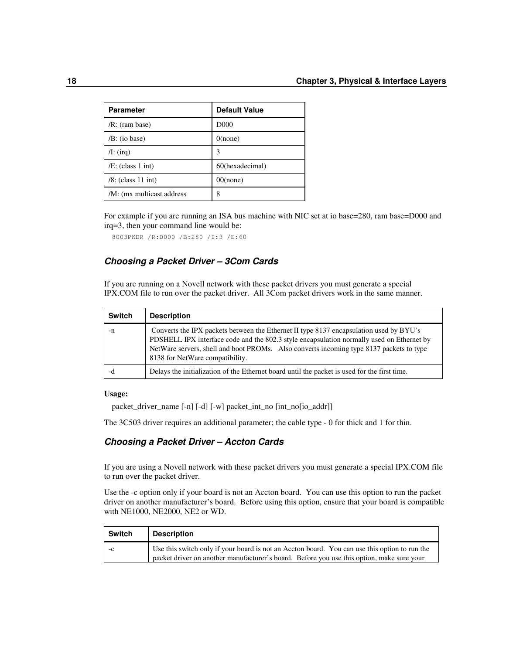| <b>Parameter</b>          | <b>Default Value</b> |
|---------------------------|----------------------|
| /R: (ram base)            | D <sub>000</sub>     |
| $/B$ : (io base)          | $0$ (none)           |
| $\pi$ : (irq)             | 3                    |
| $/E$ : (class 1 int)      | 60(hexadecimal)      |
| $/8$ : (class 11 int)     | $00$ (none)          |
| /M: (mx multicast address | 8                    |

For example if you are running an ISA bus machine with NIC set at io base=280, ram base=D000 and irq=3, then your command line would be:

8003PKDR /R:D000 /B:280 /I:3 /E:60

## *Choosing a Packet Driver – 3Com Cards*

If you are running on a Novell network with these packet drivers you must generate a special IPX.COM file to run over the packet driver. All 3Com packet drivers work in the same manner.

| <b>Switch</b> | <b>Description</b>                                                                                                                                                                                                                                                                                                |
|---------------|-------------------------------------------------------------------------------------------------------------------------------------------------------------------------------------------------------------------------------------------------------------------------------------------------------------------|
| -n            | Converts the IPX packets between the Ethernet II type 8137 encapsulation used by BYU's<br>PDSHELL IPX interface code and the 802.3 style encapsulation normally used on Ethernet by<br>NetWare servers, shell and boot PROMs. Also converts incoming type 8137 packets to type<br>8138 for NetWare compatibility. |
| -d            | Delays the initialization of the Ethernet board until the packet is used for the first time.                                                                                                                                                                                                                      |

#### **Usage:**

packet\_driver\_name [-n] [-d] [-w] packet\_int\_no [int\_no[io\_addr]]

The 3C503 driver requires an additional parameter; the cable type - 0 for thick and 1 for thin.

## *Choosing a Packet Driver – Accton Cards*

If you are using a Novell network with these packet drivers you must generate a special IPX.COM file to run over the packet driver.

Use the -c option only if your board is not an Accton board. You can use this option to run the packet driver on another manufacturer's board. Before using this option, ensure that your board is compatible with NE1000, NE2000, NE2 or WD.

| <b>Switch</b> | <b>Description</b>                                                                                                                                                                         |
|---------------|--------------------------------------------------------------------------------------------------------------------------------------------------------------------------------------------|
|               | Use this switch only if your board is not an Accton board. You can use this option to run the<br>packet driver on another manufacturer's board. Before you use this option, make sure your |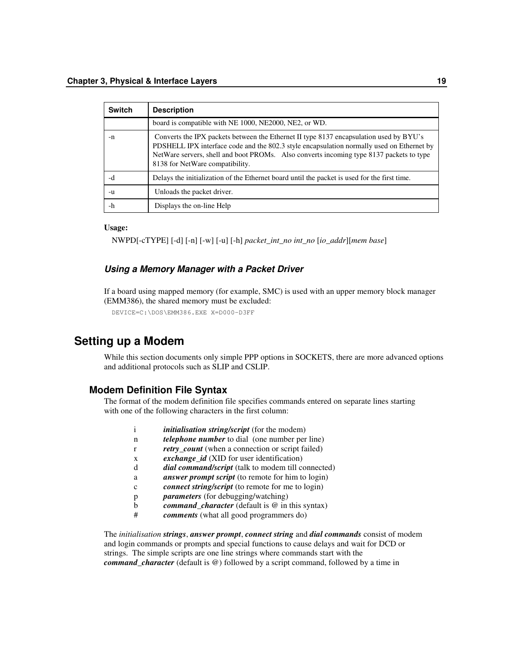| <b>Switch</b> | <b>Description</b>                                                                                                                                                                                                                                                                                                |
|---------------|-------------------------------------------------------------------------------------------------------------------------------------------------------------------------------------------------------------------------------------------------------------------------------------------------------------------|
|               | board is compatible with NE 1000, NE2000, NE2, or WD.                                                                                                                                                                                                                                                             |
| -n            | Converts the IPX packets between the Ethernet II type 8137 encapsulation used by BYU's<br>PDSHELL IPX interface code and the 802.3 style encapsulation normally used on Ethernet by<br>NetWare servers, shell and boot PROMs. Also converts incoming type 8137 packets to type<br>8138 for NetWare compatibility. |
| -d            | Delays the initialization of the Ethernet board until the packet is used for the first time.                                                                                                                                                                                                                      |
| -u            | Unloads the packet driver.                                                                                                                                                                                                                                                                                        |
| -h            | Displays the on-line Help                                                                                                                                                                                                                                                                                         |

#### **Usage:**

NWPD[-cTYPE] [-d] [-n] [-w] [-u] [-h] *packet\_int\_no int\_no* [*io\_addr*][*mem base*]

## *Using a Memory Manager with a Packet Driver*

If a board using mapped memory (for example, SMC) is used with an upper memory block manager (EMM386), the shared memory must be excluded:

```
DEVICE=C:\DOS\EMM386.EXE X=D000-D3FF
```
# **Setting up a Modem**

While this section documents only simple PPP options in SOCKETS, there are more advanced options and additional protocols such as SLIP and CSLIP.

#### **Modem Definition File Syntax**

The format of the modem definition file specifies commands entered on separate lines starting with one of the following characters in the first column:

|   | <i>initialisation string/script</i> (for the modem)       |
|---|-----------------------------------------------------------|
| n | <i>telephone number</i> to dial (one number per line)     |
|   | retry_count (when a connection or script failed)          |
| X | exchange_id (XID for user identification)                 |
|   | <i>dial command/script</i> (talk to modem till connected) |
| a | <i>answer prompt script</i> (to remote for him to login)  |
|   | <i>connect string/script</i> (to remote for me to login)  |
|   | <i>parameters</i> (for debugging/watching)                |
|   | <i>command_character</i> (default is $@$ in this syntax)  |
| # | comments (what all good programmers do)                   |
|   |                                                           |

The *initialisation strings*, *answer prompt*, *connect string* and *dial commands* consist of modem and login commands or prompts and special functions to cause delays and wait for DCD or strings. The simple scripts are one line strings where commands start with the *command\_character* (default is @) followed by a script command, followed by a time in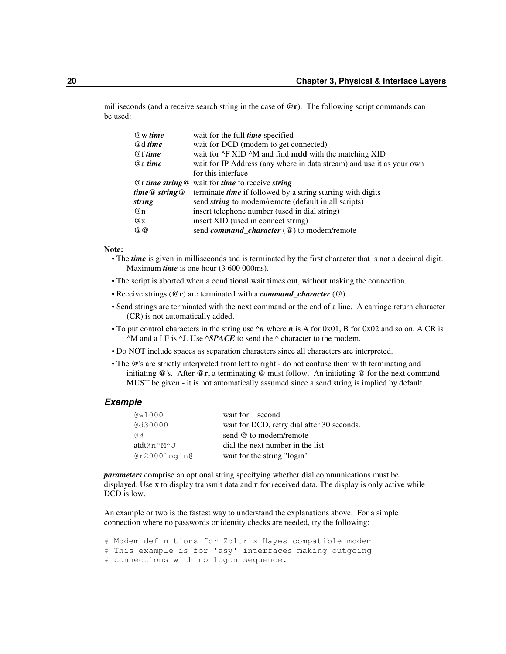milliseconds (and a receive search string in the case of **@r**). The following script commands can be used:

| wait for the full <i>time</i> specified                                      |
|------------------------------------------------------------------------------|
| wait for DCD (modem to get connected)                                        |
| wait for $\sqrt{F}$ XID $\sqrt{M}$ and find <b>mdd</b> with the matching XID |
| wait for IP Address (any where in data stream) and use it as your own        |
| for this interface                                                           |
| $Q$ r time string $Q$ wait for time to receive string                        |
| terminate time if followed by a string starting with digits                  |
| send <i>string</i> to modem/remote (default in all scripts)                  |
| insert telephone number (used in dial string)                                |
| insert XID (used in connect string)                                          |
| send <i>command_character</i> $(\omega)$ to modem/remote                     |
|                                                                              |

#### **Note:**

- **•** The *time* is given in milliseconds and is terminated by the first character that is not a decimal digit. Maximum *time* is one hour (3 600 000ms).
- **•** The script is aborted when a conditional wait times out, without making the connection.
- **•** Receive strings (**@r**) are terminated with a *command\_character* (@).
- **•** Send strings are terminated with the next command or the end of a line. A carriage return character (CR) is not automatically added.
- **•** To put control characters in the string use ^*n* where *n* is A for 0x01, B for 0x02 and so on. A CR is  $^{\wedge}$ M and a LF is  $^{\wedge}$ J. Use  $^{\wedge}SPACE$  to send the  $^{\wedge}$  character to the modem.
- **•** Do NOT include spaces as separation characters since all characters are interpreted.
- The @'s are strictly interpreted from left to right do not confuse them with terminating and initiating @'s. After **@r,** a terminating @ must follow. An initiating @ for the next command MUST be given - it is not automatically assumed since a send string is implied by default.

#### *Example*

| QW1000       | wait for 1 second                          |
|--------------|--------------------------------------------|
| @d30000      | wait for DCD, retry dial after 30 seconds. |
| G G          | send @ to modem/remote                     |
| atdt@n^M^J   | dial the next number in the list           |
| @r2000login@ | wait for the string "login"                |

*parameters* comprise an optional string specifying whether dial communications must be displayed. Use **x** to display transmit data and **r** for received data. The display is only active while DCD is low.

An example or two is the fastest way to understand the explanations above. For a simple connection where no passwords or identity checks are needed, try the following:

```
# Modem definitions for Zoltrix Hayes compatible modem
# This example is for 'asy' interfaces making outgoing
# connections with no logon sequence.
```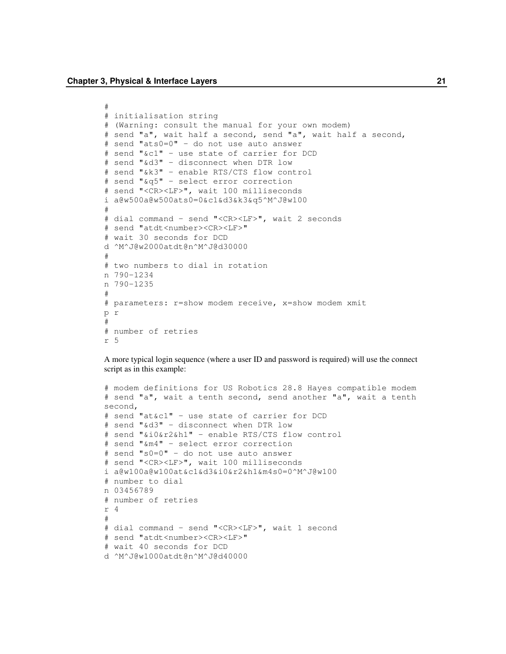```
#
# initialisation string
# (Warning: consult the manual for your own modem)
# send "a", wait half a second, send "a", wait half a second,
# send "ats0=0" - do not use auto answer
# send "&c1" - use state of carrier for DCD
# send "&d3" - disconnect when DTR low
# send "&k3" - enable RTS/CTS flow control
# send "&q5" - select error correction
# send "<CR><LF>", wait 100 milliseconds
i a@w500a@w500ats0=0&c1&d3&k3&q5^M^J@w100
#
# dial command - send "<CR><LF>", wait 2 seconds
# send "atdt<number><CR><LF>"
# wait 30 seconds for DCD
d ^M^J@w2000atdt@n^M^J@d30000
#
# two numbers to dial in rotation
n 790-1234
n 790-1235
#
# parameters: r=show modem receive, x=show modem xmit
p r
#
# number of retries
r 5
```
A more typical login sequence (where a user ID and password is required) will use the connect script as in this example:

```
# modem definitions for US Robotics 28.8 Hayes compatible modem
# send "a", wait a tenth second, send another "a", wait a tenth
second,
# send "at&c1" - use state of carrier for DCD
# send "&d3" - disconnect when DTR low
# send "&i0&r2&h1" - enable RTS/CTS flow control
# send "&m4" - select error correction
# send "s0=0" - do not use auto answer
# send "<CR><LF>", wait 100 milliseconds
i a@w100a@w100at&c1&d3&i0&r2&h1&m4s0=0^M^J@w100
# number to dial
n 03456789
# number of retries
r 4
#
# dial command - send "<CR><LF>", wait 1 second
# send "atdt<number><CR><LF>"
# wait 40 seconds for DCD
d ^M^J@w1000atdt@n^M^J@d40000
```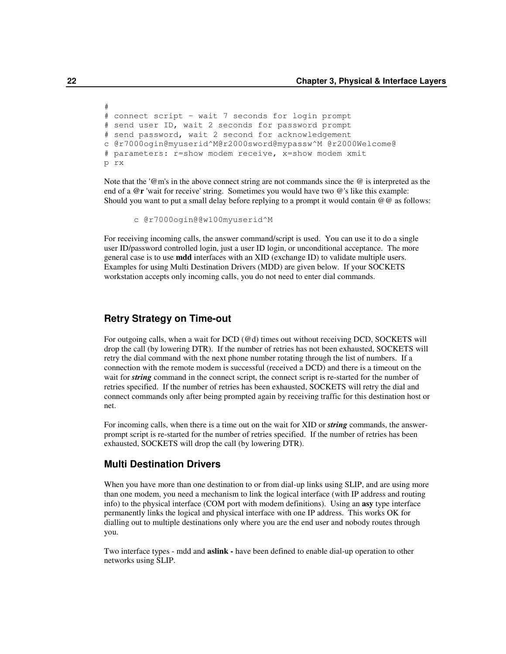```
# connect script - wait 7 seconds for login prompt
# send user ID, wait 2 seconds for password prompt
# send password, wait 2 second for acknowledgement
c @r7000ogin@myuserid^M@r2000sword@mypassw^M @r2000Welcome@
# parameters: r=show modem receive, x=show modem xmit
p rx
```
Note that the '@m's in the above connect string are not commands since the @ is interpreted as the end of a **@r** 'wait for receive' string. Sometimes you would have two @'s like this example: Should you want to put a small delay before replying to a prompt it would contain  $@@@$  as follows:

```
c @r7000ogin@@w100myuserid^M
```
For receiving incoming calls, the answer command/script is used. You can use it to do a single user ID/password controlled login, just a user ID login, or unconditional acceptance. The more general case is to use **mdd** interfaces with an XID (exchange ID) to validate multiple users. Examples for using Multi Destination Drivers (MDD) are given below. If your SOCKETS workstation accepts only incoming calls, you do not need to enter dial commands.

## **Retry Strategy on Time-out**

For outgoing calls, when a wait for DCD (@d) times out without receiving DCD, SOCKETS will drop the call (by lowering DTR). If the number of retries has not been exhausted, SOCKETS will retry the dial command with the next phone number rotating through the list of numbers. If a connection with the remote modem is successful (received a DCD) and there is a timeout on the wait for *string* command in the connect script, the connect script is re-started for the number of retries specified. If the number of retries has been exhausted, SOCKETS will retry the dial and connect commands only after being prompted again by receiving traffic for this destination host or net.

For incoming calls, when there is a time out on the wait for XID or *string* commands, the answerprompt script is re-started for the number of retries specified. If the number of retries has been exhausted, SOCKETS will drop the call (by lowering DTR).

#### **Multi Destination Drivers**

When you have more than one destination to or from dial-up links using SLIP, and are using more than one modem, you need a mechanism to link the logical interface (with IP address and routing info) to the physical interface (COM port with modem definitions). Using an **asy** type interface permanently links the logical and physical interface with one IP address. This works OK for dialling out to multiple destinations only where you are the end user and nobody routes through you.

Two interface types - mdd and **aslink -** have been defined to enable dial-up operation to other networks using SLIP.

#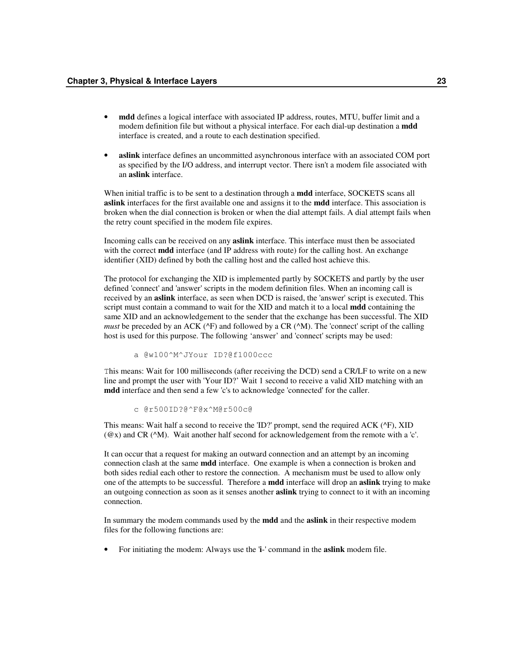- **mdd** defines a logical interface with associated IP address, routes, MTU, buffer limit and a modem definition file but without a physical interface. For each dial-up destination a **mdd** interface is created, and a route to each destination specified.
- **aslink** interface defines an uncommitted asynchronous interface with an associated COM port as specified by the I/O address, and interrupt vector. There isn't a modem file associated with an **aslink** interface.

When initial traffic is to be sent to a destination through a **mdd** interface, SOCKETS scans all **aslink** interfaces for the first available one and assigns it to the **mdd** interface. This association is broken when the dial connection is broken or when the dial attempt fails. A dial attempt fails when the retry count specified in the modem file expires.

Incoming calls can be received on any **aslink** interface. This interface must then be associated with the correct **mdd** interface (and IP address with route) for the calling host. An exchange identifier (XID) defined by both the calling host and the called host achieve this.

The protocol for exchanging the XID is implemented partly by SOCKETS and partly by the user defined 'connect' and 'answer' scripts in the modem definition files. When an incoming call is received by an **aslink** interface, as seen when DCD is raised, the 'answer' script is executed. This script must contain a command to wait for the XID and match it to a local **mdd** containing the same XID and an acknowledgement to the sender that the exchange has been successful. The XID *must* be preceded by an ACK ( $\angle$ F) and followed by a CR ( $\angle$ M). The 'connect' script of the calling host is used for this purpose. The following 'answer' and 'connect' scripts may be used:

a @w100^M^JYour ID?@f1000ccc

This means: Wait for 100 milliseconds (after receiving the DCD) send a CR/LF to write on a new line and prompt the user with 'Your ID?' Wait 1 second to receive a valid XID matching with an **mdd** interface and then send a few 'c's to acknowledge 'connected' for the caller.

c @r500ID?@^F@x^M@r500c@

This means: Wait half a second to receive the 'ID?' prompt, send the required ACK (^F), XID (@x) and CR (^M). Wait another half second for acknowledgement from the remote with a 'c'.

It can occur that a request for making an outward connection and an attempt by an incoming connection clash at the same **mdd** interface. One example is when a connection is broken and both sides redial each other to restore the connection. A mechanism must be used to allow only one of the attempts to be successful. Therefore a **mdd** interface will drop an **aslink** trying to make an outgoing connection as soon as it senses another **aslink** trying to connect to it with an incoming connection.

In summary the modem commands used by the **mdd** and the **aslink** in their respective modem files for the following functions are:

• For initiating the modem: Always use the '**i**-' command in the **aslink** modem file.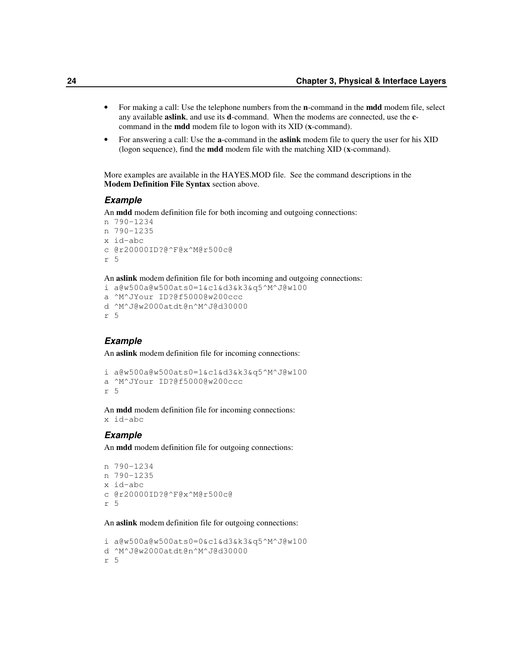- For making a call: Use the telephone numbers from the **n**-command in the **mdd** modem file, select any available **aslink**, and use its **d**-command. When the modems are connected, use the **c**command in the **mdd** modem file to logon with its XID (**x**-command).
- For answering a call: Use the **a**-command in the **aslink** modem file to query the user for his XID (logon sequence), find the **mdd** modem file with the matching XID (**x**-command).

More examples are available in the HAYES.MOD file. See the command descriptions in the **Modem Definition File Syntax** section above.

#### *Example*

An **mdd** modem definition file for both incoming and outgoing connections:

```
n 790-1234
n 790-1235
x id-abc
c @r20000ID?@^F@x^M@r500c@
r 5
```
An **aslink** modem definition file for both incoming and outgoing connections:

```
i a@w500a@w500ats0=1&c1&d3&k3&q5^M^J@w100
a ^M^JYour ID?@f5000@w200ccc
d ^M^J@w2000atdt@n^M^J@d30000
r 5
```
## *Example*

An **aslink** modem definition file for incoming connections:

```
i a@w500a@w500ats0=1&c1&d3&k3&q5^M^J@w100
a ^M^JYour ID?@f5000@w200ccc
r 5
```
An **mdd** modem definition file for incoming connections: x id-abc

#### *Example*

An **mdd** modem definition file for outgoing connections:

```
n 790-1234
n 790-1235
x id-abc
c @r20000ID?@^F@x^M@r500c@
r 5
```
An **aslink** modem definition file for outgoing connections:

```
i a@w500a@w500ats0=0&c1&d3&k3&q5^M^J@w100
d ^M^J@w2000atdt@n^M^J@d30000
r 5
```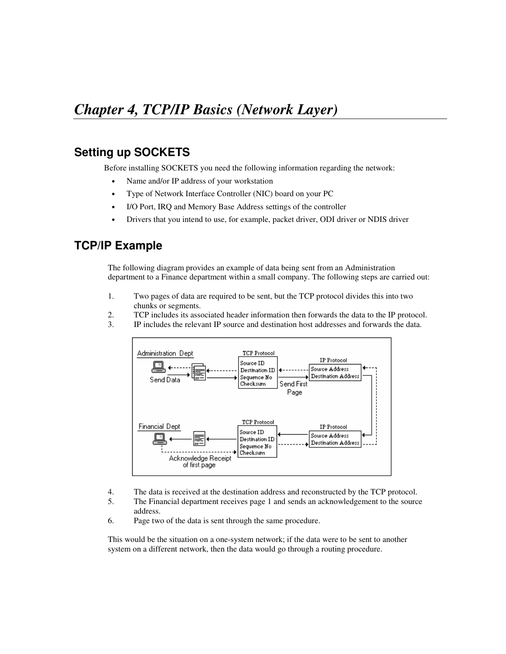# **Setting up SOCKETS**

Before installing SOCKETS you need the following information regarding the network:

- Name and/or IP address of your workstation
- Type of Network Interface Controller (NIC) board on your PC
- I/O Port, IRQ and Memory Base Address settings of the controller
- Drivers that you intend to use, for example, packet driver, ODI driver or NDIS driver

# **TCP/IP Example**

The following diagram provides an example of data being sent from an Administration department to a Finance department within a small company. The following steps are carried out:

- 1. Two pages of data are required to be sent, but the TCP protocol divides this into two chunks or segments.
- 2. TCP includes its associated header information then forwards the data to the IP protocol.
- 3. IP includes the relevant IP source and destination host addresses and forwards the data.



- 4. The data is received at the destination address and reconstructed by the TCP protocol.
- 5. The Financial department receives page 1 and sends an acknowledgement to the source address.
- 6. Page two of the data is sent through the same procedure.

This would be the situation on a one-system network; if the data were to be sent to another system on a different network, then the data would go through a routing procedure.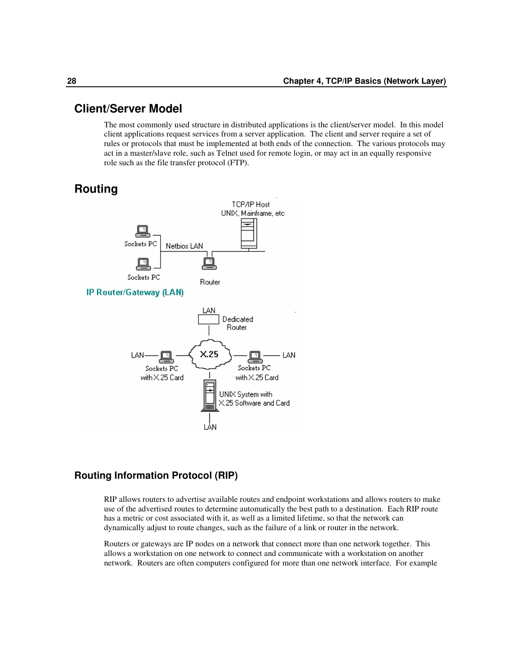# **Client/Server Model**

The most commonly used structure in distributed applications is the client/server model. In this model client applications request services from a server application. The client and server require a set of rules or protocols that must be implemented at both ends of the connection. The various protocols may act in a master/slave role, such as Telnet used for remote login, or may act in an equally responsive role such as the file transfer protocol (FTP).

# **Routing**



# **Routing Information Protocol (RIP)**

RIP allows routers to advertise available routes and endpoint workstations and allows routers to make use of the advertised routes to determine automatically the best path to a destination. Each RIP route has a metric or cost associated with it, as well as a limited lifetime, so that the network can dynamically adjust to route changes, such as the failure of a link or router in the network.

Routers or gateways are IP nodes on a network that connect more than one network together. This allows a workstation on one network to connect and communicate with a workstation on another network. Routers are often computers configured for more than one network interface. For example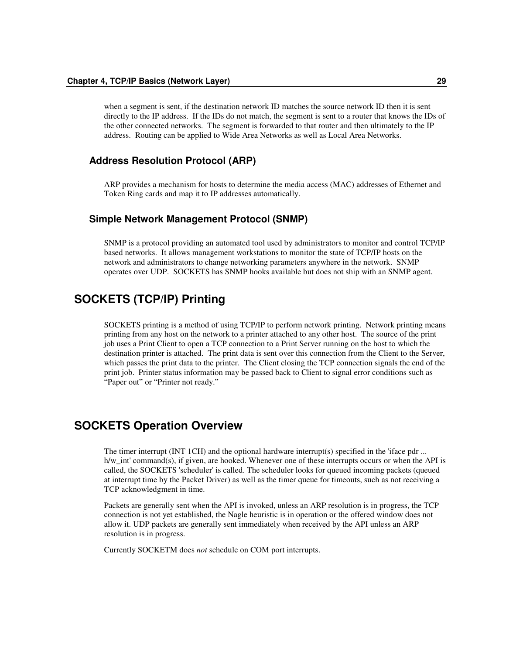when a segment is sent, if the destination network ID matches the source network ID then it is sent directly to the IP address. If the IDs do not match, the segment is sent to a router that knows the IDs of the other connected networks. The segment is forwarded to that router and then ultimately to the IP address. Routing can be applied to Wide Area Networks as well as Local Area Networks.

# **Address Resolution Protocol (ARP)**

ARP provides a mechanism for hosts to determine the media access (MAC) addresses of Ethernet and Token Ring cards and map it to IP addresses automatically.

## **Simple Network Management Protocol (SNMP)**

SNMP is a protocol providing an automated tool used by administrators to monitor and control TCP/IP based networks. It allows management workstations to monitor the state of TCP/IP hosts on the network and administrators to change networking parameters anywhere in the network. SNMP operates over UDP. SOCKETS has SNMP hooks available but does not ship with an SNMP agent.

# **SOCKETS (TCP/IP) Printing**

SOCKETS printing is a method of using TCP/IP to perform network printing. Network printing means printing from any host on the network to a printer attached to any other host. The source of the print job uses a Print Client to open a TCP connection to a Print Server running on the host to which the destination printer is attached. The print data is sent over this connection from the Client to the Server, which passes the print data to the printer. The Client closing the TCP connection signals the end of the print job. Printer status information may be passed back to Client to signal error conditions such as "Paper out" or "Printer not ready."

# **SOCKETS Operation Overview**

The timer interrupt (INT 1CH) and the optional hardware interrupt(s) specified in the 'iface pdr ... h/w\_int' command(s), if given, are hooked. Whenever one of these interrupts occurs or when the API is called, the SOCKETS 'scheduler' is called. The scheduler looks for queued incoming packets (queued at interrupt time by the Packet Driver) as well as the timer queue for timeouts, such as not receiving a TCP acknowledgment in time.

Packets are generally sent when the API is invoked, unless an ARP resolution is in progress, the TCP connection is not yet established, the Nagle heuristic is in operation or the offered window does not allow it. UDP packets are generally sent immediately when received by the API unless an ARP resolution is in progress.

Currently SOCKETM does *not* schedule on COM port interrupts.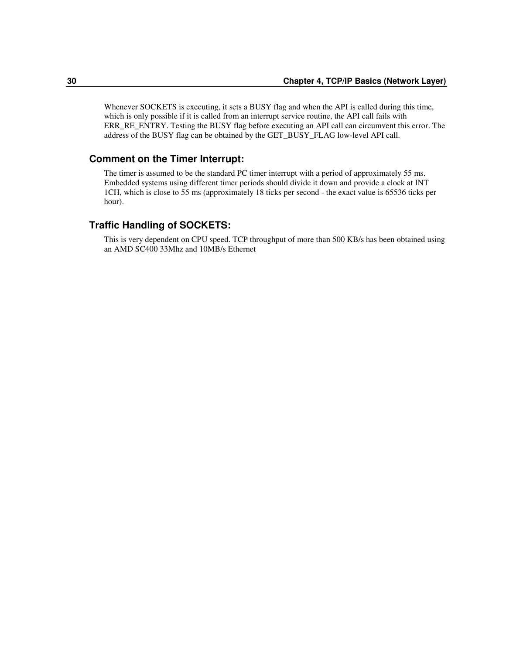Whenever SOCKETS is executing, it sets a BUSY flag and when the API is called during this time, which is only possible if it is called from an interrupt service routine, the API call fails with ERR\_RE\_ENTRY. Testing the BUSY flag before executing an API call can circumvent this error. The address of the BUSY flag can be obtained by the GET\_BUSY\_FLAG low-level API call.

## **Comment on the Timer Interrupt:**

The timer is assumed to be the standard PC timer interrupt with a period of approximately 55 ms. Embedded systems using different timer periods should divide it down and provide a clock at INT 1CH, which is close to 55 ms (approximately 18 ticks per second - the exact value is 65536 ticks per hour).

# **Traffic Handling of SOCKETS:**

This is very dependent on CPU speed. TCP throughput of more than 500 KB/s has been obtained using an AMD SC400 33Mhz and 10MB/s Ethernet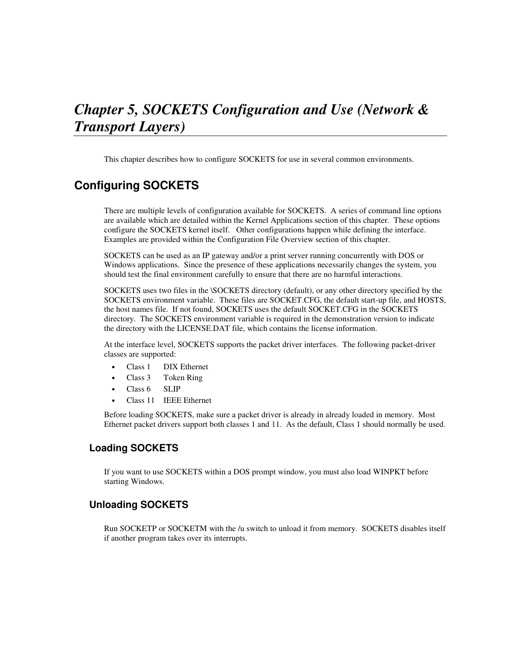# *Chapter 5, SOCKETS Configuration and Use (Network & Transport Layers)*

This chapter describes how to configure SOCKETS for use in several common environments.

# **Configuring SOCKETS**

There are multiple levels of configuration available for SOCKETS. A series of command line options are available which are detailed within the Kernel Applications section of this chapter. These options configure the SOCKETS kernel itself. Other configurations happen while defining the interface. Examples are provided within the Configuration File Overview section of this chapter.

SOCKETS can be used as an IP gateway and/or a print server running concurrently with DOS or Windows applications. Since the presence of these applications necessarily changes the system, you should test the final environment carefully to ensure that there are no harmful interactions.

SOCKETS uses two files in the \SOCKETS directory (default), or any other directory specified by the SOCKETS environment variable. These files are SOCKET.CFG, the default start-up file, and HOSTS, the host names file. If not found, SOCKETS uses the default SOCKET.CFG in the SOCKETS directory. The SOCKETS environment variable is required in the demonstration version to indicate the directory with the LICENSE.DAT file, which contains the license information.

At the interface level, SOCKETS supports the packet driver interfaces. The following packet-driver classes are supported:

- Class 1 DIX Ethernet
- Class 3 Token Ring
- Class 6 SLIP
- Class 11 IEEE Ethernet

Before loading SOCKETS, make sure a packet driver is already in already loaded in memory. Most Ethernet packet drivers support both classes 1 and 11. As the default, Class 1 should normally be used.

# **Loading SOCKETS**

If you want to use SOCKETS within a DOS prompt window, you must also load WINPKT before starting Windows.

# **Unloading SOCKETS**

Run SOCKETP or SOCKETM with the /u switch to unload it from memory. SOCKETS disables itself if another program takes over its interrupts.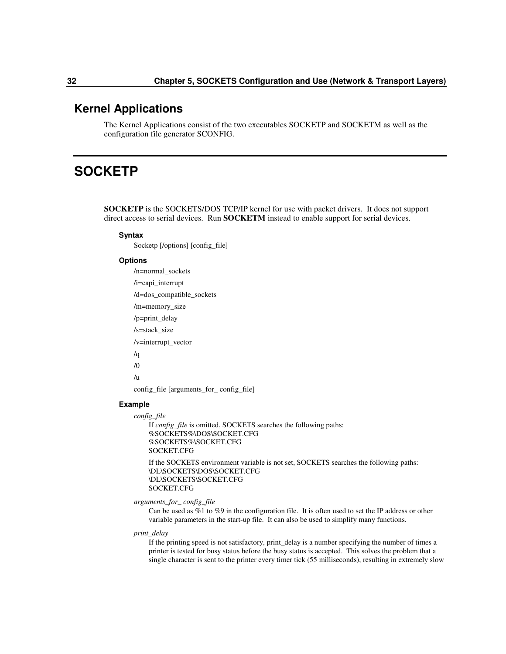# **Kernel Applications**

The Kernel Applications consist of the two executables SOCKETP and SOCKETM as well as the configuration file generator SCONFIG.

# **SOCKETP**

**SOCKETP** is the SOCKETS/DOS TCP/IP kernel for use with packet drivers. It does not support direct access to serial devices. Run **SOCKETM** instead to enable support for serial devices.

#### **Syntax**

Socketp [/options] [config\_file]

#### **Options**

/n=normal\_sockets /i=capi\_interrupt /d=dos\_compatible\_sockets /m=memory\_size /p=print\_delay /s=stack\_size /v=interrupt\_vector /q /0 /u config\_file [arguments\_for\_ config\_file]

### **Example**

```
config_file
    If config_file is omitted, SOCKETS searches the following paths:
    %SOCKETS%\DOS\SOCKET.CFG
    %SOCKETS%\SOCKET.CFG
    SOCKET.CFG
    If the SOCKETS environment variable is not set, SOCKETS searches the following paths:
    \DL\SOCKETS\DOS\SOCKET.CFG
    \DL\SOCKETS\SOCKET.CFG
    SOCKET.CFG
```
*arguments\_for\_ config\_file*

Can be used as %1 to %9 in the configuration file. It is often used to set the IP address or other variable parameters in the start-up file. It can also be used to simplify many functions.

#### *print\_delay*

If the printing speed is not satisfactory, print\_delay is a number specifying the number of times a printer is tested for busy status before the busy status is accepted. This solves the problem that a single character is sent to the printer every timer tick (55 milliseconds), resulting in extremely slow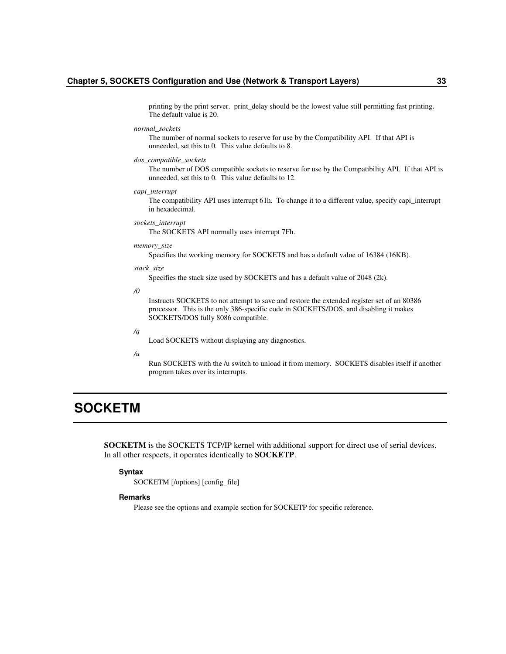printing by the print server. print\_delay should be the lowest value still permitting fast printing. The default value is 20.

*normal\_sockets*

The number of normal sockets to reserve for use by the Compatibility API. If that API is unneeded, set this to 0. This value defaults to 8.

#### *dos\_compatible\_sockets*

The number of DOS compatible sockets to reserve for use by the Compatibility API. If that API is unneeded, set this to 0. This value defaults to 12.

*capi\_interrupt*

The compatibility API uses interrupt 61h. To change it to a different value, specify capi\_interrupt in hexadecimal.

*sockets\_interrupt*

The SOCKETS API normally uses interrupt 7Fh.

*memory\_size*

Specifies the working memory for SOCKETS and has a default value of 16384 (16KB).

#### *stack\_size*

Specifies the stack size used by SOCKETS and has a default value of 2048 (2k).

*/0*

Instructs SOCKETS to not attempt to save and restore the extended register set of an 80386 processor. This is the only 386-specific code in SOCKETS/DOS, and disabling it makes SOCKETS/DOS fully 8086 compatible.

*/q*

Load SOCKETS without displaying any diagnostics.

*/u*

Run SOCKETS with the /u switch to unload it from memory. SOCKETS disables itself if another program takes over its interrupts.

# **SOCKETM**

**SOCKETM** is the SOCKETS TCP/IP kernel with additional support for direct use of serial devices. In all other respects, it operates identically to **SOCKETP**.

#### **Syntax**

SOCKETM [/options] [config\_file]

#### **Remarks**

Please see the options and example section for SOCKETP for specific reference.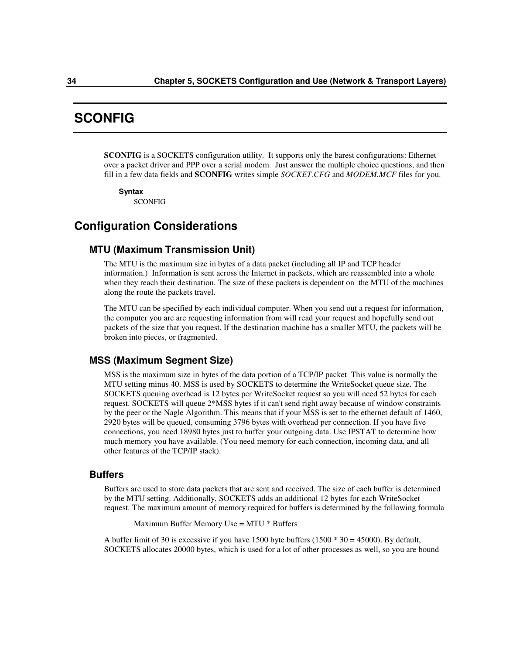# **SCONFIG**

**SCONFIG** is a SOCKETS configuration utility. It supports only the barest configurations: Ethernet over a packet driver and PPP over a serial modem. Just answer the multiple choice questions, and then fill in a few data fields and **SCONFIG** writes simple *SOCKET.CFG* and *MODEM.MCF* files for you.

**Syntax**

SCONFIG

# **Configuration Considerations**

# **MTU (Maximum Transmission Unit)**

The MTU is the maximum size in bytes of a data packet (including all IP and TCP header information.) Information is sent across the Internet in packets, which are reassembled into a whole when they reach their destination. The size of these packets is dependent on the MTU of the machines along the route the packets travel.

The MTU can be specified by each individual computer. When you send out a request for information, the computer you are are requesting information from will read your request and hopefully send out packets of the size that you request. If the destination machine has a smaller MTU, the packets will be broken into pieces, or fragmented.

# **MSS (Maximum Segment Size)**

MSS is the maximum size in bytes of the data portion of a TCP/IP packet This value is normally the MTU setting minus 40. MSS is used by SOCKETS to determine the WriteSocket queue size. The SOCKETS queuing overhead is 12 bytes per WriteSocket request so you will need 52 bytes for each request. SOCKETS will queue 2\*MSS bytes if it can't send right away because of window constraints by the peer or the Nagle Algorithm. This means that if your MSS is set to the ethernet default of 1460, 2920 bytes will be queued, consuming 3796 bytes with overhead per connection. If you have five connections, you need 18980 bytes just to buffer your outgoing data. Use IPSTAT to determine how much memory you have available. (You need memory for each connection, incoming data, and all other features of the TCP/IP stack).

# **Buffers**

Buffers are used to store data packets that are sent and received. The size of each buffer is determined by the MTU setting. Additionally, SOCKETS adds an additional 12 bytes for each WriteSocket request. The maximum amount of memory required for buffers is determined by the following formula

Maximum Buffer Memory Use = MTU \* Buffers

A buffer limit of 30 is excessive if you have 1500 byte buffers (1500 \* 30 = 45000). By default, SOCKETS allocates 20000 bytes, which is used for a lot of other processes as well, so you are bound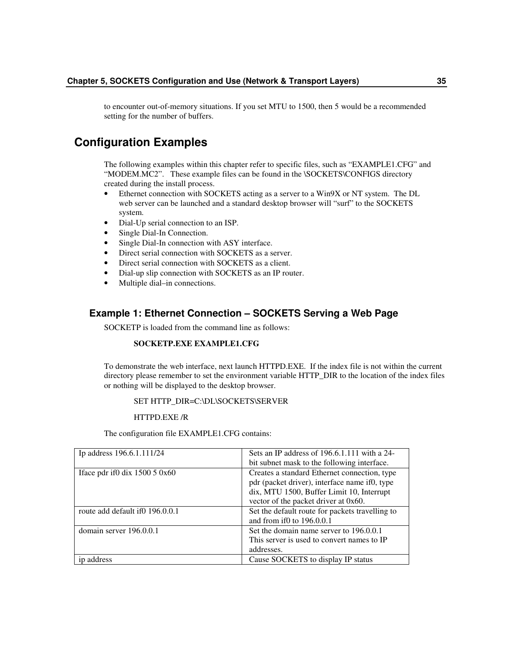to encounter out-of-memory situations. If you set MTU to 1500, then 5 would be a recommended setting for the number of buffers.

# **Configuration Examples**

The following examples within this chapter refer to specific files, such as "EXAMPLE1.CFG" and "MODEM.MC2". These example files can be found in the \SOCKETS\CONFIGS directory created during the install process.

- Ethernet connection with SOCKETS acting as a server to a Win9X or NT system. The DL web server can be launched and a standard desktop browser will "surf" to the SOCKETS system.
- Dial-Up serial connection to an ISP.
- Single Dial-In Connection.
- Single Dial-In connection with ASY interface.
- Direct serial connection with SOCKETS as a server.
- Direct serial connection with SOCKETS as a client.
- Dial-up slip connection with SOCKETS as an IP router.
- Multiple dial–in connections.

# **Example 1: Ethernet Connection – SOCKETS Serving a Web Page**

SOCKETP is loaded from the command line as follows:

### **SOCKETP.EXE EXAMPLE1.CFG**

To demonstrate the web interface, next launch HTTPD.EXE. If the index file is not within the current directory please remember to set the environment variable HTTP\_DIR to the location of the index files or nothing will be displayed to the desktop browser.

### SET HTTP\_DIR=C:\DL\SOCKETS\SERVER

### HTTPD.EXE /R

The configuration file EXAMPLE1.CFG contains:

| Ip address 196.6.1.111/24                   | Sets an IP address of $196.6.1.111$ with a 24-<br>bit subnet mask to the following interface.                                                                                      |
|---------------------------------------------|------------------------------------------------------------------------------------------------------------------------------------------------------------------------------------|
| Iface pdr if $0 \, \text{d}$ ix 1500 5 0x60 | Creates a standard Ethernet connection, type<br>pdr (packet driver), interface name if0, type<br>dix, MTU 1500, Buffer Limit 10, Interrupt<br>vector of the packet driver at 0x60. |
| route add default if 0196.0.0.1             | Set the default route for packets travelling to<br>and from if0 to 196.0.0.1                                                                                                       |
| domain server 196.0.0.1                     | Set the domain name server to 196.0.0.1<br>This server is used to convert names to IP<br>addresses.                                                                                |
| address                                     | Cause SOCKETS to display IP status                                                                                                                                                 |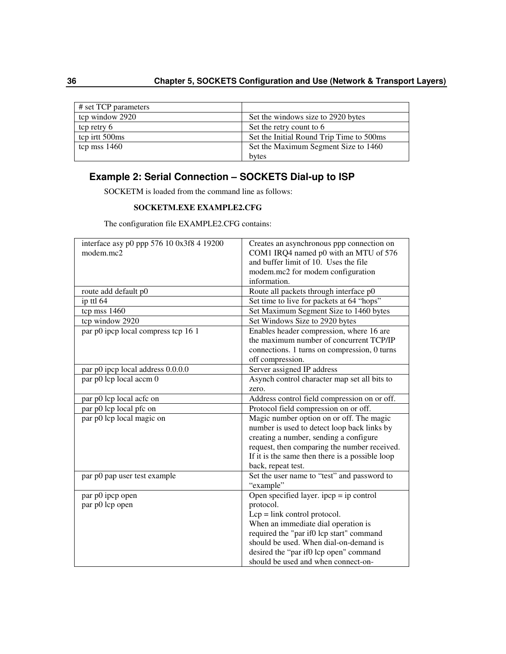| # set TCP parameters |                                          |
|----------------------|------------------------------------------|
| tcp window 2920      | Set the windows size to 2920 bytes       |
| tcp retry 6          | Set the retry count to 6                 |
| tep irtt 500ms       | Set the Initial Round Trip Time to 500ms |
| tcp mss $1460$       | Set the Maximum Segment Size to 1460     |
|                      | bytes                                    |

# **Example 2: Serial Connection – SOCKETS Dial-up to ISP**

SOCKETM is loaded from the command line as follows:

## **SOCKETM.EXE EXAMPLE2.CFG**

The configuration file EXAMPLE2.CFG contains:

| interface asy p0 ppp 576 10 0x3f8 4 19200<br>modem.mc2 | Creates an asynchronous ppp connection on<br>COM1 IRQ4 named p0 with an MTU of 576 |
|--------------------------------------------------------|------------------------------------------------------------------------------------|
|                                                        | and buffer limit of 10. Uses the file                                              |
|                                                        | modem.mc2 for modem configuration                                                  |
|                                                        | information.                                                                       |
| route add default p0                                   | Route all packets through interface p0                                             |
| ip ttl 64                                              | Set time to live for packets at 64 "hops"                                          |
| tcp mss 1460                                           | Set Maximum Segment Size to 1460 bytes                                             |
| tcp window 2920                                        | Set Windows Size to 2920 bytes                                                     |
| par p0 ipcp local compress tcp 16 1                    | Enables header compression, where 16 are                                           |
|                                                        | the maximum number of concurrent TCP/IP                                            |
|                                                        | connections. 1 turns on compression, 0 turns                                       |
|                                                        | off compression.                                                                   |
| par p0 ipcp local address 0.0.0.0                      | Server assigned IP address                                                         |
| par p0 lcp local accm 0                                | Asynch control character map set all bits to                                       |
|                                                        | zero.                                                                              |
| par p0 lcp local acfc on                               | Address control field compression on or off.                                       |
| par p0 lcp local pfc on                                | Protocol field compression on or off.                                              |
| par p0 lcp local magic on                              | Magic number option on or off. The magic                                           |
|                                                        | number is used to detect loop back links by                                        |
|                                                        | creating a number, sending a configure                                             |
|                                                        | request, then comparing the number received.                                       |
|                                                        | If it is the same then there is a possible loop                                    |
|                                                        | back, repeat test.                                                                 |
| par p0 pap user test example                           | Set the user name to "test" and password to                                        |
|                                                        | "example"                                                                          |
| par p0 ipcp open                                       | Open specified layer. $ipcp = ip$ control                                          |
| par p0 lcp open                                        | protocol.                                                                          |
|                                                        | $Lcp = link$ control protocol.                                                     |
|                                                        | When an immediate dial operation is                                                |
|                                                        | required the "par if0 lcp start" command                                           |
|                                                        | should be used. When dial-on-demand is                                             |
|                                                        | desired the "par if0 lcp open" command                                             |
|                                                        | should be used and when connect-on-                                                |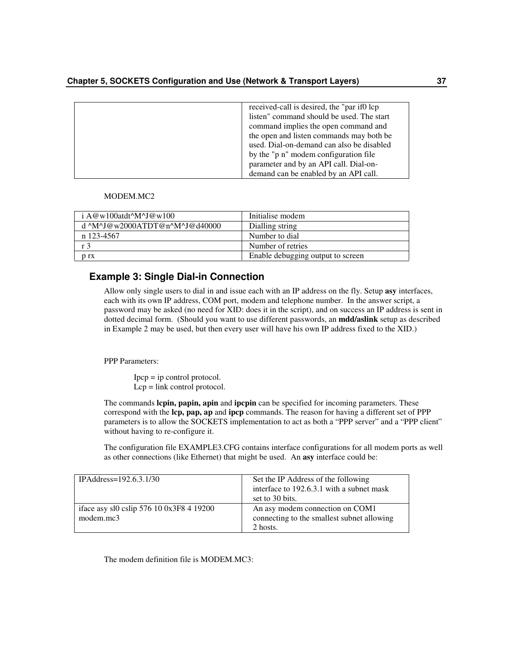| received-call is desired, the "par if0 lcp" |
|---------------------------------------------|
| listen" command should be used. The start   |
| command implies the open command and        |
| the open and listen commands may both be    |
| used. Dial-on-demand can also be disabled   |
| by the "p n" modem configuration file       |
| parameter and by an API call. Dial-on-      |
| demand can be enabled by an API call.       |

#### MODEM.MC2

| $\mathbf{i} \mathbf{A} \mathcal{Q} \mathbf{w}$ 100atdt^M^J $\mathcal{Q} \mathbf{w}$ 100 | Initialise modem                  |
|-----------------------------------------------------------------------------------------|-----------------------------------|
| d ^M^J@w2000ATDT@n^M^J@d40000                                                           | Dialling string                   |
| n 123-4567                                                                              | Number to dial                    |
| r 3                                                                                     | Number of retries                 |
| n rx                                                                                    | Enable debugging output to screen |

## **Example 3: Single Dial-in Connection**

Allow only single users to dial in and issue each with an IP address on the fly. Setup **asy** interfaces, each with its own IP address, COM port, modem and telephone number. In the answer script, a password may be asked (no need for XID: does it in the script), and on success an IP address is sent in dotted decimal form. (Should you want to use different passwords, an **mdd/aslink** setup as described in Example 2 may be used, but then every user will have his own IP address fixed to the XID.)

PPP Parameters:

 $Ipcp = ip$  control protocol. Lcp = link control protocol.

The commands **lcpin, papin, apin** and **ipcpin** can be specified for incoming parameters. These correspond with the **lcp, pap, ap** and **ipcp** commands. The reason for having a different set of PPP parameters is to allow the SOCKETS implementation to act as both a "PPP server" and a "PPP client" without having to re-configure it.

The configuration file EXAMPLE3.CFG contains interface configurations for all modem ports as well as other connections (like Ethernet) that might be used. An **asy** interface could be:

| IPAddress= $192.6.3.1/30$                             | Set the IP Address of the following<br>interface to 192.6.3.1 with a subnet mask          |
|-------------------------------------------------------|-------------------------------------------------------------------------------------------|
|                                                       | set to 30 bits.                                                                           |
| iface asy sl0 cslip 576 10 0x3F8 4 19200<br>modem.mc3 | An asy modem connection on COM1<br>connecting to the smallest subnet allowing<br>2 hosts. |

The modem definition file is MODEM.MC3: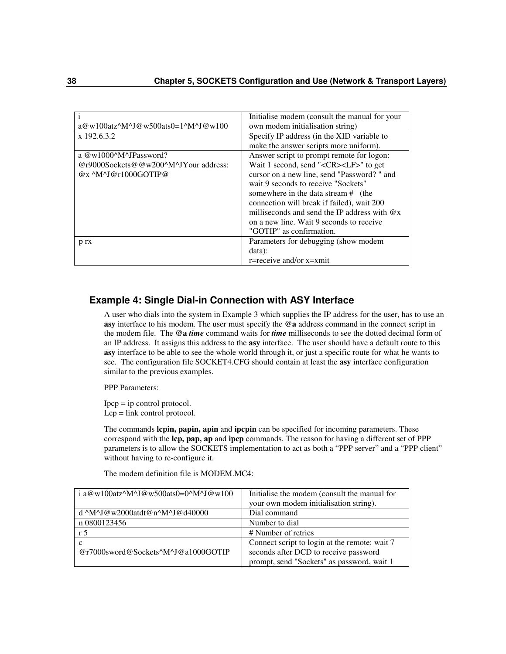| l i                                  | Initialise modem (consult the manual for your        |
|--------------------------------------|------------------------------------------------------|
| $a@w100atz^M^J@w500ats0=1^M^J@w100$  | own modem initialisation string)                     |
| x 192.6.3.2                          | Specify IP address (in the XID variable to           |
|                                      | make the answer scripts more uniform).               |
| a $@w1000^M$ M-JPassword?            | Answer script to prompt remote for logon:            |
| @r9000Sockets@@w200^M^JYour address: | Wait 1 second, send " <cr><lf>" to get</lf></cr>     |
| $@x^{\wedge}M^{\wedge}J@r1000GOTIP@$ | cursor on a new line, send "Password?" and           |
|                                      | wait 9 seconds to receive "Sockets"                  |
|                                      | somewhere in the data stream # (the                  |
|                                      | connection will break if failed), wait 200           |
|                                      | milliseconds and send the IP address with $\omega_x$ |
|                                      | on a new line. Wait 9 seconds to receive             |
|                                      | "GOTIP" as confirmation.                             |
| p rx                                 | Parameters for debugging (show modem                 |
|                                      | data):                                               |
|                                      | r=receive and/or x=xmit                              |

# **Example 4: Single Dial-in Connection with ASY Interface**

A user who dials into the system in Example 3 which supplies the IP address for the user, has to use an **asy** interface to his modem. The user must specify the **@a** address command in the connect script in the modem file. The **@a** *time* command waits for *time* milliseconds to see the dotted decimal form of an IP address. It assigns this address to the **asy** interface. The user should have a default route to this **asy** interface to be able to see the whole world through it, or just a specific route for what he wants to see. The configuration file SOCKET4.CFG should contain at least the **asy** interface configuration similar to the previous examples.

PPP Parameters:

Ipcp = ip control protocol. Lcp = link control protocol.

The commands **lcpin, papin, apin** and **ipcpin** can be specified for incoming parameters. These correspond with the **lcp, pap, ap** and **ipcp** commands. The reason for having a different set of PPP parameters is to allow the SOCKETS implementation to act as both a "PPP server" and a "PPP client" without having to re-configure it.

The modem definition file is MODEM.MC4:

| i a@w100atz^M^J@w500ats0=0^M^J@w100              | Initialise the modem (consult the manual for  |
|--------------------------------------------------|-----------------------------------------------|
|                                                  | your own modem initialisation string).        |
| d $^M$ M $^M$ J $@$ w2000atdt $@n^M$ J $@d40000$ | Dial command                                  |
| n 0800123456                                     | Number to dial                                |
| r 5                                              | # Number of retries                           |
| $\mathbf c$                                      | Connect script to login at the remote: wait 7 |
| @r7000sword@Sockets^M^J@a1000GOTIP               | seconds after DCD to receive password         |
|                                                  | prompt, send "Sockets" as password, wait 1    |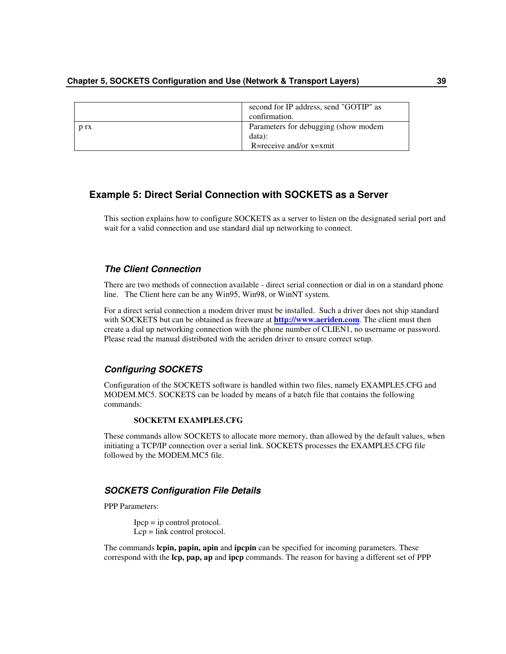|      | second for IP address, send "GOTIP" as<br>confirmation. |
|------|---------------------------------------------------------|
| D TX | Parameters for debugging (show modem<br>data):          |
|      | R=receive and/or $x=$ xmit                              |

# **Example 5: Direct Serial Connection with SOCKETS as a Server**

This section explains how to configure SOCKETS as a server to listen on the designated serial port and wait for a valid connection and use standard dial up networking to connect.

# *The Client Connection*

There are two methods of connection available - direct serial connection or dial in on a standard phone line. The Client here can be any Win95, Win98, or WinNT system.

For a direct serial connection a modem driver must be installed. Such a driver does not ship standard with SOCKETS but can be obtained as freeware at **http://www.aeriden.com**. The client must then create a dial up networking connection with the phone number of CLIEN1, no username or password. Please read the manual distributed with the aeriden driver to ensure correct setup.

## *Configuring SOCKETS*

Configuration of the SOCKETS software is handled within two files, namely EXAMPLE5.CFG and MODEM.MC5. SOCKETS can be loaded by means of a batch file that contains the following commands:

### **SOCKETM EXAMPLE5.CFG**

These commands allow SOCKETS to allocate more memory, than allowed by the default values, when initiating a TCP/IP connection over a serial link. SOCKETS processes the EXAMPLE5.CFG file followed by the MODEM.MC5 file.

## *SOCKETS Configuration File Details*

PPP Parameters:

Ipcp = ip control protocol. Lcp = link control protocol.

The commands **lcpin, papin, apin** and **ipcpin** can be specified for incoming parameters. These correspond with the **lcp, pap, ap** and **ipcp** commands. The reason for having a different set of PPP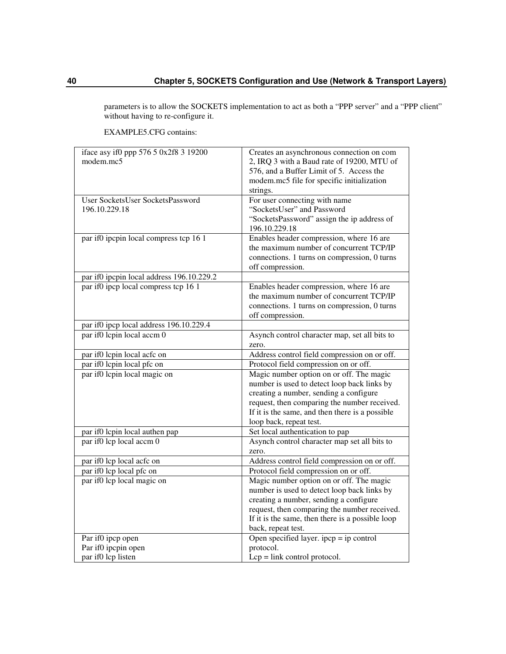parameters is to allow the SOCKETS implementation to act as both a "PPP server" and a "PPP client" without having to re-configure it.

iface asy if0 ppp 576 5 0x2f8 3 19200 modem.mc5 Creates an asynchronous connection on com 2, IRQ 3 with a Baud rate of 19200, MTU of 576, and a Buffer Limit of 5. Access the modem.mc5 file for specific initialization strings. User SocketsUser SocketsPassword 196.10.229.18 For user connecting with name "SocketsUser" and Password "SocketsPassword" assign the ip address of 196.10.229.18 par if0 ipcpin local compress tcp 16 1 Enables header compression, where 16 are the maximum number of concurrent TCP/IP connections. 1 turns on compression, 0 turns off compression. par if0 ipcpin local address 196.10.229.2 par if0 ipcp local compress tcp 16 1 Enables header compression, where 16 are the maximum number of concurrent TCP/IP connections. 1 turns on compression, 0 turns off compression. par if0 ipcp local address 196.10.229.4 par if0 lcpin local accm 0 Asynch control character map, set all bits to zero. par if0 lcpin local acfc on Address control field compression on or off. par if0 lcpin local pfc on Protocol field compression on or off. par if0 lcpin local magic on Magic number option on or off. The magic number is used to detect loop back links by creating a number, sending a configure request, then comparing the number received. If it is the same, and then there is a possible loop back, repeat test. par if0 lcpin local authen pap Set local authentication to pap par if0 lcp local accm 0 Asynch control character map set all bits to zero. par if0 lcp local acfc on Address control field compression on or off. par if0 lcp local pfc on Protocol field compression on or off. par if0 lcp local magic on Magic number option on or off. The magic number is used to detect loop back links by creating a number, sending a configure request, then comparing the number received. If it is the same, then there is a possible loop back, repeat test. Par if0 ipcp open Par if0 ipcpin open par if0 lcp listen Open specified layer.  $\text{ipcp} = \text{ip control}$ protocol. Lcp = link control protocol.

EXAMPLE5.CFG contains: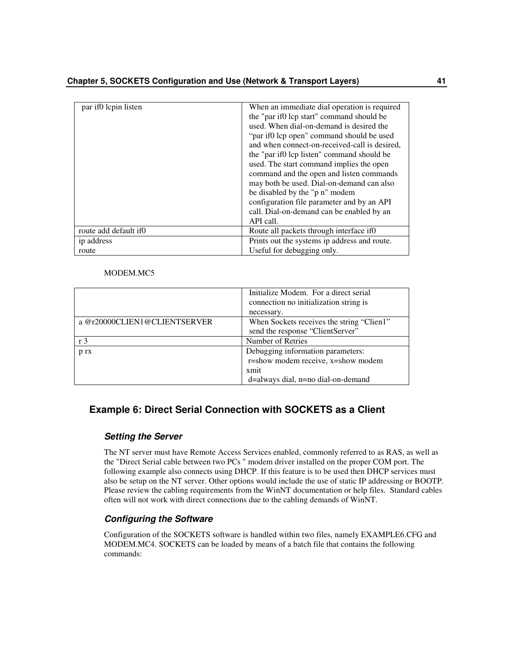| par if 0 lcpin listen  | When an immediate dial operation is required  |
|------------------------|-----------------------------------------------|
|                        | the "par if0 lcp start" command should be     |
|                        | used. When dial-on-demand is desired the      |
|                        | "par if0 lcp open" command should be used     |
|                        | and when connect-on-received-call is desired, |
|                        | the "par if the listen" command should be     |
|                        | used. The start command implies the open      |
|                        | command and the open and listen commands      |
|                        | may both be used. Dial-on-demand can also     |
|                        | be disabled by the "p n" modem                |
|                        | configuration file parameter and by an API    |
|                        | call. Dial-on-demand can be enabled by an     |
|                        | API call.                                     |
| route add default if 0 | Route all packets through interface if 0      |
| ip address             | Prints out the systems ip address and route.  |
| route                  | Useful for debugging only.                    |

### MODEM.MC5

|                              | Initialize Modem. For a direct serial<br>connection no initialization string is<br>necessary. |
|------------------------------|-----------------------------------------------------------------------------------------------|
| a @r20000CLIEN1@CLIENTSERVER | When Sockets receives the string "Clien1"<br>send the response "ClientServer"                 |
| r <sub>3</sub>               | Number of Retries                                                                             |
| p rx                         | Debugging information parameters:<br>r=show modem receive, x=show modem                       |
|                              | xmit<br>d=always dial, n=no dial-on-demand                                                    |

# **Example 6: Direct Serial Connection with SOCKETS as a Client**

## *Setting the Server*

The NT server must have Remote Access Services enabled, commonly referred to as RAS, as well as the "Direct Serial cable between two PCs " modem driver installed on the proper COM port. The following example also connects using DHCP. If this feature is to be used then DHCP services must also be setup on the NT server. Other options would include the use of static IP addressing or BOOTP. Please review the cabling requirements from the WinNT documentation or help files. Standard cables often will not work with direct connections due to the cabling demands of WinNT.

# *Configuring the Software*

Configuration of the SOCKETS software is handled within two files, namely EXAMPLE6.CFG and MODEM.MC4. SOCKETS can be loaded by means of a batch file that contains the following commands: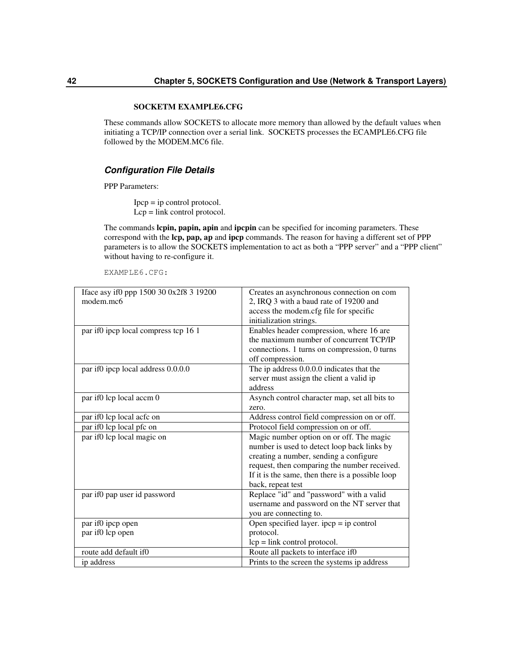### **SOCKETM EXAMPLE6.CFG**

These commands allow SOCKETS to allocate more memory than allowed by the default values when initiating a TCP/IP connection over a serial link. SOCKETS processes the ECAMPLE6.CFG file followed by the MODEM.MC6 file.

## *Configuration File Details*

PPP Parameters:

 $Ipcp = ip$  control protocol. Lcp = link control protocol.

The commands **lcpin, papin, apin** and **ipcpin** can be specified for incoming parameters. These correspond with the **lcp, pap, ap** and **ipcp** commands. The reason for having a different set of PPP parameters is to allow the SOCKETS implementation to act as both a "PPP server" and a "PPP client" without having to re-configure it.

EXAMPLE6.CFG:

| Iface asy if0 ppp 1500 30 0x2f8 3 19200 | Creates an asynchronous connection on com        |
|-----------------------------------------|--------------------------------------------------|
| modem.mc6                               | 2, IRQ 3 with a baud rate of 19200 and           |
|                                         | access the modem.cfg file for specific           |
|                                         | initialization strings.                          |
| par if0 ipcp local compress tcp 16 1    | Enables header compression, where 16 are         |
|                                         | the maximum number of concurrent TCP/IP          |
|                                         | connections. 1 turns on compression, 0 turns     |
|                                         | off compression.                                 |
| par if0 ipcp local address 0.0.0.0      | The ip address 0.0.0.0 indicates that the        |
|                                         | server must assign the client a valid ip         |
|                                         | address                                          |
| par if0 lcp local accm 0                | Asynch control character map, set all bits to    |
|                                         | zero.                                            |
| par if0 lcp local acfc on               | Address control field compression on or off.     |
| par if0 lcp local pfc on                | Protocol field compression on or off.            |
| par if0 lcp local magic on              | Magic number option on or off. The magic         |
|                                         | number is used to detect loop back links by      |
|                                         | creating a number, sending a configure           |
|                                         | request, then comparing the number received.     |
|                                         | If it is the same, then there is a possible loop |
|                                         | back, repeat test                                |
| par if0 pap user id password            | Replace "id" and "password" with a valid         |
|                                         | username and password on the NT server that      |
|                                         | you are connecting to.                           |
| par if0 ipcp open                       | Open specified layer. $ipcp = ip$ control        |
| par if0 lcp open                        | protocol.                                        |
|                                         | $lcp = link control protocol.$                   |
| route add default if0                   | Route all packets to interface if0               |
| ip address                              | Prints to the screen the systems ip address      |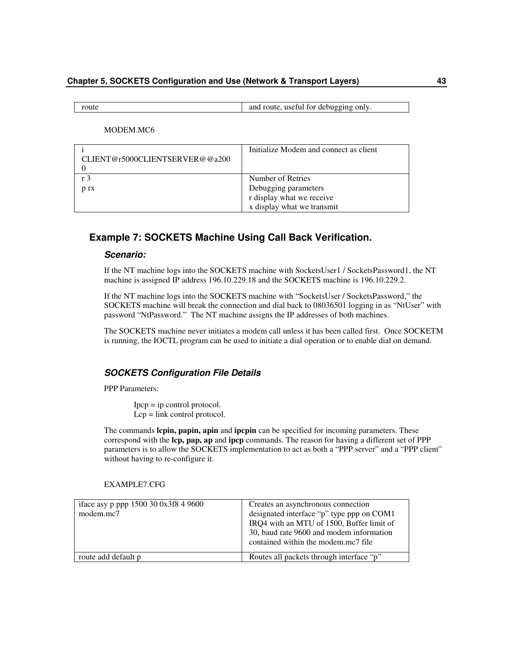### **Chapter 5, SOCKETS Configuration and Use (Network & Transport Layers) 43**

route and route and route, useful for debugging only.

MODEM.MC6

|                                | Initialize Modem and connect as client |
|--------------------------------|----------------------------------------|
| CLIENT@r5000CLIENTSERVER@@a200 |                                        |
|                                |                                        |
| r 3                            | Number of Retries                      |
| p rx                           | Debugging parameters                   |
|                                | r display what we receive              |
|                                | x display what we transmit             |

# **Example 7: SOCKETS Machine Using Call Back Verification.**

# *Scenario:*

If the NT machine logs into the SOCKETS machine with SocketsUser1 / SocketsPassword1, the NT machine is assigned IP address 196.10.229.18 and the SOCKETS machine is 196.10.229.2.

If the NT machine logs into the SOCKETS machine with "SocketsUser / SocketsPassword," the SOCKETS machine will break the connection and dial back to 08036501 logging in as "NtUser" with password "NtPassword." The NT machine assigns the IP addresses of both machines.

The SOCKETS machine never initiates a modem call unless it has been called first. Once SOCKETM is running, the IOCTL program can be used to initiate a dial operation or to enable dial on demand.

# *SOCKETS Configuration File Details*

PPP Parameters:

Ipcp = ip control protocol. Lcp = link control protocol.

The commands **lcpin, papin, apin** and **ipcpin** can be specified for incoming parameters. These correspond with the **lcp, pap, ap** and **ipcp** commands. The reason for having a different set of PPP parameters is to allow the SOCKETS implementation to act as both a "PPP server" and a "PPP client" without having to re-configure it.

| iface asy p ppp 1500 30 0x3f8 4 9600<br>modem.mc7 | Creates an asynchronous connection<br>designated interface "p" type ppp on COM1<br>IRQ4 with an MTU of 1500, Buffer limit of<br>30, baud rate 9600 and modem information<br>contained within the modem.mc7 file |
|---------------------------------------------------|-----------------------------------------------------------------------------------------------------------------------------------------------------------------------------------------------------------------|
| route add default p                               | Routes all packets through interface "p"                                                                                                                                                                        |

EXAMPLE7.CFG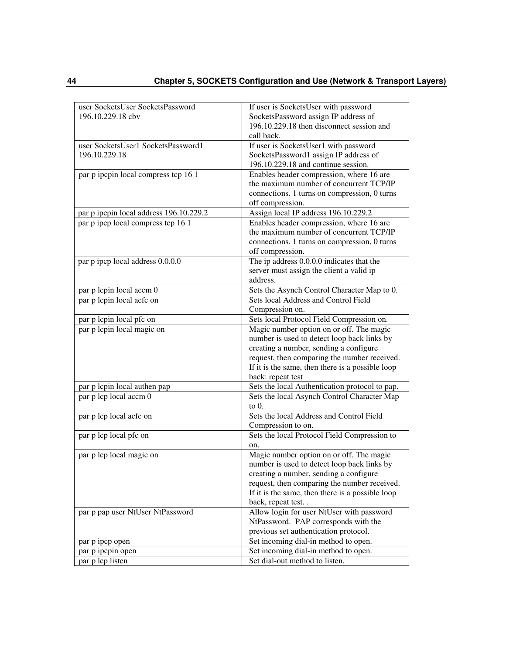| user SocketsUser SocketsPassword        | If user is SocketsUser with password             |
|-----------------------------------------|--------------------------------------------------|
| 196.10.229.18 cbv                       | SocketsPassword assign IP address of             |
|                                         | 196.10.229.18 then disconnect session and        |
|                                         | call back.                                       |
| user SocketsUser1 SocketsPassword1      | If user is SocketsUser1 with password            |
| 196.10.229.18                           | SocketsPassword1 assign IP address of            |
|                                         | 196.10.229.18 and continue session.              |
| par p ipcpin local compress tcp 16 1    | Enables header compression, where 16 are         |
|                                         | the maximum number of concurrent TCP/IP          |
|                                         | connections. 1 turns on compression, 0 turns     |
|                                         |                                                  |
|                                         | off compression.                                 |
| par p ipcpin local address 196.10.229.2 | Assign local IP address 196.10.229.2             |
| par p ipcp local compress tcp 16 1      | Enables header compression, where 16 are         |
|                                         | the maximum number of concurrent TCP/IP          |
|                                         | connections. 1 turns on compression, 0 turns     |
|                                         | off compression.                                 |
| par p ipcp local address 0.0.0.0        | The ip address 0.0.0.0 indicates that the        |
|                                         | server must assign the client a valid ip         |
|                                         | address.                                         |
| par p lcpin local accm 0                | Sets the Asynch Control Character Map to 0.      |
| par p lcpin local acfc on               | Sets local Address and Control Field             |
|                                         | Compression on.                                  |
| par p lcpin local pfc on                | Sets local Protocol Field Compression on.        |
|                                         |                                                  |
| par p lcpin local magic on              | Magic number option on or off. The magic         |
|                                         | number is used to detect loop back links by      |
|                                         | creating a number, sending a configure           |
|                                         | request, then comparing the number received.     |
|                                         | If it is the same, then there is a possible loop |
|                                         | back: repeat test                                |
| par p lcpin local authen pap            | Sets the local Authentication protocol to pap.   |
| par p lcp local accm 0                  | Sets the local Asynch Control Character Map      |
|                                         | to $0$ .                                         |
| par p lcp local acfc on                 | Sets the local Address and Control Field         |
|                                         | Compression to on.                               |
| par p lcp local pfc on                  | Sets the local Protocol Field Compression to     |
|                                         | on.                                              |
| par p lcp local magic on                | Magic number option on or off. The magic         |
|                                         |                                                  |
|                                         | number is used to detect loop back links by      |
|                                         | creating a number, sending a configure           |
|                                         | request, then comparing the number received.     |
|                                         | If it is the same, then there is a possible loop |
|                                         | back, repeat test                                |
| par p pap user NtUser NtPassword        | Allow login for user NtUser with password        |
|                                         | NtPassword. PAP corresponds with the             |
|                                         | previous set authentication protocol.            |
| par p ipcp open                         | Set incoming dial-in method to open.             |
| par p ipcpin open                       | Set incoming dial-in method to open.             |
| par p lcp listen                        | Set dial-out method to listen.                   |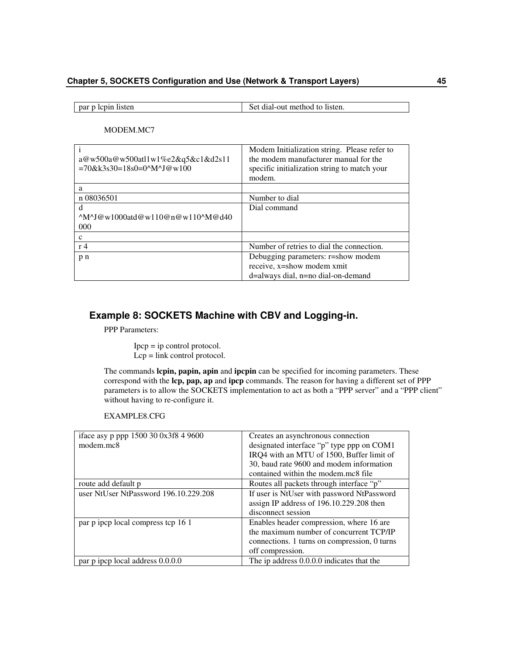| par p lcpin listen | Set dial-out method to listen. |
|--------------------|--------------------------------|

MODEM.MC7

| a@w500a@w500atl1w1%e2&q5&c1&d2s11<br>$=70$ &k3s30=18s0=0^M^J@w100  | Modem Initialization string. Please refer to<br>the modem manufacturer manual for the<br>specific initialization string to match your<br>modem. |
|--------------------------------------------------------------------|-------------------------------------------------------------------------------------------------------------------------------------------------|
| a                                                                  |                                                                                                                                                 |
| n 08036501                                                         | Number to dial                                                                                                                                  |
| d                                                                  | Dial command                                                                                                                                    |
| $^{\wedge}$ M $^{\wedge}$ J@w1000atd@w110@n@w110 $^{\wedge}$ M@d40 |                                                                                                                                                 |
| 000                                                                |                                                                                                                                                 |
| c                                                                  |                                                                                                                                                 |
| r <sub>4</sub>                                                     | Number of retries to dial the connection.                                                                                                       |
| p n                                                                | Debugging parameters: r=show modem                                                                                                              |
|                                                                    | receive, x=show modem xmit                                                                                                                      |
|                                                                    | d=always dial, n=no dial-on-demand                                                                                                              |

# **Example 8: SOCKETS Machine with CBV and Logging-in.**

PPP Parameters:

Ipcp = ip control protocol. Lcp = link control protocol.

The commands **lcpin, papin, apin** and **ipcpin** can be specified for incoming parameters. These correspond with the **lcp, pap, ap** and **ipcp** commands. The reason for having a different set of PPP parameters is to allow the SOCKETS implementation to act as both a "PPP server" and a "PPP client" without having to re-configure it.

EXAMPLE8.CFG

| iface asy p ppp 1500 30 0x3f8 4 9600<br>modem.mc8 | Creates an asynchronous connection<br>designated interface "p" type ppp on COM1<br>IRQ4 with an MTU of 1500, Buffer limit of<br>30, baud rate 9600 and modem information |
|---------------------------------------------------|--------------------------------------------------------------------------------------------------------------------------------------------------------------------------|
|                                                   | contained within the modem.mc8 file                                                                                                                                      |
| route add default p                               | Routes all packets through interface "p"                                                                                                                                 |
| user NtUser NtPassword 196.10.229.208             | If user is NtUser with password NtPassword<br>assign IP address of 196.10.229.208 then                                                                                   |
|                                                   | disconnect session                                                                                                                                                       |
| par p ipcp local compress tcp 16 1                | Enables header compression, where 16 are<br>the maximum number of concurrent TCP/IP<br>connections. 1 turns on compression, 0 turns<br>off compression.                  |
| par p ipcp local address 0.0.0.0                  | The ip address 0.0.0.0 indicates that the                                                                                                                                |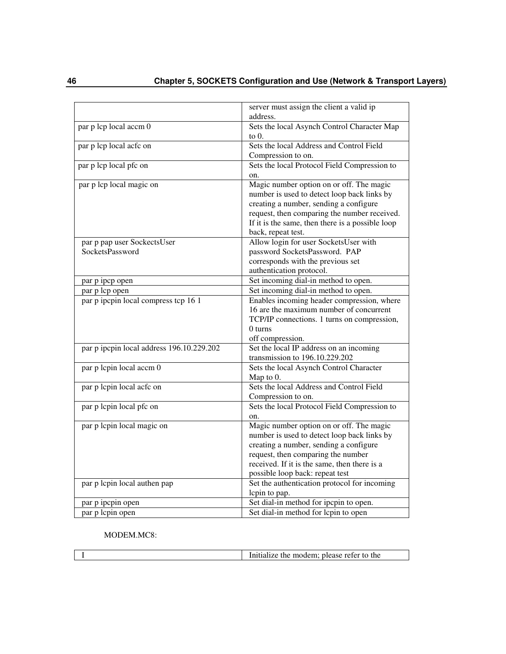|                                                | server must assign the client a valid ip<br>address.                                                                                                                                                                                                        |
|------------------------------------------------|-------------------------------------------------------------------------------------------------------------------------------------------------------------------------------------------------------------------------------------------------------------|
| par p lcp local accm 0                         | Sets the local Asynch Control Character Map<br>to $0$ .                                                                                                                                                                                                     |
| par p lcp local acfc on                        | Sets the local Address and Control Field<br>Compression to on.                                                                                                                                                                                              |
| par p lcp local pfc on                         | Sets the local Protocol Field Compression to<br>on.                                                                                                                                                                                                         |
| par p lcp local magic on                       | Magic number option on or off. The magic<br>number is used to detect loop back links by<br>creating a number, sending a configure<br>request, then comparing the number received.<br>If it is the same, then there is a possible loop<br>back, repeat test. |
| par p pap user SockectsUser<br>SocketsPassword | Allow login for user SocketsUser with<br>password SocketsPassword. PAP<br>corresponds with the previous set<br>authentication protocol.                                                                                                                     |
| par p ipcp open                                | Set incoming dial-in method to open.                                                                                                                                                                                                                        |
| par p lcp open                                 | Set incoming dial-in method to open.                                                                                                                                                                                                                        |
| par p ipcpin local compress tcp 16 1           | Enables incoming header compression, where<br>16 are the maximum number of concurrent<br>TCP/IP connections. 1 turns on compression,<br>0 turns<br>off compression.                                                                                         |
| par p ipcpin local address 196.10.229.202      | Set the local IP address on an incoming<br>transmission to 196.10.229.202                                                                                                                                                                                   |
| par p lcpin local accm 0                       | Sets the local Asynch Control Character<br>Map to 0.                                                                                                                                                                                                        |
| par p lcpin local acfc on                      | Sets the local Address and Control Field<br>Compression to on.                                                                                                                                                                                              |
| par p lepin local pfc on                       | Sets the local Protocol Field Compression to<br>on.                                                                                                                                                                                                         |
| par p lcpin local magic on                     | Magic number option on or off. The magic<br>number is used to detect loop back links by<br>creating a number, sending a configure<br>request, then comparing the number<br>received. If it is the same, then there is a<br>possible loop back: repeat test  |
| par p lcpin local authen pap                   | Set the authentication protocol for incoming<br>lepin to pap.                                                                                                                                                                                               |
| par p ipcpin open                              | Set dial-in method for ipcpin to open.                                                                                                                                                                                                                      |
| par p lcpin open                               | Set dial-in method for lcpin to open                                                                                                                                                                                                                        |

MODEM.MC8:

| the<br>modem: please refer to<br>. ne<br>тапzе |
|------------------------------------------------|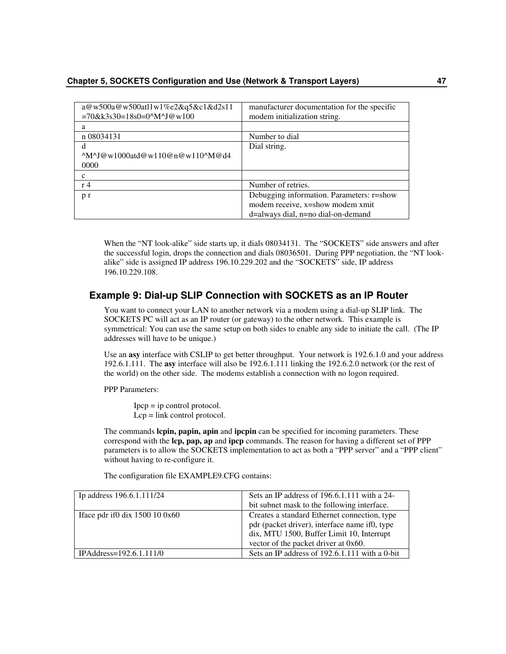| a@w500a@w500atl1w1%e2&q5&c1&d2s11<br>$=70$ &k3s30=18s0=0^M^J@w100 | manufacturer documentation for the specific<br>modem initialization string. |
|-------------------------------------------------------------------|-----------------------------------------------------------------------------|
| а                                                                 |                                                                             |
| n 08034131                                                        | Number to dial                                                              |
| d                                                                 | Dial string.                                                                |
| $^{\wedge}$ M $^{\wedge}$ J@w1000atd@w110@n@w110 $^{\wedge}$ M@d4 |                                                                             |
| 0000                                                              |                                                                             |
| c                                                                 |                                                                             |
| r <sub>4</sub>                                                    | Number of retries.                                                          |
| p r                                                               | Debugging information. Parameters: r=show                                   |
|                                                                   | modem receive, x=show modem xmit                                            |
|                                                                   | d=always dial, n=no dial-on-demand                                          |

When the "NT look-alike" side starts up, it dials 08034131. The "SOCKETS" side answers and after the successful login, drops the connection and dials 08036501. During PPP negotiation, the "NT lookalike" side is assigned IP address 196.10.229.202 and the "SOCKETS" side, IP address 196.10.229.108.

# **Example 9: Dial-up SLIP Connection with SOCKETS as an IP Router**

You want to connect your LAN to another network via a modem using a dial-up SLIP link. The SOCKETS PC will act as an IP router (or gateway) to the other network. This example is symmetrical: You can use the same setup on both sides to enable any side to initiate the call. (The IP addresses will have to be unique.)

Use an **asy** interface with CSLIP to get better throughput. Your network is 192.6.1.0 and your address 192.6.1.111. The **asy** interface will also be 192.6.1.111 linking the 192.6.2.0 network (or the rest of the world) on the other side. The modems establish a connection with no logon required.

PPP Parameters:

 $Ipcp = ip$  control protocol. Lcp = link control protocol.

The commands **lcpin, papin, apin** and **ipcpin** can be specified for incoming parameters. These correspond with the **lcp, pap, ap** and **ipcp** commands. The reason for having a different set of PPP parameters is to allow the SOCKETS implementation to act as both a "PPP server" and a "PPP client" without having to re-configure it.

The configuration file EXAMPLE9.CFG contains:

| Ip address 196.6.1.111/24                    | Sets an IP address of $196.6.1.111$ with a 24-                                                                                                                                     |
|----------------------------------------------|------------------------------------------------------------------------------------------------------------------------------------------------------------------------------------|
|                                              | bit subnet mask to the following interface.                                                                                                                                        |
| Iface pdr if $0 \, \text{d}$ is 1500 10 0x60 | Creates a standard Ethernet connection, type<br>pdr (packet driver), interface name if0, type<br>dix, MTU 1500, Buffer Limit 10, Interrupt<br>vector of the packet driver at 0x60. |
| IPAddress=192.6.1.111/0                      | Sets an IP address of 192.6.1.111 with a 0-bit                                                                                                                                     |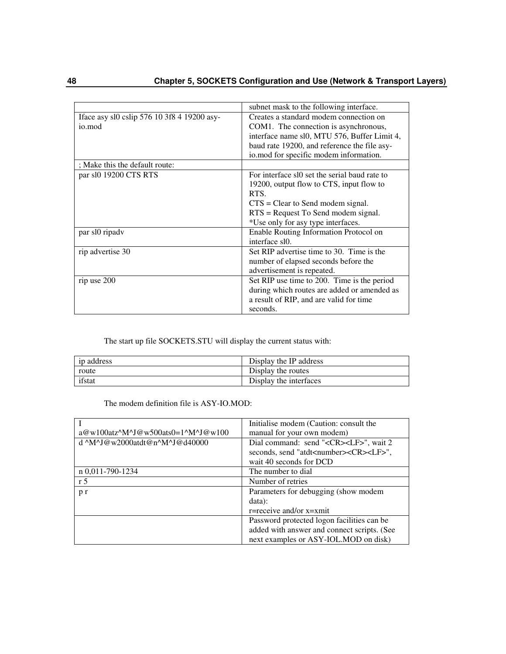|                                             | subnet mask to the following interface.       |
|---------------------------------------------|-----------------------------------------------|
| Iface asy sl0 cslip 576 10 3f8 4 19200 asy- | Creates a standard modem connection on        |
| io.mod                                      | COM1. The connection is asynchronous,         |
|                                             | interface name sl0, MTU 576, Buffer Limit 4,  |
|                                             | baud rate 19200, and reference the file asy-  |
|                                             | io.mod for specific modem information.        |
| ; Make this the default route:              |                                               |
| par sl0 19200 CTS RTS                       | For interface sl0 set the serial baud rate to |
|                                             | 19200, output flow to CTS, input flow to      |
|                                             | RTS.                                          |
|                                             | $CTS = Clear$ to Send modem signal.           |
|                                             | $RTS =$ Request To Send modem signal.         |
|                                             | *Use only for asy type interfaces.            |
| par sl0 ripadv                              | Enable Routing Information Protocol on        |
|                                             | interface sl0.                                |
| rip advertise 30                            | Set RIP advertise time to 30. Time is the     |
|                                             | number of elapsed seconds before the          |
|                                             | advertisement is repeated.                    |
| rip use 200                                 | Set RIP use time to 200. Time is the period   |
|                                             | during which routes are added or amended as   |
|                                             | a result of RIP, and are valid for time       |
|                                             | seconds.                                      |

The start up file SOCKETS.STU will display the current status with:

| in address | Display the IP address |
|------------|------------------------|
| route      | Display the routes     |
| ifstat     | Display the interfaces |

The modem definition file is ASY-IO.MOD:

|                                                      | Initialise modem (Caution: consult the                    |
|------------------------------------------------------|-----------------------------------------------------------|
| $a@w100atz^M^J@w500ats0=1^M^J@w100$                  | manual for your own modem)                                |
| d $^M$ M $^M$ J $@$ w $2000$ atdt $@n^M$ J $@d40000$ | Dial command: send " <cr><lf>", wait 2</lf></cr>          |
|                                                      | seconds, send "atdt <number><cr><lf>",</lf></cr></number> |
|                                                      | wait 40 seconds for DCD                                   |
| n 0,011-790-1234                                     | The number to dial                                        |
| r <sub>5</sub>                                       | Number of retries                                         |
| p r                                                  | Parameters for debugging (show modem                      |
|                                                      | data):                                                    |
|                                                      | $r =$ receive and/or $x = x$ mit                          |
|                                                      | Password protected logon facilities can be                |
|                                                      | added with answer and connect scripts. (See               |
|                                                      | next examples or ASY-IOL.MOD on disk)                     |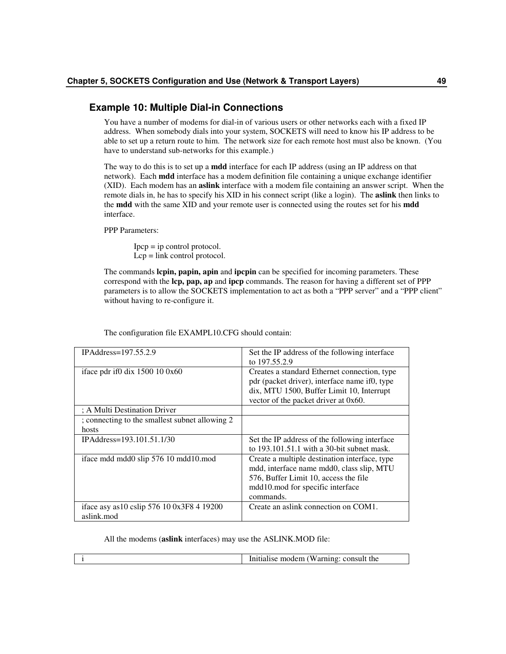# **Example 10: Multiple Dial-in Connections**

You have a number of modems for dial-in of various users or other networks each with a fixed IP address. When somebody dials into your system, SOCKETS will need to know his IP address to be able to set up a return route to him. The network size for each remote host must also be known. (You have to understand sub-networks for this example.)

The way to do this is to set up a **mdd** interface for each IP address (using an IP address on that network). Each **mdd** interface has a modem definition file containing a unique exchange identifier (XID). Each modem has an **aslink** interface with a modem file containing an answer script. When the remote dials in, he has to specify his XID in his connect script (like a login). The **aslink** then links to the **mdd** with the same XID and your remote user is connected using the routes set for his **mdd** interface.

PPP Parameters:

 $Ipcp = ip$  control protocol. Lcp = link control protocol.

The commands **lcpin, papin, apin** and **ipcpin** can be specified for incoming parameters. These correspond with the **lcp, pap, ap** and **ipcp** commands. The reason for having a different set of PPP parameters is to allow the SOCKETS implementation to act as both a "PPP server" and a "PPP client" without having to re-configure it.

| IPAddress= $197.55.2.9$                                      | Set the IP address of the following interface<br>to 197.55.2.9                                                                                                                       |
|--------------------------------------------------------------|--------------------------------------------------------------------------------------------------------------------------------------------------------------------------------------|
| iface pdr if $0 \, \text{d}$ is 1500 10 0x60                 | Creates a standard Ethernet connection, type<br>pdr (packet driver), interface name if0, type<br>dix, MTU 1500, Buffer Limit 10, Interrupt<br>vector of the packet driver at 0x60.   |
| ; A Multi Destination Driver                                 |                                                                                                                                                                                      |
| ; connecting to the smallest subnet allowing 2<br>hosts      |                                                                                                                                                                                      |
| IPAddress=193.101.51.1/30                                    | Set the IP address of the following interface<br>to $193.101.51.1$ with a 30-bit subnet mask.                                                                                        |
| iface mdd mdd0 slip 576 10 mdd10.mod                         | Create a multiple destination interface, type<br>mdd, interface name mdd0, class slip, MTU<br>576, Buffer Limit 10, access the file<br>mdd10.mod for specific interface<br>commands. |
| iface asy as $10$ cslip 576 $10$ 0x3F8 4 19200<br>aslink.mod | Create an aslink connection on COM1.                                                                                                                                                 |

The configuration file EXAMPL10.CFG should contain:

All the modems (**aslink** interfaces) may use the ASLINK.MOD file:

| the<br>$\sim$ $\sim$<br>$\sim$ and<br>Initialise<br>arnino <sup>.</sup><br>ാനട<br>moaem<br>w<br>istiit |
|--------------------------------------------------------------------------------------------------------|
|                                                                                                        |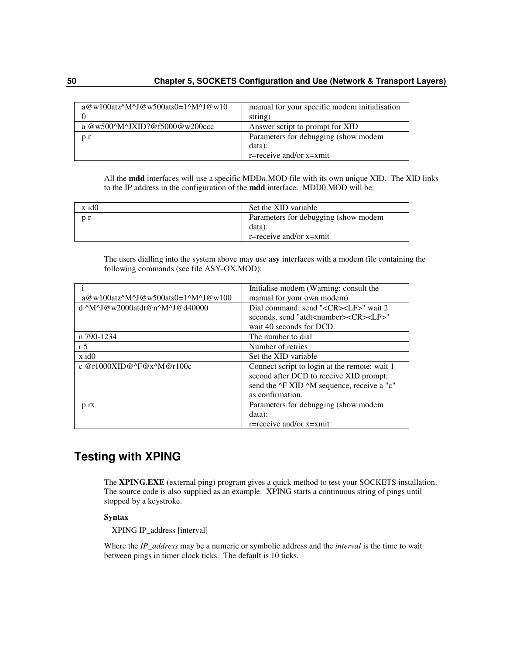| $a@w100atz^M^J@w500ats0=1^M^J@w10$ | manual for your specific modem initialisation |
|------------------------------------|-----------------------------------------------|
|                                    | string)                                       |
| a @w500^M^JXID?@f5000@w200ccc      | Answer script to prompt for XID               |
| p r                                | Parameters for debugging (show modem          |
|                                    | data):                                        |
|                                    | $r =$ receive and/or $x = x$ mit              |

All the **mdd** interfaces will use a specific MDD*n*.MOD file with its own unique XID. The XID links to the IP address in the configuration of the **mdd** interface. MDD0.MOD will be:

| Parameters for debugging (show modem<br>n r<br>data): | x id0 | Set the XID variable |
|-------------------------------------------------------|-------|----------------------|
| r=receive and/or $x=$ xmit                            |       |                      |

The users dialling into the system above may use **asy** interfaces with a modem file containing the following commands (see file ASY-OX.MOD):

|                                                 | Initialise modem (Warning: consult the                     |
|-------------------------------------------------|------------------------------------------------------------|
| $a@w100atz^M^J@w500ats0=1^M^J@w100$             | manual for your own modem)                                 |
| $d^{\wedge}M^{\wedge}J@w2000$ atdt@n^M^J@d40000 | Dial command: send " <cr><lf>" wait 2</lf></cr>            |
|                                                 | seconds, send "atdt <number><cr><lf>"</lf></cr></number>   |
|                                                 | wait 40 seconds for DCD.                                   |
| n 790-1234                                      | The number to dial                                         |
| r <sub>5</sub>                                  | Number of retries                                          |
| $x$ id $0$                                      | Set the XID variable                                       |
| c @r1000XID@^F@x^M@r100c                        | Connect script to login at the remote: wait 1              |
|                                                 | second after DCD to receive XID prompt,                    |
|                                                 | send the $\Delta$ F XID $\Delta$ M sequence, receive a "c" |
|                                                 | as confirmation.                                           |
| p rx                                            | Parameters for debugging (show modem                       |
|                                                 | data):                                                     |
|                                                 | $r =$ receive and/or $x = x$ mit                           |

# **Testing with XPING**

The **XPING.EXE** (external ping) program gives a quick method to test your SOCKETS installation. The source code is also supplied as an example. XPING starts a continuous string of pings until stopped by a keystroke.

## **Syntax**

XPING IP\_address [interval]

Where the *IP\_address* may be a numeric or symbolic address and the *interval* is the time to wait between pings in timer clock ticks. The default is 10 ticks.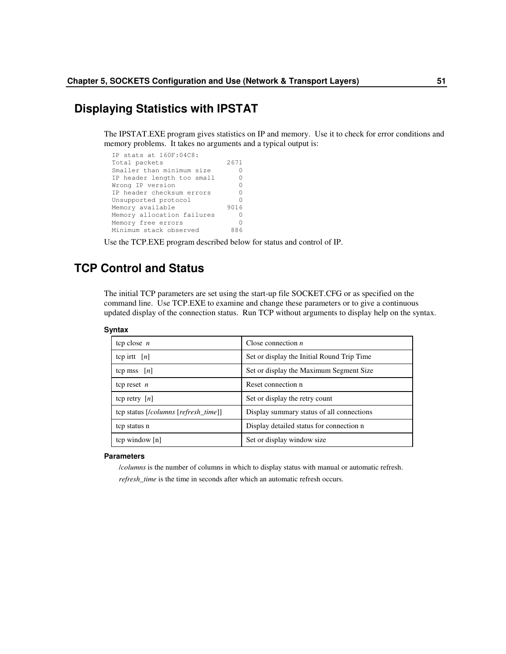# **Displaying Statistics with IPSTAT**

The IPSTAT.EXE program gives statistics on IP and memory. Use it to check for error conditions and memory problems. It takes no arguments and a typical output is:

```
IP stats at 160F:04C8:
Total packets 2671
Smaller than minimum size 0
IP header length too small 0<br>Wrong IP version 0
Wrong IP version 0<br>IP header checksum errors 0
IP header checksum errors
Unsupported protocol 0<br>Memory available 9016
Memory available
Memory allocation failures 0<br>Memory free errors 0
Memory free errors 0<br>
Minimum stack observed 886
Minimum stack observed
```
Use the TCP.EXE program described below for status and control of IP.

# **TCP Control and Status**

The initial TCP parameters are set using the start-up file SOCKET.CFG or as specified on the command line. Use TCP.EXE to examine and change these parameters or to give a continuous updated display of the connection status. Run TCP without arguments to display help on the syntax.

#### **Syntax**

| tcp close $n$                        | Close connection $n$                       |
|--------------------------------------|--------------------------------------------|
| tcp irtt $[n]$                       | Set or display the Initial Round Trip Time |
| tcp mss $ n $                        | Set or display the Maximum Segment Size    |
| tcp reset $n$                        | Reset connection n                         |
| tcp retry $[n]$                      | Set or display the retry count             |
| tcp status [/columns [refresh_time]] | Display summary status of all connections  |
| tcp status n                         | Display detailed status for connection n   |
| tcp window [n]                       | Set or display window size                 |

#### **Parameters**

/*columns* is the number of columns in which to display status with manual or automatic refresh. *refresh\_time* is the time in seconds after which an automatic refresh occurs.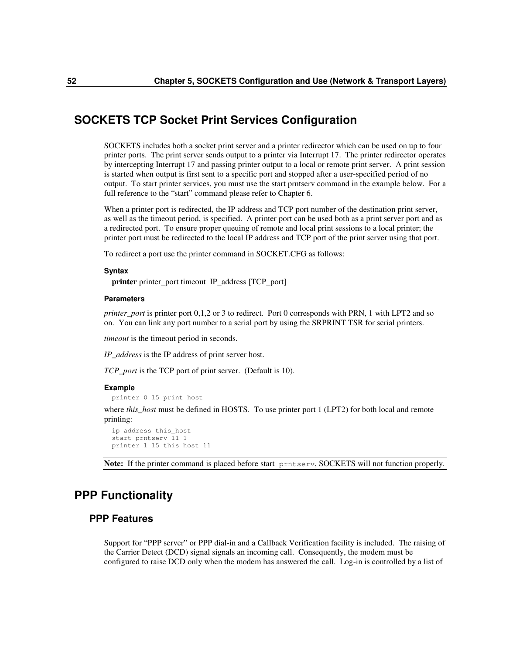# **SOCKETS TCP Socket Print Services Configuration**

SOCKETS includes both a socket print server and a printer redirector which can be used on up to four printer ports. The print server sends output to a printer via Interrupt 17. The printer redirector operates by intercepting Interrupt 17 and passing printer output to a local or remote print server. A print session is started when output is first sent to a specific port and stopped after a user-specified period of no output. To start printer services, you must use the start prntserv command in the example below. For a full reference to the "start" command please refer to Chapter 6.

When a printer port is redirected, the IP address and TCP port number of the destination print server, as well as the timeout period, is specified. A printer port can be used both as a print server port and as a redirected port. To ensure proper queuing of remote and local print sessions to a local printer; the printer port must be redirected to the local IP address and TCP port of the print server using that port.

To redirect a port use the printer command in SOCKET.CFG as follows:

#### **Syntax**

**printer** printer\_port timeout IP\_address [TCP\_port]

### **Parameters**

*printer\_port* is printer port 0,1,2 or 3 to redirect. Port 0 corresponds with PRN, 1 with LPT2 and so on. You can link any port number to a serial port by using the SRPRINT TSR for serial printers.

*timeout* is the timeout period in seconds.

*IP\_address* is the IP address of print server host.

*TCP\_port* is the TCP port of print server. (Default is 10).

#### **Example**

printer 0 15 print\_host

where *this* host must be defined in HOSTS. To use printer port 1 (LPT2) for both local and remote printing:

ip address this\_host start prntserv 11 1 printer 1 15 this\_host 11

**Note:** If the printer command is placed before start prntserv, SOCKETS will not function properly.

# **PPP Functionality**

# **PPP Features**

Support for "PPP server" or PPP dial-in and a Callback Verification facility is included. The raising of the Carrier Detect (DCD) signal signals an incoming call. Consequently, the modem must be configured to raise DCD only when the modem has answered the call. Log-in is controlled by a list of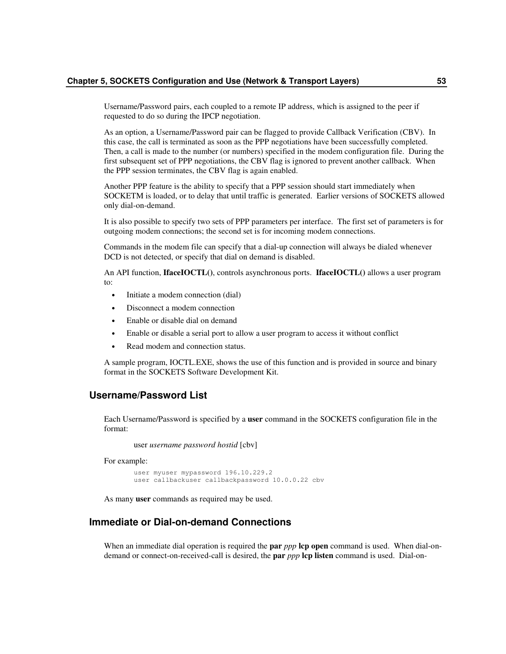Username/Password pairs, each coupled to a remote IP address, which is assigned to the peer if requested to do so during the IPCP negotiation.

As an option, a Username/Password pair can be flagged to provide Callback Verification (CBV). In this case, the call is terminated as soon as the PPP negotiations have been successfully completed. Then, a call is made to the number (or numbers) specified in the modem configuration file. During the first subsequent set of PPP negotiations, the CBV flag is ignored to prevent another callback. When the PPP session terminates, the CBV flag is again enabled.

Another PPP feature is the ability to specify that a PPP session should start immediately when SOCKETM is loaded, or to delay that until traffic is generated. Earlier versions of SOCKETS allowed only dial-on-demand.

It is also possible to specify two sets of PPP parameters per interface. The first set of parameters is for outgoing modem connections; the second set is for incoming modem connections.

Commands in the modem file can specify that a dial-up connection will always be dialed whenever DCD is not detected, or specify that dial on demand is disabled.

An API function, **IfaceIOCTL()**, controls asynchronous ports. **IfaceIOCTL()** allows a user program to:

- Initiate a modem connection (dial)
- Disconnect a modem connection
- Enable or disable dial on demand
- Enable or disable a serial port to allow a user program to access it without conflict
- Read modem and connection status.

A sample program, IOCTL.EXE, shows the use of this function and is provided in source and binary format in the SOCKETS Software Development Kit.

# **Username/Password List**

Each Username/Password is specified by a **user** command in the SOCKETS configuration file in the format:

user *username password hostid* [cbv]

For example:

user myuser mypassword 196.10.229.2 user callbackuser callbackpassword 10.0.0.22 cbv

As many **user** commands as required may be used.

# **Immediate or Dial-on-demand Connections**

When an immediate dial operation is required the **par** *ppp* **lcp open** command is used. When dial-ondemand or connect-on-received-call is desired, the **par** *ppp* **lcp listen** command is used. Dial-on-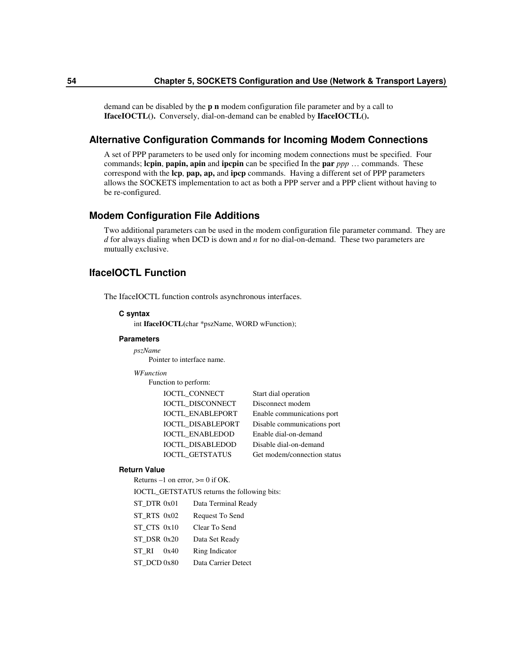demand can be disabled by the **p n** modem configuration file parameter and by a call to **IfaceIOCTL().** Conversely, dial-on-demand can be enabled by **IfaceIOCTL().**

## **Alternative Configuration Commands for Incoming Modem Connections**

A set of PPP parameters to be used only for incoming modem connections must be specified. Four commands; **lcpin**, **papin, apin** and **ipcpin** can be specified In the **par** *ppp* … commands. These correspond with the **lcp**, **pap, ap,** and **ipcp** commands. Having a different set of PPP parameters allows the SOCKETS implementation to act as both a PPP server and a PPP client without having to be re-configured.

## **Modem Configuration File Additions**

Two additional parameters can be used in the modem configuration file parameter command. They are *d* for always dialing when DCD is down and *n* for no dial-on-demand. These two parameters are mutually exclusive.

# **IfaceIOCTL Function**

The IfaceIOCTL function controls asynchronous interfaces.

#### **C syntax**

int **IfaceIOCTL(**char \*pszName, WORD wFunction);

### **Parameters**

*pszName* Pointer to interface name.

#### *WFunction*

Function to perform:

| IOCTL_CONNECT            | Start dial operation        |
|--------------------------|-----------------------------|
| <b>IOCTL DISCONNECT</b>  | Disconnect modem            |
| <b>IOCTL ENABLEPORT</b>  | Enable communications port  |
| <b>IOCTL DISABLEPORT</b> | Disable communications port |
| <b>IOCTL ENABLEDOD</b>   | Enable dial-on-demand       |
| <b>IOCTL DISABLEDOD</b>  | Disable dial-on-demand      |
| <b>IOCTL GETSTATUS</b>   | Get modem/connection status |

#### **Return Value**

Returns  $-1$  on error,  $\geq 0$  if OK.

IOCTL\_GETSTATUS returns the following bits:

| ST DTR 0x01 |  | Data Terminal Ready |  |
|-------------|--|---------------------|--|
|-------------|--|---------------------|--|

- ST\_RTS 0x02 Request To Send
- ST\_CTS 0x10 Clear To Send
- ST\_DSR 0x20 Data Set Ready
- ST\_RI 0x40 Ring Indicator
- ST\_DCD 0x80 Data Carrier Detect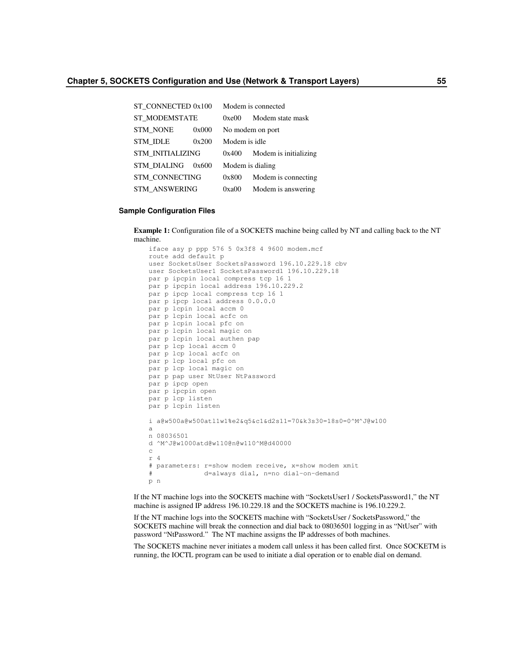| ST CONNECTED 0x100      |       |               | Modem is connected     |
|-------------------------|-------|---------------|------------------------|
| <b>ST MODEMSTATE</b>    |       | 0xe00         | Modem state mask       |
| <b>STM NONE</b>         | 0x000 |               | No modem on port       |
| <b>STM IDLE</b>         | 0x200 | Modem is idle |                        |
| <b>STM INITIALIZING</b> |       | 0x400         | Modem is initializing. |
| <b>STM DIALING</b>      | 0x600 |               | Modem is dialing.      |
| <b>STM CONNECTING</b>   |       | 0x800         | Modem is connecting    |
| <b>STM ANSWERING</b>    |       | 0xa00         | Modem is answering     |

#### **Sample Configuration Files**

**Example 1:** Configuration file of a SOCKETS machine being called by NT and calling back to the NT machine.

```
iface asy p ppp 576 5 0x3f8 4 9600 modem.mcf
route add default p
user SocketsUser SocketsPassword 196.10.229.18 cbv
user SocketsUser1 SocketsPassword1 196.10.229.18
par p ipcpin local compress tcp 16 1
par p ipcpin local address 196.10.229.2
par p ipcp local compress tcp 16 1
par p ipcp local address 0.0.0.0
par p lcpin local accm 0
par p lcpin local acfc on
par p lcpin local pfc on
par p lcpin local magic on
par p lcpin local authen pap
par p lcp local accm 0
par p lcp local acfc on
par p lcp local pfc on
par p lcp local magic on
par p pap user NtUser NtPassword
par p ipcp open
par p ipcpin open
par p lcp listen
par p lcpin listen
i a@w500a@w500atl1w1%e2&q5&c1&d2s11=70&k3s30=18s0=0^M^J@w100
a
n 08036501
d ^M^J@w1000atd@w110@n@w110^M@d40000
c
r 4
# parameters: r=show modem receive, x=show modem xmit
             d=always dial, n=no dial-on-demand
p n
```
If the NT machine logs into the SOCKETS machine with "SocketsUser1 / SocketsPassword1," the NT machine is assigned IP address 196.10.229.18 and the SOCKETS machine is 196.10.229.2.

If the NT machine logs into the SOCKETS machine with "SocketsUser / SocketsPassword," the SOCKETS machine will break the connection and dial back to 08036501 logging in as "NtUser" with password "NtPassword." The NT machine assigns the IP addresses of both machines.

The SOCKETS machine never initiates a modem call unless it has been called first. Once SOCKETM is running, the IOCTL program can be used to initiate a dial operation or to enable dial on demand.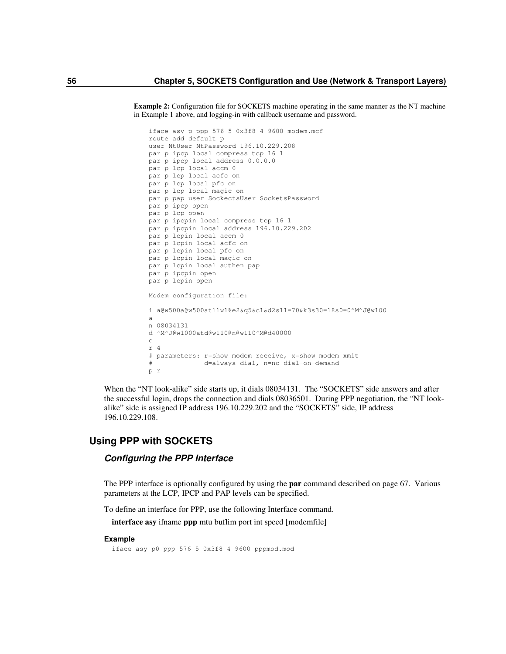**Example 2:** Configuration file for SOCKETS machine operating in the same manner as the NT machine in Example 1 above, and logging-in with callback username and password.

```
iface asy p ppp 576 5 0x3f8 4 9600 modem.mcf
route add default p
user NtUser NtPassword 196.10.229.208
par p ipcp local compress tcp 16 1
par p ipcp local address 0.0.0.0
par p lcp local accm 0
par p lcp local acfc on
par p lcp local pfc on
par p lcp local magic on
par p pap user SockectsUser SocketsPassword
par p ipcp open
par p lcp open
par p ipcpin local compress tcp 16 1
par p ipcpin local address 196.10.229.202
par p lcpin local accm 0
par p lcpin local acfc on
par p lcpin local pfc on
par p lcpin local magic on
par p lcpin local authen pap
par p ipcpin open
par p lcpin open
Modem configuration file:
i a@w500a@w500atl1w1%e2&q5&c1&d2s11=70&k3s30=18s0=0^M^J@w100
a
n 08034131
d ^M^J@w1000atd@w110@n@w110^M@d40000
c
r 4
# parameters: r=show modem receive, x=show modem xmit
# d=always dial, n=no dial-on-demand
p r
```
When the "NT look-alike" side starts up, it dials 08034131. The "SOCKETS" side answers and after the successful login, drops the connection and dials 08036501. During PPP negotiation, the "NT lookalike" side is assigned IP address 196.10.229.202 and the "SOCKETS" side, IP address 196.10.229.108.

# **Using PPP with SOCKETS**

## *Configuring the PPP Interface*

The PPP interface is optionally configured by using the **par** command described on page 67. Various parameters at the LCP, IPCP and PAP levels can be specified.

To define an interface for PPP, use the following Interface command.

**interface asy** ifname **ppp** mtu buflim port int speed [modemfile]

#### **Example**

iface asy p0 ppp 576 5 0x3f8 4 9600 pppmod.mod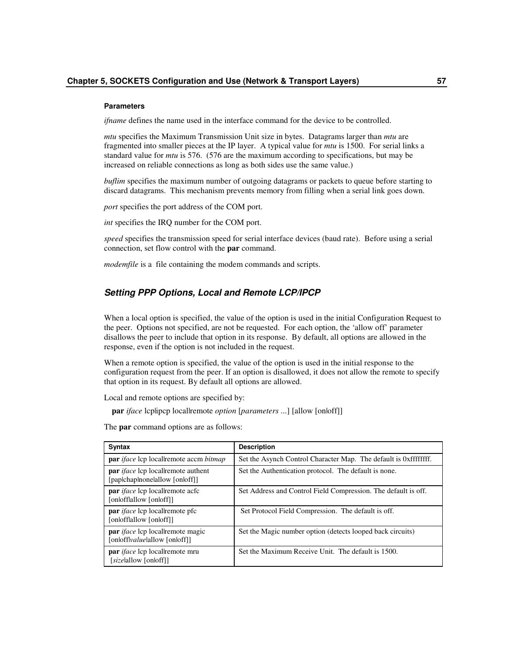#### **Parameters**

*if name* defines the name used in the interface command for the device to be controlled.

*mtu* specifies the Maximum Transmission Unit size in bytes. Datagrams larger than *mtu* are fragmented into smaller pieces at the IP layer. A typical value for *mtu* is 1500. For serial links a standard value for *mtu* is 576. (576 are the maximum according to specifications, but may be increased on reliable connections as long as both sides use the same value.)

*buflim* specifies the maximum number of outgoing datagrams or packets to queue before starting to discard datagrams. This mechanism prevents memory from filling when a serial link goes down.

*port* specifies the port address of the COM port.

*int* specifies the IRQ number for the COM port.

*speed* specifies the transmission speed for serial interface devices (baud rate). Before using a serial connection, set flow control with the **par** command.

*modemfile* is a file containing the modem commands and scripts.

## *Setting PPP Options, Local and Remote LCP/IPCP*

When a local option is specified, the value of the option is used in the initial Configuration Request to the peer. Options not specified, are not be requested. For each option, the 'allow off' parameter disallows the peer to include that option in its response. By default, all options are allowed in the response, even if the option is not included in the request.

When a remote option is specified, the value of the option is used in the initial response to the configuration request from the peer. If an option is disallowed, it does not allow the remote to specify that option in its request. By default all options are allowed.

Local and remote options are specified by:

**par** *iface* lcplipcp locallremote *option* [*parameters* ...] [allow [onloff]]

The **par** command options are as follows:

| <b>Syntax</b>                                                                      | <b>Description</b>                                               |
|------------------------------------------------------------------------------------|------------------------------------------------------------------|
| <b>par</b> <i>iface</i> lcp locallremote accm <i>bitmap</i>                        | Set the Asynch Control Character Map. The default is 0xffffffff. |
| <b>par</b> <i>iface</i> lcp locallremote authent<br>[paplchaplnonelallow [onloff]] | Set the Authentication protocol. The default is none.            |
| par <i>iface</i> lcp locallremote acfc<br>[onlofflallow [onloff]]                  | Set Address and Control Field Compression. The default is off.   |
| <b>par</b> <i>iface</i> lcp local remote pfc<br>[onlofflallow [onloff]]            | Set Protocol Field Compression. The default is off.              |
| par <i>iface</i> lcp locallremote magic<br>[onlofflyaluelallow [onloff]]           | Set the Magic number option (detects looped back circuits)       |
| par <i>iface</i> lcp locallremote mru<br>[sizelallow [onloff]]                     | Set the Maximum Receive Unit. The default is 1500.               |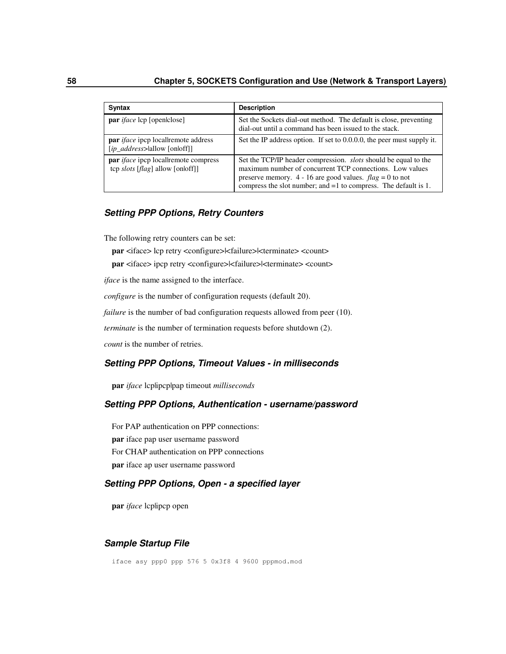| Syntax                                                                                 | <b>Description</b>                                                                                                                                                                                                                                                    |
|----------------------------------------------------------------------------------------|-----------------------------------------------------------------------------------------------------------------------------------------------------------------------------------------------------------------------------------------------------------------------|
| <b>par</b> <i>iface</i> lcp [open close]                                               | Set the Sockets dial-out method. The default is close, preventing<br>dial-out until a command has been issued to the stack.                                                                                                                                           |
| <b>par</b> <i>iface</i> ipcp locallremote address<br>$[ip\_address>$ allow $[onloff]]$ | Set the IP address option. If set to $0.0.0.0$ , the peer must supply it.                                                                                                                                                                                             |
| <b>par</b> <i>iface</i> ipcp locallremote compress<br>tcp slots [flag] allow [onloff]] | Set the TCP/IP header compression. <i>slots</i> should be equal to the<br>maximum number of concurrent TCP connections. Low values<br>preserve memory. 4 - 16 are good values. $flag = 0$ to not<br>compress the slot number; and $=1$ to compress. The default is 1. |

## *Setting PPP Options, Retry Counters*

The following retry counters can be set:

**par** <iface> lcp retry <configure>|<failure>|<terminate> <count>

**par** <iface> ipcp retry <configure> $|\langle$ failure> $|\langle$ terminate> <count>

*iface* is the name assigned to the interface.

*configure* is the number of configuration requests (default 20).

*failure* is the number of bad configuration requests allowed from peer (10).

*terminate* is the number of termination requests before shutdown (2).

*count* is the number of retries.

## *Setting PPP Options, Timeout Values - in milliseconds*

**par** *iface* lcp|ipcp|pap timeout *milliseconds*

## *Setting PPP Options, Authentication - username/password*

For PAP authentication on PPP connections: **par** iface pap user username password For CHAP authentication on PPP connections **par** iface ap user username password

## *Setting PPP Options, Open - a specified layer*

**par** *iface* lcp|ipcp open

### *Sample Startup File*

iface asy ppp0 ppp 576 5 0x3f8 4 9600 pppmod.mod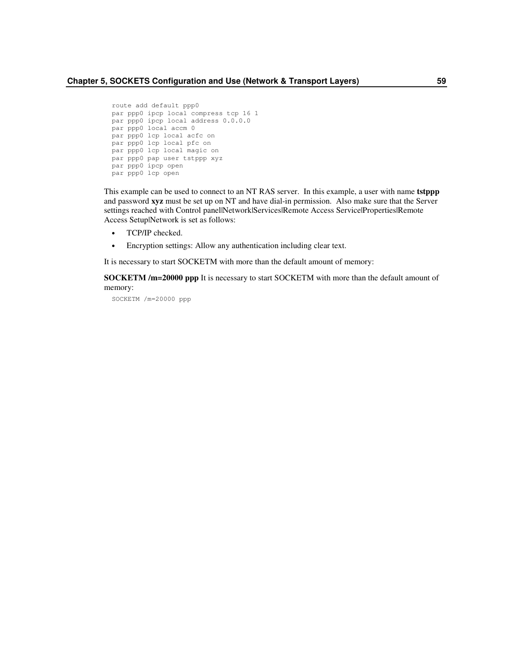```
route add default ppp0
par ppp0 ipcp local compress tcp 16 1
par ppp0 ipcp local address 0.0.0.0
par ppp0 local accm 0
par ppp0 lcp local acfc on
par ppp0 lcp local pfc on
par ppp0 lcp local magic on
par ppp0 pap user tstppp xyz
par ppp0 ipcp open
par ppp0 lcp open
```
This example can be used to connect to an NT RAS server. In this example, a user with name **tstppp** and password **xyz** must be set up on NT and have dial-in permission. Also make sure that the Server settings reached with Control panel|Network|Services|Remote Access Service|Properties|Remote Access Setup|Network is set as follows:

- TCP/IP checked.
- Encryption settings: Allow any authentication including clear text.

It is necessary to start SOCKETM with more than the default amount of memory:

**SOCKETM /m=20000 ppp** It is necessary to start SOCKETM with more than the default amount of memory:

SOCKETM /m=20000 ppp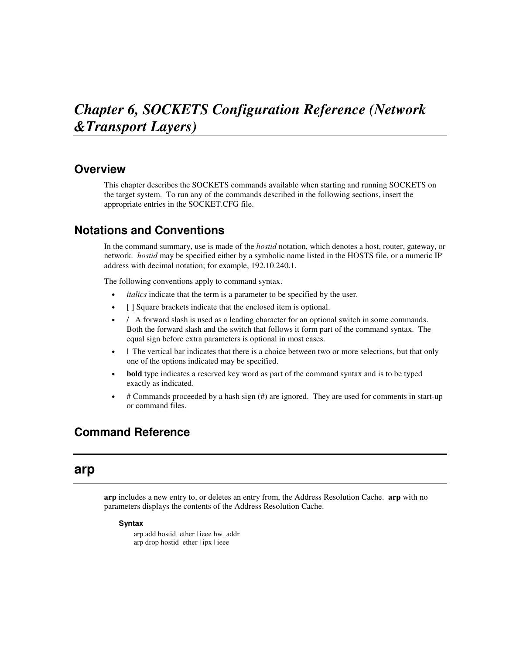# *Chapter 6, SOCKETS Configuration Reference (Network &Transport Layers)*

# **Overview**

This chapter describes the SOCKETS commands available when starting and running SOCKETS on the target system. To run any of the commands described in the following sections, insert the appropriate entries in the SOCKET.CFG file.

# **Notations and Conventions**

In the command summary, use is made of the *hostid* notation, which denotes a host, router, gateway, or network. *hostid* may be specified either by a symbolic name listed in the HOSTS file, or a numeric IP address with decimal notation; for example, 192.10.240.1.

The following conventions apply to command syntax.

- *italics* indicate that the term is a parameter to be specified by the user.
- [ ] Square brackets indicate that the enclosed item is optional.
- / A forward slash is used as a leading character for an optional switch in some commands. Both the forward slash and the switch that follows it form part of the command syntax. The equal sign before extra parameters is optional in most cases.
- I The vertical bar indicates that there is a choice between two or more selections, but that only one of the options indicated may be specified.
- **bold** type indicates a reserved key word as part of the command syntax and is to be typed exactly as indicated.
- # Commands proceeded by a hash sign (#) are ignored. They are used for comments in start-up or command files.

# **Command Reference**

# **arp**

**arp** includes a new entry to, or deletes an entry from, the Address Resolution Cache. **arp** with no parameters displays the contents of the Address Resolution Cache.

### **Syntax**

arp add hostid ether | ieee hw\_addr arp drop hostid ether | ipx | ieee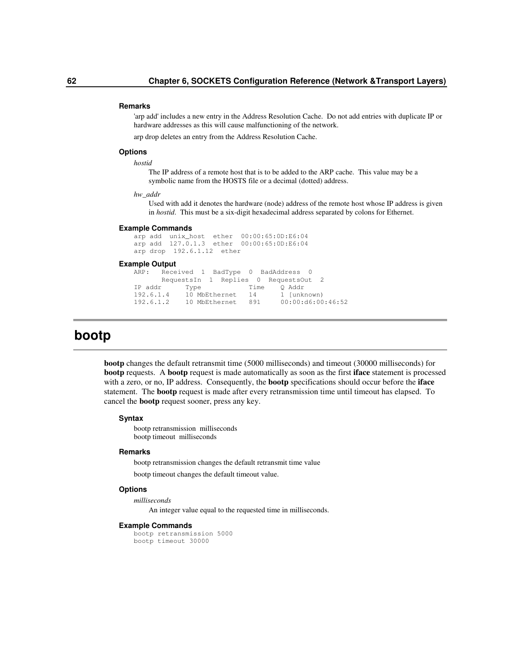#### **Remarks**

'arp add' includes a new entry in the Address Resolution Cache. Do not add entries with duplicate IP or hardware addresses as this will cause malfunctioning of the network.

arp drop deletes an entry from the Address Resolution Cache.

#### **Options**

#### *hostid*

The IP address of a remote host that is to be added to the ARP cache. This value may be a symbolic name from the HOSTS file or a decimal (dotted) address.

#### *hw\_addr*

Used with add it denotes the hardware (node) address of the remote host whose IP address is given in *hostid*. This must be a six-digit hexadecimal address separated by colons for Ethernet.

#### **Example Commands**

arp add unix\_host ether 00:00:65:0D:E6:04 arp add 127.0.1.3 ether 00:00:65:0D:E6:04 arp drop 192.6.1.12 ether

#### **Example Output**

```
ARP: Received 1 BadType 0 BadAddress 0
        RequestsIn 1 Replies 0 RequestsOut 2
IP addr Iype Time Q Addr<br>192.6.1.4 10 MbEthernet 14 1 [unknown)
192.6.1.4 10 MbEthernet<br>192.6.1.2 10 MbEthernet
              192.6.1.2 10 MbEthernet 891 00:00:d6:00:46:52
```
# **bootp**

**bootp** changes the default retransmit time (5000 milliseconds) and timeout (30000 milliseconds) for **bootp** requests. A **bootp** request is made automatically as soon as the first **iface** statement is processed with a zero, or no, IP address. Consequently, the **bootp** specifications should occur before the **iface** statement. The **bootp** request is made after every retransmission time until timeout has elapsed. To cancel the **bootp** request sooner, press any key.

#### **Syntax**

bootp retransmission milliseconds bootp timeout milliseconds

#### **Remarks**

bootp retransmission changes the default retransmit time value

bootp timeout changes the default timeout value.

## **Options**

*milliseconds*

An integer value equal to the requested time in milliseconds.

#### **Example Commands**

```
bootp retransmission 5000
bootp timeout 30000
```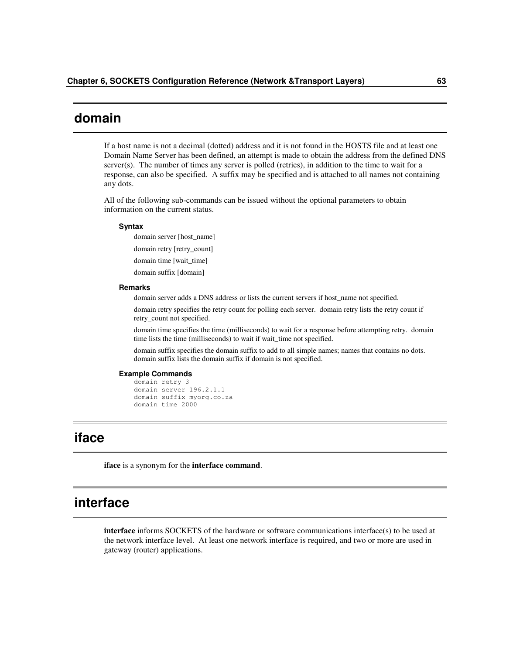# **domain**

If a host name is not a decimal (dotted) address and it is not found in the HOSTS file and at least one Domain Name Server has been defined, an attempt is made to obtain the address from the defined DNS server(s). The number of times any server is polled (retries), in addition to the time to wait for a response, can also be specified. A suffix may be specified and is attached to all names not containing any dots.

All of the following sub-commands can be issued without the optional parameters to obtain information on the current status.

#### **Syntax**

domain server [host\_name]

domain retry [retry\_count]

domain time [wait\_time]

domain suffix [domain]

#### **Remarks**

domain server adds a DNS address or lists the current servers if host\_name not specified.

domain retry specifies the retry count for polling each server. domain retry lists the retry count if retry\_count not specified.

domain time specifies the time (milliseconds) to wait for a response before attempting retry. domain time lists the time (milliseconds) to wait if wait\_time not specified.

domain suffix specifies the domain suffix to add to all simple names; names that contains no dots. domain suffix lists the domain suffix if domain is not specified.

#### **Example Commands**

```
domain retry 3
domain server 196.2.1.1
domain suffix myorg.co.za
domain time 2000
```
# **iface**

**iface** is a synonym for the **interface command**.

# **interface**

**interface** informs SOCKETS of the hardware or software communications interface(s) to be used at the network interface level. At least one network interface is required, and two or more are used in gateway (router) applications.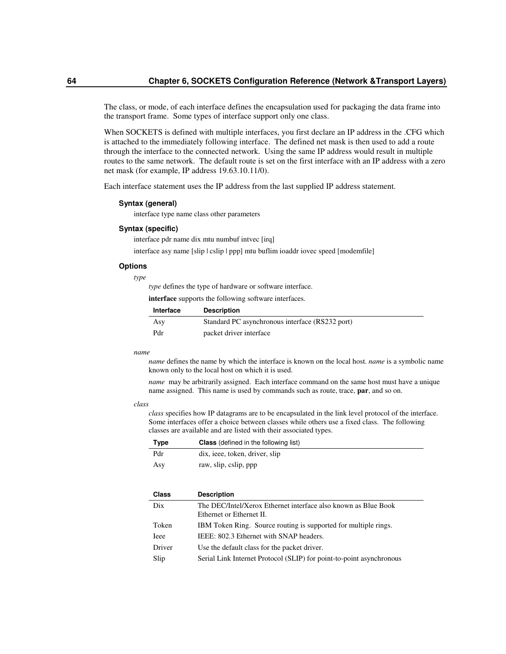The class, or mode, of each interface defines the encapsulation used for packaging the data frame into the transport frame. Some types of interface support only one class.

When SOCKETS is defined with multiple interfaces, you first declare an IP address in the .CFG which is attached to the immediately following interface. The defined net mask is then used to add a route through the interface to the connected network. Using the same IP address would result in multiple routes to the same network. The default route is set on the first interface with an IP address with a zero net mask (for example, IP address 19.63.10.11/0).

Each interface statement uses the IP address from the last supplied IP address statement.

#### **Syntax (general)**

interface type name class other parameters

#### **Syntax (specific)**

interface pdr name dix mtu numbuf intvec [irq]

interface asy name [slip | cslip | ppp] mtu buflim ioaddr iovec speed [modemfile]

#### **Options**

*type*

*type* defines the type of hardware or software interface.

**interface** supports the following software interfaces.

| Interface | <b>Description</b>                              |
|-----------|-------------------------------------------------|
| Asy       | Standard PC asynchronous interface (RS232 port) |
| Pdr       | packet driver interface                         |

#### *name*

*name* defines the name by which the interface is known on the local host. *name* is a symbolic name known only to the local host on which it is used.

*name* may be arbitrarily assigned. Each interface command on the same host must have a unique name assigned. This name is used by commands such as route, trace, **par**, and so on.

#### *class*

*class* specifies how IP datagrams are to be encapsulated in the link level protocol of the interface. Some interfaces offer a choice between classes while others use a fixed class. The following classes are available and are listed with their associated types.

| Type | <b>Class</b> (defined in the following list) |
|------|----------------------------------------------|
| Pdr  | dix, ieee, token, driver, slip               |
| Asy  | raw, slip, cslip, ppp                        |

| <b>Class</b> | <b>Description</b>                                                                         |
|--------------|--------------------------------------------------------------------------------------------|
| Dix          | The DEC/Intel/Xerox Ethernet interface also known as Blue Book<br>Ethernet or Ethernet II. |
| Token        | IBM Token Ring. Source routing is supported for multiple rings.                            |
| <b>I</b> eee | IEEE: 802.3 Ethernet with SNAP headers.                                                    |
| Driver       | Use the default class for the packet driver.                                               |
| Slip         | Serial Link Internet Protocol (SLIP) for point-to-point asynchronous                       |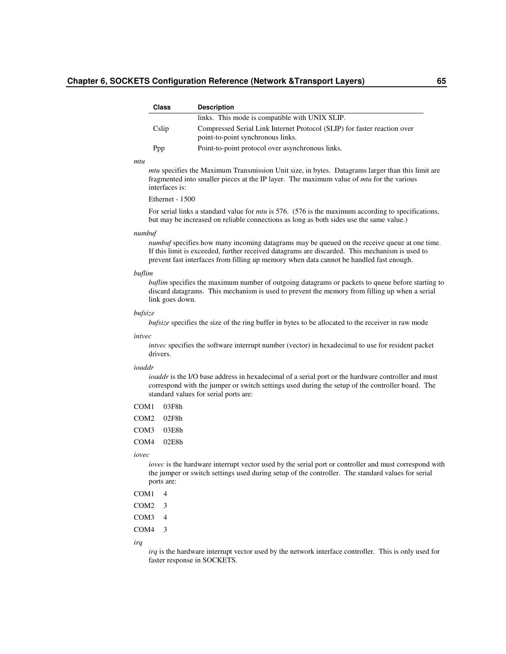## **Chapter 6, SOCKETS Configuration Reference (Network &Transport Layers) 65**

| <b>Class</b> | <b>Description</b>                                                                                            |
|--------------|---------------------------------------------------------------------------------------------------------------|
|              | links. This mode is compatible with UNIX SLIP.                                                                |
| Cslip        | Compressed Serial Link Internet Protocol (SLIP) for faster reaction over<br>point-to-point synchronous links. |
| Ppp          | Point-to-point protocol over asynchronous links.                                                              |

#### *mtu*

*mtu* specifies the Maximum Transmission Unit size, in bytes. Datagrams larger than this limit are fragmented into smaller pieces at the IP layer. The maximum value of *mtu* for the various interfaces is:

## Ethernet - 1500

For serial links a standard value for *mtu* is 576. (576 is the maximum according to specifications, but may be increased on reliable connections as long as both sides use the same value.)

#### *numbuf*

*numbuf* specifies how many incoming datagrams may be queued on the receive queue at one time. If this limit is exceeded, further received datagrams are discarded. This mechanism is used to prevent fast interfaces from filling up memory when data cannot be handled fast enough.

#### *buflim*

*buflim* specifies the maximum number of outgoing datagrams or packets to queue before starting to discard datagrams. This mechanism is used to prevent the memory from filling up when a serial link goes down.

#### *bufsize*

*bufsize* specifies the size of the ring buffer in bytes to be allocated to the receiver in raw mode

#### *intvec*

*intvec* specifies the software interrupt number (vector) in hexadecimal to use for resident packet drivers.

## *ioaddr*

*ioaddr* is the I/O base address in hexadecimal of a serial port or the hardware controller and must correspond with the jumper or switch settings used during the setup of the controller board. The standard values for serial ports are:

- COM1 03F8h
- COM2 02F8h
- COM3 03E8h
- COM4 02E8h

*iovec*

*iovec* is the hardware interrupt vector used by the serial port or controller and must correspond with the jumper or switch settings used during setup of the controller. The standard values for serial ports are:

- COM<sub>1</sub> 4
- COM2 3
- COM3 4
- COM4 3

*irq*

*irq* is the hardware interrupt vector used by the network interface controller. This is only used for faster response in SOCKETS.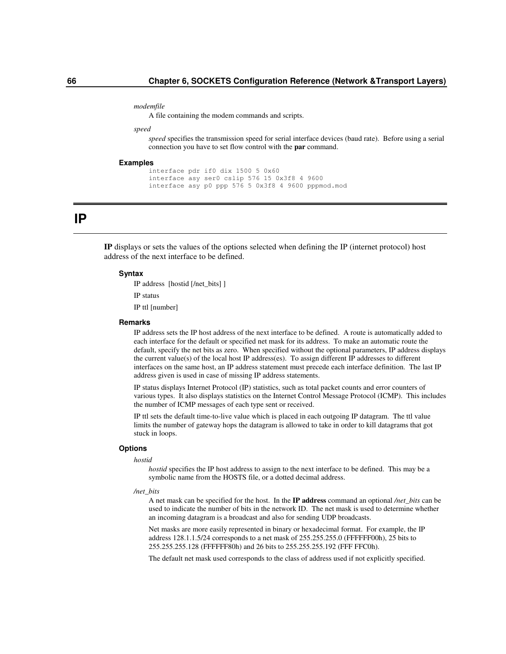#### *modemfile*

A file containing the modem commands and scripts.

#### *speed*

*speed* specifies the transmission speed for serial interface devices (baud rate). Before using a serial connection you have to set flow control with the **par** command.

### **Examples**

```
interface pdr if0 dix 1500 5 0x60
interface asy ser0 cslip 576 15 0x3f8 4 9600
interface asy p0 ppp 576 5 0x3f8 4 9600 pppmod.mod
```
## **IP**

**IP** displays or sets the values of the options selected when defining the IP (internet protocol) host address of the next interface to be defined.

## **Syntax**

IP address [hostid [/net\_bits] ]

IP status

IP ttl [number]

### **Remarks**

IP address sets the IP host address of the next interface to be defined. A route is automatically added to each interface for the default or specified net mask for its address. To make an automatic route the default, specify the net bits as zero. When specified without the optional parameters, IP address displays the current value(s) of the local host IP address(es). To assign different IP addresses to different interfaces on the same host, an IP address statement must precede each interface definition. The last IP address given is used in case of missing IP address statements.

IP status displays Internet Protocol (IP) statistics, such as total packet counts and error counters of various types. It also displays statistics on the Internet Control Message Protocol (ICMP). This includes the number of ICMP messages of each type sent or received.

IP ttl sets the default time-to-live value which is placed in each outgoing IP datagram. The ttl value limits the number of gateway hops the datagram is allowed to take in order to kill datagrams that got stuck in loops.

## **Options**

### *hostid*

*hostid* specifies the IP host address to assign to the next interface to be defined. This may be a symbolic name from the HOSTS file, or a dotted decimal address.

*/net\_bits*

A net mask can be specified for the host. In the **IP address** command an optional */net\_bits* can be used to indicate the number of bits in the network ID. The net mask is used to determine whether an incoming datagram is a broadcast and also for sending UDP broadcasts.

Net masks are more easily represented in binary or hexadecimal format. For example, the IP address 128.1.1.5/24 corresponds to a net mask of 255.255.255.0 (FFFFFF00h), 25 bits to 255.255.255.128 (FFFFFF80h) and 26 bits to 255.255.255.192 (FFF FFC0h).

The default net mask used corresponds to the class of address used if not explicitly specified.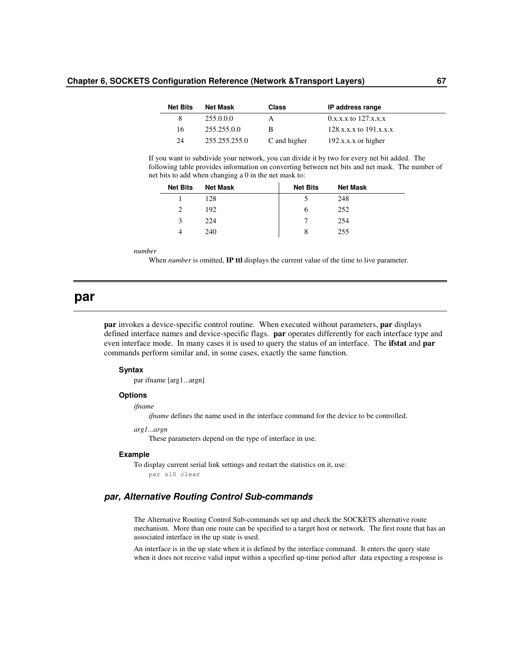## **Chapter 6, SOCKETS Configuration Reference (Network &Transport Layers) 67**

| <b>Net Bits</b> | Net Mask      | <b>Class</b> | IP address range           |
|-----------------|---------------|--------------|----------------------------|
| 8               | 255.0.0.0     | $\mathsf{A}$ | $0.x.x.x$ to $127.x.x.x$   |
| 16              | 255.255.0.0   | R            | $128.x.x.x$ to $191.x.x.x$ |
| 24              | 255.255.255.0 | C and higher | $192.x.x.x$ or higher      |

If you want to subdivide your network, you can divide it by two for every net bit added. The following table provides information on converting between net bits and net mask. The number of net bits to add when changing a 0 in the net mask to:

| <b>Net Bits</b> | <b>Net Mask</b> | <b>Net Bits</b> | <b>Net Mask</b> |
|-----------------|-----------------|-----------------|-----------------|
|                 | 128             |                 | 248             |
|                 | 192             | O               | 252             |
| 3               | 224             |                 | 254             |
| 4               | 240             | 8               | 255             |

*number*

When *number* is omitted, **IP ttl** displays the current value of the time to live parameter.

## **par**

**par** invokes a device-specific control routine. When executed without parameters, **par** displays defined interface names and device-specific flags. **par** operates differently for each interface type and even interface mode. In many cases it is used to query the status of an interface. The **ifstat** and **par** commands perform similar and, in some cases, exactly the same function.

## **Syntax**

par ifname [arg1...argn]

## **Options**

*ifname*

*ifname* defines the name used in the interface command for the device to be controlled.

## *arg1...argn*

These parameters depend on the type of interface in use.

#### **Example**

To display current serial link settings and restart the statistics on it, use: par sl0 clear

## *par, Alternative Routing Control Sub-commands*

The Alternative Routing Control Sub-commands set up and check the SOCKETS alternative route mechanism. More than one route can be specified to a target host or network. The first route that has an associated interface in the up state is used.

An interface is in the up state when it is defined by the interface command. It enters the query state when it does not receive valid input within a specified up-time period after data expecting a response is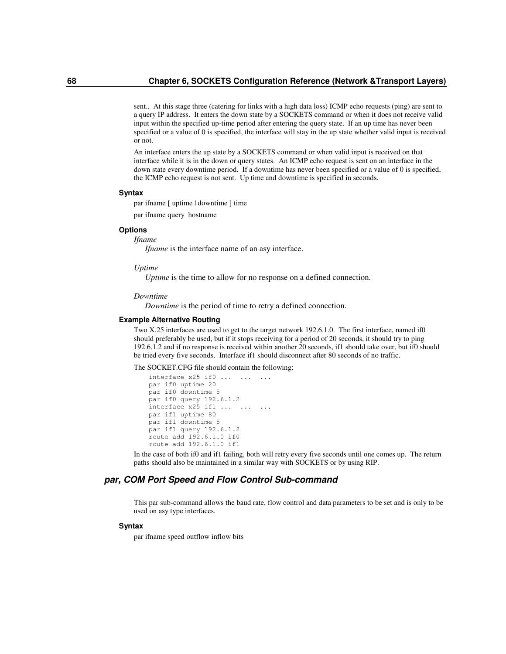sent.. At this stage three (catering for links with a high data loss) ICMP echo requests (ping) are sent to a query IP address. It enters the down state by a SOCKETS command or when it does not receive valid input within the specified up-time period after entering the query state. If an up time has never been specified or a value of 0 is specified, the interface will stay in the up state whether valid input is received or not.

An interface enters the up state by a SOCKETS command or when valid input is received on that interface while it is in the down or query states. An ICMP echo request is sent on an interface in the down state every downtime period. If a downtime has never been specified or a value of 0 is specified, the ICMP echo request is not sent. Up time and downtime is specified in seconds.

## **Syntax**

par ifname [ uptime | downtime ] time

par ifname query hostname

## **Options**

*Ifname*

*Ifname* is the interface name of an asy interface.

#### *Uptime*

*Uptime* is the time to allow for no response on a defined connection.

#### *Downtime*

*Downtime* is the period of time to retry a defined connection.

#### **Example Alternative Routing**

Two X.25 interfaces are used to get to the target network 192.6.1.0. The first interface, named if0 should preferably be used, but if it stops receiving for a period of 20 seconds, it should try to ping 192.6.1.2 and if no response is received within another 20 seconds, if1 should take over, but if0 should be tried every five seconds. Interface if1 should disconnect after 80 seconds of no traffic.

The SOCKET.CFG file should contain the following:

```
interface x25 if0 ... ... ...
par if0 uptime 20
par if0 downtime 5
par if0 query 192.6.1.2
interface x25 if1 ... ...
par if1 uptime 80
par if1 downtime 5
par if1 query 192.6.1.2
route add 192.6.1.0 if0
route add 192.6.1.0 if1
```
In the case of both if0 and if1 failing, both will retry every five seconds until one comes up. The return paths should also be maintained in a similar way with SOCKETS or by using RIP.

## *par, COM Port Speed and Flow Control Sub-command*

This par sub-command allows the baud rate, flow control and data parameters to be set and is only to be used on asy type interfaces.

## **Syntax**

par ifname speed outflow inflow bits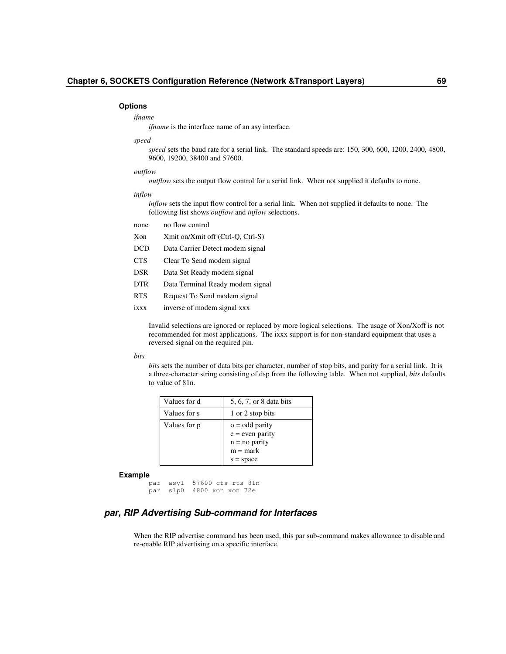#### **Options**

#### *ifname*

*ifname* is the interface name of an asy interface.

#### *speed*

*speed* sets the baud rate for a serial link. The standard speeds are: 150, 300, 600, 1200, 2400, 4800, 9600, 19200, 38400 and 57600.

## *outflow*

*outflow* sets the output flow control for a serial link. When not supplied it defaults to none.

## *inflow*

*inflow* sets the input flow control for a serial link. When not supplied it defaults to none. The following list shows *outflow* and *inflow* selections.

- none no flow control
- Xon Xmit on/Xmit off (Ctrl-Q, Ctrl-S)
- DCD Data Carrier Detect modem signal
- CTS Clear To Send modem signal
- DSR Data Set Ready modem signal
- DTR Data Terminal Ready modem signal
- RTS Request To Send modem signal
- ixxx inverse of modem signal xxx

Invalid selections are ignored or replaced by more logical selections. The usage of Xon/Xoff is not recommended for most applications. The ixxx support is for non-standard equipment that uses a reversed signal on the required pin.

### *bits*

*bits* sets the number of data bits per character, number of stop bits, and parity for a serial link. It is a three-character string consisting of dsp from the following table. When not supplied, *bits* defaults to value of 81n.

| Values for d | 5, 6, 7, or 8 data bits |
|--------------|-------------------------|
| Values for s | 1 or 2 stop bits        |
| Values for p | $o = odd$ parity        |
|              | $e = even$ parity       |
|              | $n = no$ parity         |
|              | $m = mark$              |
|              | $s = space$             |

#### **Example**

par asy1 57600 cts rts 81n par slp0 4800 xon xon 72e

## *par, RIP Advertising Sub-command for Interfaces*

When the RIP advertise command has been used, this par sub-command makes allowance to disable and re-enable RIP advertising on a specific interface.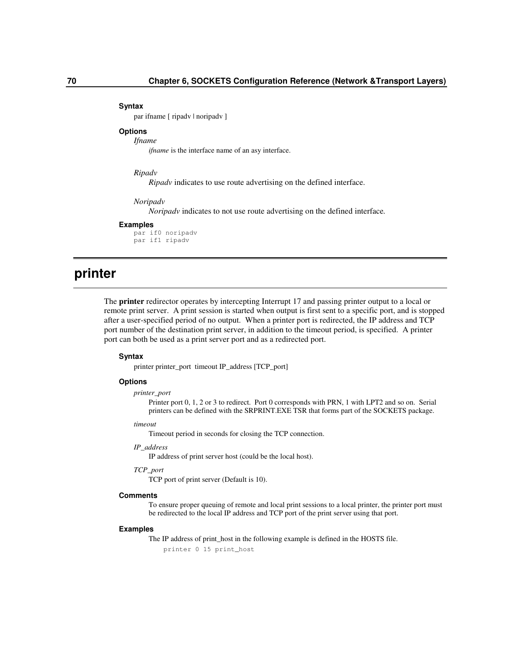#### **Syntax**

par ifname [ ripadv | noripadv ]

## **Options**

*Ifname*

*ifname* is the interface name of an asy interface.

## *Ripadv*

*Ripadv* indicates to use route advertising on the defined interface.

#### *Noripadv*

*Noripadv* indicates to not use route advertising on the defined interface*.*

#### **Examples**

par if0 noripadv par if1 ripadv

# **printer**

The **printer** redirector operates by intercepting Interrupt 17 and passing printer output to a local or remote print server. A print session is started when output is first sent to a specific port, and is stopped after a user-specified period of no output. When a printer port is redirected, the IP address and TCP port number of the destination print server, in addition to the timeout period, is specified. A printer port can both be used as a print server port and as a redirected port.

## **Syntax**

printer printer\_port timeout IP\_address [TCP\_port]

## **Options**

*printer\_port*

Printer port 0, 1, 2 or 3 to redirect. Port 0 corresponds with PRN, 1 with LPT2 and so on. Serial printers can be defined with the SRPRINT.EXE TSR that forms part of the SOCKETS package.

#### *timeout*

Timeout period in seconds for closing the TCP connection.

## *IP\_address*

IP address of print server host (could be the local host).

## *TCP\_port*

TCP port of print server (Default is 10).

## **Comments**

To ensure proper queuing of remote and local print sessions to a local printer, the printer port must be redirected to the local IP address and TCP port of the print server using that port.

#### **Examples**

The IP address of print\_host in the following example is defined in the HOSTS file. printer 0 15 print\_host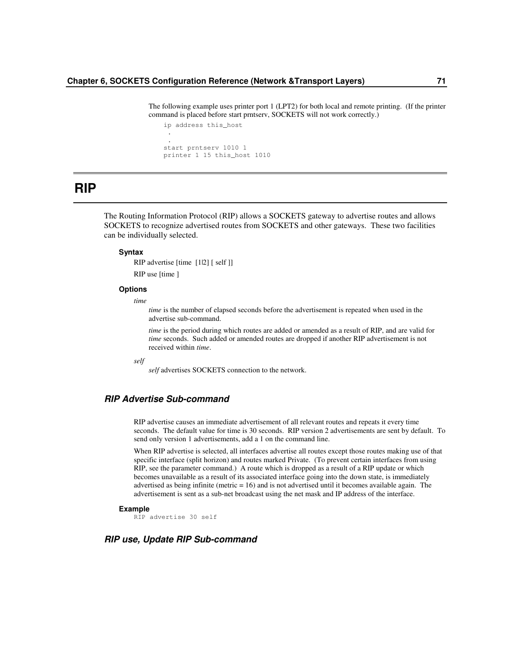The following example uses printer port 1 (LPT2) for both local and remote printing. (If the printer command is placed before start prntserv, SOCKETS will not work correctly.)

```
ip address this_host
 .
 .
start prntserv 1010 1
printer 1 15 this_host 1010
```
# **RIP**

The Routing Information Protocol (RIP) allows a SOCKETS gateway to advertise routes and allows SOCKETS to recognize advertised routes from SOCKETS and other gateways. These two facilities can be individually selected.

## **Syntax**

RIP advertise [time [1|2] [ self ]]

RIP use [time ]

## **Options**

*time*

*time* is the number of elapsed seconds before the advertisement is repeated when used in the advertise sub-command.

*time* is the period during which routes are added or amended as a result of RIP, and are valid for *time* seconds. Such added or amended routes are dropped if another RIP advertisement is not received within *time*.

*self*

*self* advertises SOCKETS connection to the network.

## *RIP Advertise Sub-command*

RIP advertise causes an immediate advertisement of all relevant routes and repeats it every time seconds. The default value for time is 30 seconds. RIP version 2 advertisements are sent by default. To send only version 1 advertisements, add a 1 on the command line.

When RIP advertise is selected, all interfaces advertise all routes except those routes making use of that specific interface (split horizon) and routes marked Private. (To prevent certain interfaces from using RIP, see the parameter command.) A route which is dropped as a result of a RIP update or which becomes unavailable as a result of its associated interface going into the down state, is immediately advertised as being infinite (metric = 16) and is not advertised until it becomes available again. The advertisement is sent as a sub-net broadcast using the net mask and IP address of the interface.

## **Example**

RIP advertise 30 self

## *RIP use, Update RIP Sub-command*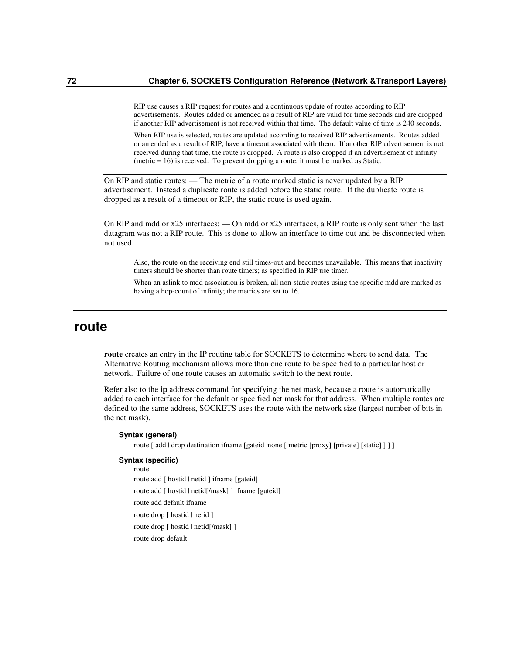RIP use causes a RIP request for routes and a continuous update of routes according to RIP advertisements. Routes added or amended as a result of RIP are valid for time seconds and are dropped if another RIP advertisement is not received within that time. The default value of time is 240 seconds.

When RIP use is selected, routes are updated according to received RIP advertisements. Routes added or amended as a result of RIP, have a timeout associated with them. If another RIP advertisement is not received during that time, the route is dropped. A route is also dropped if an advertisement of infinity (metric = 16) is received. To prevent dropping a route, it must be marked as Static.

On RIP and static routes: — The metric of a route marked static is never updated by a RIP advertisement. Instead a duplicate route is added before the static route. If the duplicate route is dropped as a result of a timeout or RIP, the static route is used again.

On RIP and mdd or x25 interfaces: — On mdd or x25 interfaces, a RIP route is only sent when the last datagram was not a RIP route. This is done to allow an interface to time out and be disconnected when not used.

Also, the route on the receiving end still times-out and becomes unavailable. This means that inactivity timers should be shorter than route timers; as specified in RIP use timer.

When an aslink to mdd association is broken, all non-static routes using the specific mdd are marked as having a hop-count of infinity; the metrics are set to 16.

## **route**

**route** creates an entry in the IP routing table for SOCKETS to determine where to send data. The Alternative Routing mechanism allows more than one route to be specified to a particular host or network. Failure of one route causes an automatic switch to the next route.

Refer also to the **ip** address command for specifying the net mask, because a route is automatically added to each interface for the default or specified net mask for that address. When multiple routes are defined to the same address, SOCKETS uses the route with the network size (largest number of bits in the net mask).

## **Syntax (general)**

route [ add | drop destination ifname [gateid |none [ metric [proxy] [private] [static] ] ] ]

### **Syntax (specific)**

route route add [ hostid | netid ] ifname [gateid] route add [ hostid | netid[/mask] ] ifname [gateid] route add default ifname route drop [ hostid | netid ] route drop [ hostid | netid[/mask] ] route drop default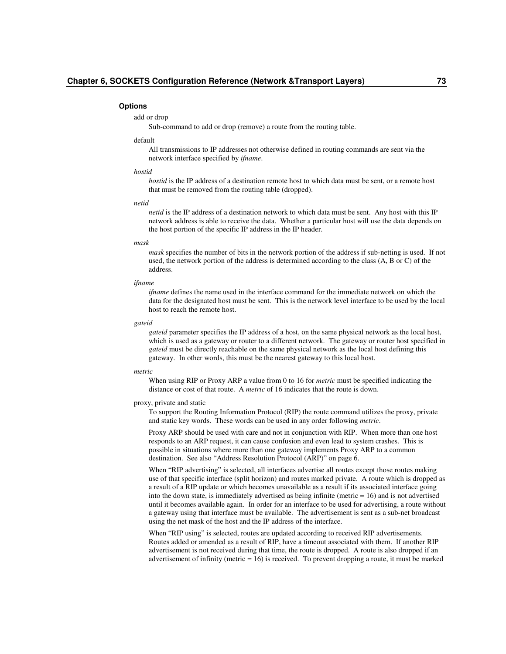#### **Options**

## add or drop

Sub-command to add or drop (remove) a route from the routing table.

## default

All transmissions to IP addresses not otherwise defined in routing commands are sent via the network interface specified by *ifname*.

#### *hostid*

*hostid* is the IP address of a destination remote host to which data must be sent, or a remote host that must be removed from the routing table (dropped).

#### *netid*

*netid* is the IP address of a destination network to which data must be sent. Any host with this IP network address is able to receive the data. Whether a particular host will use the data depends on the host portion of the specific IP address in the IP header.

#### *mask*

*mask* specifies the number of bits in the network portion of the address if sub-netting is used. If not used, the network portion of the address is determined according to the class (A, B or C) of the address.

#### *ifname*

*ifname* defines the name used in the interface command for the immediate network on which the data for the designated host must be sent. This is the network level interface to be used by the local host to reach the remote host.

#### *gateid*

*gateid* parameter specifies the IP address of a host, on the same physical network as the local host, which is used as a gateway or router to a different network. The gateway or router host specified in *gateid* must be directly reachable on the same physical network as the local host defining this gateway. In other words, this must be the nearest gateway to this local host.

#### *metric*

When using RIP or Proxy ARP a value from 0 to 16 for *metric* must be specified indicating the distance or cost of that route. A *metric* of 16 indicates that the route is down.

#### proxy, private and static

To support the Routing Information Protocol (RIP) the route command utilizes the proxy, private and static key words. These words can be used in any order following *metric*.

Proxy ARP should be used with care and not in conjunction with RIP. When more than one host responds to an ARP request, it can cause confusion and even lead to system crashes. This is possible in situations where more than one gateway implements Proxy ARP to a common destination. See also "Address Resolution Protocol (ARP)" on page 6.

When "RIP advertising" is selected, all interfaces advertise all routes except those routes making use of that specific interface (split horizon) and routes marked private. A route which is dropped as a result of a RIP update or which becomes unavailable as a result if its associated interface going into the down state, is immediately advertised as being infinite (metric = 16) and is not advertised until it becomes available again. In order for an interface to be used for advertising, a route without a gateway using that interface must be available. The advertisement is sent as a sub-net broadcast using the net mask of the host and the IP address of the interface.

When "RIP using" is selected, routes are updated according to received RIP advertisements. Routes added or amended as a result of RIP, have a timeout associated with them. If another RIP advertisement is not received during that time, the route is dropped. A route is also dropped if an advertisement of infinity (metric = 16) is received. To prevent dropping a route, it must be marked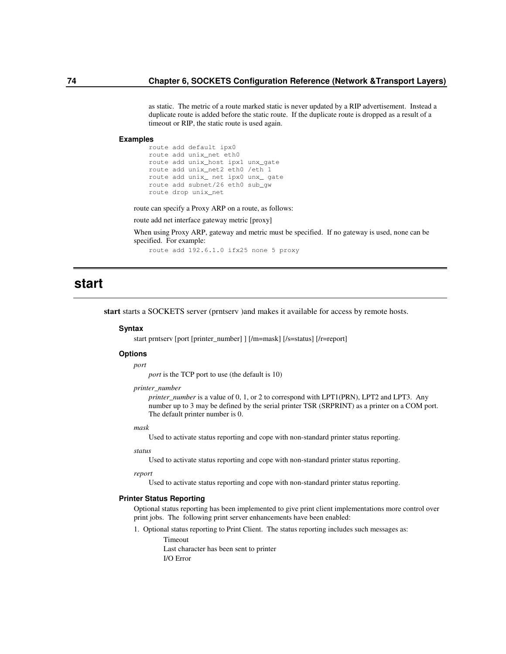as static. The metric of a route marked static is never updated by a RIP advertisement. Instead a duplicate route is added before the static route. If the duplicate route is dropped as a result of a timeout or RIP, the static route is used again.

#### **Examples**

route add default ipx0 route add unix\_net eth0 route add unix\_host ipx1 unx\_gate route add unix\_net2 eth0 /eth 1 route add unix\_ net ipx0 unx\_ gate route add subnet/26 eth0 sub\_gw route drop unix\_net

route can specify a Proxy ARP on a route, as follows:

route add net interface gateway metric [proxy]

When using Proxy ARP, gateway and metric must be specified. If no gateway is used, none can be specified. For example:

route add 192.6.1.0 ifx25 none 5 proxy

# **start**

**start** starts a SOCKETS server (prntserv )and makes it available for access by remote hosts.

### **Syntax**

start prntserv [port [printer\_number] ] [/m=mask] [/s=status] [/r=report]

## **Options**

*port*

*port* is the TCP port to use (the default is 10)

### *printer\_number*

*printer\_number* is a value of 0, 1, or 2 to correspond with LPT1(PRN), LPT2 and LPT3. Any number up to 3 may be defined by the serial printer TSR (SRPRINT) as a printer on a COM port. The default printer number is 0.

### *mask*

Used to activate status reporting and cope with non-standard printer status reporting.

*status*

Used to activate status reporting and cope with non-standard printer status reporting.

*report*

Used to activate status reporting and cope with non-standard printer status reporting.

#### **Printer Status Reporting**

Optional status reporting has been implemented to give print client implementations more control over print jobs. The following print server enhancements have been enabled:

1. Optional status reporting to Print Client. The status reporting includes such messages as: Timeout

> Last character has been sent to printer I/O Error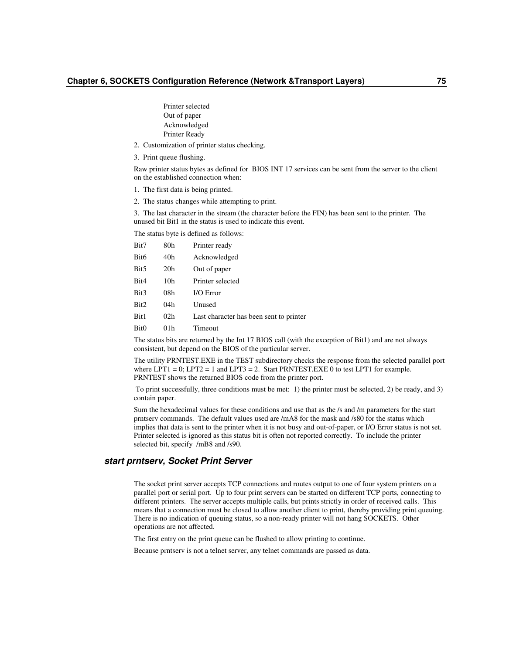Printer selected Out of paper Acknowledged Printer Ready

- 2. Customization of printer status checking.
- 3. Print queue flushing.

Raw printer status bytes as defined for BIOS INT 17 services can be sent from the server to the client on the established connection when:

- 1. The first data is being printed.
- 2. The status changes while attempting to print.

3. The last character in the stream (the character before the FIN) has been sent to the printer. The unused bit Bit1 in the status is used to indicate this event.

The status byte is defined as follows:

| Bit7 | 80h             | Printer ready                           |
|------|-----------------|-----------------------------------------|
| Bit6 | 40h             | Acknowledged                            |
| Bit5 | 20 <sub>h</sub> | Out of paper                            |
| Bit4 | 10h             | Printer selected                        |
| Bit3 | 08h             | $IO Error$                              |
| Bit2 | 04h             | Unused                                  |
| Bit1 | 02 <sub>h</sub> | Last character has been sent to printer |
| Bit0 | 01 h            | Timeout                                 |

The status bits are returned by the Int 17 BIOS call (with the exception of Bit1) and are not always consistent, but depend on the BIOS of the particular server.

The utility PRNTEST.EXE in the TEST subdirectory checks the response from the selected parallel port where  $LPT1 = 0$ ;  $LPT2 = 1$  and  $LPT3 = 2$ . Start PRNTEST. EXE 0 to test  $LPT1$  for example. PRNTEST shows the returned BIOS code from the printer port.

To print successfully, three conditions must be met: 1) the printer must be selected, 2) be ready, and 3) contain paper.

Sum the hexadecimal values for these conditions and use that as the /s and /m parameters for the start prntserv commands. The default values used are /mA8 for the mask and /s80 for the status which implies that data is sent to the printer when it is not busy and out-of-paper, or I/O Error status is not set. Printer selected is ignored as this status bit is often not reported correctly. To include the printer selected bit, specify /mB8 and /s90.

## *start prntserv, Socket Print Server*

The socket print server accepts TCP connections and routes output to one of four system printers on a parallel port or serial port. Up to four print servers can be started on different TCP ports, connecting to different printers. The server accepts multiple calls, but prints strictly in order of received calls. This means that a connection must be closed to allow another client to print, thereby providing print queuing. There is no indication of queuing status, so a non-ready printer will not hang SOCKETS. Other operations are not affected.

The first entry on the print queue can be flushed to allow printing to continue.

Because prntserv is not a telnet server, any telnet commands are passed as data.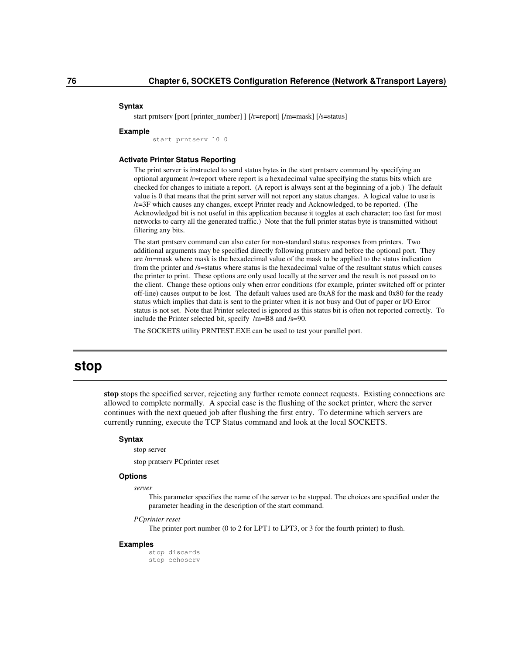#### **Syntax**

start prntserv [port [printer\_number] ] [/r=report] [/m=mask] [/s=status]

#### **Example**

start prntserv 10 0

## **Activate Printer Status Reporting**

The print server is instructed to send status bytes in the start prntserv command by specifying an optional argument /r=report where report is a hexadecimal value specifying the status bits which are checked for changes to initiate a report. (A report is always sent at the beginning of a job.) The default value is 0 that means that the print server will not report any status changes. A logical value to use is /r=3F which causes any changes, except Printer ready and Acknowledged, to be reported. (The Acknowledged bit is not useful in this application because it toggles at each character; too fast for most networks to carry all the generated traffic.) Note that the full printer status byte is transmitted without filtering any bits.

The start prntserv command can also cater for non-standard status responses from printers. Two additional arguments may be specified directly following prntserv and before the optional port. They are /m=mask where mask is the hexadecimal value of the mask to be applied to the status indication from the printer and /s=status where status is the hexadecimal value of the resultant status which causes the printer to print. These options are only used locally at the server and the result is not passed on to the client. Change these options only when error conditions (for example, printer switched off or printer off-line) causes output to be lost. The default values used are 0xA8 for the mask and 0x80 for the ready status which implies that data is sent to the printer when it is not busy and Out of paper or I/O Error status is not set. Note that Printer selected is ignored as this status bit is often not reported correctly. To include the Printer selected bit, specify /m=B8 and /s=90.

The SOCKETS utility PRNTEST.EXE can be used to test your parallel port.

## **stop**

**stop** stops the specified server, rejecting any further remote connect requests. Existing connections are allowed to complete normally. A special case is the flushing of the socket printer, where the server continues with the next queued job after flushing the first entry. To determine which servers are currently running, execute the TCP Status command and look at the local SOCKETS.

#### **Syntax**

stop server

stop prntserv PCprinter reset

## **Options**

### *server*

This parameter specifies the name of the server to be stopped. The choices are specified under the parameter heading in the description of the start command.

#### *PCprinter reset*

The printer port number (0 to 2 for LPT1 to LPT3, or 3 for the fourth printer) to flush.

#### **Examples**

stop discards stop echoserv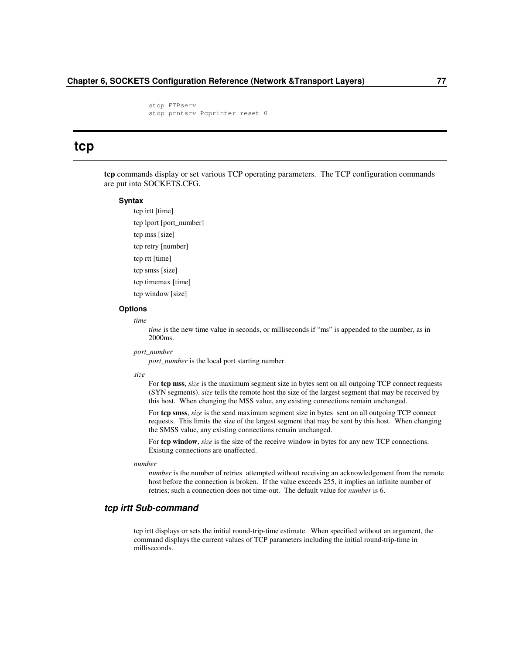stop FTPserv stop prntsrv Pcprinter reset 0

## **tcp**

**tcp** commands display or set various TCP operating parameters. The TCP configuration commands are put into SOCKETS.CFG.

## **Syntax**

tcp irtt [time] tcp lport [port\_number] tcp mss [size] tcp retry [number] tcp rtt [time] tcp smss [size] tcp timemax [time] tcp window [size]

## **Options**

*time*

*time* is the new time value in seconds, or milliseconds if "ms" is appended to the number, as in 2000ms.

#### *port\_number*

*port\_number* is the local port starting number.

#### *size*

For **tcp mss**, *size* is the maximum segment size in bytes sent on all outgoing TCP connect requests (SYN segments). *size* tells the remote host the size of the largest segment that may be received by this host. When changing the MSS value, any existing connections remain unchanged.

For **tcp smss**, *size* is the send maximum segment size in bytes sent on all outgoing TCP connect requests. This limits the size of the largest segment that may be sent by this host. When changing the SMSS value, any existing connections remain unchanged.

For **tcp window**, *size* is the size of the receive window in bytes for any new TCP connections. Existing connections are unaffected.

#### *number*

*number* is the number of retries attempted without receiving an acknowledgement from the remote host before the connection is broken. If the value exceeds 255, it implies an infinite number of retries; such a connection does not time-out. The default value for *number* is 6.

## *tcp irtt Sub-command*

tcp irtt displays or sets the initial round-trip-time estimate. When specified without an argument, the command displays the current values of TCP parameters including the initial round-trip-time in milliseconds.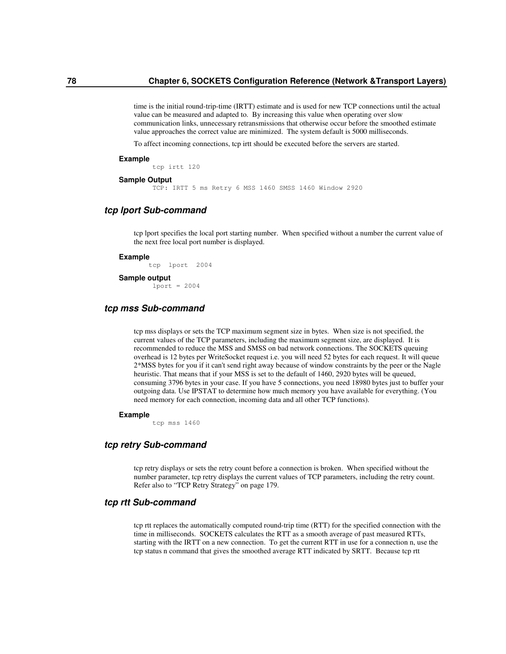time is the initial round-trip-time (IRTT) estimate and is used for new TCP connections until the actual value can be measured and adapted to. By increasing this value when operating over slow communication links, unnecessary retransmissions that otherwise occur before the smoothed estimate value approaches the correct value are minimized. The system default is 5000 milliseconds.

To affect incoming connections, tcp irtt should be executed before the servers are started.

#### **Example**

tcp irtt 120

#### **Sample Output**

TCP: IRTT 5 ms Retry 6 MSS 1460 SMSS 1460 Window 2920

## *tcp lport Sub-command*

tcp lport specifies the local port starting number. When specified without a number the current value of the next free local port number is displayed.

#### **Example**

tcp lport 2004

## **Sample output**

 $1port = 2004$ 

## *tcp mss Sub-command*

tcp mss displays or sets the TCP maximum segment size in bytes. When size is not specified, the current values of the TCP parameters, including the maximum segment size, are displayed. It is recommended to reduce the MSS and SMSS on bad network connections. The SOCKETS queuing overhead is 12 bytes per WriteSocket request i.e. you will need 52 bytes for each request. It will queue 2\*MSS bytes for you if it can't send right away because of window constraints by the peer or the Nagle heuristic. That means that if your MSS is set to the default of 1460, 2920 bytes will be queued, consuming 3796 bytes in your case. If you have 5 connections, you need 18980 bytes just to buffer your outgoing data. Use IPSTAT to determine how much memory you have available for everything. (You need memory for each connection, incoming data and all other TCP functions).

#### **Example**

tcp mss 1460

## *tcp retry Sub-command*

tcp retry displays or sets the retry count before a connection is broken. When specified without the number parameter, tcp retry displays the current values of TCP parameters, including the retry count. Refer also to "TCP Retry Strategy" on page 179.

## *tcp rtt Sub-command*

tcp rtt replaces the automatically computed round-trip time (RTT) for the specified connection with the time in milliseconds. SOCKETS calculates the RTT as a smooth average of past measured RTTs, starting with the IRTT on a new connection. To get the current RTT in use for a connection n, use the tcp status n command that gives the smoothed average RTT indicated by SRTT. Because tcp rtt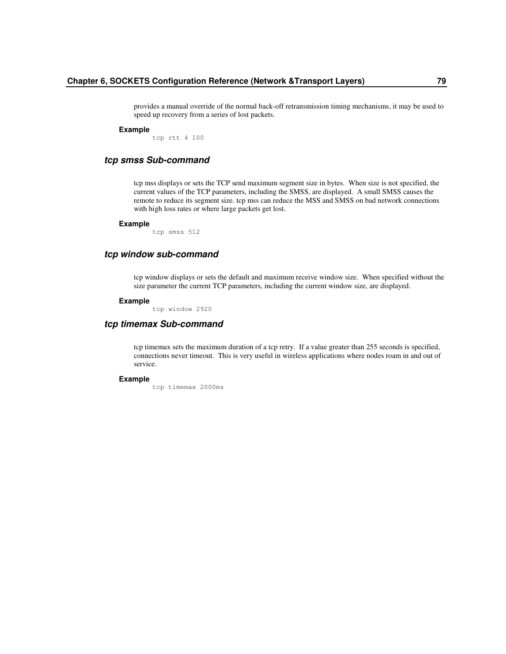provides a manual override of the normal back-off retransmission timing mechanisms, it may be used to speed up recovery from a series of lost packets.

#### **Example**

tcp rtt 4 100

## *tcp smss Sub-command*

tcp mss displays or sets the TCP send maximum segment size in bytes. When size is not specified, the current values of the TCP parameters, including the SMSS, are displayed. A small SMSS causes the remote to reduce its segment size. tcp mss can reduce the MSS and SMSS on bad network connections with high loss rates or where large packets get lost.

#### **Example**

tcp smss 512

## *tcp window sub-command*

tcp window displays or sets the default and maximum receive window size. When specified without the size parameter the current TCP parameters, including the current window size, are displayed.

#### **Example**

tcp window 2920

## *tcp timemax Sub-command*

tcp timemax sets the maximum duration of a tcp retry. If a value greater than 255 seconds is specified, connections never timeout. This is very useful in wireless applications where nodes roam in and out of service.

#### **Example**

tcp timemax 2000ms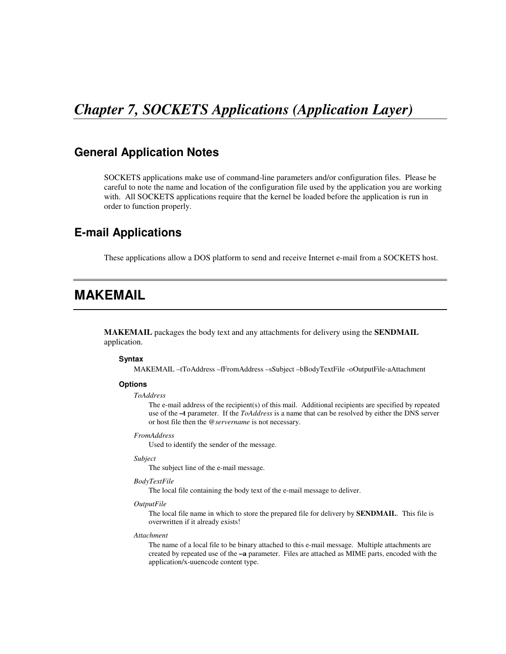# *Chapter 7, SOCKETS Applications (Application Layer)*

## **General Application Notes**

SOCKETS applications make use of command-line parameters and/or configuration files. Please be careful to note the name and location of the configuration file used by the application you are working with. All SOCKETS applications require that the kernel be loaded before the application is run in order to function properly.

## **E-mail Applications**

These applications allow a DOS platform to send and receive Internet e-mail from a SOCKETS host.

# **MAKEMAIL**

**MAKEMAIL** packages the body text and any attachments for delivery using the **SENDMAIL** application.

## **Syntax**

MAKEMAIL –tToAddress –fFromAddress –sSubject –bBodyTextFile -oOutputFile-aAttachment

## **Options**

#### *ToAddress*

The e-mail address of the recipient(s) of this mail. Additional recipients are specified by repeated use of the **–t** parameter. If the *ToAddress* is a name that can be resolved by either the DNS server or host file then the *@servername* is not necessary.

#### *FromAddress*

Used to identify the sender of the message.

### *Subject*

The subject line of the e-mail message.

### *BodyTextFile*

The local file containing the body text of the e-mail message to deliver.

## *OutputFile*

The local file name in which to store the prepared file for delivery by **SENDMAIL**. This file is overwritten if it already exists!

## *Attachment*

The name of a local file to be binary attached to this e-mail message. Multiple attachments are created by repeated use of the **–a** parameter. Files are attached as MIME parts, encoded with the application/x-uuencode content type.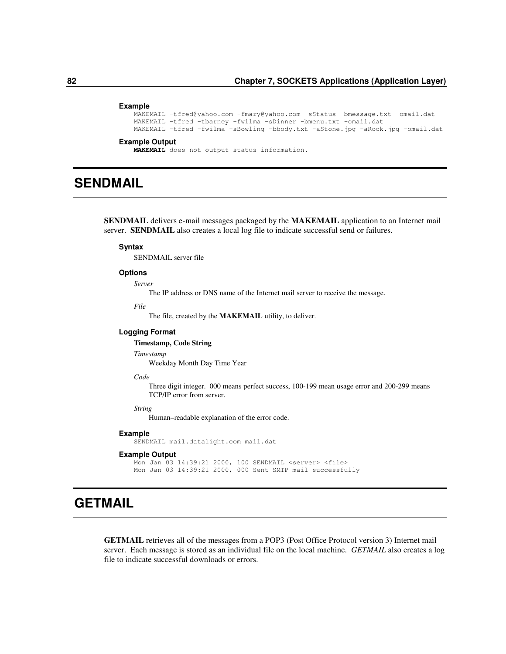#### **Example**

```
MAKEMAIL -tfred@yahoo.com -fmary@yahoo.com –sStatus –bmessage.txt –omail.dat
MAKEMAIL –tfred –tbarney –fwilma –sDinner –bmenu.txt –omail.dat
MAKEMAIL –tfred –fwilma –sBowling –bbody.txt –aStone.jpg –aRock.jpg –omail.dat
```
#### **Example Output**

**MAKEMAIL** does not output status information.

# **SENDMAIL**

**SENDMAIL** delivers e-mail messages packaged by the **MAKEMAIL** application to an Internet mail server. **SENDMAIL** also creates a local log file to indicate successful send or failures.

## **Syntax**

SENDMAIL server file

## **Options**

*Server*

The IP address or DNS name of the Internet mail server to receive the message.

*File*

The file, created by the **MAKEMAIL** utility, to deliver.

## **Logging Format**

## **Timestamp, Code String**

*Timestamp*

Weekday Month Day Time Year

## *Code*

Three digit integer. 000 means perfect success, 100-199 mean usage error and 200-299 means TCP/IP error from server.

## *String*

Human–readable explanation of the error code.

#### **Example**

SENDMAIL mail.datalight.com mail.dat

## **Example Output**

```
Mon Jan 03 14:39:21 2000, 100 SENDMAIL <server> <file>
Mon Jan 03 14:39:21 2000, 000 Sent SMTP mail successfully
```
# **GETMAIL**

**GETMAIL** retrieves all of the messages from a POP3 (Post Office Protocol version 3) Internet mail server. Each message is stored as an individual file on the local machine. *GETMAIL* also creates a log file to indicate successful downloads or errors.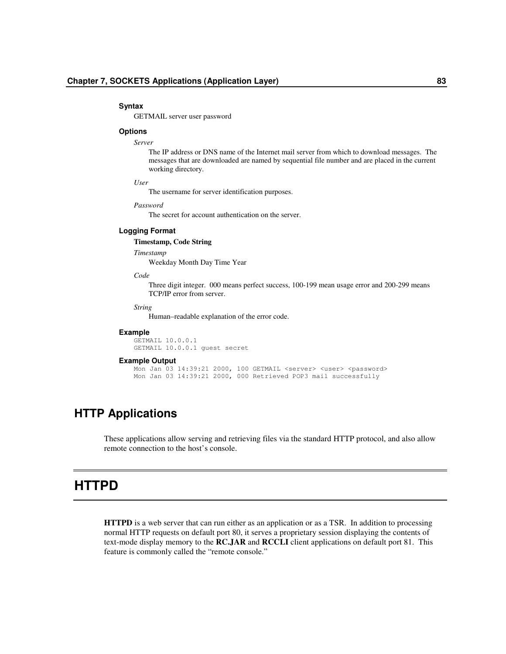#### **Syntax**

GETMAIL server user password

## **Options**

### *Server*

The IP address or DNS name of the Internet mail server from which to download messages. The messages that are downloaded are named by sequential file number and are placed in the current working directory.

### *User*

The username for server identification purposes.

## *Password*

The secret for account authentication on the server.

## **Logging Format**

**Timestamp, Code String**

## *Timestamp*

Weekday Month Day Time Year

## *Code*

Three digit integer. 000 means perfect success, 100-199 mean usage error and 200-299 means TCP/IP error from server.

## *String*

Human–readable explanation of the error code.

## **Example**

GETMAIL 10.0.0.1 GETMAIL 10.0.0.1 guest secret

#### **Example Output**

```
Mon Jan 03 14:39:21 2000, 100 GETMAIL <server> <user> <password>
Mon Jan 03 14:39:21 2000, 000 Retrieved POP3 mail successfully
```
## **HTTP Applications**

These applications allow serving and retrieving files via the standard HTTP protocol, and also allow remote connection to the host's console.

## **HTTPD**

**HTTPD** is a web server that can run either as an application or as a TSR. In addition to processing normal HTTP requests on default port 80, it serves a proprietary session displaying the contents of text-mode display memory to the **RC.JAR** and **RCCLI** client applications on default port 81. This feature is commonly called the "remote console."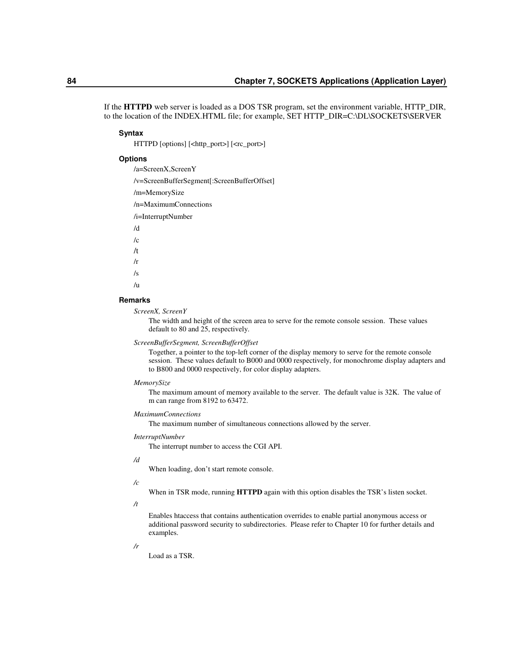If the **HTTPD** web server is loaded as a DOS TSR program, set the environment variable, HTTP\_DIR, to the location of the INDEX.HTML file; for example, SET HTTP\_DIR=C:\DL\SOCKETS\SERVER

## **Syntax**

HTTPD [options] [<http\_port>] [<rc\_port>]

## **Options**

/a=ScreenX,ScreenY

/v=ScreenBufferSegment[:ScreenBufferOffset]

/m=MemorySize

/n=MaximumConnections

/i=InterruptNumber

/d  $/c$ /t /r

- 
- /s

 $/<sub>u</sub>$ 

## **Remarks**

*ScreenX, ScreenY*

The width and height of the screen area to serve for the remote console session. These values default to 80 and 25, respectively.

## *ScreenBufferSegment, ScreenBufferOffset*

Together, a pointer to the top-left corner of the display memory to serve for the remote console session. These values default to B000 and 0000 respectively, for monochrome display adapters and to B800 and 0000 respectively, for color display adapters.

#### *MemorySize*

The maximum amount of memory available to the server. The default value is 32K. The value of m can range from 8192 to 63472.

## *MaximumConnections*

The maximum number of simultaneous connections allowed by the server.

## *InterruptNumber*

The interrupt number to access the CGI API.

## */d*

When loading, don't start remote console.

#### */c*

When in TSR mode, running **HTTPD** again with this option disables the TSR's listen socket.

## */t*

Enables htaccess that contains authentication overrides to enable partial anonymous access or additional password security to subdirectories. Please refer to Chapter 10 for further details and examples.

#### */r*

Load as a TSR.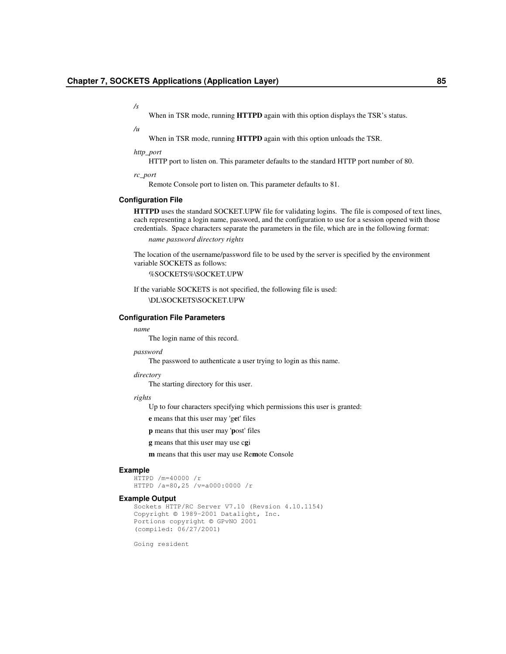*/s*

When in TSR mode, running **HTTPD** again with this option displays the TSR's status.

*/u*

When in TSR mode, running **HTTPD** again with this option unloads the TSR.

#### *http\_port*

HTTP port to listen on. This parameter defaults to the standard HTTP port number of 80.

*rc\_port*

Remote Console port to listen on. This parameter defaults to 81.

## **Configuration File**

**HTTPD** uses the standard SOCKET.UPW file for validating logins. The file is composed of text lines, each representing a login name, password, and the configuration to use for a session opened with those credentials. Space characters separate the parameters in the file, which are in the following format:

*name password directory rights*

The location of the username/password file to be used by the server is specified by the environment variable SOCKETS as follows:

%SOCKETS%\SOCKET.UPW

If the variable SOCKETS is not specified, the following file is used: \DL\SOCKETS\SOCKET.UPW

## **Configuration File Parameters**

#### *name*

The login name of this record.

## *password*

The password to authenticate a user trying to login as this name.

#### *directory*

The starting directory for this user.

#### *rights*

Up to four characters specifying which permissions this user is granted:

**e** means that this user may 'g**e**t' files

**p** means that this user may '**p**ost' files

**g** means that this user may use c**g**i

**m** means that this user may use Re**m**ote Console

#### **Example**

HTTPD /m=40000 /r HTTPD /a=80,25 /v=a000:0000 /r

## **Example Output**

```
Sockets HTTP/RC Server V7.10 (Revsion 4.10.1154)
Copyright © 1989-2001 Datalight, Inc.
Portions copyright © GPvNO 2001
(compiled: 06/27/2001)
```
Going resident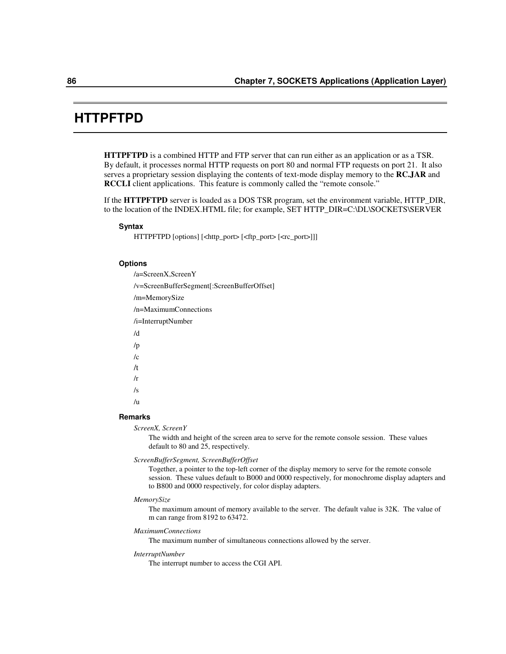## **HTTPFTPD**

**HTTPFTPD** is a combined HTTP and FTP server that can run either as an application or as a TSR. By default, it processes normal HTTP requests on port 80 and normal FTP requests on port 21. It also serves a proprietary session displaying the contents of text-mode display memory to the **RC.JAR** and **RCCLI** client applications. This feature is commonly called the "remote console."

If the **HTTPFTPD** server is loaded as a DOS TSR program, set the environment variable, HTTP\_DIR, to the location of the INDEX.HTML file; for example, SET HTTP\_DIR=C:\DL\SOCKETS\SERVER

### **Syntax**

HTTPFTPD [options] [<http\_port> [<ftp\_port> [<rc\_port>]]]

## **Options**

/a=ScreenX,ScreenY /v=ScreenBufferSegment[:ScreenBufferOffset] /m=MemorySize /n=MaximumConnections /i=InterruptNumber /d /p  $/c$ /t /r /s  $/11$ 

## **Remarks**

*ScreenX, ScreenY*

The width and height of the screen area to serve for the remote console session. These values default to 80 and 25, respectively.

#### *ScreenBufferSegment, ScreenBufferOffset*

Together, a pointer to the top-left corner of the display memory to serve for the remote console session. These values default to B000 and 0000 respectively, for monochrome display adapters and to B800 and 0000 respectively, for color display adapters.

#### *MemorySize*

The maximum amount of memory available to the server. The default value is 32K. The value of m can range from 8192 to 63472.

## *MaximumConnections*

The maximum number of simultaneous connections allowed by the server.

#### *InterruptNumber*

The interrupt number to access the CGI API.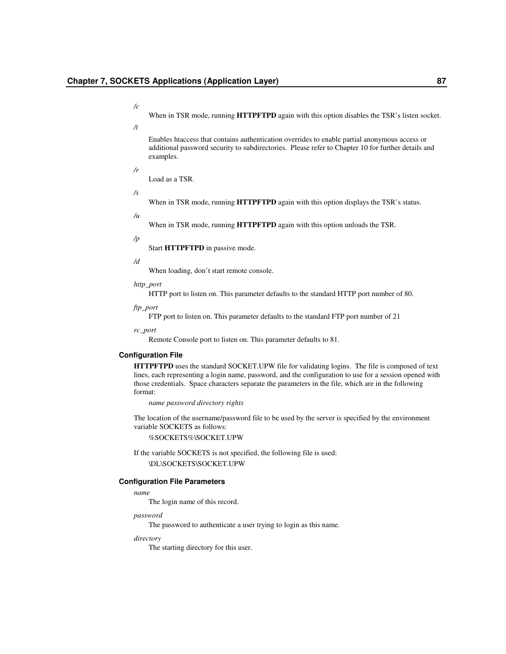When in TSR mode, running **HTTPFTPD** again with this option disables the TSR's listen socket.

*/t*

*/c*

Enables htaccess that contains authentication overrides to enable partial anonymous access or additional password security to subdirectories. Please refer to Chapter 10 for further details and examples.

*/r*

Load as a TSR.

*/s*

*/u*

When in TSR mode, running **HTTPFTPD** again with this option displays the TSR's status.

When in TSR mode, running **HTTPFTPD** again with this option unloads the TSR.

## */p*

Start **HTTPFTPD** in passive mode.

#### */d*

When loading, don't start remote console.

*http\_port*

HTTP port to listen on. This parameter defaults to the standard HTTP port number of 80.

*ftp\_port*

FTP port to listen on. This parameter defaults to the standard FTP port number of 21

*rc\_port*

Remote Console port to listen on. This parameter defaults to 81.

## **Configuration File**

**HTTPFTPD** uses the standard SOCKET.UPW file for validating logins. The file is composed of text lines, each representing a login name, password, and the configuration to use for a session opened with those credentials. Space characters separate the parameters in the file, which are in the following format:

*name password directory rights*

The location of the username/password file to be used by the server is specified by the environment variable SOCKETS as follows:

%SOCKETS%\SOCKET.UPW

If the variable SOCKETS is not specified, the following file is used: \DL\SOCKETS\SOCKET.UPW

## **Configuration File Parameters**

*name*

The login name of this record.

#### *password*

The password to authenticate a user trying to login as this name.

*directory*

The starting directory for this user.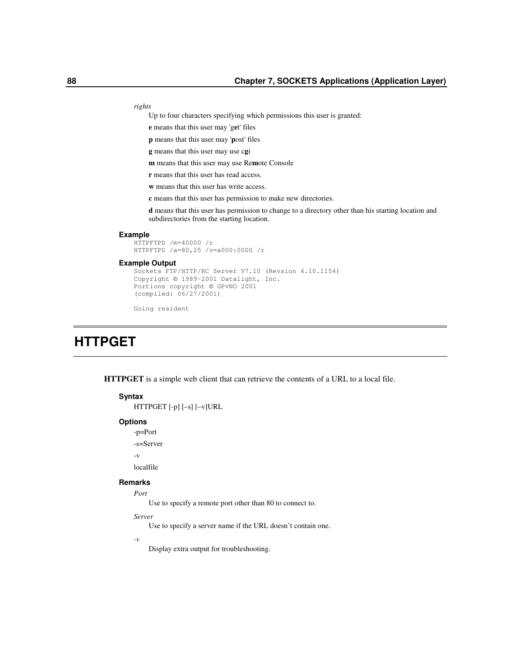*rights*

Up to four characters specifying which permissions this user is granted:

**e** means that this user may 'g**e**t' files

**p** means that this user may '**p**ost' files

**g** means that this user may use c**g**i

**m** means that this user may use Re**m**ote Console

**r** means that this user has read access.

**w** means that this user has write access.

**c** means that this user has permission to make new directories.

**d** means that this user has permission to change to a directory other than his starting location and subdirectories from the starting location.

#### **Example**

HTTPFTPD /m=40000 /r HTTPFTPD /a=80,25 /v=a000:0000 /r

## **Example Output**

```
Sockets FTP/HTTP/RC Server V7.10 (Revsion 4.10.1154)
Copyright © 1989-2001 Datalight, Inc.
Portions copyright © GPvNO 2001
(compiled: 06/27/2001)
```
Going resident

# **HTTPGET**

**HTTPGET** is a simple web client that can retrieve the contents of a URL to a local file.

## **Syntax**

```
HTTPGET [-p] [–s] [–v]URL
```
## **Options**

-p=Port

-s=Server

-v

localfile

## **Remarks**

*Port*

Use to specify a remote port other than 80 to connect to.

*Server*

Use to specify a server name if the URL doesn't contain one.

*-v*

Display extra output for troubleshooting.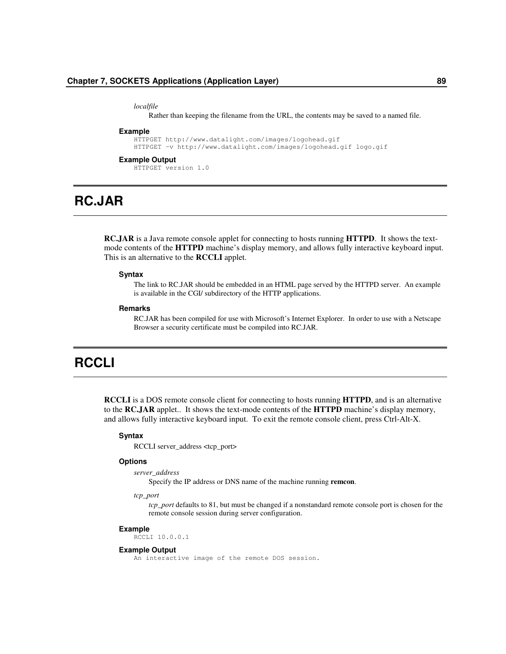*localfile*

Rather than keeping the filename from the URL, the contents may be saved to a named file.

#### **Example**

```
HTTPGET http://www.datalight.com/images/logohead.gif
HTTPGET –v http://www.datalight.com/images/logohead.gif logo.gif
```
#### **Example Output**

HTTPGET version 1.0

# **RC.JAR**

**RC.JAR** is a Java remote console applet for connecting to hosts running **HTTPD**. It shows the textmode contents of the **HTTPD** machine's display memory, and allows fully interactive keyboard input. This is an alternative to the **RCCLI** applet.

#### **Syntax**

The link to RC.JAR should be embedded in an HTML page served by the HTTPD server. An example is available in the CGI/ subdirectory of the HTTP applications.

#### **Remarks**

RC.JAR has been compiled for use with Microsoft's Internet Explorer. In order to use with a Netscape Browser a security certificate must be compiled into RC.JAR.

# **RCCLI**

**RCCLI** is a DOS remote console client for connecting to hosts running **HTTPD**, and is an alternative to the **RC.JAR** applet.. It shows the text-mode contents of the **HTTPD** machine's display memory, and allows fully interactive keyboard input. To exit the remote console client, press Ctrl-Alt-X.

## **Syntax**

RCCLI server\_address <tcp\_port>

## **Options**

```
server_address
```
Specify the IP address or DNS name of the machine running **remcon**.

*tcp\_port*

*tcp\_port* defaults to 81, but must be changed if a nonstandard remote console port is chosen for the remote console session during server configuration.

#### **Example**

RCCLI 10.0.0.1

## **Example Output**

An interactive image of the remote DOS session.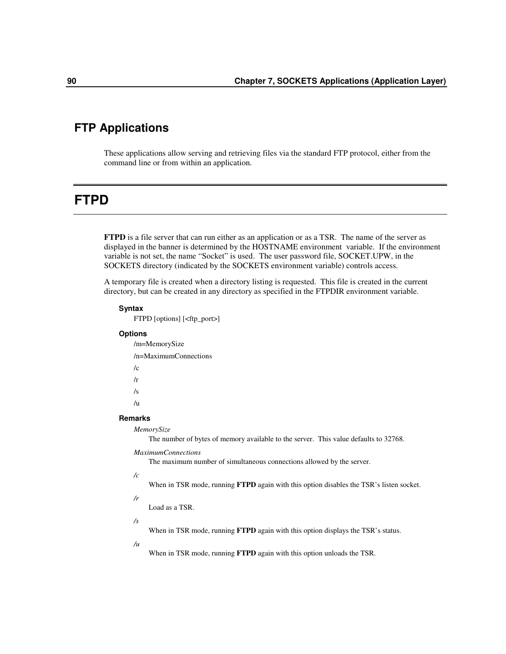## **FTP Applications**

These applications allow serving and retrieving files via the standard FTP protocol, either from the command line or from within an application.

## **FTPD**

**FTPD** is a file server that can run either as an application or as a TSR. The name of the server as displayed in the banner is determined by the HOSTNAME environment variable. If the environment variable is not set, the name "Socket" is used. The user password file, SOCKET.UPW, in the SOCKETS directory (indicated by the SOCKETS environment variable) controls access.

A temporary file is created when a directory listing is requested. This file is created in the current directory, but can be created in any directory as specified in the FTPDIR environment variable.

## **Syntax**

FTPD [options] [<ftp\_port>]

## **Options**

/m=MemorySize /n=MaximumConnections  $/c$ /r

- /s
- /u
- 

## **Remarks**

*MemorySize*

The number of bytes of memory available to the server. This value defaults to 32768.

## *MaximumConnections*

The maximum number of simultaneous connections allowed by the server.

*/c*

When in TSR mode, running **FTPD** again with this option disables the TSR's listen socket.

*/r*

Load as a TSR.

*/s*

When in TSR mode, running **FTPD** again with this option displays the TSR's status.

*/u*

When in TSR mode, running **FTPD** again with this option unloads the TSR.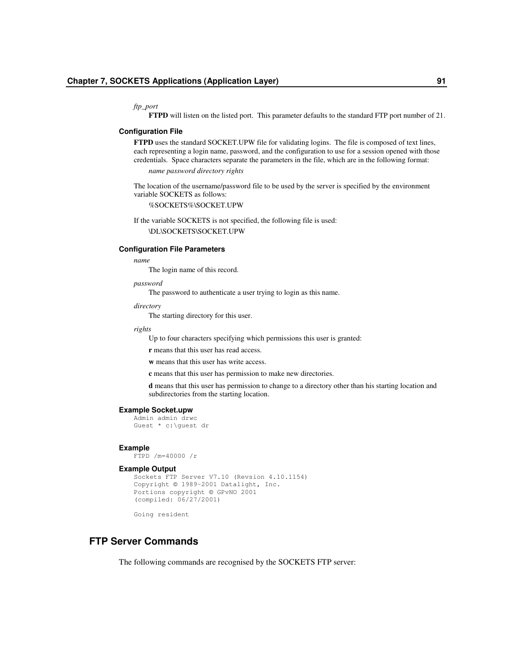*ftp\_port*

**FTPD** will listen on the listed port. This parameter defaults to the standard FTP port number of 21.

## **Configuration File**

**FTPD** uses the standard SOCKET.UPW file for validating logins. The file is composed of text lines, each representing a login name, password, and the configuration to use for a session opened with those credentials. Space characters separate the parameters in the file, which are in the following format:

*name password directory rights*

The location of the username/password file to be used by the server is specified by the environment variable SOCKETS as follows:

%SOCKETS%\SOCKET.UPW

If the variable SOCKETS is not specified, the following file is used:

\DL\SOCKETS\SOCKET.UPW

## **Configuration File Parameters**

*name*

The login name of this record.

*password*

The password to authenticate a user trying to login as this name.

*directory*

The starting directory for this user.

#### *rights*

Up to four characters specifying which permissions this user is granted:

**r** means that this user has read access.

**w** means that this user has write access.

**c** means that this user has permission to make new directories.

**d** means that this user has permission to change to a directory other than his starting location and subdirectories from the starting location.

### **Example Socket.upw**

```
Admin admin drwc
Guest * c:\guest dr
```
#### **Example**

FTPD /m=40000 /r

## **Example Output**

```
Sockets FTP Server V7.10 (Revsion 4.10.1154)
Copyright © 1989-2001 Datalight, Inc.
Portions copyright © GPvNO 2001
(compiled: 06/27/2001)
```
Going resident

## **FTP Server Commands**

The following commands are recognised by the SOCKETS FTP server: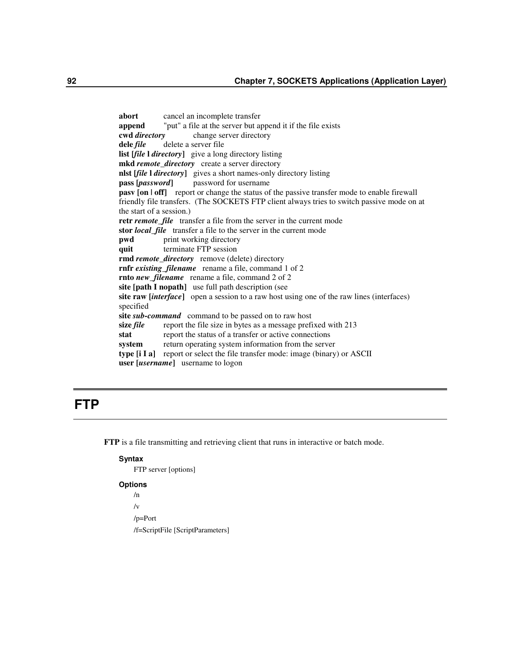**abort** cancel an incomplete transfer **append** "put" a file at the server but append it if the file exists **cwd** *directory* change server directory **dele** *file* delete a server file **list [***file* **l** *directory***]** give a long directory listing **mkd** *remote\_directory* create a server directory **nlst [***file* **l** *directory***]** gives a short names-only directory listing **pass [***password***]** password for username **pasv [on | off]** report or change the status of the passive transfer mode to enable firewall friendly file transfers. (The SOCKETS FTP client always tries to switch passive mode on at the start of a session.) **retr** *remote\_file* transfer a file from the server in the current mode **stor** *local\_file* transfer a file to the server in the current mode **pwd** print working directory **quit** terminate FTP session **rmd** *remote\_directory* remove (delete) directory **rnfr** *existing\_filename* rename a file, command 1 of 2 **rnto** *new\_filename* rename a file, command 2 of 2 **site [path I nopath]** use full path description (see **site raw [***interface***]** open a session to a raw host using one of the raw lines (interfaces) specified **site** *sub-command* command to be passed on to raw host **size** *file* report the file size in bytes as a message prefixed with 213 stat report the status of a transfer or active connections **system** return operating system information from the server **type [i I a]** report or select the file transfer mode: image (binary) or ASCII **user [***username***]** username to logon

# **FTP**

**FTP** is a file transmitting and retrieving client that runs in interactive or batch mode.

## **Syntax**

FTP server [options]

## **Options**

/n

 $\sqrt{v}$ 

/p=Port

/f=ScriptFile [ScriptParameters]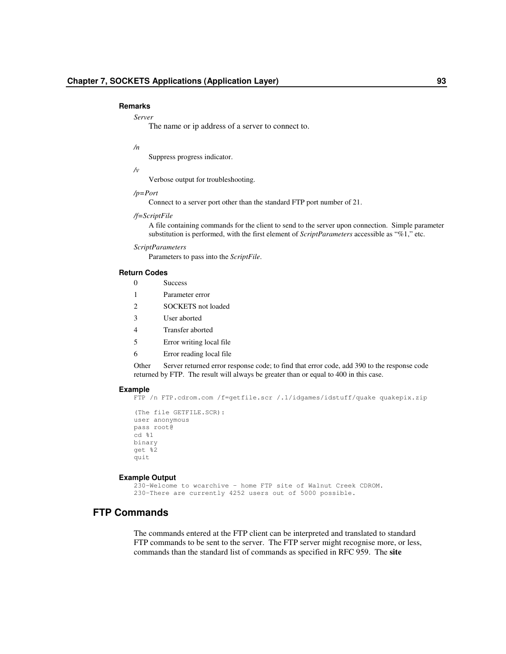#### **Remarks**

#### *Server*

The name or ip address of a server to connect to.

### */n*

Suppress progress indicator.

## */v*

Verbose output for troubleshooting.

#### */p=Port*

Connect to a server port other than the standard FTP port number of 21.

### */f=ScriptFile*

A file containing commands for the client to send to the server upon connection. Simple parameter substitution is performed, with the first element of *ScriptParameters* accessible as "%1," etc.

## *ScriptParameters*

Parameters to pass into the *ScriptFile*.

## **Return Codes**

0 Success

- 1 Parameter error
- 2 SOCKETS not loaded
- 3 User aborted
- 4 Transfer aborted
- 5 Error writing local file
- 6 Error reading local file

Other Server returned error response code; to find that error code, add 390 to the response code returned by FTP. The result will always be greater than or equal to 400 in this case.

## **Example**

```
FTP /n FTP.cdrom.com /f=getfile.scr /.1/idgames/idstuff/quake quakepix.zip
```

```
(The file GETFILE.SCR):
user anonymous
pass root@
cd \frac{1}{6}1
binary
get %2
quit
```
## **Example Output**

230-Welcome to wcarchive – home FTP site of Walnut Creek CDROM. 230-There are currently 4252 users out of 5000 possible.

## **FTP Commands**

The commands entered at the FTP client can be interpreted and translated to standard FTP commands to be sent to the server. The FTP server might recognise more, or less, commands than the standard list of commands as specified in RFC 959. The **site**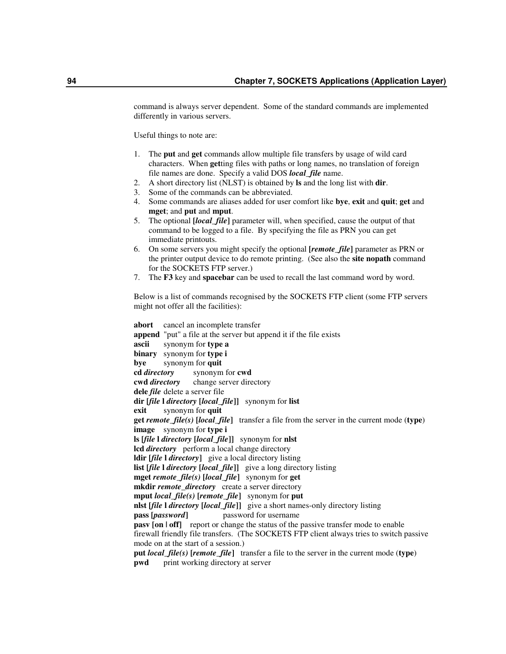command is always server dependent. Some of the standard commands are implemented differently in various servers.

Useful things to note are:

- 1. The **put** and **get** commands allow multiple file transfers by usage of wild card characters. When **get**ting files with paths or long names, no translation of foreign file names are done. Specify a valid DOS *local\_file* name.
- 2. A short directory list (NLST) is obtained by **ls** and the long list with **dir**.
- 3. Some of the commands can be abbreviated.
- 4. Some commands are aliases added for user comfort like **bye**, **exit** and **quit**; **get** and **mget**; and **put** and **mput**.
- 5. The optional **[***local\_file***]** parameter will, when specified, cause the output of that command to be logged to a file. By specifying the file as PRN you can get immediate printouts.
- 6. On some servers you might specify the optional **[***remote\_file***]** parameter as PRN or the printer output device to do remote printing. (See also the **site nopath** command for the SOCKETS FTP server.)
- 7. The **F3** key and **spacebar** can be used to recall the last command word by word.

Below is a list of commands recognised by the SOCKETS FTP client (some FTP servers might not offer all the facilities):

**abort** cancel an incomplete transfer **append** "put" a file at the server but append it if the file exists **ascii** synonym for **type a binary** synonym for **type i bye** synonym for **quit cd** *directory* synonym for **cwd cwd** *directory* change server directory **dele** *file* delete a server file **dir [***file* **l** *directory* **[***local\_file***]]** synonym for **list exit** synonym for **quit get** *remote\_file(s)* **[***local\_file***]** transfer a file from the server in the current mode (**type**) **image** synonym for **type i ls [***file* **l** *directory* **[***local\_file***]]** synonym for **nlst lcd** *directory* perform a local change directory **ldir [***file* **l** *directory***]** give a local directory listing **list [***file* **l** *directory* **[***local\_file***]]** give a long directory listing **mget** *remote\_file(s)* **[***local\_file***]** synonym for **get mkdir** *remote\_directory* create a server directory **mput** *local\_file(s)* **[***remote\_file***]** synonym for **put nlst [***file* **l** *directory* **[***local\_file***]]** give a short names-only directory listing **pass [***password***]** password for username **pasv** [on  $\text{I}$  off] report or change the status of the passive transfer mode to enable firewall friendly file transfers. (The SOCKETS FTP client always tries to switch passive mode on at the start of a session.) **put** *local\_file(s)* **[***remote\_file***]** transfer a file to the server in the current mode (**type**) **pwd** print working directory at server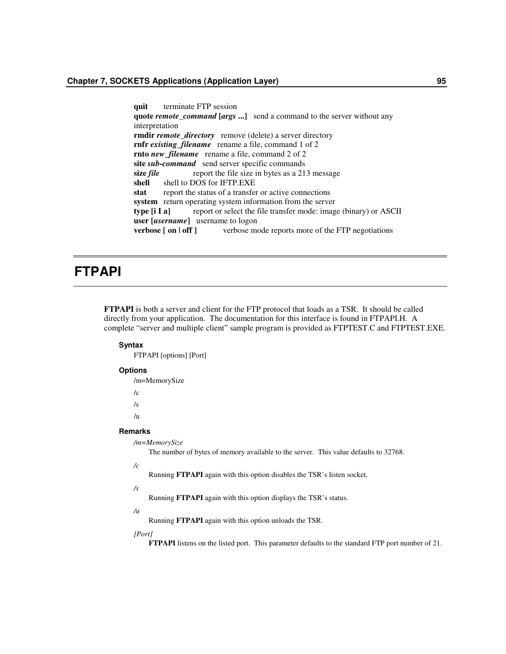**quit** terminate FTP session **quote** *remote\_command* **[***args* **...]** send a command to the server without any interpretation **rmdir** *remote\_directory* remove (delete) a server directory **rnfr** *existing\_filename* rename a file, command 1 of 2 **rnto** *new\_filename* rename a file, command 2 of 2 **site** *sub-command* send server specific commands **size** *file* report the file size in bytes as a 213 message shell shell to DOS for IFTP.EXE shell to DOS for IFTP.EXE stat report the status of a transfer or active connections **system** return operating system information from the server **type [i I a]** report or select the file transfer mode: image (binary) or ASCII **user [***username***]** username to logon **verbose [ on | off ]** verbose mode reports more of the FTP negotiations

# **FTPAPI**

**FTPAPI** is both a server and client for the FTP protocol that loads as a TSR. It should be called directly from your application. The documentation for this interface is found in FTPAPI.H. A complete "server and multiple client" sample program is provided as FTPTEST.C and FTPTEST.EXE.

## **Syntax**

FTPAPI [options] [Port]

## **Options**

/m=MemorySize  $/c$ /s

/u

## **Remarks**

*/m=MemorySize*

The number of bytes of memory available to the server. This value defaults to 32768.

*/c*

Running **FTPAPI** again with this option disables the TSR's listen socket.

## */s*

Running **FTPAPI** again with this option displays the TSR's status.

#### */u*

Running **FTPAPI** again with this option unloads the TSR.

*[Port]*

**FTPAPI** listens on the listed port. This parameter defaults to the standard FTP port number of 21.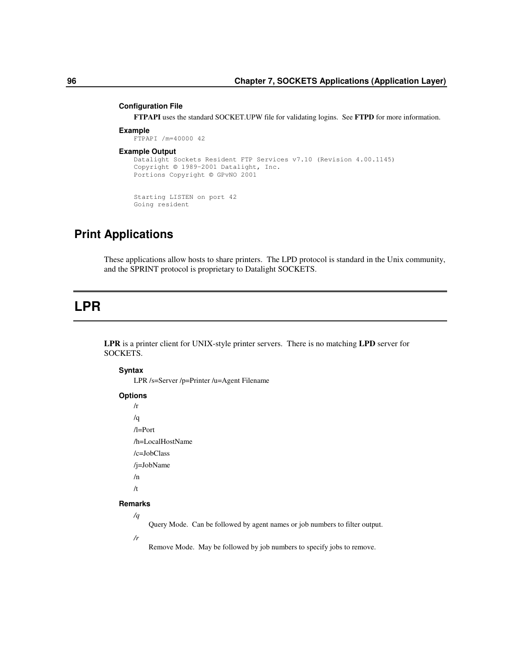## **Configuration File**

**FTPAPI** uses the standard SOCKET.UPW file for validating logins. See **FTPD** for more information.

## **Example**

```
FTPAPI /m=40000 42
```
### **Example Output**

```
Datalight Sockets Resident FTP Services v7.10 (Revision 4.00.1145)
Copyright © 1989-2001 Datalight, Inc.
Portions Copyright © GPvNO 2001
```
Starting LISTEN on port 42 Going resident

## **Print Applications**

These applications allow hosts to share printers. The LPD protocol is standard in the Unix community, and the SPRINT protocol is proprietary to Datalight SOCKETS.

# **LPR**

**LPR** is a printer client for UNIX-style printer servers. There is no matching **LPD** server for SOCKETS.

## **Syntax**

LPR /s=Server /p=Printer /u=Agent Filename

## **Options**

 $/r$ /q /l=Port /h=LocalHostName /c=JobClass /j=JobName /n /t

## **Remarks**

*/q*

Query Mode. Can be followed by agent names or job numbers to filter output.

*/r*

Remove Mode. May be followed by job numbers to specify jobs to remove.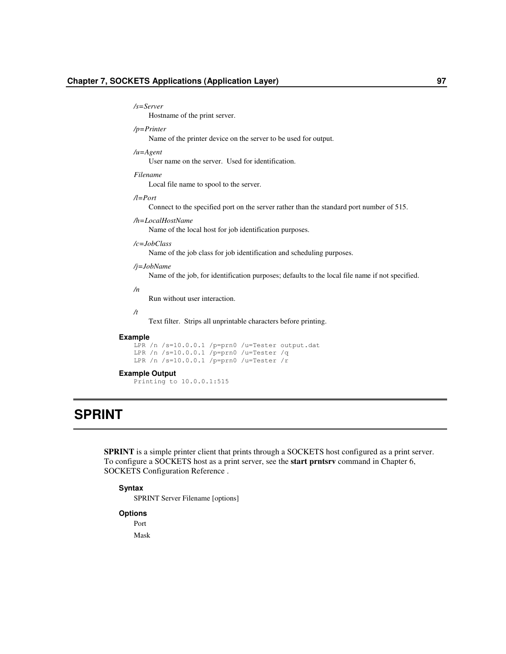#### */s=Server*

Hostname of the print server.

## */p=Printer*

Name of the printer device on the server to be used for output.

### */u=Agent*

User name on the server. Used for identification.

### *Filename*

Local file name to spool to the server.

## */l=Port*

Connect to the specified port on the server rather than the standard port number of 515.

## */h=LocalHostName*

Name of the local host for job identification purposes.

## */c=JobClass*

Name of the job class for job identification and scheduling purposes.

## */j=JobName*

Name of the job, for identification purposes; defaults to the local file name if not specified.

## */n*

Run without user interaction.

## */t*

Text filter. Strips all unprintable characters before printing.

#### **Example**

```
LPR /n /s=10.0.0.1 /p=prn0 /u=Tester output.dat
LPR /n /s=10.0.0.1 /p=prn0 /u=Tester /q
LPR /n /s=10.0.0.1 /p=prn0 /u=Tester /r
```
## **Example Output**

Printing to 10.0.0.1:515

# **SPRINT**

**SPRINT** is a simple printer client that prints through a SOCKETS host configured as a print server. To configure a SOCKETS host as a print server, see the **start prntsrv** command in Chapter 6, SOCKETS Configuration Reference .

## **Syntax**

SPRINT Server Filename [options]

## **Options**

Port

Mask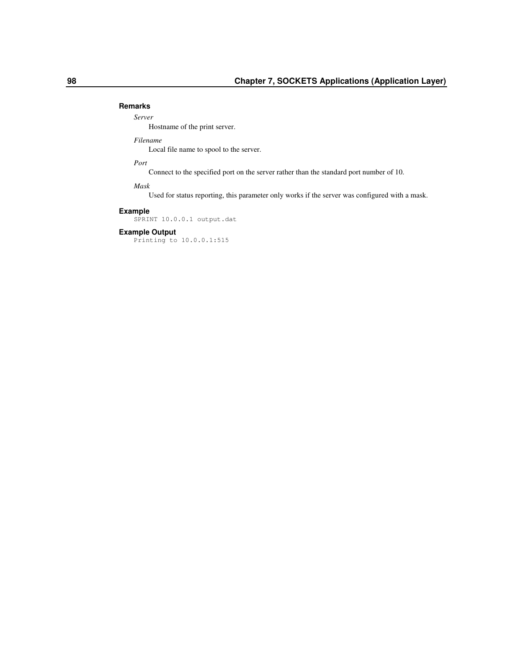## **Remarks**

## *Server*

Hostname of the print server.

## *Filename*

Local file name to spool to the server.

## *Port*

Connect to the specified port on the server rather than the standard port number of 10.

## *Mask*

Used for status reporting, this parameter only works if the server was configured with a mask.

## **Example**

SPRINT 10.0.0.1 output.dat

## **Example Output**

Printing to 10.0.0.1:515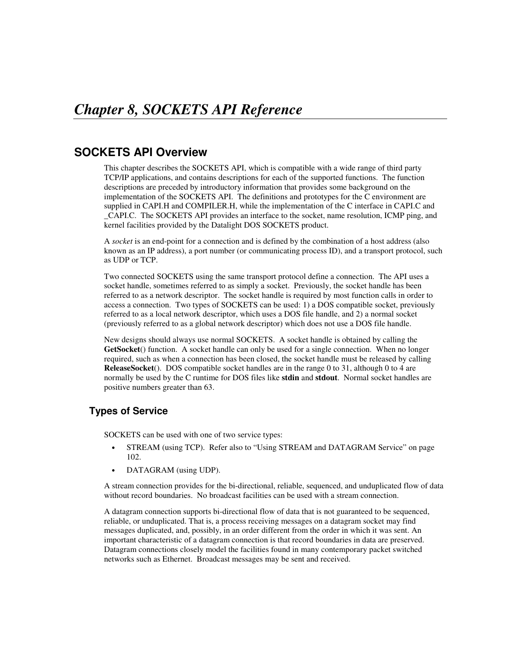## **SOCKETS API Overview**

This chapter describes the SOCKETS API, which is compatible with a wide range of third party TCP/IP applications, and contains descriptions for each of the supported functions. The function descriptions are preceded by introductory information that provides some background on the implementation of the SOCKETS API. The definitions and prototypes for the C environment are supplied in CAPI.H and COMPILER.H, while the implementation of the C interface in CAPI.C and \_CAPI.C. The SOCKETS API provides an interface to the socket, name resolution, ICMP ping, and kernel facilities provided by the Datalight DOS SOCKETS product.

A *socket* is an end-point for a connection and is defined by the combination of a host address (also known as an IP address), a port number (or communicating process ID), and a transport protocol, such as UDP or TCP.

Two connected SOCKETS using the same transport protocol define a connection. The API uses a socket handle, sometimes referred to as simply a socket. Previously, the socket handle has been referred to as a network descriptor. The socket handle is required by most function calls in order to access a connection. Two types of SOCKETS can be used: 1) a DOS compatible socket, previously referred to as a local network descriptor, which uses a DOS file handle, and 2) a normal socket (previously referred to as a global network descriptor) which does not use a DOS file handle.

New designs should always use normal SOCKETS. A socket handle is obtained by calling the **GetSocket**() function. A socket handle can only be used for a single connection. When no longer required, such as when a connection has been closed, the socket handle must be released by calling **ReleaseSocket**(). DOS compatible socket handles are in the range 0 to 31, although 0 to 4 are normally be used by the C runtime for DOS files like **stdin** and **stdout**. Normal socket handles are positive numbers greater than 63.

## **Types of Service**

SOCKETS can be used with one of two service types:

- STREAM (using TCP). Refer also to "Using STREAM and DATAGRAM Service" on page 102.
- DATAGRAM (using UDP).

A stream connection provides for the bi-directional, reliable, sequenced, and unduplicated flow of data without record boundaries. No broadcast facilities can be used with a stream connection.

A datagram connection supports bi-directional flow of data that is not guaranteed to be sequenced, reliable, or unduplicated. That is, a process receiving messages on a datagram socket may find messages duplicated, and, possibly, in an order different from the order in which it was sent. An important characteristic of a datagram connection is that record boundaries in data are preserved. Datagram connections closely model the facilities found in many contemporary packet switched networks such as Ethernet. Broadcast messages may be sent and received.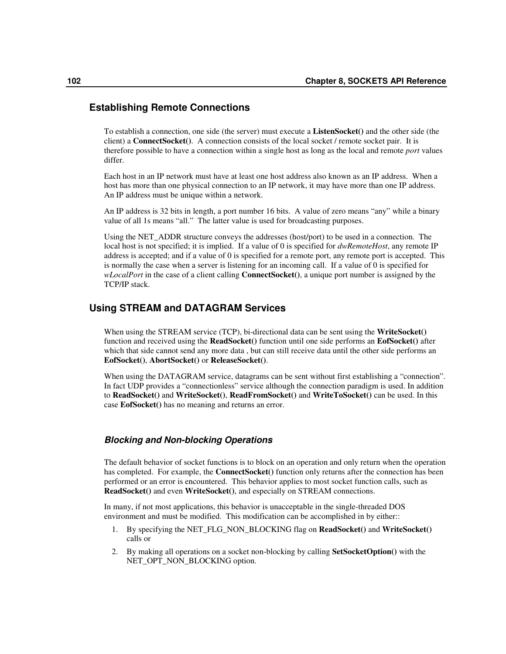### **Establishing Remote Connections**

To establish a connection, one side (the server) must execute a **ListenSocket()** and the other side (the client) a **ConnectSocket()**. A connection consists of the local socket / remote socket pair. It is therefore possible to have a connection within a single host as long as the local and remote *port* values differ.

Each host in an IP network must have at least one host address also known as an IP address. When a host has more than one physical connection to an IP network, it may have more than one IP address. An IP address must be unique within a network.

An IP address is 32 bits in length, a port number 16 bits. A value of zero means "any" while a binary value of all 1s means "all." The latter value is used for broadcasting purposes.

Using the NET\_ADDR structure conveys the addresses (host/port) to be used in a connection. The local host is not specified; it is implied. If a value of 0 is specified for *dwRemoteHost*, any remote IP address is accepted; and if a value of 0 is specified for a remote port, any remote port is accepted. This is normally the case when a server is listening for an incoming call. If a value of 0 is specified for *wLocalPort* in the case of a client calling **ConnectSocket()**, a unique port number is assigned by the TCP/IP stack.

## **Using STREAM and DATAGRAM Services**

When using the STREAM service (TCP), bi-directional data can be sent using the **WriteSocket()** function and received using the **ReadSocket()** function until one side performs an **EofSocket()** after which that side cannot send any more data , but can still receive data until the other side performs an **EofSocket()**, **AbortSocket()** or **ReleaseSocket()**.

When using the DATAGRAM service, datagrams can be sent without first establishing a "connection". In fact UDP provides a "connectionless" service although the connection paradigm is used. In addition to **ReadSocket()** and **WriteSocket()**, **ReadFromSocket()** and **WriteToSocket()** can be used. In this case **EofSocket()** has no meaning and returns an error.

### *Blocking and Non-blocking Operations*

The default behavior of socket functions is to block on an operation and only return when the operation has completed. For example, the **ConnectSocket()** function only returns after the connection has been performed or an error is encountered. This behavior applies to most socket function calls, such as **ReadSocket()** and even **WriteSocket()**, and especially on STREAM connections.

In many, if not most applications, this behavior is unacceptable in the single-threaded DOS environment and must be modified. This modification can be accomplished in by either::

- 1. By specifying the NET\_FLG\_NON\_BLOCKING flag on **ReadSocket()** and **WriteSocket()** calls or
- 2. By making all operations on a socket non-blocking by calling **SetSocketOption()** with the NET\_OPT\_NON\_BLOCKING option.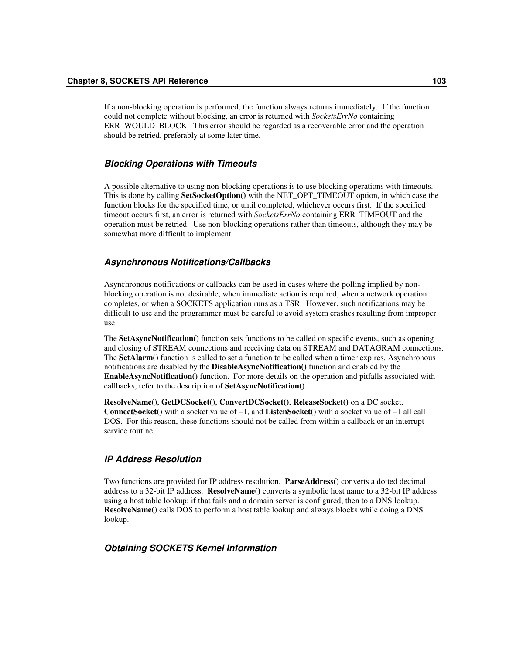If a non-blocking operation is performed, the function always returns immediately. If the function could not complete without blocking, an error is returned with *SocketsErrNo* containing ERR\_WOULD\_BLOCK. This error should be regarded as a recoverable error and the operation should be retried, preferably at some later time.

### *Blocking Operations with Timeouts*

A possible alternative to using non-blocking operations is to use blocking operations with timeouts. This is done by calling **SetSocketOption()** with the NET\_OPT\_TIMEOUT option, in which case the function blocks for the specified time, or until completed, whichever occurs first. If the specified timeout occurs first, an error is returned with *SocketsErrNo* containing ERR\_TIMEOUT and the operation must be retried. Use non-blocking operations rather than timeouts, although they may be somewhat more difficult to implement.

### *Asynchronous Notifications/Callbacks*

Asynchronous notifications or callbacks can be used in cases where the polling implied by nonblocking operation is not desirable, when immediate action is required, when a network operation completes, or when a SOCKETS application runs as a TSR. However, such notifications may be difficult to use and the programmer must be careful to avoid system crashes resulting from improper use.

The **SetAsyncNotification()** function sets functions to be called on specific events, such as opening and closing of STREAM connections and receiving data on STREAM and DATAGRAM connections. The **SetAlarm()** function is called to set a function to be called when a timer expires. Asynchronous notifications are disabled by the **DisableAsyncNotification()** function and enabled by the **EnableAsyncNotification()** function. For more details on the operation and pitfalls associated with callbacks, refer to the description of **SetAsyncNotification()**.

**ResolveName()**, **GetDCSocket()**, **ConvertDCSocket()**, **ReleaseSocket()** on a DC socket, **ConnectSocket()** with a socket value of –1, and **ListenSocket()** with a socket value of –1 all call DOS. For this reason, these functions should not be called from within a callback or an interrupt service routine.

### *IP Address Resolution*

Two functions are provided for IP address resolution. **ParseAddress()** converts a dotted decimal address to a 32-bit IP address. **ResolveName()** converts a symbolic host name to a 32-bit IP address using a host table lookup; if that fails and a domain server is configured, then to a DNS lookup. **ResolveName()** calls DOS to perform a host table lookup and always blocks while doing a DNS lookup.

### *Obtaining SOCKETS Kernel Information*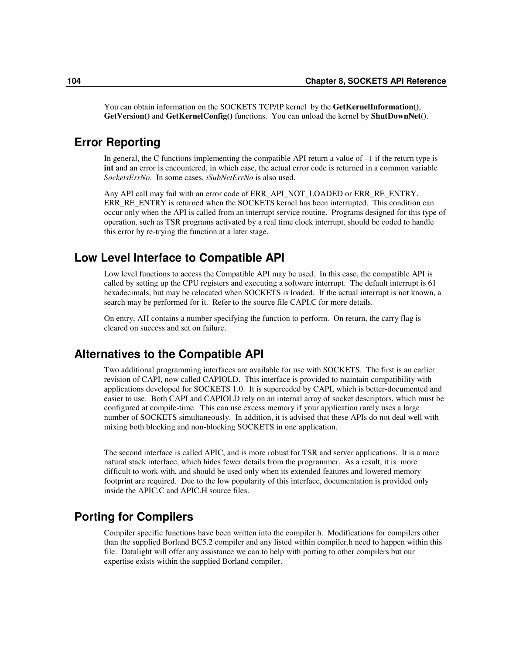You can obtain information on the SOCKETS TCP/IP kernel by the **GetKernelInformation()**, **GetVersion()** and **GetKernelConfig()** functions. You can unload the kernel by **ShutDownNet()**.

## **Error Reporting**

In general, the C functions implementing the compatible API return a value of  $-1$  if the return type is **int** and an error is encountered, in which case, the actual error code is returned in a common variable *SocketsErrNo*. In some cases, *iSubNetErrNo* is also used.

Any API call may fail with an error code of ERR\_API\_NOT\_LOADED or ERR\_RE\_ENTRY. ERR\_RE\_ENTRY is returned when the SOCKETS kernel has been interrupted. This condition can occur only when the API is called from an interrupt service routine. Programs designed for this type of operation, such as TSR programs activated by a real time clock interrupt, should be coded to handle this error by re-trying the function at a later stage.

## **Low Level Interface to Compatible API**

Low level functions to access the Compatible API may be used. In this case, the compatible API is called by setting up the CPU registers and executing a software interrupt. The default interrupt is 61 hexadecimals, but may be relocated when SOCKETS is loaded. If the actual interrupt is not known, a search may be performed for it. Refer to the source file CAPI.C for more details.

On entry, AH contains a number specifying the function to perform. On return, the carry flag is cleared on success and set on failure.

## **Alternatives to the Compatible API**

Two additional programming interfaces are available for use with SOCKETS. The first is an earlier revision of CAPI, now called CAPIOLD. This interface is provided to maintain compatibility with applications developed for SOCKETS 1.0. It is superceded by CAPI, which is better-documented and easier to use. Both CAPI and CAPIOLD rely on an internal array of socket descriptors, which must be configured at compile-time. This can use excess memory if your application rarely uses a large number of SOCKETS simultaneously. In addition, it is advised that these APIs do not deal well with mixing both blocking and non-blocking SOCKETS in one application.

The second interface is called APIC, and is more robust for TSR and server applications. It is a more natural stack interface, which hides fewer details from the programmer. As a result, it is more difficult to work with, and should be used only when its extended features and lowered memory footprint are required. Due to the low popularity of this interface, documentation is provided only inside the APIC.C and APIC.H source files.

## **Porting for Compilers**

Compiler specific functions have been written into the compiler.h. Modifications for compilers other than the supplied Borland BC5.2 compiler and any listed within compiler.h need to happen within this file. Datalight will offer any assistance we can to help with porting to other compilers but our expertise exists within the supplied Borland compiler.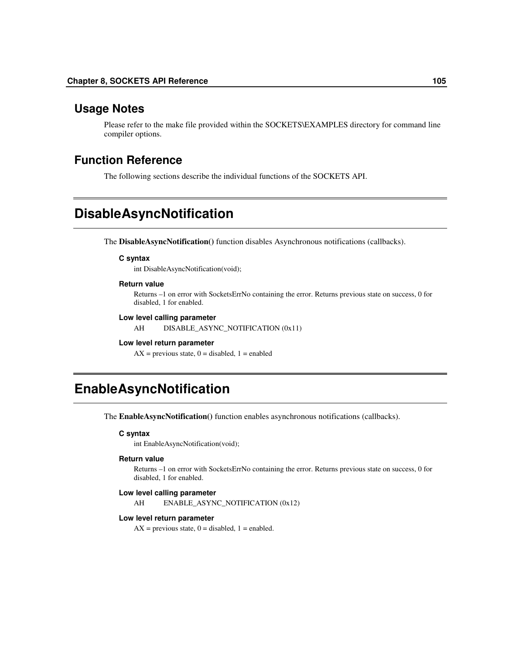## **Usage Notes**

Please refer to the make file provided within the SOCKETS\EXAMPLES directory for command line compiler options.

## **Function Reference**

The following sections describe the individual functions of the SOCKETS API.

# **DisableAsyncNotification**

The **DisableAsyncNotification()** function disables Asynchronous notifications (callbacks).

#### **C syntax**

int DisableAsyncNotification(void);

#### **Return value**

Returns –1 on error with SocketsErrNo containing the error. Returns previous state on success, 0 for disabled, 1 for enabled.

#### **Low level calling parameter**

AH DISABLE\_ASYNC\_NOTIFICATION (0x11)

#### **Low level return parameter**

 $AX =$  previous state,  $0 =$  disabled,  $1 =$  enabled

## **EnableAsyncNotification**

The **EnableAsyncNotification()** function enables asynchronous notifications (callbacks).

#### **C syntax**

int EnableAsyncNotification(void);

### **Return value**

Returns –1 on error with SocketsErrNo containing the error. Returns previous state on success, 0 for disabled, 1 for enabled.

#### **Low level calling parameter**

AH ENABLE\_ASYNC\_NOTIFICATION (0x12)

#### **Low level return parameter**

 $AX =$  previous state,  $0 =$  disabled,  $1 =$  enabled.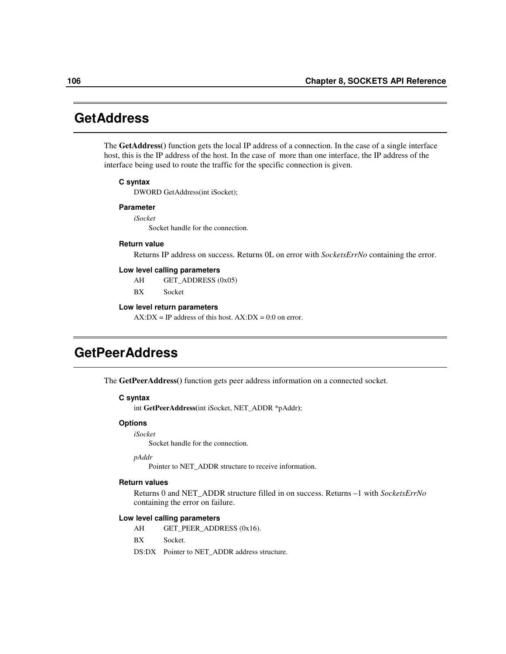## **GetAddress**

The **GetAddress()** function gets the local IP address of a connection. In the case of a single interface host, this is the IP address of the host. In the case of more than one interface, the IP address of the interface being used to route the traffic for the specific connection is given.

#### **C syntax**

DWORD GetAddress(int iSocket);

#### **Parameter**

*iSocket*

Socket handle for the connection.

#### **Return value**

Returns IP address on success. Returns 0L on error with *SocketsErrNo* containing the error.

#### **Low level calling parameters**

AH GET\_ADDRESS (0x05)

BX Socket

#### **Low level return parameters**

 $AX:DX = IP$  address of this host.  $AX:DX = 0:0$  on error.

## **GetPeerAddress**

The **GetPeerAddress()** function gets peer address information on a connected socket.

#### **C syntax**

int **GetPeerAddress(**int iSocket, NET\_ADDR \*pAddr**)**;

### **Options**

*iSocket*

Socket handle for the connection.

*pAddr*

Pointer to NET\_ADDR structure to receive information.

#### **Return values**

Returns 0 and NET\_ADDR structure filled in on success. Returns –1 with *SocketsErrNo* containing the error on failure.

### **Low level calling parameters**

AH GET\_PEER\_ADDRESS (0x16).

- BX Socket.
- DS:DX Pointer to NET\_ADDR address structure.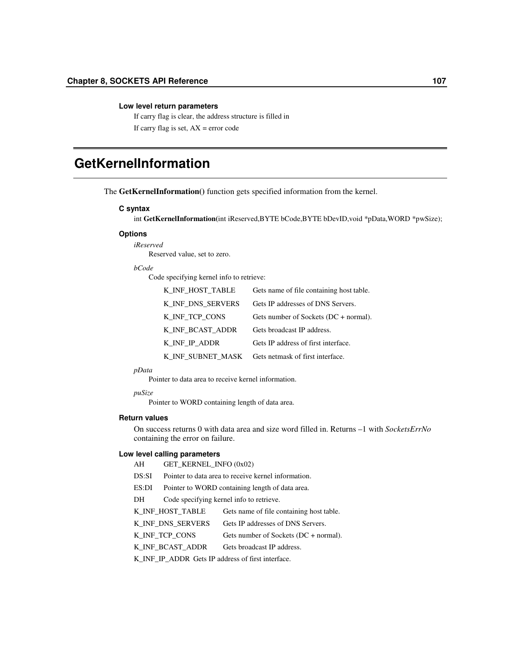#### **Low level return parameters**

If carry flag is clear, the address structure is filled in If carry flag is set,  $AX = error code$ 

# **GetKernelInformation**

The **GetKernelInformation()** function gets specified information from the kernel.

#### **C syntax**

int **GetKernelInformation(**int iReserved,BYTE bCode,BYTE bDevID,void \*pData,WORD \*pwSize);

#### **Options**

*iReserved* Reserved value, set to zero.

#### *bCode*

Code specifying kernel info to retrieve:

| K INF HOST TABLE  | Gets name of file containing host table.  |
|-------------------|-------------------------------------------|
| K INF DNS SERVERS | Gets IP addresses of DNS Servers.         |
| K_INF_TCP_CONS    | Gets number of Sockets ( $DC + normal$ ). |
| K INF BCAST ADDR  | Gets broadcast IP address.                |
| K INF IP ADDR     | Gets IP address of first interface.       |
| K INF SUBNET MASK | Gets netmask of first interface.          |

#### *pData*

Pointer to data area to receive kernel information.

*puSize*

Pointer to WORD containing length of data area.

#### **Return values**

On success returns 0 with data area and size word filled in. Returns –1 with *SocketsErrNo* containing the error on failure.

### **Low level calling parameters**

- DS:SI Pointer to data area to receive kernel information.
- ES:DI Pointer to WORD containing length of data area.
- DH Code specifying kernel info to retrieve.

K\_INF\_HOST\_TABLE Gets name of file containing host table.

K\_INF\_DNS\_SERVERS Gets IP addresses of DNS Servers.

K\_INF\_TCP\_CONS Gets number of Sockets (DC + normal).

K\_INF\_BCAST\_ADDR Gets broadcast IP address.

K\_INF\_IP\_ADDR Gets IP address of first interface.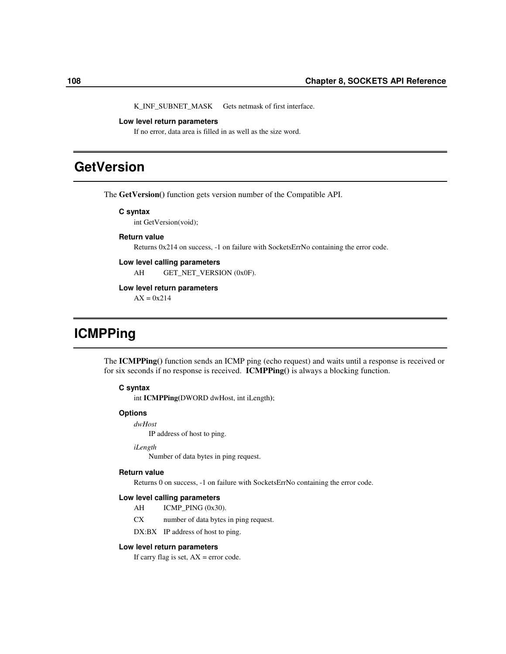K\_INF\_SUBNET\_MASK Gets netmask of first interface.

#### **Low level return parameters**

If no error, data area is filled in as well as the size word.

# **GetVersion**

The **GetVersion()** function gets version number of the Compatible API.

#### **C syntax**

int GetVersion(void);

#### **Return value**

Returns 0x214 on success, -1 on failure with SocketsErrNo containing the error code.

## **Low level calling parameters**

AH GET\_NET\_VERSION (0x0F).

#### **Low level return parameters**

 $AX = 0x214$ 

# **ICMPPing**

The **ICMPPing()** function sends an ICMP ping (echo request) and waits until a response is received or for six seconds if no response is received. **ICMPPing()** is always a blocking function.

### **C syntax**

int **ICMPPing(**DWORD dwHost, int iLength**)**;

#### **Options**

*dwHost*

IP address of host to ping.

### *iLength*

Number of data bytes in ping request.

#### **Return value**

Returns 0 on success, -1 on failure with SocketsErrNo containing the error code.

#### **Low level calling parameters**

- AH ICMP\_PING (0x30).
- CX number of data bytes in ping request.
- DX:BX IP address of host to ping.

#### **Low level return parameters**

If carry flag is set,  $AX = error code$ .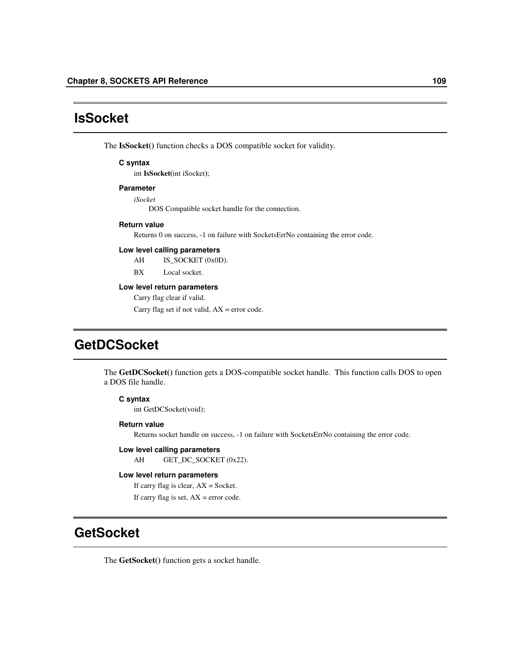## **IsSocket**

The **IsSocket()** function checks a DOS compatible socket for validity.

#### **C syntax**

int **IsSocket(**int iSocket**)**;

#### **Parameter**

*iSocket*

DOS Compatible socket handle for the connection.

#### **Return value**

Returns 0 on success, -1 on failure with SocketsErrNo containing the error code.

#### **Low level calling parameters**

AH IS\_SOCKET (0x0D).

BX Local socket.

#### **Low level return parameters**

Carry flag clear if valid.

Carry flag set if not valid,  $AX = error code$ .

# **GetDCSocket**

The **GetDCSocket()** function gets a DOS-compatible socket handle. This function calls DOS to open a DOS file handle.

### **C syntax**

int GetDCSocket(void);

#### **Return value**

Returns socket handle on success, -1 on failure with SocketsErrNo containing the error code.

### **Low level calling parameters**

AH GET\_DC\_SOCKET (0x22).

### **Low level return parameters**

If carry flag is clear,  $AX = S$ ocket.

If carry flag is set,  $AX = error code$ .

## **GetSocket**

The **GetSocket()** function gets a socket handle.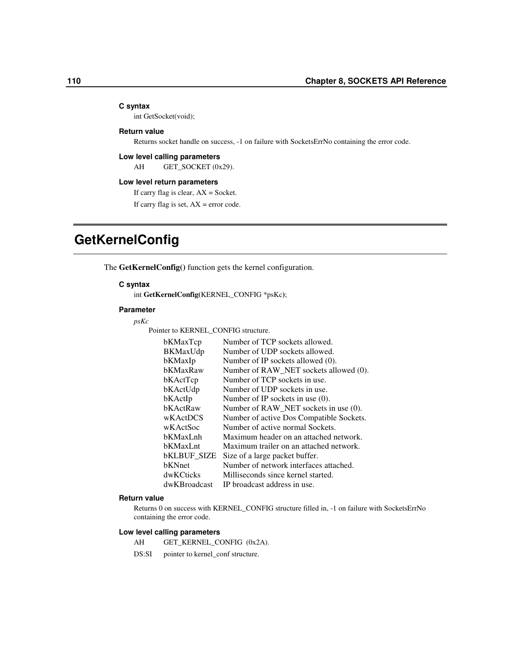#### **C syntax**

int GetSocket(void);

### **Return value**

Returns socket handle on success, -1 on failure with SocketsErrNo containing the error code.

#### **Low level calling parameters**

AH GET\_SOCKET (0x29).

#### **Low level return parameters**

If carry flag is clear,  $AX = S$ ocket.

If carry flag is set,  $AX = error code$ .

# **GetKernelConfig**

The **GetKernelConfig()** function gets the kernel configuration.

#### **C syntax**

int **GetKernelConfig(**KERNEL\_CONFIG \*psKc**)**;

#### **Parameter**

*psKc*

Pointer to KERNEL\_CONFIG structure.

| bKMaxTcp           | Number of TCP sockets allowed.           |
|--------------------|------------------------------------------|
| BKMaxUdp           | Number of UDP sockets allowed.           |
| bKMaxIp            | Number of IP sockets allowed (0).        |
| bKMaxRaw           | Number of RAW_NET sockets allowed (0).   |
| bKActTcp           | Number of TCP sockets in use.            |
| bKActUdp           | Number of UDP sockets in use.            |
| bKActIp            | Number of IP sockets in use $(0)$ .      |
| bKActRaw           | Number of RAW_NET sockets in use (0).    |
| wKActDCS           | Number of active Dos Compatible Sockets. |
| wKActSoc           | Number of active normal Sockets.         |
| bKMaxLnh           | Maximum header on an attached network.   |
| bKMaxLnt           | Maximum trailer on an attached network.  |
| <b>bKLBUF SIZE</b> | Size of a large packet buffer.           |
| bKNnet             | Number of network interfaces attached.   |
| dwKCticks          | Milliseconds since kernel started.       |
| dwKBroadcast       | IP broadcast address in use.             |

#### **Return value**

Returns 0 on success with KERNEL\_CONFIG structure filled in, -1 on failure with SocketsErrNo containing the error code.

#### **Low level calling parameters**

AH GET\_KERNEL\_CONFIG (0x2A).

DS:SI pointer to kernel\_conf structure.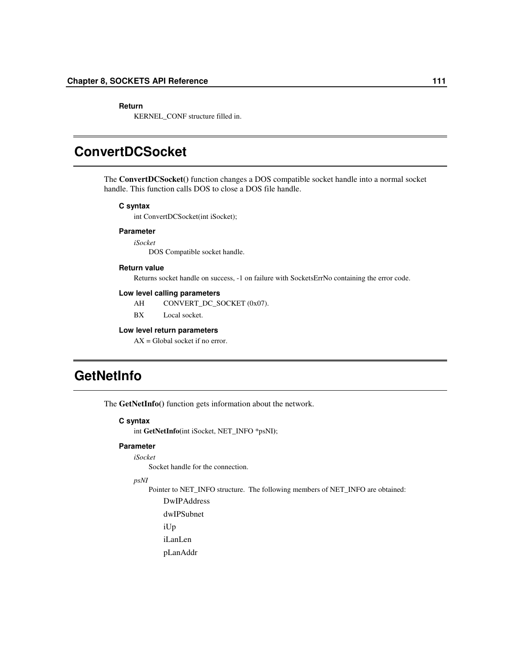#### **Return**

KERNEL\_CONF structure filled in.

# **ConvertDCSocket**

The **ConvertDCSocket()** function changes a DOS compatible socket handle into a normal socket handle. This function calls DOS to close a DOS file handle.

#### **C syntax**

int ConvertDCSocket(int iSocket);

### **Parameter**

*iSocket* DOS Compatible socket handle.

#### **Return value**

Returns socket handle on success, -1 on failure with SocketsErrNo containing the error code.

#### **Low level calling parameters**

AH CONVERT\_DC\_SOCKET (0x07).

BX Local socket.

#### **Low level return parameters**

 $AX = Global$  socket if no error.

# **GetNetInfo**

The **GetNetInfo()** function gets information about the network.

#### **C syntax**

int **GetNetInfo(**int iSocket, NET\_INFO \*psNI**)**;

#### **Parameter**

*iSocket*

Socket handle for the connection.

*psNI*

Pointer to NET\_INFO structure. The following members of NET\_INFO are obtained:

DwIPAddress

dwIPSubnet

iUp

iLanLen

pLanAddr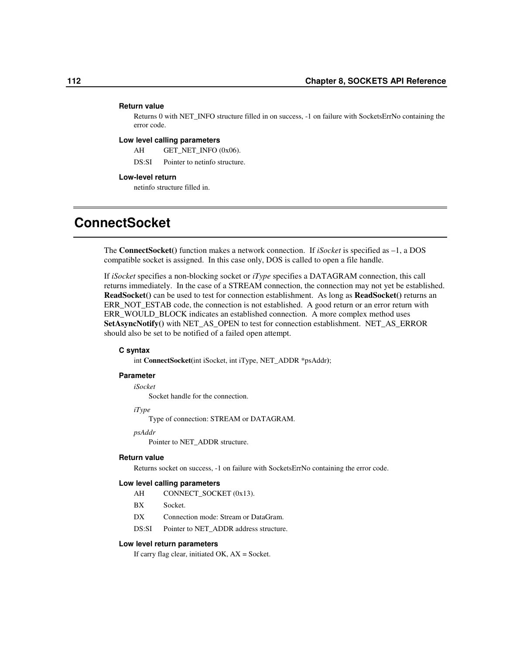#### **Return value**

Returns 0 with NET\_INFO structure filled in on success, -1 on failure with SocketsErrNo containing the error code.

#### **Low level calling parameters**

AH GET\_NET\_INFO (0x06).

DS:SI Pointer to netinfo structure.

#### **Low-level return**

netinfo structure filled in.

# **ConnectSocket**

The **ConnectSocket()** function makes a network connection. If *iSocket* is specified as –1, a DOS compatible socket is assigned. In this case only, DOS is called to open a file handle.

If *iSocket* specifies a non-blocking socket or *iType* specifies a DATAGRAM connection, this call returns immediately. In the case of a STREAM connection, the connection may not yet be established. **ReadSocket()** can be used to test for connection establishment. As long as **ReadSocket()** returns an ERR\_NOT\_ESTAB code, the connection is not established. A good return or an error return with ERR\_WOULD\_BLOCK indicates an established connection. A more complex method uses **SetAsyncNotify()** with NET\_AS\_OPEN to test for connection establishment. NET\_AS\_ERROR should also be set to be notified of a failed open attempt.

#### **C syntax**

int **ConnectSocket(**int iSocket, int iType, NET\_ADDR \*psAddr**)**;

#### **Parameter**

*iSocket*

Socket handle for the connection.

*iType*

Type of connection: STREAM or DATAGRAM.

*psAddr*

Pointer to NET\_ADDR structure.

#### **Return value**

Returns socket on success, -1 on failure with SocketsErrNo containing the error code.

#### **Low level calling parameters**

- AH CONNECT\_SOCKET (0x13).
- BX Socket.
- DX Connection mode: Stream or DataGram.
- DS:SI Pointer to NET\_ADDR address structure.

#### **Low level return parameters**

If carry flag clear, initiated OK, AX = Socket.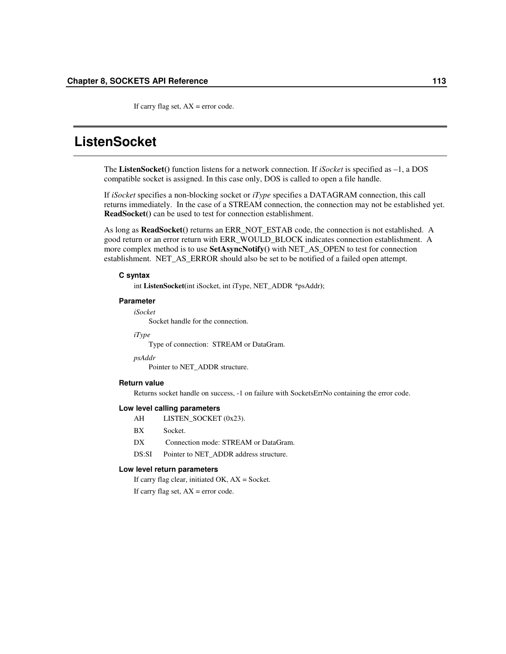If carry flag set,  $AX = error code$ .

## **ListenSocket**

The **ListenSocket()** function listens for a network connection. If *iSocket* is specified as –1, a DOS compatible socket is assigned. In this case only, DOS is called to open a file handle.

If *iSocket* specifies a non-blocking socket or *iType* specifies a DATAGRAM connection, this call returns immediately. In the case of a STREAM connection, the connection may not be established yet. **ReadSocket()** can be used to test for connection establishment.

As long as **ReadSocket()** returns an ERR\_NOT\_ESTAB code, the connection is not established. A good return or an error return with ERR\_WOULD\_BLOCK indicates connection establishment. A more complex method is to use **SetAsyncNotify()** with NET\_AS\_OPEN to test for connection establishment. NET\_AS\_ERROR should also be set to be notified of a failed open attempt.

#### **C syntax**

int **ListenSocket(**int iSocket, int iType, NET\_ADDR \*psAddr**)**;

#### **Parameter**

*iSocket*

Socket handle for the connection.

*iType*

Type of connection: STREAM or DataGram.

*psAddr*

Pointer to NET\_ADDR structure.

#### **Return value**

Returns socket handle on success, -1 on failure with SocketsErrNo containing the error code.

#### **Low level calling parameters**

- AH LISTEN\_SOCKET (0x23).
- BX Socket.
- DX Connection mode: STREAM or DataGram.
- DS:SI Pointer to NET\_ADDR address structure.

#### **Low level return parameters**

If carry flag clear, initiated  $OK$ ,  $AX = S$ ocket.

If carry flag set,  $AX = error code$ .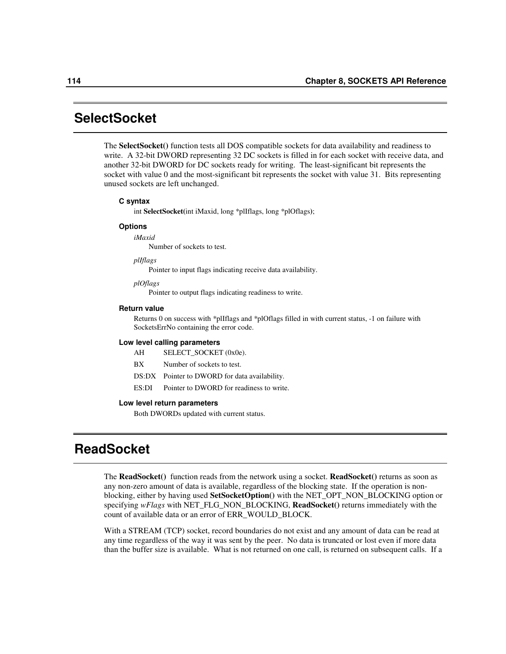## **SelectSocket**

The **SelectSocket()** function tests all DOS compatible sockets for data availability and readiness to write. A 32-bit DWORD representing 32 DC sockets is filled in for each socket with receive data, and another 32-bit DWORD for DC sockets ready for writing. The least-significant bit represents the socket with value 0 and the most-significant bit represents the socket with value 31. Bits representing unused sockets are left unchanged.

#### **C syntax**

int **SelectSocket(**int iMaxid, long \*plIflags, long \*plOflags**)**;

#### **Options**

*iMaxid* Number of sockets to test.

*plIflags*

Pointer to input flags indicating receive data availability.

*plOflags*

Pointer to output flags indicating readiness to write.

#### **Return value**

Returns 0 on success with \*plIflags and \*plOflags filled in with current status, -1 on failure with SocketsErrNo containing the error code.

#### **Low level calling parameters**

AH SELECT\_SOCKET (0x0e).

- BX Number of sockets to test.
- DS:DX Pointer to DWORD for data availability.
- ES:DI Pointer to DWORD for readiness to write.

#### **Low level return parameters**

Both DWORDs updated with current status.

## **ReadSocket**

The **ReadSocket()** function reads from the network using a socket. **ReadSocket()** returns as soon as any non-zero amount of data is available, regardless of the blocking state. If the operation is nonblocking, either by having used **SetSocketOption()** with the NET\_OPT\_NON\_BLOCKING option or specifying *wFlags* with NET\_FLG\_NON\_BLOCKING, **ReadSocket()** returns immediately with the count of available data or an error of ERR\_WOULD\_BLOCK.

With a STREAM (TCP) socket, record boundaries do not exist and any amount of data can be read at any time regardless of the way it was sent by the peer. No data is truncated or lost even if more data than the buffer size is available. What is not returned on one call, is returned on subsequent calls. If a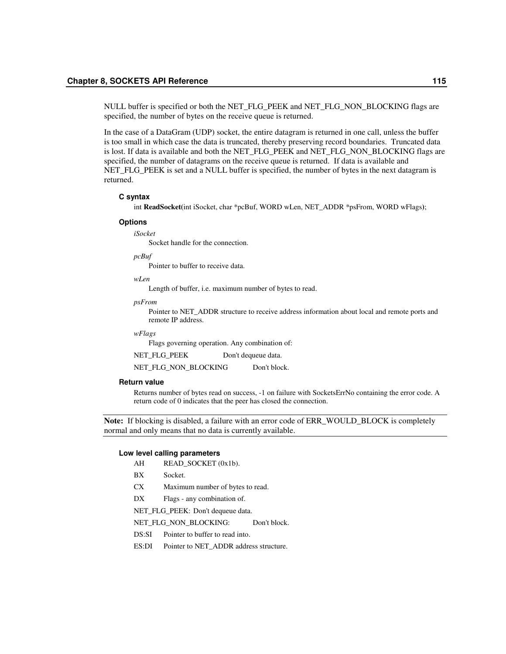NULL buffer is specified or both the NET\_FLG\_PEEK and NET\_FLG\_NON\_BLOCKING flags are specified, the number of bytes on the receive queue is returned.

In the case of a DataGram (UDP) socket, the entire datagram is returned in one call, unless the buffer is too small in which case the data is truncated, thereby preserving record boundaries. Truncated data is lost. If data is available and both the NET\_FLG\_PEEK and NET\_FLG\_NON\_BLOCKING flags are specified, the number of datagrams on the receive queue is returned. If data is available and NET FLG PEEK is set and a NULL buffer is specified, the number of bytes in the next datagram is returned.

### **C syntax**

int **ReadSocket(**int iSocket, char \*pcBuf, WORD wLen, NET\_ADDR \*psFrom, WORD wFlags**)**;

#### **Options**

*iSocket* Socket handle for the connection.

*pcBuf*

Pointer to buffer to receive data.

*wLen*

Length of buffer, i.e. maximum number of bytes to read.

#### *psFrom*

Pointer to NET\_ADDR structure to receive address information about local and remote ports and remote IP address.

*wFlags*

Flags governing operation. Any combination of:

NET\_FLG\_PEEK Don't dequeue data.

NET\_FLG\_NON\_BLOCKING Don't block.

#### **Return value**

Returns number of bytes read on success, -1 on failure with SocketsErrNo containing the error code. A return code of 0 indicates that the peer has closed the connection.

**Note:** If blocking is disabled, a failure with an error code of ERR\_WOULD\_BLOCK is completely normal and only means that no data is currently available.

#### **Low level calling parameters**

- AH READ\_SOCKET (0x1b).
- BX Socket.
- CX Maximum number of bytes to read.
- DX Flags any combination of.

NET\_FLG\_PEEK: Don't dequeue data.

NET\_FLG\_NON\_BLOCKING: Don't block.

- DS:SI Pointer to buffer to read into.
- ES:DI Pointer to NET\_ADDR address structure.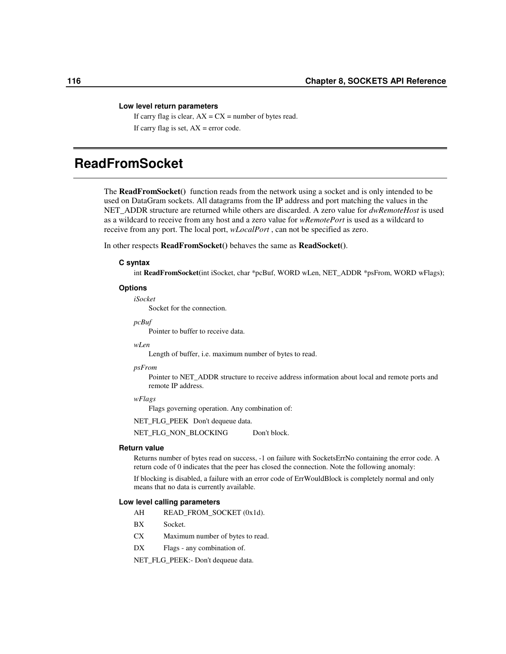#### **Low level return parameters**

If carry flag is clear,  $AX = CX =$  number of bytes read. If carry flag is set,  $AX = error code$ .

# **ReadFromSocket**

The **ReadFromSocket()** function reads from the network using a socket and is only intended to be used on DataGram sockets. All datagrams from the IP address and port matching the values in the NET\_ADDR structure are returned while others are discarded. A zero value for *dwRemoteHost* is used as a wildcard to receive from any host and a zero value for *wRemotePort* is used as a wildcard to receive from any port. The local port, *wLocalPort* , can not be specified as zero.

In other respects **ReadFromSocket()** behaves the same as **ReadSocket()**.

#### **C syntax**

int **ReadFromSocket(**int iSocket, char \*pcBuf, WORD wLen, NET\_ADDR \*psFrom, WORD wFlags**)**;

#### **Options**

*iSocket* Socket for the connection.

#### *pcBuf*

Pointer to buffer to receive data.

#### *wLen*

Length of buffer, i.e. maximum number of bytes to read.

#### *psFrom*

Pointer to NET\_ADDR structure to receive address information about local and remote ports and remote IP address.

#### *wFlags*

Flags governing operation. Any combination of:

NET\_FLG\_PEEK Don't dequeue data.

NET\_FLG\_NON\_BLOCKING Don't block.

#### **Return value**

Returns number of bytes read on success, -1 on failure with SocketsErrNo containing the error code. A return code of 0 indicates that the peer has closed the connection. Note the following anomaly:

If blocking is disabled, a failure with an error code of ErrWouldBlock is completely normal and only means that no data is currently available.

#### **Low level calling parameters**

- AH READ\_FROM\_SOCKET (0x1d).
- BX Socket.
- CX Maximum number of bytes to read.
- DX Flags any combination of.

NET\_FLG\_PEEK:- Don't dequeue data.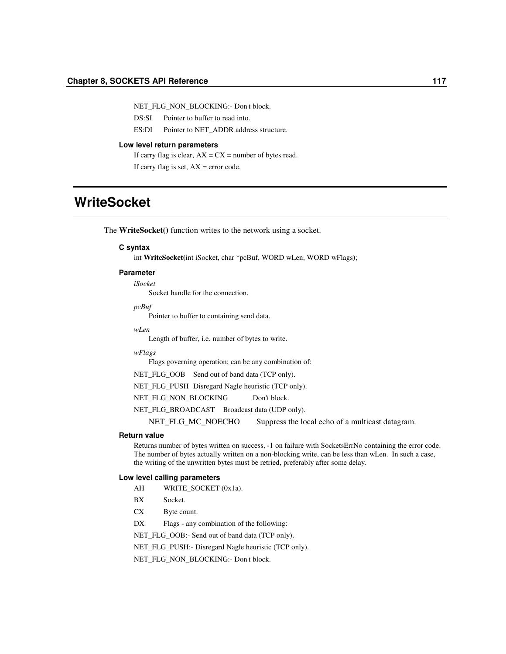NET\_FLG\_NON\_BLOCKING:- Don't block.

DS:SI Pointer to buffer to read into.

ES:DI Pointer to NET\_ADDR address structure.

#### **Low level return parameters**

If carry flag is clear,  $AX = CX =$  number of bytes read.

If carry flag is set,  $AX = error code$ .

# **WriteSocket**

The **WriteSocket()** function writes to the network using a socket.

#### **C syntax**

int **WriteSocket(**int iSocket, char \*pcBuf, WORD wLen, WORD wFlags**)**;

#### **Parameter**

*iSocket*

Socket handle for the connection.

*pcBuf*

Pointer to buffer to containing send data.

#### *wLen*

Length of buffer, i.e. number of bytes to write.

#### *wFlags*

Flags governing operation; can be any combination of:

NET\_FLG\_OOB Send out of band data (TCP only).

NET\_FLG\_PUSH Disregard Nagle heuristic (TCP only).

NET\_FLG\_NON\_BLOCKING Don't block.

NET\_FLG\_BROADCAST Broadcast data (UDP only).

NET\_FLG\_MC\_NOECHO Suppress the local echo of a multicast datagram.

#### **Return value**

Returns number of bytes written on success, -1 on failure with SocketsErrNo containing the error code. The number of bytes actually written on a non-blocking write, can be less than wLen. In such a case, the writing of the unwritten bytes must be retried, preferably after some delay.

#### **Low level calling parameters**

- AH WRITE\_SOCKET (0x1a).
- BX Socket.
- CX Byte count.
- DX Flags any combination of the following:

NET\_FLG\_OOB:- Send out of band data (TCP only).

NET\_FLG\_PUSH:- Disregard Nagle heuristic (TCP only).

NET\_FLG\_NON\_BLOCKING:- Don't block.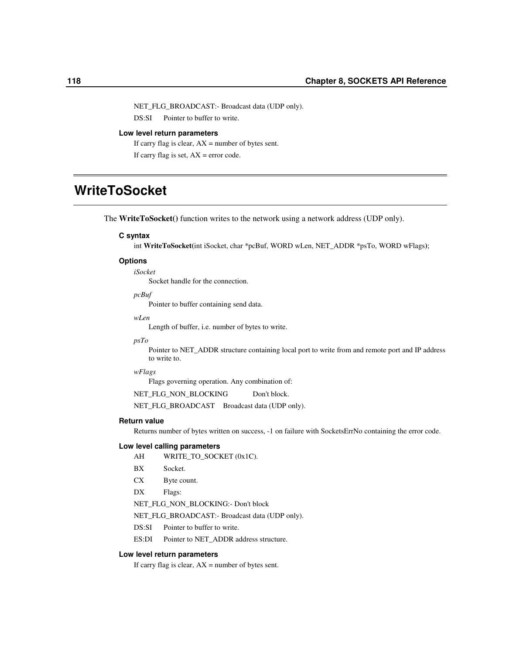NET\_FLG\_BROADCAST:- Broadcast data (UDP only).

DS:SI Pointer to buffer to write.

#### **Low level return parameters**

If carry flag is clear,  $AX =$  number of bytes sent. If carry flag is set,  $AX = error code$ .

# **WriteToSocket**

The **WriteToSocket()** function writes to the network using a network address (UDP only).

### **C syntax**

int **WriteToSocket(**int iSocket, char \*pcBuf, WORD wLen, NET\_ADDR \*psTo, WORD wFlags**)**;

### **Options**

*iSocket* Socket handle for the connection.

*pcBuf*

Pointer to buffer containing send data.

*wLen*

Length of buffer, i.e. number of bytes to write.

#### *psTo*

Pointer to NET\_ADDR structure containing local port to write from and remote port and IP address to write to.

#### *wFlags*

Flags governing operation. Any combination of:

NET\_FLG\_NON\_BLOCKING Don't block.

NET\_FLG\_BROADCAST Broadcast data (UDP only).

#### **Return value**

Returns number of bytes written on success, -1 on failure with SocketsErrNo containing the error code.

#### **Low level calling parameters**

- AH WRITE\_TO\_SOCKET (0x1C).
- BX Socket.
- CX Byte count.
- DX Flags:
- NET\_FLG\_NON\_BLOCKING:- Don't block
- NET\_FLG\_BROADCAST:- Broadcast data (UDP only).
- DS:SI Pointer to buffer to write.
- ES:DI Pointer to NET\_ADDR address structure.

#### **Low level return parameters**

If carry flag is clear,  $AX =$  number of bytes sent.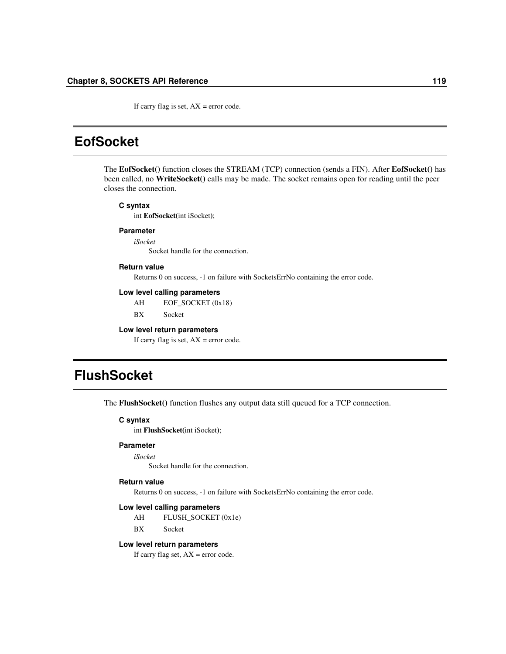If carry flag is set,  $AX = error code$ .

## **EofSocket**

The **EofSocket()** function closes the STREAM (TCP) connection (sends a FIN). After **EofSocket()** has been called, no **WriteSocket()** calls may be made. The socket remains open for reading until the peer closes the connection.

#### **C syntax**

int **EofSocket(**int iSocket**)**;

#### **Parameter**

*iSocket* Socket handle for the connection.

### **Return value**

Returns 0 on success, -1 on failure with SocketsErrNo containing the error code.

#### **Low level calling parameters**

AH EOF\_SOCKET (0x18)

BX Socket

#### **Low level return parameters**

If carry flag is set,  $AX = error code$ .

# **FlushSocket**

The **FlushSocket()** function flushes any output data still queued for a TCP connection.

#### **C syntax**

int **FlushSocket(**int iSocket**)**;

### **Parameter**

*iSocket*

Socket handle for the connection.

#### **Return value**

Returns 0 on success, -1 on failure with SocketsErrNo containing the error code.

#### **Low level calling parameters**

AH FLUSH\_SOCKET (0x1e) BX Socket

#### **Low level return parameters**

If carry flag set,  $AX = error code$ .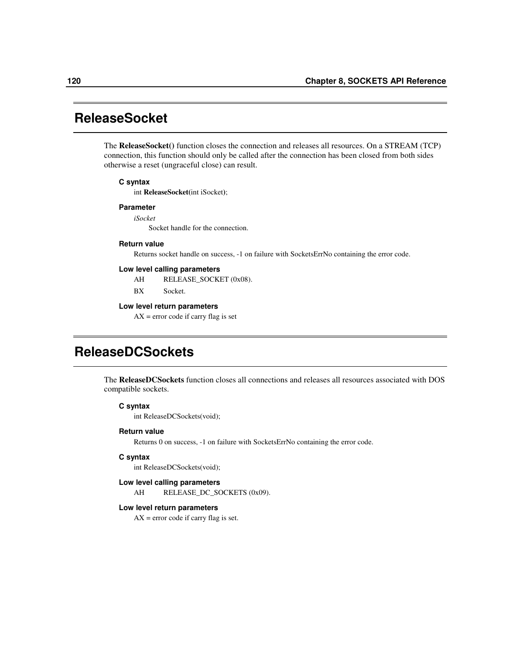## **ReleaseSocket**

The **ReleaseSocket()** function closes the connection and releases all resources. On a STREAM (TCP) connection, this function should only be called after the connection has been closed from both sides otherwise a reset (ungraceful close) can result.

#### **C syntax**

int **ReleaseSocket(**int iSocket**)**;

#### **Parameter**

*iSocket*

Socket handle for the connection.

#### **Return value**

Returns socket handle on success, -1 on failure with SocketsErrNo containing the error code.

#### **Low level calling parameters**

AH RELEASE\_SOCKET (0x08).

BX Socket.

#### **Low level return parameters**

 $AX = error code if carry flag is set$ 

# **ReleaseDCSockets**

The **ReleaseDCSockets** function closes all connections and releases all resources associated with DOS compatible sockets.

#### **C syntax**

int ReleaseDCSockets(void);

#### **Return value**

Returns 0 on success, -1 on failure with SocketsErrNo containing the error code.

#### **C syntax**

int ReleaseDCSockets(void);

#### **Low level calling parameters**

AH RELEASE\_DC\_SOCKETS (0x09).

#### **Low level return parameters**

 $AX = error code if carry flag is set.$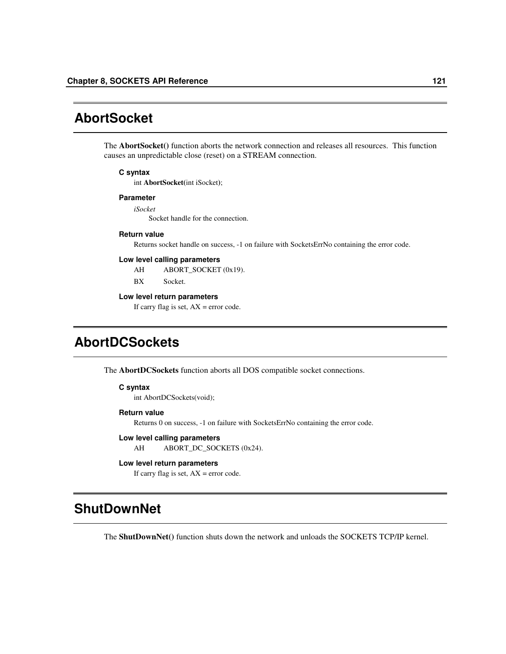# **AbortSocket**

The **AbortSocket()** function aborts the network connection and releases all resources. This function causes an unpredictable close (reset) on a STREAM connection.

#### **C syntax**

int **AbortSocket(**int iSocket**)**;

#### **Parameter**

*iSocket* Socket handle for the connection.

#### **Return value**

Returns socket handle on success, -1 on failure with SocketsErrNo containing the error code.

#### **Low level calling parameters**

AH ABORT\_SOCKET (0x19).

BX Socket.

#### **Low level return parameters**

If carry flag is set,  $AX = error code$ .

# **AbortDCSockets**

The **AbortDCSockets** function aborts all DOS compatible socket connections.

#### **C syntax**

int AbortDCSockets(void);

#### **Return value**

Returns 0 on success, -1 on failure with SocketsErrNo containing the error code.

#### **Low level calling parameters**

AH ABORT\_DC\_SOCKETS (0x24).

### **Low level return parameters**

If carry flag is set,  $AX = error code$ .

# **ShutDownNet**

The **ShutDownNet()** function shuts down the network and unloads the SOCKETS TCP/IP kernel.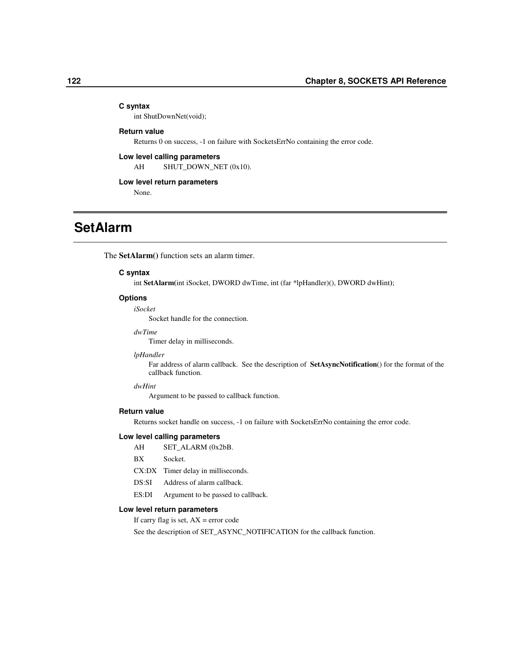#### **C syntax**

int ShutDownNet(void);

### **Return value**

Returns 0 on success, -1 on failure with SocketsErrNo containing the error code.

### **Low level calling parameters**

AH SHUT\_DOWN\_NET (0x10).

#### **Low level return parameters**

None.

## **SetAlarm**

The **SetAlarm()** function sets an alarm timer.

#### **C syntax**

int **SetAlarm(**int iSocket, DWORD dwTime, int (far \*lpHandler)(), DWORD dwHint**)**;

#### **Options**

#### *iSocket*

Socket handle for the connection.

### *dwTime*

Timer delay in milliseconds.

#### *lpHandler*

Far address of alarm callback. See the description of **SetAsyncNotification**() for the format of the callback function.

### *dwHint*

Argument to be passed to callback function.

#### **Return value**

Returns socket handle on success, -1 on failure with SocketsErrNo containing the error code.

#### **Low level calling parameters**

- AH SET\_ALARM (0x2bB.
- BX Socket.
- CX:DX Timer delay in milliseconds.
- DS:SI Address of alarm callback.
- ES:DI Argument to be passed to callback.

#### **Low level return parameters**

If carry flag is set,  $AX = error code$ 

See the description of SET\_ASYNC\_NOTIFICATION for the callback function.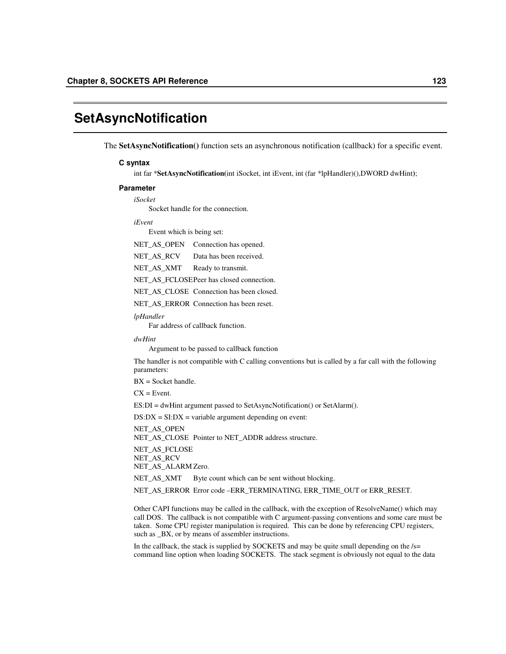## **SetAsyncNotification**

The **SetAsyncNotification()** function sets an asynchronous notification (callback) for a specific event.

#### **C syntax**

int far \***SetAsyncNotification(**int iSocket, int iEvent, int (far \*lpHandler)(),DWORD dwHint**)**;

#### **Parameter**

*iSocket*

Socket handle for the connection.

#### *iEvent*

Event which is being set:

NET\_AS\_OPEN Connection has opened.

NET\_AS\_RCV Data has been received.

NET\_AS\_XMT Ready to transmit.

NET\_AS\_FCLOSEPeer has closed connection.

NET\_AS\_CLOSE Connection has been closed.

NET\_AS\_ERROR Connection has been reset.

#### *lpHandler*

Far address of callback function.

*dwHint*

Argument to be passed to callback function

The handler is not compatible with C calling conventions but is called by a far call with the following parameters:

BX = Socket handle.

 $CX = Event$ .

ES:DI = dwHint argument passed to SetAsyncNotification() or SetAlarm().

 $DS:DX = SI:DX = variable$  argument depending on event:

NET AS OPEN NET\_AS\_CLOSE Pointer to NET\_ADDR address structure. NET\_AS\_FCLOSE NET\_AS\_RCV NET\_AS\_ALARM Zero.

NET\_AS\_XMT Byte count which can be sent without blocking.

NET\_AS\_ERROR Error code –ERR\_TERMINATING, ERR\_TIME\_OUT or ERR\_RESET.

Other CAPI functions may be called in the callback, with the exception of ResolveName() which may call DOS. The callback is not compatible with C argument-passing conventions and some care must be taken. Some CPU register manipulation is required. This can be done by referencing CPU registers, such as  $_BX$ , or by means of assembler instructions.

In the callback, the stack is supplied by SOCKETS and may be quite small depending on the  $/s=$ command line option when loading SOCKETS. The stack segment is obviously not equal to the data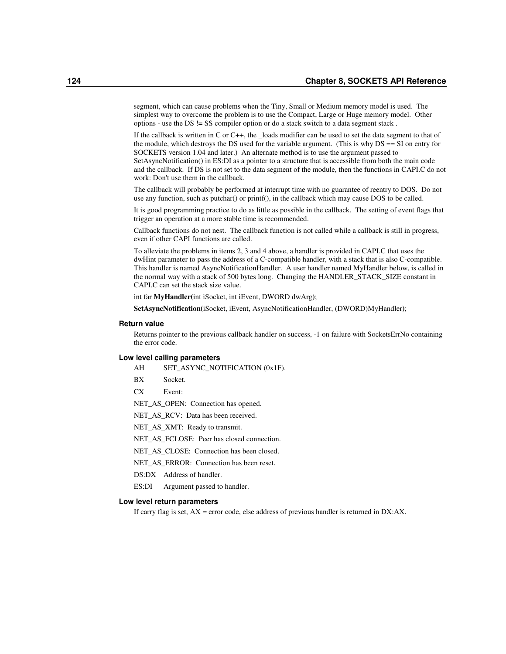segment, which can cause problems when the Tiny, Small or Medium memory model is used. The simplest way to overcome the problem is to use the Compact, Large or Huge memory model. Other options - use the DS != SS compiler option or do a stack switch to a data segment stack .

If the callback is written in C or C++, the \_loads modifier can be used to set the data segment to that of the module, which destroys the DS used for the variable argument. (This is why  $DS = S$ I on entry for SOCKETS version 1.04 and later.) An alternate method is to use the argument passed to SetAsyncNotification() in ES:DI as a pointer to a structure that is accessible from both the main code and the callback. If DS is not set to the data segment of the module, then the functions in CAPI.C do not work: Don't use them in the callback.

The callback will probably be performed at interrupt time with no guarantee of reentry to DOS. Do not use any function, such as putchar() or printf(), in the callback which may cause DOS to be called.

It is good programming practice to do as little as possible in the callback. The setting of event flags that trigger an operation at a more stable time is recommended.

Callback functions do not nest. The callback function is not called while a callback is still in progress, even if other CAPI functions are called.

To alleviate the problems in items 2, 3 and 4 above, a handler is provided in CAPI.C that uses the dwHint parameter to pass the address of a C-compatible handler, with a stack that is also C-compatible. This handler is named AsyncNotificationHandler. A user handler named MyHandler below, is called in the normal way with a stack of 500 bytes long. Changing the HANDLER\_STACK\_SIZE constant in CAPI.C can set the stack size value.

int far **MyHandler(**int iSocket, int iEvent, DWORD dwArg**)**;

**SetAsyncNotification(**iSocket, iEvent, AsyncNotificationHandler, (DWORD)MyHandler**)**;

#### **Return value**

Returns pointer to the previous callback handler on success, -1 on failure with SocketsErrNo containing the error code.

#### **Low level calling parameters**

AH SET\_ASYNC\_NOTIFICATION (0x1F).

BX Socket.

CX Event:

NET\_AS\_OPEN: Connection has opened.

NET\_AS\_RCV: Data has been received.

NET\_AS\_XMT: Ready to transmit.

NET\_AS\_FCLOSE: Peer has closed connection.

NET\_AS\_CLOSE: Connection has been closed.

NET\_AS\_ERROR: Connection has been reset.

DS:DX Address of handler.

ES:DI Argument passed to handler.

#### **Low level return parameters**

If carry flag is set, AX = error code, else address of previous handler is returned in DX:AX.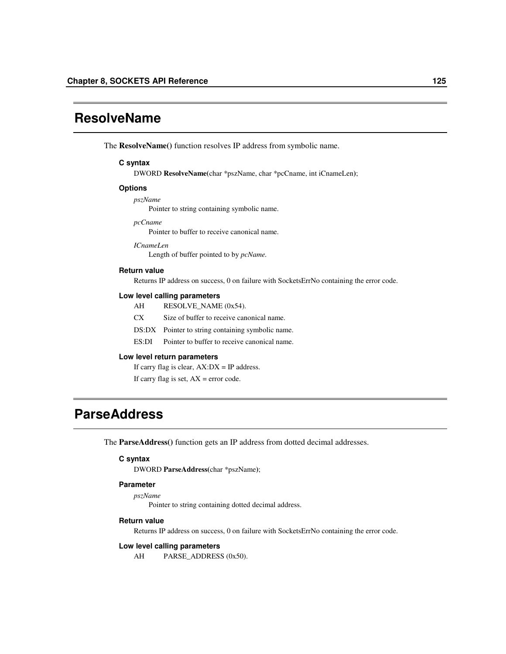## **ResolveName**

The **ResolveName()** function resolves IP address from symbolic name.

#### **C syntax**

DWORD **ResolveName(**char \*pszName, char \*pcCname, int iCnameLen**)**;

#### **Options**

*pszName*

Pointer to string containing symbolic name.

*pcCname*

Pointer to buffer to receive canonical name.

*ICnameLen* Length of buffer pointed to by *pcName.*

#### **Return value**

Returns IP address on success, 0 on failure with SocketsErrNo containing the error code.

#### **Low level calling parameters**

- AH RESOLVE\_NAME (0x54).
- CX Size of buffer to receive canonical name.
- DS:DX Pointer to string containing symbolic name.
- ES:DI Pointer to buffer to receive canonical name.

#### **Low level return parameters**

If carry flag is clear,  $AX:DX = IP$  address.

If carry flag is set,  $AX = error code$ .

## **ParseAddress**

The **ParseAddress()** function gets an IP address from dotted decimal addresses.

### **C syntax**

DWORD **ParseAddress(**char \*pszName**)**;

#### **Parameter**

*pszName*

Pointer to string containing dotted decimal address.

#### **Return value**

Returns IP address on success, 0 on failure with SocketsErrNo containing the error code.

#### **Low level calling parameters**

AH PARSE\_ADDRESS (0x50).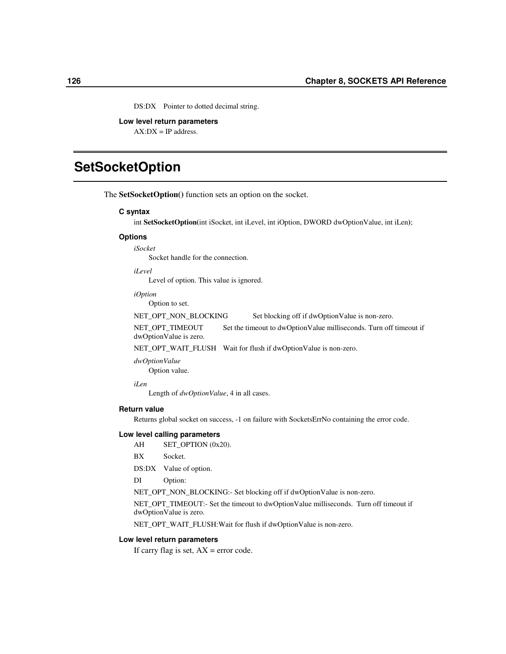DS:DX Pointer to dotted decimal string.

**Low level return parameters**  $AX:DX = IP$  address.

## **SetSocketOption**

The **SetSocketOption()** function sets an option on the socket.

#### **C syntax**

int **SetSocketOption(**int iSocket, int iLevel, int iOption, DWORD dwOptionValue, int iLen**)**;

#### **Options**

*iSocket* Socket handle for the connection.

*iLevel*

Level of option. This value is ignored.

*iOption*

Option to set.

NET\_OPT\_NON\_BLOCKING Set blocking off if dwOptionValue is non-zero.

NET\_OPT\_TIMEOUT Set the timeout to dwOptionValue milliseconds. Turn off timeout if dwOptionValue is zero.

NET\_OPT\_WAIT\_FLUSH Wait for flush if dwOptionValue is non-zero.

*dwOptionValue* Option value.

*iLen*

Length of *dwOptionValue*, 4 in all cases.

#### **Return value**

Returns global socket on success, -1 on failure with SocketsErrNo containing the error code.

#### **Low level calling parameters**

AH SET\_OPTION (0x20).

BX Socket.

DS:DX Value of option.

DI Option:

NET\_OPT\_NON\_BLOCKING:- Set blocking off if dwOptionValue is non-zero.

NET\_OPT\_TIMEOUT:- Set the timeout to dwOptionValue milliseconds. Turn off timeout if dwOptionValue is zero.

NET\_OPT\_WAIT\_FLUSH:Wait for flush if dwOptionValue is non-zero.

#### **Low level return parameters**

If carry flag is set,  $AX = error code$ .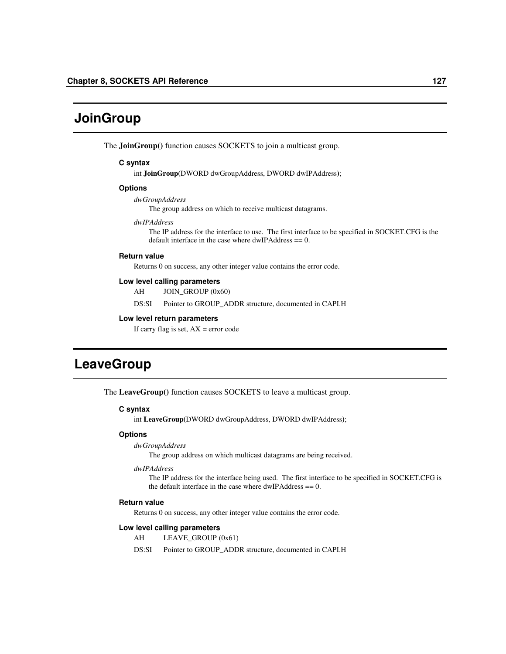# **JoinGroup**

The **JoinGroup()** function causes SOCKETS to join a multicast group.

#### **C syntax**

int **JoinGroup(**DWORD dwGroupAddress, DWORD dwIPAddress**)**;

### **Options**

*dwGroupAddress*

The group address on which to receive multicast datagrams.

#### *dwIPAddress*

The IP address for the interface to use. The first interface to be specified in SOCKET.CFG is the default interface in the case where  $dwIPAddress == 0$ .

#### **Return value**

Returns 0 on success, any other integer value contains the error code.

#### **Low level calling parameters**

AH JOIN\_GROUP (0x60)

DS:SI Pointer to GROUP\_ADDR structure, documented in CAPI.H

#### **Low level return parameters**

If carry flag is set,  $AX = error code$ 

## **LeaveGroup**

The **LeaveGroup()** function causes SOCKETS to leave a multicast group.

#### **C syntax**

int **LeaveGroup(**DWORD dwGroupAddress, DWORD dwIPAddress**)**;

### **Options**

#### *dwGroupAddress*

The group address on which multicast datagrams are being received.

#### *dwIPAddress*

The IP address for the interface being used. The first interface to be specified in SOCKET.CFG is the default interface in the case where  $dwIPAddress == 0$ .

#### **Return value**

Returns 0 on success, any other integer value contains the error code.

#### **Low level calling parameters**

- AH LEAVE\_GROUP (0x61)
- DS:SI Pointer to GROUP\_ADDR structure, documented in CAPI.H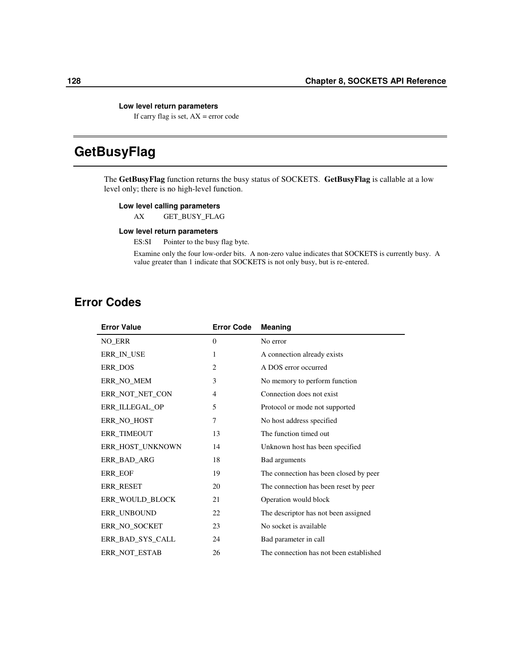### **Low level return parameters**

If carry flag is set,  $AX = error code$ 

# **GetBusyFlag**

The **GetBusyFlag** function returns the busy status of SOCKETS. **GetBusyFlag** is callable at a low level only; there is no high-level function.

### **Low level calling parameters**

AX GET\_BUSY\_FLAG

### **Low level return parameters**

ES:SI Pointer to the busy flag byte.

Examine only the four low-order bits. A non-zero value indicates that SOCKETS is currently busy. A value greater than 1 indicate that SOCKETS is not only busy, but is re-entered.

## **Error Codes**

| <b>Error Value</b> | <b>Error Code</b> | Meaning                                 |
|--------------------|-------------------|-----------------------------------------|
| NO_ERR             | $\mathbf{0}$      | No error                                |
| ERR IN USE         | 1                 | A connection already exists             |
| ERR DOS            | 2                 | A DOS error occurred                    |
| ERR NO MEM         | 3                 | No memory to perform function           |
| ERR NOT NET CON    | $\overline{4}$    | Connection does not exist               |
| ERR ILLEGAL OP     | 5                 | Protocol or mode not supported          |
| ERR_NO_HOST        | 7                 | No host address specified               |
| <b>ERR_TIMEOUT</b> | 13                | The function timed out                  |
| ERR_HOST_UNKNOWN   | 14                | Unknown host has been specified         |
| ERR BAD ARG        | 18                | Bad arguments                           |
| <b>ERR_EOF</b>     | 19                | The connection has been closed by peer  |
| ERR_RESET          | 20                | The connection has been reset by peer   |
| ERR_WOULD_BLOCK    | 21                | Operation would block                   |
| ERR_UNBOUND        | 22                | The descriptor has not been assigned    |
| ERR NO SOCKET      | 23                | No socket is available                  |
| ERR BAD SYS CALL   | 24                | Bad parameter in call                   |
| ERR NOT ESTAB      | 26                | The connection has not been established |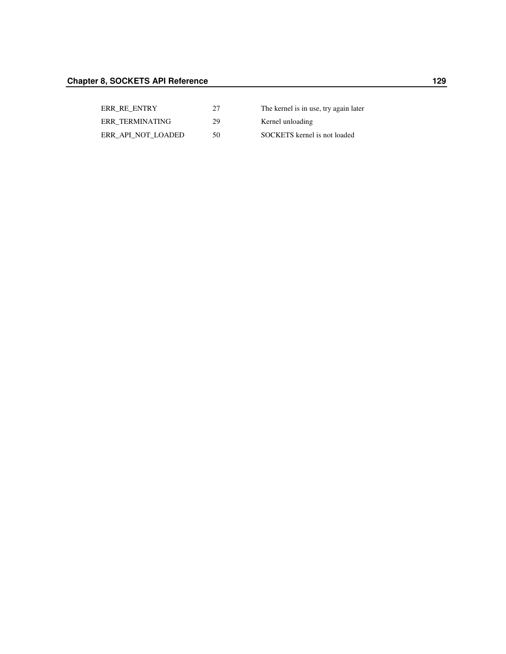| ERR RE ENTRY       | 27 | The kernel is in use, try again later |
|--------------------|----|---------------------------------------|
| ERR TERMINATING    | 29 | Kernel unloading                      |
| ERR API NOT LOADED | 50 | SOCKETS kernel is not loaded          |
|                    |    |                                       |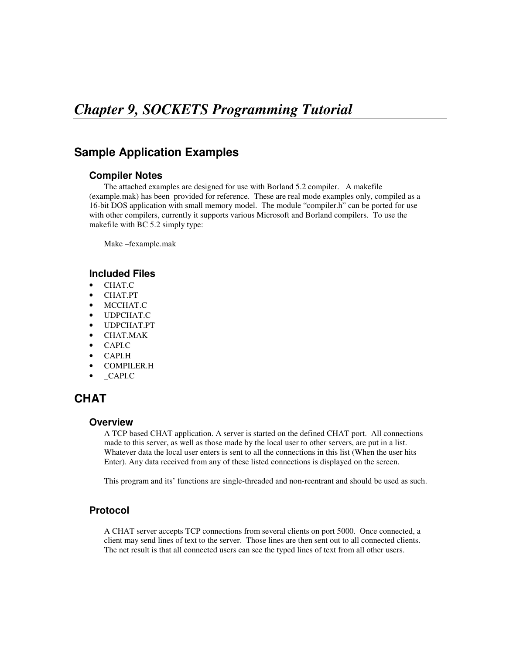## **Sample Application Examples**

## **Compiler Notes**

The attached examples are designed for use with Borland 5.2 compiler. A makefile (example.mak) has been provided for reference. These are real mode examples only, compiled as a 16-bit DOS application with small memory model. The module "compiler.h" can be ported for use with other compilers, currently it supports various Microsoft and Borland compilers. To use the makefile with BC 5.2 simply type:

Make –fexample.mak

## **Included Files**

- CHAT.C
- CHAT.PT
- MCCHAT.C
- UDPCHAT.C
- UDPCHAT.PT
- CHAT.MAK
- CAPI.C
- CAPI.H
- COMPILER.H
- \_CAPI.C

## **CHAT**

## **Overview**

A TCP based CHAT application. A server is started on the defined CHAT port. All connections made to this server, as well as those made by the local user to other servers, are put in a list. Whatever data the local user enters is sent to all the connections in this list (When the user hits Enter). Any data received from any of these listed connections is displayed on the screen.

This program and its' functions are single-threaded and non-reentrant and should be used as such.

## **Protocol**

A CHAT server accepts TCP connections from several clients on port 5000. Once connected, a client may send lines of text to the server. Those lines are then sent out to all connected clients. The net result is that all connected users can see the typed lines of text from all other users.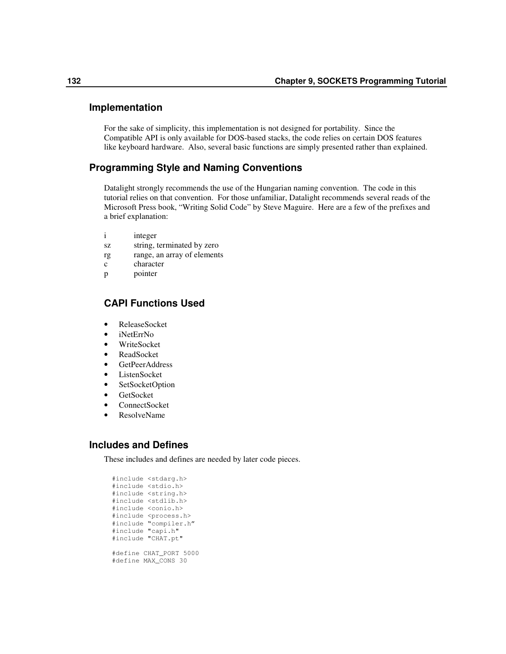### **Implementation**

For the sake of simplicity, this implementation is not designed for portability. Since the Compatible API is only available for DOS-based stacks, the code relies on certain DOS features like keyboard hardware. Also, several basic functions are simply presented rather than explained.

## **Programming Style and Naming Conventions**

Datalight strongly recommends the use of the Hungarian naming convention. The code in this tutorial relies on that convention. For those unfamiliar, Datalight recommends several reads of the Microsoft Press book, "Writing Solid Code" by Steve Maguire. Here are a few of the prefixes and a brief explanation:

- i integer
- sz string, terminated by zero
- rg range, an array of elements
- c character
- p pointer

## **CAPI Functions Used**

- ReleaseSocket
- iNetErrNo
- WriteSocket
- ReadSocket
- GetPeerAddress
- ListenSocket
- SetSocketOption
- GetSocket
- ConnectSocket
- ResolveName

## **Includes and Defines**

These includes and defines are needed by later code pieces.

#include <stdarg.h> #include <stdio.h> #include <string.h> #include <stdlib.h> #include <conio.h> #include <process.h> #include "compiler.h" #include "capi.h" #include "CHAT.pt" #define CHAT\_PORT 5000 #define MAX\_CONS 30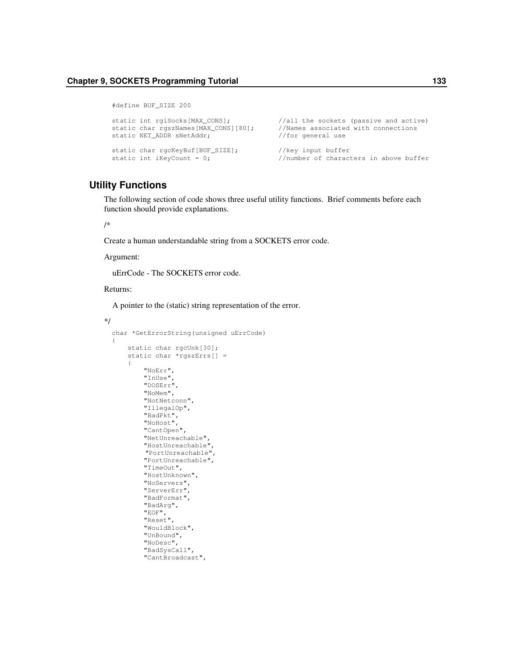```
#define BUF_SIZE 200
static int rgiSocks[MAX_CONS]; //all the sockets (passive and active)
static char rgszNames[MAX_CONS][80]; //Names associated with connections static NET_ADDR sNetAddr; //for general use
static NET_ADDR sNetAddr;
static char rgcKeyBuf[BUF_SIZE]; //key input buffer<br>static int iKeyCount = 0; //number of character//number of characters in above buffer
```
## **Utility Functions**

The following section of code shows three useful utility functions. Brief comments before each function should provide explanations.

#### /\*

Create a human understandable string from a SOCKETS error code.

Argument:

uErrCode - The SOCKETS error code.

#### Returns:

A pointer to the (static) string representation of the error.

```
*/
```

```
char *GetErrorString(unsigned uErrCode)
{
    static char rgcUnk[30];
    static char *rgszErrs[] =
    {
        "NoErr",
        "InUse",
        "DOSErr",
        "NoMem",
        "NotNetconn",
        "IllegalOp",
        "BadPkt",
        "NoHost",
        "CantOpen",
        "NetUnreachable",
        "HostUnreachable",
         "PortUnreachable",
        "PortUnreachable",
        "TimeOut",
        "HostUnknown",
        "NoServers",
        "ServerErr",
        "BadFormat",
        "BadArg",
        "EOF",
        "Reset",
        "WouldBlock",
        "UnBound",
        "NoDesc",
        "BadSysCall",
        "CantBroadcast",
```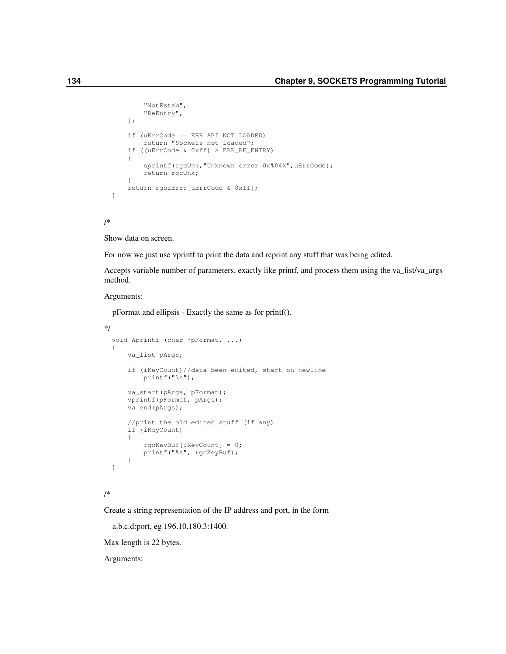```
"NotEstab",
    "ReEntry",
};
if (uErrCode == ERR_API_NOT_LOADED)
    return "Sockets not loaded";
if ((uErrCode & 0xff) > ERR_RE_ENTRY)
{
    sprintf(rgcUnk, "Unknown error 0x%04X", uErrCode);
    return rgcUnk;
}
return rgszErrs[uErrCode & 0xff];
```
/\*

}

Show data on screen.

For now we just use vprintf to print the data and reprint any stuff that was being edited.

Accepts variable number of parameters, exactly like printf, and process them using the va\_list/va\_args method.

#### Arguments:

pFormat and ellipsis - Exactly the same as for printf().

```
*/
 void Aprintf (char *pFormat, ...)
  {
      va_list pArgs;
      if (iKeyCount)//data been edited, start on newline
         printf("\n");
      va_start(pArgs, pFormat);
      vprintf(pFormat, pArgs);
      va_end(pArgs);
      //print the old edited stuff (if any)
      if (iKeyCount)
      {
          rgcKeyBuf[iKeyCount] = 0;
          printf("%s", rgcKeyBuf);
      }
  }
```

```
/*
```
Create a string representation of the IP address and port, in the form

a.b.c.d:port, eg 196.10.180.3:1400.

Max length is 22 bytes.

Arguments: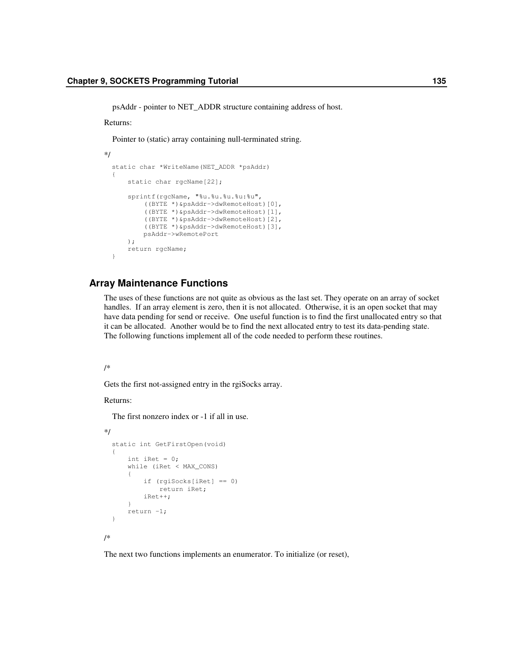psAddr - pointer to NET\_ADDR structure containing address of host.

#### Returns:

Pointer to (static) array containing null-terminated string.

```
*/
 static char *WriteName(NET_ADDR *psAddr)
  {
      static char rgcName[22];
      sprintf(rgcName, "%u.%u.%u.%u:%u",
          ((BYTE *)&psAddr->dwRemoteHost)[0],
          ((BYTE *)&psAddr->dwRemoteHost)[1],
          ((BYTE *)&psAddr->dwRemoteHost)[2],
          ((BYTE *)&psAddr->dwRemoteHost)[3],
          psAddr->wRemotePort
      );
      return rgcName;
  }
```
### **Array Maintenance Functions**

The uses of these functions are not quite as obvious as the last set. They operate on an array of socket handles. If an array element is zero, then it is not allocated. Otherwise, it is an open socket that may have data pending for send or receive. One useful function is to find the first unallocated entry so that it can be allocated. Another would be to find the next allocated entry to test its data-pending state. The following functions implement all of the code needed to perform these routines.

#### /\*

Gets the first not-assigned entry in the rgiSocks array.

Returns:

The first nonzero index or -1 if all in use.

```
*/
  static int GetFirstOpen(void)
  {
      int iRet = 0;
      while (iRet < MAX_CONS)
      {
          if (rgiSocks[iRet] == 0)
              return iRet;
          iRet++;
      }
      return -1;
  }
/*
```
The next two functions implements an enumerator. To initialize (or reset),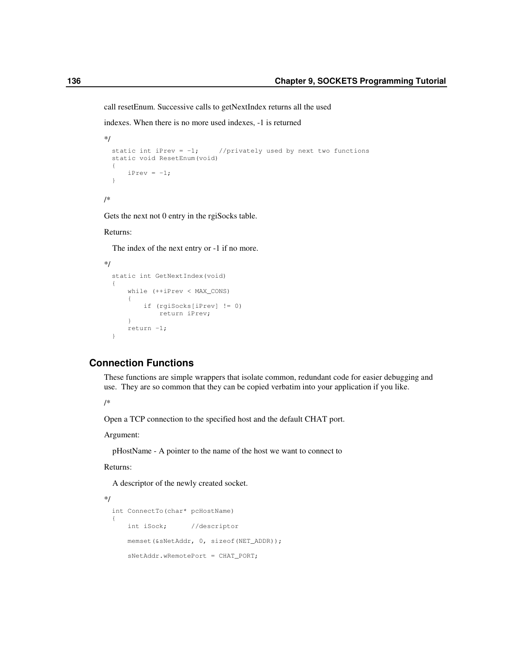call resetEnum. Successive calls to getNextIndex returns all the used

indexes. When there is no more used indexes, -1 is returned

```
*/
  static int iPrev = -1; //privately used by next two functions
  static void ResetEnum(void)
  {
      iPrev = -1;
  }
/*
```
Gets the next not 0 entry in the rgiSocks table.

### Returns:

The index of the next entry or -1 if no more.

```
*/
 static int GetNextIndex(void)
  {
      while (++iPrev < MAX_CONS)
      {
          if (rgiSocks[iPrev] != 0)
              return iPrev;
      }
      return -1;
  }
```
## **Connection Functions**

These functions are simple wrappers that isolate common, redundant code for easier debugging and use. They are so common that they can be copied verbatim into your application if you like.

/\*

Open a TCP connection to the specified host and the default CHAT port.

Argument:

pHostName - A pointer to the name of the host we want to connect to

Returns:

A descriptor of the newly created socket.

```
*/
 int ConnectTo(char* pcHostName)
  {
     int iSock; //descriptor
     memset(&sNetAddr, 0, sizeof(NET_ADDR));
     sNetAddr.wRemotePort = CHAT_PORT;
```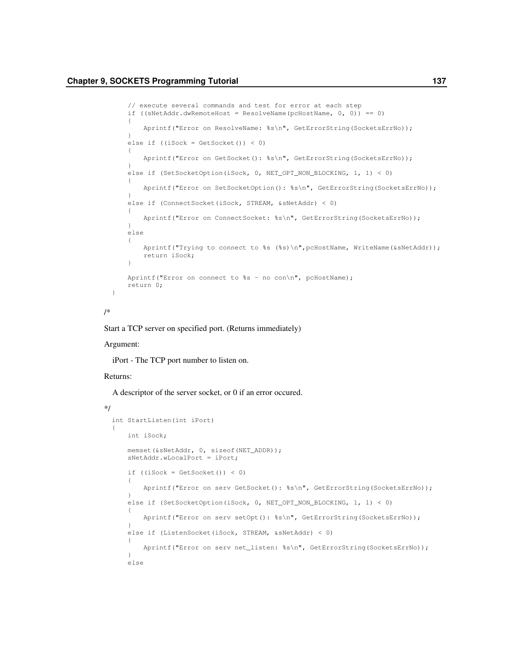```
// execute several commands and test for error at each step
if ((sNetAddr.dwRemoteHost = ResolveName(pcHostName, 0, 0)) == 0)
{
    Aprintf("Error on ResolveName: %s\n", GetErrorString(SocketsErrNo));
}
else if ((iSock = GetSocket()) < 0)
{
    Aprintf("Error on GetSocket(): %s\n", GetErrorString(SocketsErrNo));
}
else if (SetSocketOption(iSock, 0, NET_OPT_NON_BLOCKING, 1, 1) < 0)
{
    Aprintf("Error on SetSocketOption(): %s\n", GetErrorString(SocketsErrNo));
}
else if (ConnectSocket(iSock, STREAM, &sNetAddr) < 0)
{
    Aprintf("Error on ConnectSocket: %s\n", GetErrorString(SocketsErrNo));
}
else
{
    Aprintf("Trying to connect to %s (%s)\n", pcHostName, WriteName(&sNetAddr));
    return iSock;
}
Aprintf("Error on connect to %s - no con\n", pcHostName);
return 0;
```
/\*

}

Start a TCP server on specified port. (Returns immediately)

#### Argument:

iPort - The TCP port number to listen on.

#### Returns:

A descriptor of the server socket, or 0 if an error occured.

```
*/
 int StartListen(int iPort)
 {
     int iSock;
     memset(&sNetAddr, 0, sizeof(NET_ADDR));
     sNetAddr.wLocalPort = iPort;
      if ((iSock = GetSocket()) < 0)
      {
         Aprintf("Error on serv GetSocket(): %s\n", GetErrorString(SocketsErrNo));
      }
     else if (SetSocketOption(iSock, 0, NET_OPT_NON_BLOCKING, 1, 1) < 0)
      {
         Aprintf("Error on serv setOpt(): %s\n", GetErrorString(SocketsErrNo));
      }
     else if (ListenSocket(iSock, STREAM, &sNetAddr) < 0)
      {
         Aprintf("Error on serv net_listen: %s\n", GetErrorString(SocketsErrNo));
      }
     else
```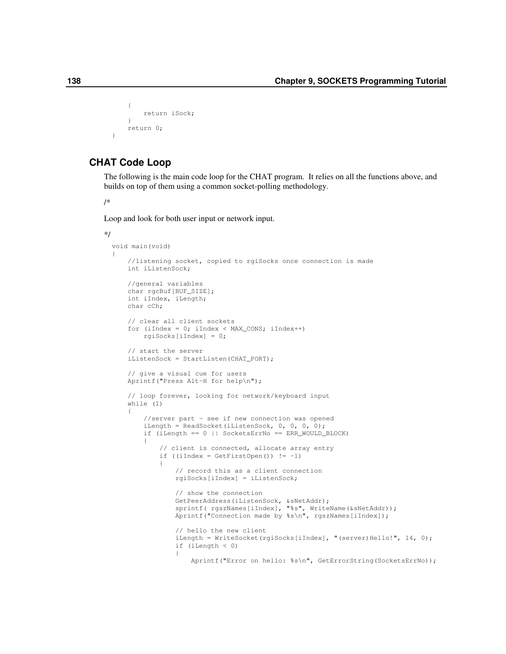```
{
    return iSock;
}
return 0;
```
# **CHAT Code Loop**

The following is the main code loop for the CHAT program. It relies on all the functions above, and builds on top of them using a common socket-polling methodology.

/\*

\*/

}

Loop and look for both user input or network input.

```
void main(void)
{
    //listening socket, copied to rgiSocks once connection is made
   int iListenSock;
    //general variables
   char rgcBuf[BUF_SIZE];
    int iIndex, iLength;
   char cCh;
    // clear all client sockets
   for (iIndex = 0; iIndex < MAX_CONS; iIndex++)
        rgiSocks[iIndex] = 0;
    // start the server
    iListenSock = StartListen(CHAT_PORT);
    // give a visual cue for users
   Aprintf("Press Alt-H for help\n");
    // loop forever, looking for network/keyboard input
   while (1)
    {
        //server part - see if new connection was opened
        iLength = ReadSocket(iListenSock, 0, 0, 0, 0);
        if (iLength == 0 || SocketsErrNo == ERR_WOULD_BLOCK)
        {
            // client is connected, allocate array entry
            if ((iIndex = GetFirstOpen()) := -1){
                // record this as a client connection
                rgiSocks[iIndex] = iListenSock;
                // show the connection
                GetPeerAddress(iListenSock, &sNetAddr);
                sprintf( rgszNames[iIndex], "%s", WriteName(&sNetAddr));
                Aprintf("Connection made by %s\n", rgszNames[iIndex]);
                // hello the new client
                iLength = WriteSocket(rgiSocks[iIndex], "(server)Hello!", 14, 0);
                if (iLength < 0)
                {
                    Aprintf("Error on hello: %s\n", GetErrorString(SocketsErrNo));
```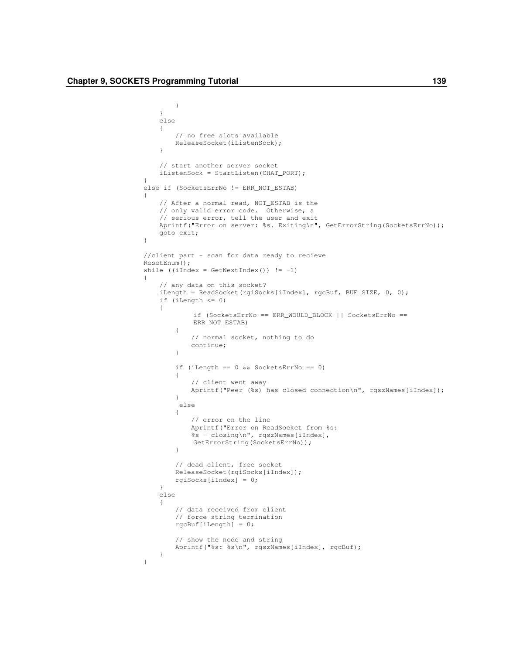}

```
}
    else
    {
        // no free slots available
       ReleaseSocket(iListenSock);
    }
    // start another server socket
    iListenSock = StartListen(CHAT_PORT);
}
else if (SocketsErrNo != ERR_NOT_ESTAB)
{
    // After a normal read, NOT_ESTAB is the
    // only valid error code. Otherwise, a
    // serious error, tell the user and exit
    Aprintf("Error on server: %s. Exiting\n", GetErrorString(SocketsErrNo));
    goto exit;
}
//client part – scan for data ready to recieve
ResetEnum();
while (iIndex = GetNextIndex()) != -1)
{
    // any data on this socket?
    iLength = ReadSocket(rgiSocks[iIndex], rgcBuf, BUF_SIZE, 0, 0);
    if (iLength <= 0)
    {
            if (SocketsErrNo == ERR_WOULD_BLOCK || SocketsErrNo ==
            ERR_NOT_ESTAB)
        {
            // normal socket, nothing to do
            continue;
        }
        if (iLength == 0 && SocketsErrNo == 0)
        {
            // client went away
            Aprintf("Peer (%s) has closed connection\n", rgszNames[iIndex]);
        }
         else
        {
            // error on the line
            Aprintf("Error on ReadSocket from %s:
            %s - closing\n", rgszNames[iIndex],
            GetErrorString(SocketsErrNo));
        }
        // dead client, free socket
        ReleaseSocket(rgiSocks[iIndex]);
        rgiSocks[iIndex] = 0;
    }
    else
    {
        // data received from client
        // force string termination
        rgcBuf[iLength] = 0;
        // show the node and string
        Aprintf("%s: %s\n", rgszNames[iIndex], rgcBuf);
    }
}
```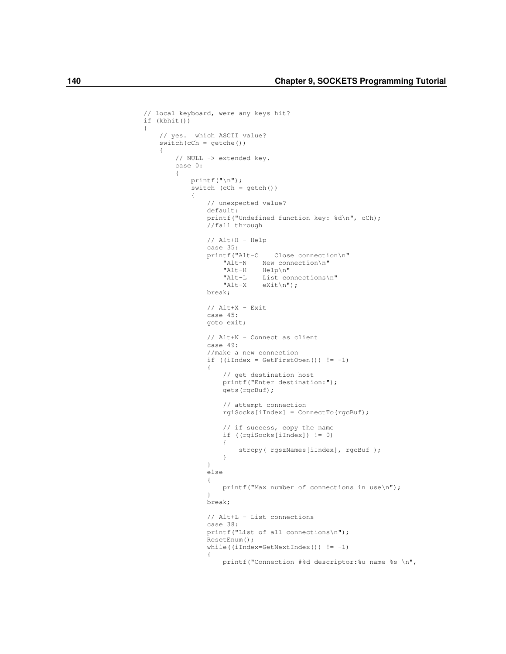```
// local keyboard, were any keys hit?
if (kbhit())
    // yes. which ASCII value?
    switch(cCh = getche())
    {
        // NULL -> extended key.
        case 0:
        {
            printf("\n");
            switch (cCh = getch())
            {
                // unexpected value?
                default:
                printf("Undefined function key: %d\n", cCh);
                //fall through
                // Alt+H - Help
                case 35:<br>printf("Alt-C
                                 Close connection\n"
                    "Alt-N New connection\n"
                     "Alt-H Help\n"
                    "Alt-L List connections\n"<br>"Alt-X eXit\n");
                             eXit\n\in");
                break;
                // Alt+X - Exit
                case 45:
                goto exit;
                // Alt+N – Connect as client
                case 49:
                //make a new connection
                if ((iIndex = GetFirstOpen()) != -1)
                 {
                    // get destination host
                    printf("Enter destination:");
                    gets(rgcBuf);
                    // attempt connection
                    rgiSocks[iIndex] = ConnectTo(rgcBuf);
                    // if success, copy the name
                    if ((rgiSocks[iIndex]) != 0)
                    {
                         strcpy( rgszNames[iIndex], rgcBuf );
                     }
                 }
                else
                 {
                    printf("Max number of connections in use\n");
                 }
                break;
                // Alt+L – List connections
                case 38:
                printf("List of all connections\n");
                ResetEnum();
                while((iIndex=GetNextIndex()) != -1)
                 {
                    printf("Connection #%d descriptor:%u name %s \n",
```
{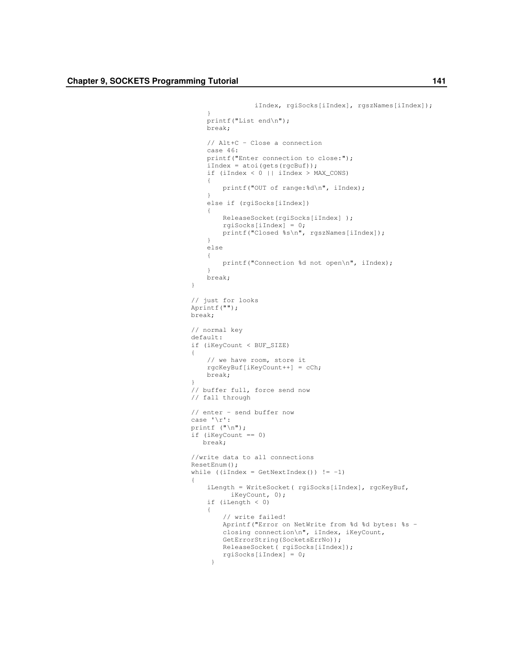}

{

}

{

```
iIndex, rgiSocks[iIndex], rgszNames[iIndex]);
    }
    printf("List end\n");
   break;
    // Alt+C – Close a connection
    case 46:
    printf("Enter connection to close:");
    iIndex = atoi(qets(rgcBuf));if (iIndex < 0 || iIndex > MAX_CONS)
    {
        printf("OUT of range:%d\n", iIndex);
    }
    else if (rgiSocks[iIndex])
    {
        ReleaseSocket(rgiSocks[iIndex] );
       rgiSocks[iIndex] = 0;
       printf("Closed %s\n", rgszNames[iIndex]);
    }
    else
    {
        printf("Connection %d not open\n", iIndex);
    }
    break;
// just for looks
Aprintf("");
break;
// normal key
default:
if (iKeyCount < BUF_SIZE)
   // we have room, store it
   rgcKeyBuf[iKeyCount++] = cCh;
   break;
// buffer full, force send now
// fall through
// enter – send buffer now
case '\r':
printf ("\n");
if (iKeyCount == 0)
  break;
//write data to all connections
ResetEnum();
while ((iIndex = GetNextIndex()) := -1)iLength = WriteSocket( rgiSocks[iIndex], rgcKeyBuf,
         iKeyCount, 0);
    if (iLength < 0)
    {
        // write failed!
        Aprintf("Error on NetWrite from %d %d bytes: %s –
        closing connection\n", iIndex, iKeyCount,
        GetErrorString(SocketsErrNo));
        ReleaseSocket( rgiSocks[iIndex]);
        rgiSocks[iIndex] = 0;
     }
```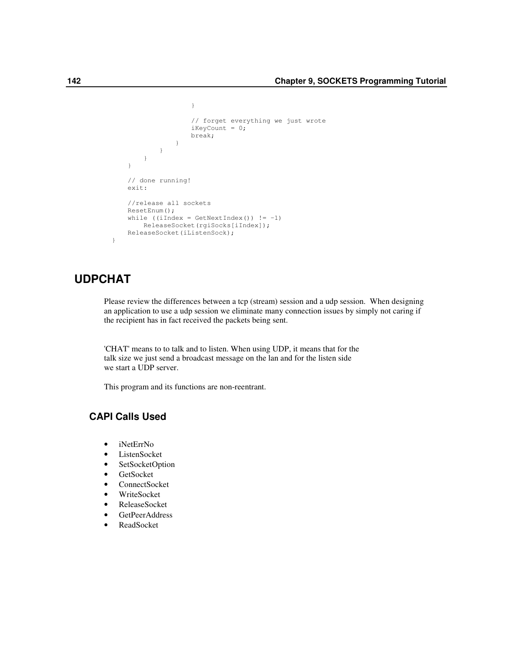```
}
                // forget everything we just wrote
                iKeyCount = 0;
                break;
            }
        }
    }
}
// done running!
exit:
//release all sockets
ResetEnum();
while ((iIndex = GetNextIndex()) != -1)
   ReleaseSocket(rgiSocks[iIndex]);
ReleaseSocket(iListenSock);
```
# **UDPCHAT**

}

Please review the differences between a tcp (stream) session and a udp session. When designing an application to use a udp session we eliminate many connection issues by simply not caring if the recipient has in fact received the packets being sent.

'CHAT' means to to talk and to listen. When using UDP, it means that for the talk size we just send a broadcast message on the lan and for the listen side we start a UDP server.

This program and its functions are non-reentrant.

# **CAPI Calls Used**

- iNetErrNo
- ListenSocket
- SetSocketOption
- GetSocket
- ConnectSocket
- WriteSocket
- ReleaseSocket
- GetPeerAddress
- ReadSocket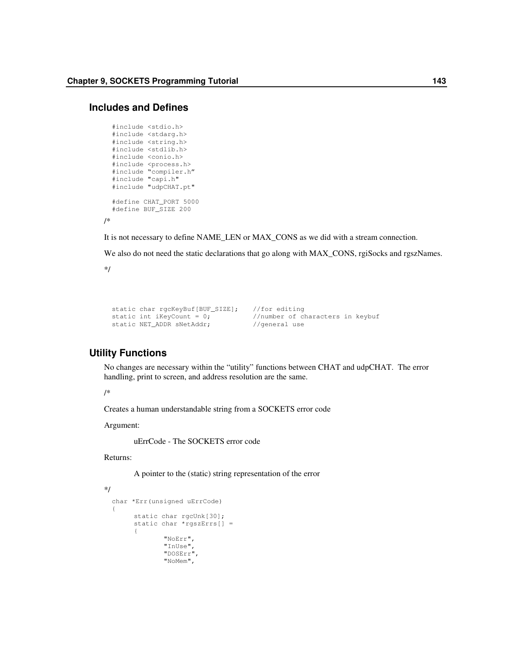#### **Includes and Defines**

```
#include <stdio.h>
#include <stdarg.h>
#include <string.h>
#include <stdlib.h>
#include <conio.h>
#include <process.h>
#include "compiler.h"
#include "capi.h"
#include "udpCHAT.pt"
#define CHAT_PORT 5000
#define BUF_SIZE 200
```
It is not necessary to define NAME\_LEN or MAX\_CONS as we did with a stream connection.

We also do not need the static declarations that go along with MAX\_CONS, rgiSocks and rgszNames.

\*/

/\*

```
static char rgcKeyBuf[BUF_SIZE]; //for editing
static int iKeyCount = 0; //number of characters in keybuf
static NET_ADDR sNetAddr; //general use
```
### **Utility Functions**

No changes are necessary within the "utility" functions between CHAT and udpCHAT. The error handling, print to screen, and address resolution are the same.

/\*

Creates a human understandable string from a SOCKETS error code

Argument:

uErrCode - The SOCKETS error code

Returns:

A pointer to the (static) string representation of the error

\*/

```
char *Err(unsigned uErrCode)
{
     static char rgcUnk[30];
     static char *rgszErrs[] =
      {
             "NoErr",
              "InUse",
              "DOSErr",
             "NoMem",
```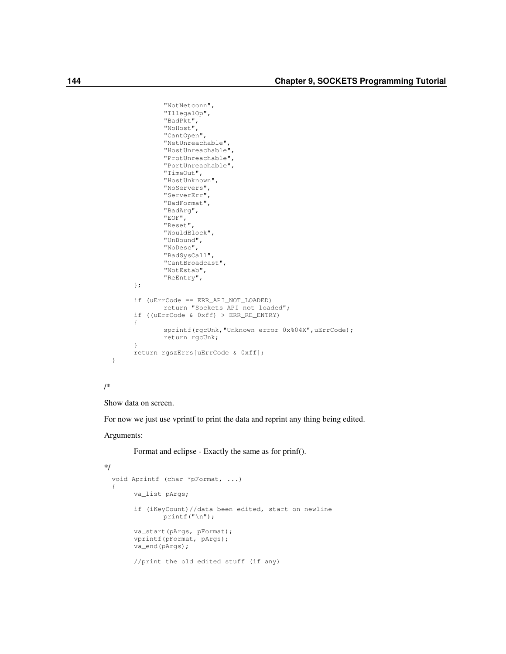```
"NotNetconn",
        "IllegalOp",
       "BadPkt",
       "NoHost",
        "CantOpen",
       "NetUnreachable",
       "HostUnreachable",
       "ProtUnreachable",
       "PortUnreachable",
       "TimeOut",
       "HostUnknown",
       "NoServers",
       "ServerErr",
       "BadFormat",
       "BadArg",
        "EOF",
        "Reset",
       "WouldBlock",
       "UnBound",
       "NoDesc",
       "BadSysCall",
       "CantBroadcast",
        "NotEstab",
       "ReEntry",
};
if (uErrCode == ERR_API_NOT_LOADED)
       return "Sockets API not loaded";
if ((uErrCode & 0xff) > ERR_RE_ENTRY)
{
       sprintf(rgcUnk, "Unknown error 0x%04X", uErrCode);
       return rgcUnk;
}
return rgszErrs[uErrCode & 0xff];
```
#### /\*

}

Show data on screen.

For now we just use vprintf to print the data and reprint any thing being edited.

#### Arguments:

Format and eclipse - Exactly the same as for prinf().

```
*/
```

```
void Aprintf (char *pFormat, ...)
{
     va_list pArgs;
     if (iKeyCount)//data been edited, start on newline
            printf("\n");
     va_start(pArgs, pFormat);
     vprintf(pFormat, pArgs);
     va_end(pArgs);
     //print the old edited stuff (if any)
```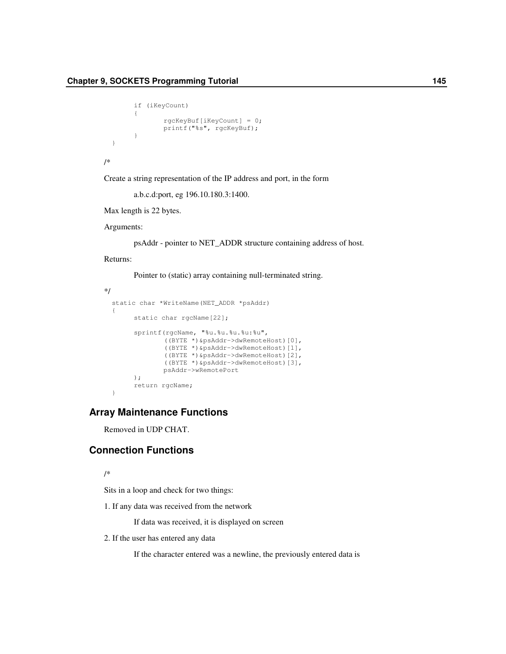```
if (iKeyCount)
{
       rgcKeyBuf[iKeyCount] = 0;
       printf("%s", rgcKeyBuf);
}
```
/\*

}

Create a string representation of the IP address and port, in the form

a.b.c.d:port, eg 196.10.180.3:1400.

Max length is 22 bytes.

Arguments:

psAddr - pointer to NET\_ADDR structure containing address of host.

Returns:

Pointer to (static) array containing null-terminated string.

```
*/
 static char *WriteName(NET_ADDR *psAddr)
 {
       static char rgcName[22];
       sprintf(rgcName, "%u.%u.%u.%u:%u",
               ((BYTE *)&psAddr->dwRemoteHost)[0],
               ((BYTE *)&psAddr->dwRemoteHost)[1],
               ((BYTE *)&psAddr->dwRemoteHost)[2],
               ((BYTE *)&psAddr->dwRemoteHost)[3],
               psAddr->wRemotePort
       );
       return rgcName;
  }
```
## **Array Maintenance Functions**

Removed in UDP CHAT.

# **Connection Functions**

/\*

Sits in a loop and check for two things:

1. If any data was received from the network

If data was received, it is displayed on screen

2. If the user has entered any data

If the character entered was a newline, the previously entered data is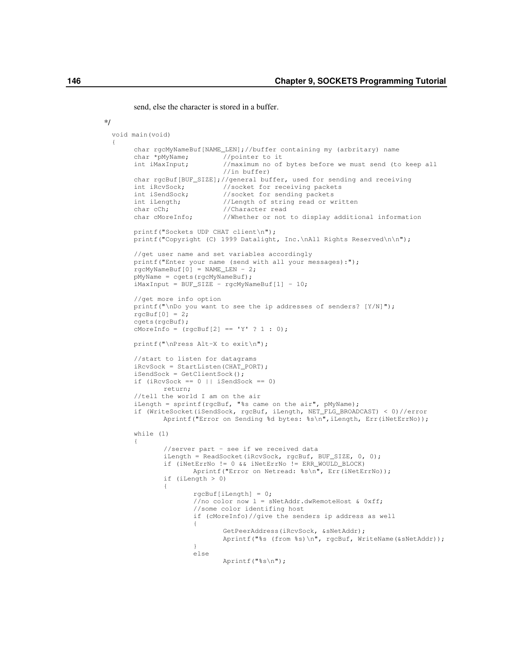send, else the character is stored in a buffer.

#### \*/

{

```
void main(void)
      char rgcMyNameBuf[NAME_LEN];//buffer containing my (arbritary) name
      char *pMyName; //pointer to it<br>int iMaxInput; //maximum no of
                             //maximum no of bytes before we must send (to keep all
                             //in buffer)
      char rgcBuf[BUF_SIZE];//general buffer, used for sending and receiving
      int iRcvSock; //socket for receiving packets<br>int iSendSock; //socket for sending packets
                             //socket for sending packets
      int iLength; //Length of string read or written<br>char cCh; //Character read
      char cCh;<br>
char correlation (//Whether or not
                             //Whether or not to display additional information
      printf("Sockets UDP CHAT client\n");
      printf("Copyright (C) 1999 Datalight, Inc.\nAll Rights Reserved\n\n");
      //get user name and set variables accordingly
      printf("Enter your name (send with all your messages):");
      rgcMyNameBuf[0] = NAME_LEN - 2;
      pMyName = cgets(rgcMyNameBuf);
      iMaxInput = BUF_SIZE - rgcMyNameBuf[1] - 10;
      //get more info option
      printf("\nDo you want to see the ip addresses of senders? [Y/N]");
      rgcBuf[0] = 2;cgets(rgcBuf);
      cMoreInfo = ( \text{rqcBuf}[2] == 'Y' ? 1 : 0);printf("\nPress Alt-X to exit\n");
      //start to listen for datagrams
      iRcvSock = StartListen(CHAT_PORT);
      iSendSock = GetClientSock();
      if (iRcvSock == 0 || iSendSock == 0)
             return;
      //tell the world I am on the air
      iLength = sprintf(rgcBuf, "%s came on the air", pMyName);
      if (WriteSocket(iSendSock, rgcBuf, iLength, NET_FLG_BROADCAST) < 0)//error
             Aprintf("Error on Sending %d bytes: %s\n", iLength, Err(iNetErrNo));
      while (1)
      {
              //server part - see if we received data
              iLength = ReadSocket(iRcvSock, rgcBuf, BUF_SIZE, 0, 0);
              if (iNetErrNo != 0 && iNetErrNo != ERR_WOULD_BLOCK)
                     Aprintf("Error on Netread: %s\n", Err(iNetErrNo));
              if (iLength > 0)
              {
                      rgcBuf[iLength] = 0;
                      //no color now l = sNetAddr.dwRemoteHost & 0xff;
                      //some color identifing host
                      if (cMoreInfo)//give the senders ip address as well
                      {
                              GetPeerAddress(iRcvSock, &sNetAddr);
                             Aprintf("%s (from %s)\n", rgcBuf, WriteName(&sNetAddr));
                      }
                      else
                             Aprintf("%s\n");
```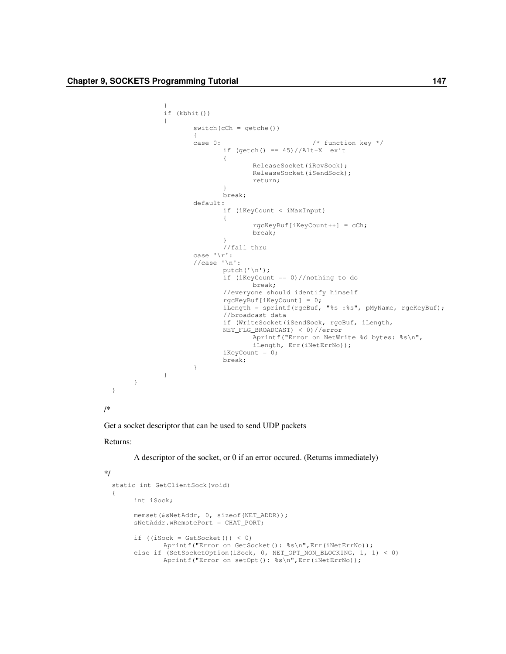```
}
               if (kbhit())
               {
                      switch(cCh = getche())
                      {
                      case 0: /* function key */
                              if (getch() == 45)//Alt-X exit
                              {
                                     ReleaseSocket(iRcvSock);
                                     ReleaseSocket(iSendSock);
                                     return;
                              }
                              break;
                      default:
                              if (iKeyCount < iMaxInput)
                              {
                                     rgcKeyBuf[iKeyCount++] = cCh;
                                     break;
                              }
                              //fall thru
                      case '\r':
                      //case '\\n':putch('\n');
                              if (iKeyCount == 0)//nothing to do
                                    break;
                              //everyone should identify himself
                              rgcKeyBuf[iKeyCount] = 0;
                              iLength = sprintf(rgcBuf, "%s :%s", pMyName, rgcKeyBuf);
                              //broadcast data
                              if (WriteSocket(iSendSock, rgcBuf, iLength,
                              NET_FLG_BROADCAST) < 0)//error
                                     Aprintf("Error on NetWrite %d bytes: %s\n",
                                     iLength, Err(iNetErrNo));
                              iKeyCount = 0;
                              break;
                      }
             \longrightarrow}
  }
/*
```
Get a socket descriptor that can be used to send UDP packets

#### Returns:

#### A descriptor of the socket, or 0 if an error occured. (Returns immediately)

```
*/
```

```
static int GetClientSock(void)
{
     int iSock;
     memset(&sNetAddr, 0, sizeof(NET_ADDR));
     sNetAddr.wRemotePort = CHAT_PORT;
     if (iSock = GetSocket()) < 0Aprintf("Error on GetSocket(): %s\n", Err(iNetErrNo));
     else if (SetSocketOption(iSock, 0, NET_OPT_NON_BLOCKING, 1, 1) < 0)
            Aprintf("Error on setOpt(): %s\n",Err(iNetErrNo));
```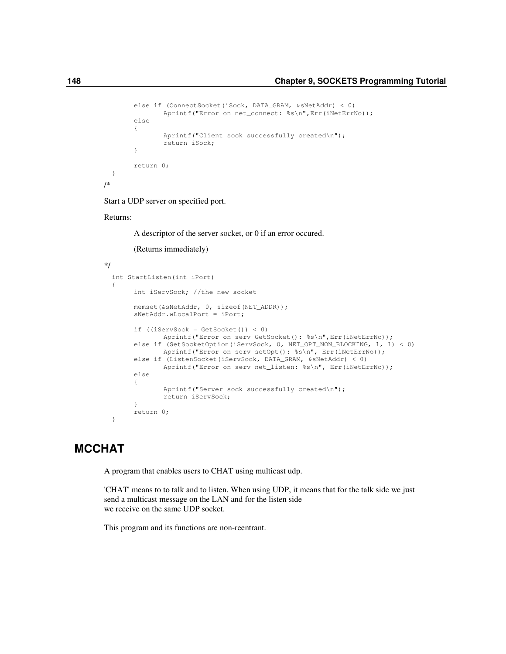```
else if (ConnectSocket(iSock, DATA_GRAM, &sNetAddr) < 0)
       Aprintf("Error on net_connect: %s\n", Err(iNetErrNo));
else
{
       Aprintf("Client sock successfully created\n");
       return iSock;
}
return 0;
```
Start a UDP server on specified port.

Returns:

} /\*

A descriptor of the server socket, or 0 if an error occured.

(Returns immediately)

```
*/
 int StartListen(int iPort)
  {
       int iServSock; //the new socket
       memset(&sNetAddr, 0, sizeof(NET_ADDR));
       sNetAddr.wLocalPort = iPort;
       if ((iServerSocket = GetSocket()) < 0)Aprintf("Error on serv GetSocket(): %s\n",Err(iNetErrNo));
       else if (SetSocketOption(iServSock, 0, NET_OPT_NON_BLOCKING, 1, 1) < 0)
               Aprintf("Error on serv setOpt(): %s\n", Err(iNetErrNo));
       else if (ListenSocket(iServSock, DATA_GRAM, &sNetAddr) < 0)
               Aprintf("Error on serv net_listen: %s\n", Err(iNetErrNo));
       else
       {
               Aprintf("Server sock successfully created\n");
               return iServSock;
       }
       return 0;
  }
```
# **MCCHAT**

A program that enables users to CHAT using multicast udp.

'CHAT' means to to talk and to listen. When using UDP, it means that for the talk side we just send a multicast message on the LAN and for the listen side we receive on the same UDP socket.

This program and its functions are non-reentrant.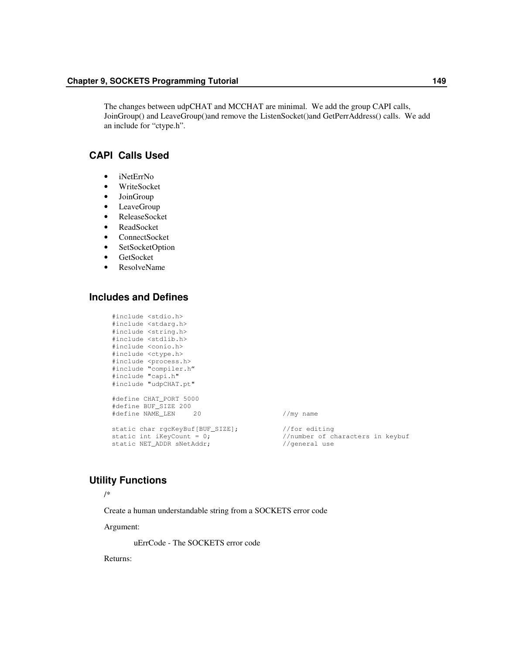The changes between udpCHAT and MCCHAT are minimal. We add the group CAPI calls, JoinGroup() and LeaveGroup()and remove the ListenSocket()and GetPerrAddress() calls. We add an include for "ctype.h".

# **CAPI Calls Used**

- iNetErrNo
- WriteSocket
- JoinGroup
- LeaveGroup
- ReleaseSocket
- ReadSocket
- ConnectSocket
- SetSocketOption
- GetSocket
- ResolveName

# **Includes and Defines**

```
#include <stdio.h>
#include <stdarg.h>
#include <string.h>
#include <stdlib.h>
#include <conio.h>
#include <ctype.h>
#include <process.h>
#include "compiler.h"
#include "capi.h"
#include "udpCHAT.pt"
#define CHAT_PORT 5000
#define BUF_SIZE 200
#define NAME_LEN 20 //my name
static char rgcKeyBuf[BUF_SIZE]; //for editing
static char rgcKeyBuf[BUF_SIZE];<br>static int iKeyCount = 0;<br>static NET_ADDR sNetAddr;<br>//general use<br>//general use
```
static int iKeyCount = 0;  $\sqrt{2}$  //number of characters in keybuf

## **Utility Functions**

/\*

Create a human understandable string from a SOCKETS error code

Argument:

uErrCode - The SOCKETS error code

Returns: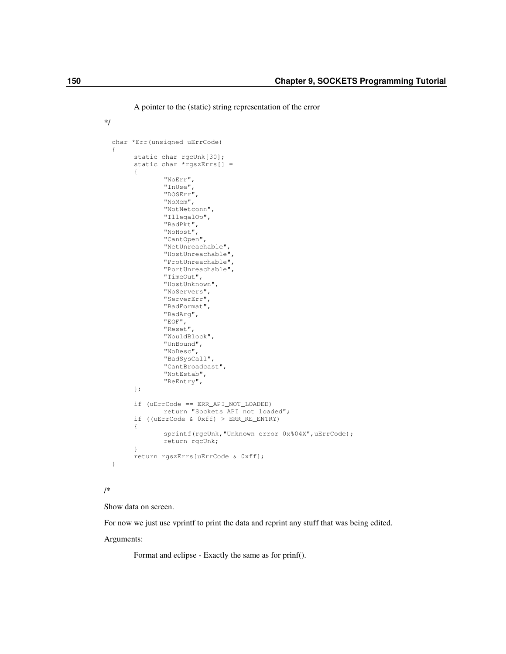A pointer to the (static) string representation of the error

```
*/
 char *Err(unsigned uErrCode)
 {
       static char rgcUnk[30];
       static char *rgszErrs[] =
        {
               "NoErr",
               "InUse",
               "DOSErr",
               "NoMem",
               "NotNetconn",
               "IllegalOp",
               "BadPkt",
               "NoHost",
               "CantOpen",
               "NetUnreachable",
               "HostUnreachable",
               "ProtUnreachable",
               "PortUnreachable",
               "TimeOut",
               "HostUnknown",
               "NoServers",
               "ServerErr",
               "BadFormat",
               "BadArg",
               "EOF",
               "Reset",
               "WouldBlock",
               "UnBound",
               "NoDesc",
               "BadSysCall",
               "CantBroadcast",
               "NotEstab",
               "ReEntry",
       };
       if (uErrCode == ERR_API_NOT_LOADED)
               return "Sockets API not loaded";
       if ((uErrCode & 0xff) > ERR_RE_ENTRY)
        {
               sprintf(rgcUnk, "Unknown error 0x%04X", uErrCode);
               return rgcUnk;
        }
       return rgszErrs[uErrCode & 0xff];
  }
```
### /\*

Show data on screen.

For now we just use vprintf to print the data and reprint any stuff that was being edited.

Arguments:

Format and eclipse - Exactly the same as for prinf().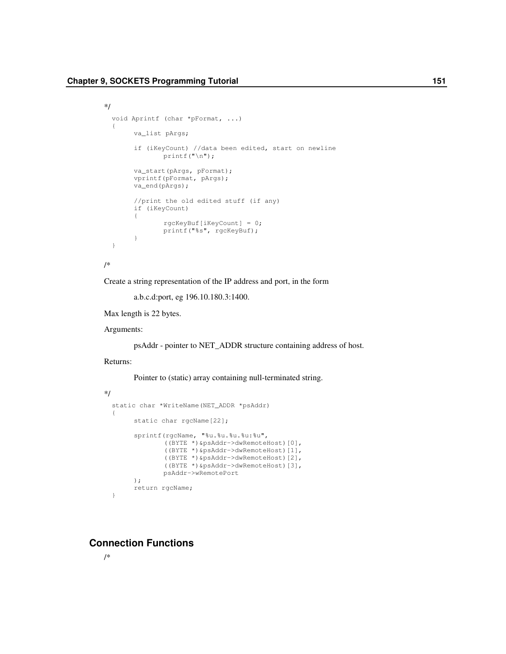```
*/
  void Aprintf (char *pFormat, ...)
  {
       va_list pArgs;
       if (iKeyCount) //data been edited, start on newline
               printf("\n");
       va_start(pArgs, pFormat);
       vprintf(pFormat, pArgs);
       va_end(pArgs);
       //print the old edited stuff (if any)
       if (iKeyCount)
       {
               rgcKeyBuf[iKeyCount] = 0;
               printf("%s", rgcKeyBuf);
       }
  }
/*
```
Create a string representation of the IP address and port, in the form

a.b.c.d:port, eg 196.10.180.3:1400.

Max length is 22 bytes.

Arguments:

psAddr - pointer to NET\_ADDR structure containing address of host.

#### Returns:

Pointer to (static) array containing null-terminated string.

```
*/
 static char *WriteName(NET_ADDR *psAddr)
  {
       static char rgcName[22];
       sprintf(rgcName, "%u.%u.%u.%u:%u",
               ((BYTE *)&psAddr->dwRemoteHost)[0],
               ((BYTE *)&psAddr->dwRemoteHost)[1],
               ((BYTE *)&psAddr->dwRemoteHost)[2],
               ((BYTE *)&psAddr->dwRemoteHost)[3],
               psAddr->wRemotePort
       );
       return rgcName;
  }
```
# **Connection Functions**

/\*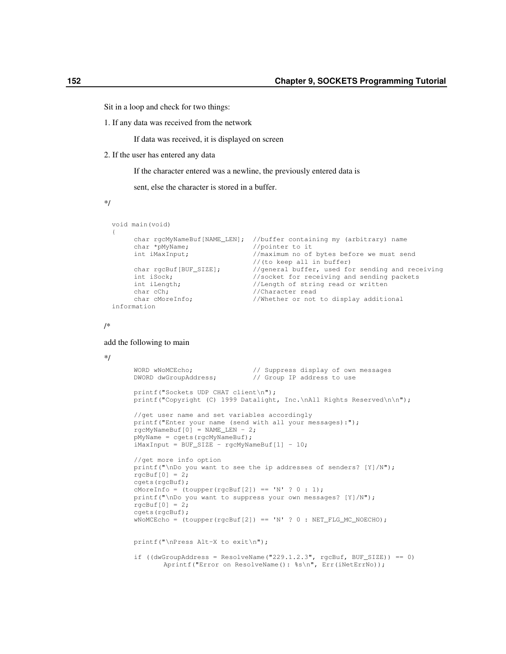Sit in a loop and check for two things:

1. If any data was received from the network

If data was received, it is displayed on screen

2. If the user has entered any data

If the character entered was a newline, the previously entered data is

sent, else the character is stored in a buffer.

\*/

```
void main(void)
{
      char rgcMyNameBuf[NAME_LEN]; //buffer containing my (arbitrary) name<br>char *pMyName; //pointer to it
      char *pMyName; <br>int iMaxInput; <br>//maximum no of
                                       //maximum no of bytes before we must send
                                       //(to keep all in buffer)
      char rgcBuf[BUF_SIZE]; //general buffer, used for sending and receiving<br>int iSock; //socket for receiving and sending packets
                                       //socket for receiving and sending packets
      int iLength; //Length of string read or written
      char cCh; \frac{1}{\text{Chapter 2}}//Whether or not to display additional
information
```
/\*

#### add the following to main

```
*/
```

```
WORD wNoMCEcho; \frac{1}{2} // Suppress display of own messages DWORD dwGroupAddress; \frac{1}{2} Group IP address to use
                               // Group IP address to use
printf("Sockets UDP CHAT client\n");
printf("Copyright (C) 1999 Datalight, Inc.\nAll Rights Reserved\n\n");
//get user name and set variables accordingly
printf("Enter your name (send with all your messages):");
rgcMyNameBuf[0] = NAME LEN - 2;
pMyName = cgets(rgcMyNameBuf);
iMaxInput = BUF_SIZE - rgcMyNameBuf[1] - 10;
//get more info option
printf("\nDo you want to see the ip addresses of senders? [Y]/N");
rgcBuf[0] = 2;cgets(rgcBuf);
cMoreInfo = (toupper(rgcBuf[2]) == 'N' ? 0 : 1);printf("\nDo you want to suppress your own messages? [Y]/N");
rgcBuf[0] = 2;cgets(rgcBuf);
WNOMCEcho = (toupper(rqcBuf[2]) == 'N' ? 0 : NET_FLG_MCECHO);printf("\nPress Alt-X to exit\n");
if ((dwGroupAddress = ResolveName("229.1.2.3", rgcBuf, BUF_SIZE)) == 0)
       Aprintf("Error on ResolveName(): %s\n", Err(iNetErrNo));
```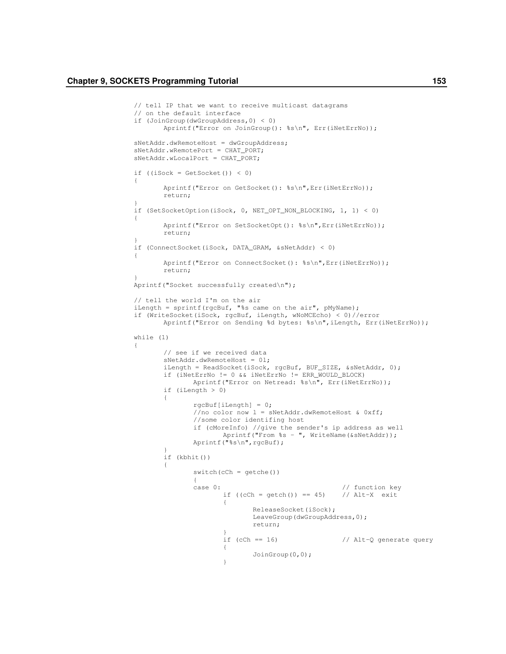}

}

{

}

{

```
// tell IP that we want to receive multicast datagrams
// on the default interface
if (JoinGroup(dwGroupAddress,0) < 0)
       Aprintf("Error on JoinGroup(): %s\n", Err(iNetErrNo));
sNetAddr.dwRemoteHost = dwGroupAddress;
sNetAddr.wRemotePort = CHAT_PORT;
sNetAddr.wLocalPort = CHAT_PORT;
if ((iSock = GetSocket()) < 0)
{
       Aprintf("Error on GetSocket(): %s\n",Err(iNetErrNo));
       return;
if (SetSocketOption(iSock, 0, NET_OPT_NON_BLOCKING, 1, 1) < 0)
{
       Aprintf("Error on SetSocketOpt(): %s\n", Err(iNetErrNo));
       return;
if (ConnectSocket(iSock, DATA_GRAM, &sNetAddr) < 0)
       Aprintf("Error on ConnectSocket(): %s\n", Err(iNetErrNo));
       return;
Aprintf("Socket successfully created\n");
// tell the world I'm on the air
iLength = sprintf(rgcBuf, "%s came on the air", pMyName);
if (WriteSocket(iSock, rgcBuf, iLength, wNoMCEcho) < 0)//error
       Aprintf("Error on Sending %d bytes: %s\n", iLength, Err(iNetErrNo));
while (1)
       // see if we received data
       sNetAddr.dwRemoteHost = 0l;
       iLength = ReadSocket(iSock, rgcBuf, BUF_SIZE, &sNetAddr, 0);
       if (iNetErrNo != 0 && iNetErrNo != ERR_WOULD_BLOCK)
               Aprintf("Error on Netread: %s\n", Err(iNetErrNo));
       if (iLength > 0)
       {
               rgcBuf[iLength] = 0;
               //no color now l = sNetAddr.dwRemoteHost & 0xff;
               //some color identifing host
               if (cMoreInfo) //give the sender's ip address as well
                      Aprintf("From %s - ", WriteName(&sNetAddr));
               Aprintf("%s\n",rgcBuf);
        }
       if (kbhit())
       {
               switch(cCh = getche())
               {
               case 0: \frac{1}{2} // function key<br>if ((cCh = getch()) == 45) // Alt-X exit
                       if ((cCh = getch()) == 45){
                              ReleaseSocket(iSock);
                              LeaveGroup(dwGroupAddress,0);
                              return;
                       }
                       if (cCh == 16) \frac{1}{2} // Alt-Q generate query
                       {
                              JoinGroup(0,0);
                       }
```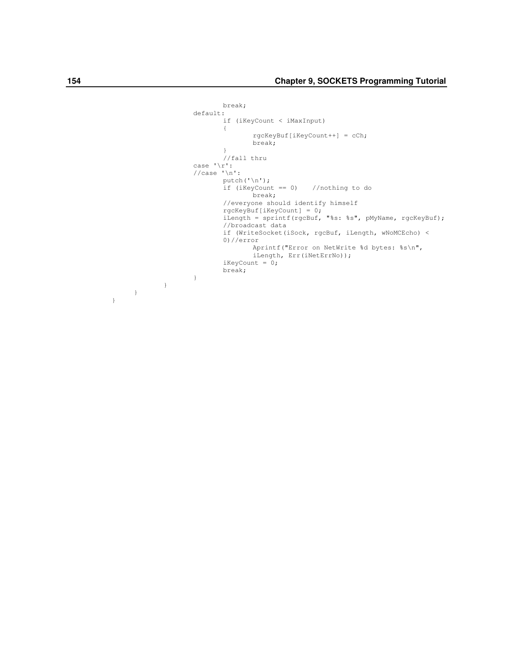```
break;
       default:
              if (iKeyCount < iMaxInput)
              {
                      rgcKeyBuf[iKeyCount++] = cCh;
                      break;
              }
              //fall thru
       case \sqrt{r}:
       //case '\n':
              putch('\n');
              if (iKeyCount == 0) //nothing to do
                     break;
              //everyone should identify himself
               rgcKeyBuf[iKeyCount] = 0;
               iLength = sprintf(rgcBuf, "%s: %s", pMyName, rgcKeyBuf);
              //broadcast data
              if (WriteSocket(iSock, rgcBuf, iLength, wNoMCEcho) <
              0)//error
                      Aprintf("Error on NetWrite %d bytes: %s\n",
                      iLength, Err(iNetErrNo));
              iKeyCount = 0;
              break;
       }
}
```
}

}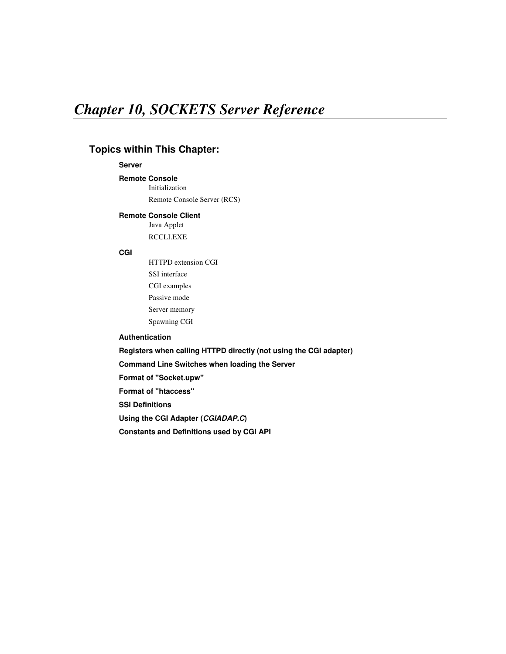# *Chapter 10, SOCKETS Server Reference*

# **Topics within This Chapter:**

## **Server**

# **Remote Console**

Initialization Remote Console Server (RCS)

#### **Remote Console Client**

Java Applet RCCLI.EXE

### **CGI**

HTTPD extension CGI SSI interface CGI examples Passive mode Server memory Spawning CGI

### **Authentication**

**Registers when calling HTTPD directly (not using the CGI adapter)**

**Command Line Switches when loading the Server**

**Format of "Socket.upw"**

**Format of "htaccess"**

**SSI Definitions**

**Using the CGI Adapter (***CGIADAP.C***)**

**Constants and Definitions used by CGI API**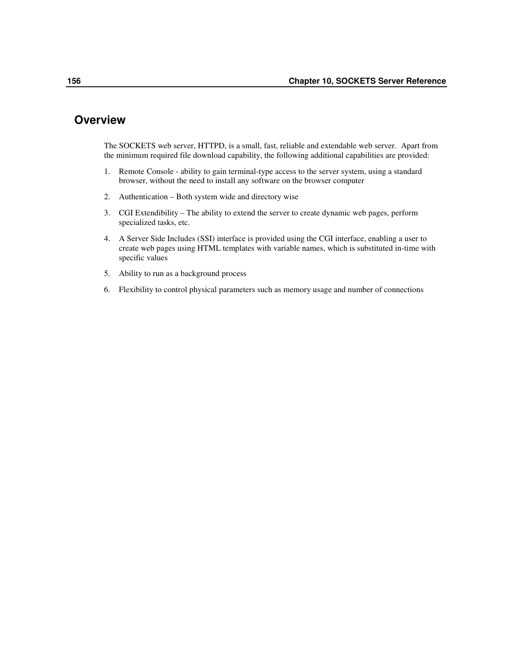# **Overview**

The SOCKETS web server, HTTPD, is a small, fast, reliable and extendable web server. Apart from the minimum required file download capability, the following additional capabilities are provided:

- 1. Remote Console ability to gain terminal-type access to the server system, using a standard browser, without the need to install any software on the browser computer
- 2. Authentication Both system wide and directory wise
- 3. CGI Extendibility The ability to extend the server to create dynamic web pages, perform specialized tasks, etc.
- 4. A Server Side Includes (SSI) interface is provided using the CGI interface, enabling a user to create web pages using HTML templates with variable names, which is substituted in-time with specific values
- 5. Ability to run as a background process
- 6. Flexibility to control physical parameters such as memory usage and number of connections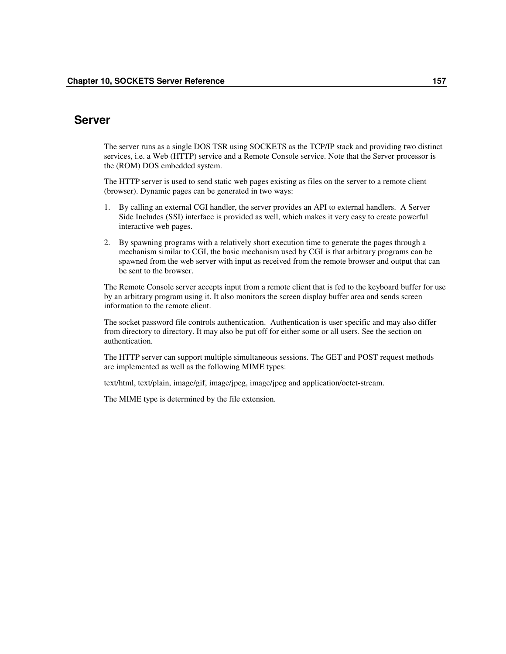# **Server**

The server runs as a single DOS TSR using SOCKETS as the TCP/IP stack and providing two distinct services, i.e. a Web (HTTP) service and a Remote Console service. Note that the Server processor is the (ROM) DOS embedded system.

The HTTP server is used to send static web pages existing as files on the server to a remote client (browser). Dynamic pages can be generated in two ways:

- 1. By calling an external CGI handler, the server provides an API to external handlers. A Server Side Includes (SSI) interface is provided as well, which makes it very easy to create powerful interactive web pages.
- 2. By spawning programs with a relatively short execution time to generate the pages through a mechanism similar to CGI, the basic mechanism used by CGI is that arbitrary programs can be spawned from the web server with input as received from the remote browser and output that can be sent to the browser.

The Remote Console server accepts input from a remote client that is fed to the keyboard buffer for use by an arbitrary program using it. It also monitors the screen display buffer area and sends screen information to the remote client.

The socket password file controls authentication. Authentication is user specific and may also differ from directory to directory. It may also be put off for either some or all users. See the section on authentication.

The HTTP server can support multiple simultaneous sessions. The GET and POST request methods are implemented as well as the following MIME types:

text/html, text/plain, image/gif, image/jpeg, image/jpeg and application/octet-stream.

The MIME type is determined by the file extension.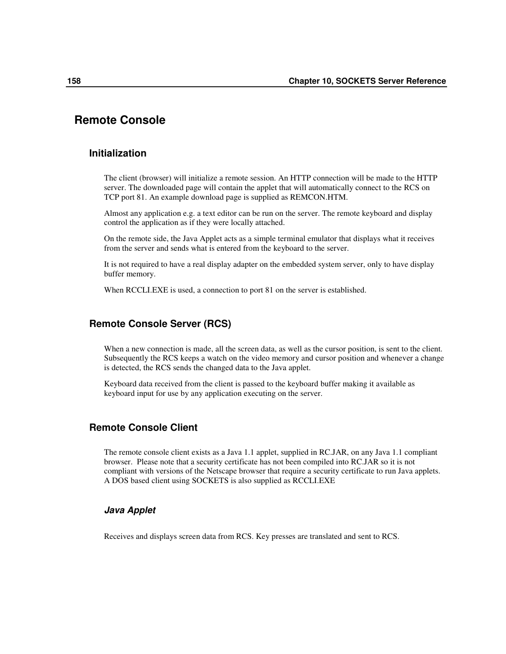# **Remote Console**

## **Initialization**

The client (browser) will initialize a remote session. An HTTP connection will be made to the HTTP server. The downloaded page will contain the applet that will automatically connect to the RCS on TCP port 81. An example download page is supplied as REMCON.HTM.

Almost any application e.g. a text editor can be run on the server. The remote keyboard and display control the application as if they were locally attached.

On the remote side, the Java Applet acts as a simple terminal emulator that displays what it receives from the server and sends what is entered from the keyboard to the server.

It is not required to have a real display adapter on the embedded system server, only to have display buffer memory.

When RCCLI.EXE is used, a connection to port 81 on the server is established.

## **Remote Console Server (RCS)**

When a new connection is made, all the screen data, as well as the cursor position, is sent to the client. Subsequently the RCS keeps a watch on the video memory and cursor position and whenever a change is detected, the RCS sends the changed data to the Java applet.

Keyboard data received from the client is passed to the keyboard buffer making it available as keyboard input for use by any application executing on the server.

# **Remote Console Client**

The remote console client exists as a Java 1.1 applet, supplied in RC.JAR, on any Java 1.1 compliant browser. Please note that a security certificate has not been compiled into RC.JAR so it is not compliant with versions of the Netscape browser that require a security certificate to run Java applets. A DOS based client using SOCKETS is also supplied as RCCLI.EXE

### *Java Applet*

Receives and displays screen data from RCS. Key presses are translated and sent to RCS.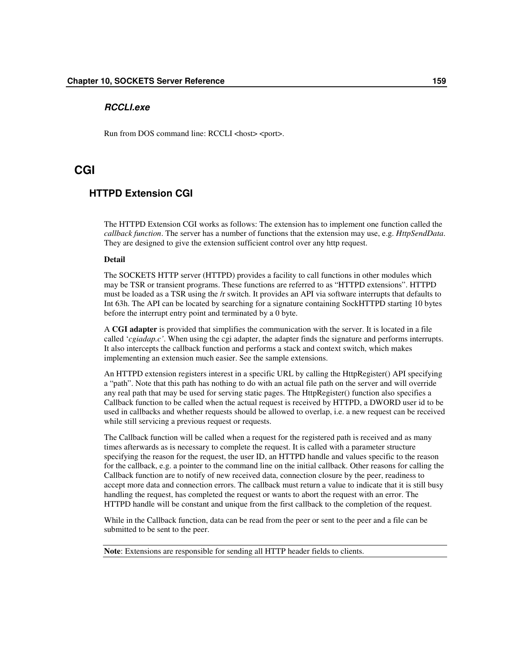### *RCCLI.exe*

Run from DOS command line: RCCLI <host> <port>.

# **CGI**

# **HTTPD Extension CGI**

The HTTPD Extension CGI works as follows: The extension has to implement one function called the *callback function*. The server has a number of functions that the extension may use, e.g. *HttpSendData*. They are designed to give the extension sufficient control over any http request.

#### **Detail**

The SOCKETS HTTP server (HTTPD) provides a facility to call functions in other modules which may be TSR or transient programs. These functions are referred to as "HTTPD extensions". HTTPD must be loaded as a TSR using the /r switch. It provides an API via software interrupts that defaults to Int 63h. The API can be located by searching for a signature containing SockHTTPD starting 10 bytes before the interrupt entry point and terminated by a 0 byte.

A **CGI adapter** is provided that simplifies the communication with the server. It is located in a file called '*cgiadap.c'*. When using the cgi adapter, the adapter finds the signature and performs interrupts. It also intercepts the callback function and performs a stack and context switch, which makes implementing an extension much easier. See the sample extensions.

An HTTPD extension registers interest in a specific URL by calling the HttpRegister() API specifying a "path". Note that this path has nothing to do with an actual file path on the server and will override any real path that may be used for serving static pages. The HttpRegister() function also specifies a Callback function to be called when the actual request is received by HTTPD, a DWORD user id to be used in callbacks and whether requests should be allowed to overlap, i.e. a new request can be received while still servicing a previous request or requests.

The Callback function will be called when a request for the registered path is received and as many times afterwards as is necessary to complete the request. It is called with a parameter structure specifying the reason for the request, the user ID, an HTTPD handle and values specific to the reason for the callback, e.g. a pointer to the command line on the initial callback. Other reasons for calling the Callback function are to notify of new received data, connection closure by the peer, readiness to accept more data and connection errors. The callback must return a value to indicate that it is still busy handling the request, has completed the request or wants to abort the request with an error. The HTTPD handle will be constant and unique from the first callback to the completion of the request.

While in the Callback function, data can be read from the peer or sent to the peer and a file can be submitted to be sent to the peer.

**Note**: Extensions are responsible for sending all HTTP header fields to clients.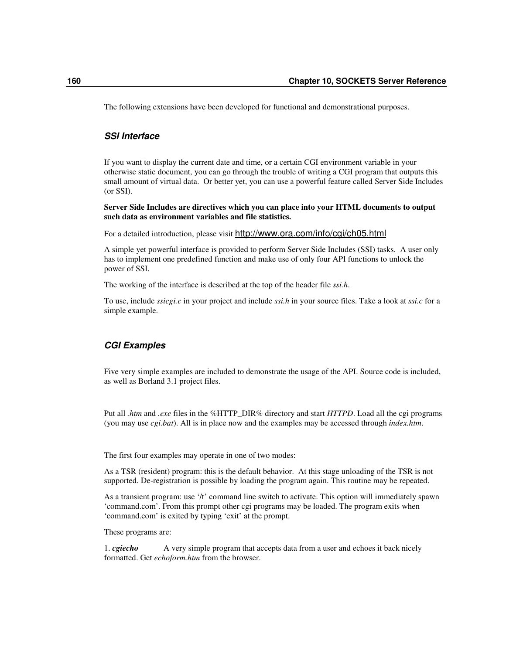The following extensions have been developed for functional and demonstrational purposes.

### *SSI Interface*

If you want to display the current date and time, or a certain CGI environment variable in your otherwise static document, you can go through the trouble of writing a CGI program that outputs this small amount of virtual data. Or better yet, you can use a powerful feature called Server Side Includes (or SSI).

**Server Side Includes are directives which you can place into your HTML documents to output such data as environment variables and file statistics.**

For a detailed introduction, please visit http://www.ora.com/info/cgi/ch05.html

A simple yet powerful interface is provided to perform Server Side Includes (SSI) tasks. A user only has to implement one predefined function and make use of only four API functions to unlock the power of SSI.

The working of the interface is described at the top of the header file *ssi.h*.

To use, include *ssicgi.c* in your project and include *ssi.h* in your source files. Take a look at *ssi.c* for a simple example.

### *CGI Examples*

Five very simple examples are included to demonstrate the usage of the API. Source code is included, as well as Borland 3.1 project files.

Put all *.htm* and *.exe* files in the %HTTP\_DIR% directory and start *HTTPD*. Load all the cgi programs (you may use *cgi.bat*). All is in place now and the examples may be accessed through *index.htm*.

The first four examples may operate in one of two modes:

As a TSR (resident) program: this is the default behavior. At this stage unloading of the TSR is not supported. De-registration is possible by loading the program again. This routine may be repeated.

As a transient program: use '/t' command line switch to activate. This option will immediately spawn 'command.com'. From this prompt other cgi programs may be loaded. The program exits when 'command.com' is exited by typing 'exit' at the prompt.

These programs are:

1. *cgiecho* A very simple program that accepts data from a user and echoes it back nicely formatted. Get *echoform.htm* from the browser.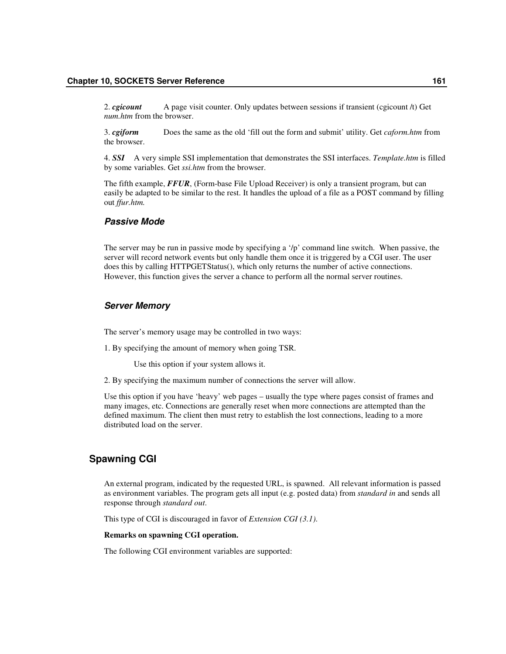2. *cgicount* A page visit counter. Only updates between sessions if transient (cgicount /t) Get *num.htm* from the browser.

3. *cgiform* Does the same as the old 'fill out the form and submit' utility. Get *caform.htm* from the browser.

4. *SSI* A very simple SSI implementation that demonstrates the SSI interfaces. *Template.htm* is filled by some variables. Get *ssi.htm* from the browser.

The fifth example, *FFUR*, (Form-base File Upload Receiver) is only a transient program, but can easily be adapted to be similar to the rest. It handles the upload of a file as a POST command by filling out *ffur.htm.*

#### *Passive Mode*

The server may be run in passive mode by specifying a '/p' command line switch. When passive, the server will record network events but only handle them once it is triggered by a CGI user. The user does this by calling HTTPGETStatus(), which only returns the number of active connections. However, this function gives the server a chance to perform all the normal server routines.

#### *Server Memory*

The server's memory usage may be controlled in two ways:

1. By specifying the amount of memory when going TSR.

Use this option if your system allows it.

2. By specifying the maximum number of connections the server will allow.

Use this option if you have 'heavy' web pages – usually the type where pages consist of frames and many images, etc. Connections are generally reset when more connections are attempted than the defined maximum. The client then must retry to establish the lost connections, leading to a more distributed load on the server.

### **Spawning CGI**

An external program, indicated by the requested URL, is spawned. All relevant information is passed as environment variables. The program gets all input (e.g. posted data) from *standard in* and sends all response through *standard out*.

This type of CGI is discouraged in favor of *Extension CGI (3.1)*.

#### **Remarks on spawning CGI operation.**

The following CGI environment variables are supported: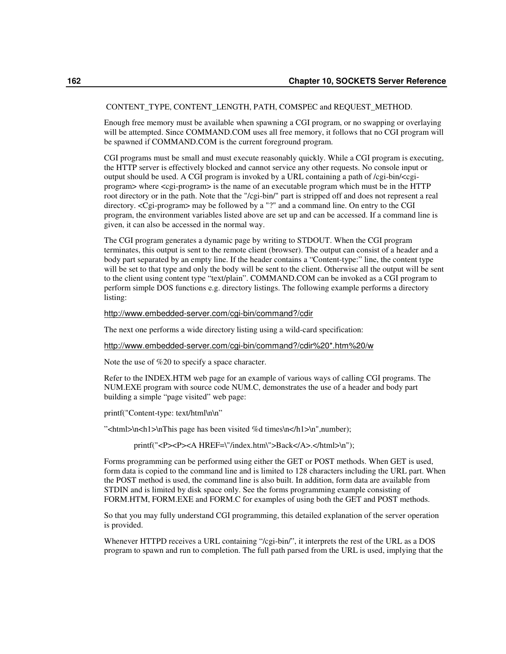#### CONTENT\_TYPE, CONTENT\_LENGTH, PATH, COMSPEC and REQUEST\_METHOD.

Enough free memory must be available when spawning a CGI program, or no swapping or overlaying will be attempted. Since COMMAND.COM uses all free memory, it follows that no CGI program will be spawned if COMMAND.COM is the current foreground program.

CGI programs must be small and must execute reasonably quickly. While a CGI program is executing, the HTTP server is effectively blocked and cannot service any other requests. No console input or output should be used. A CGI program is invoked by a URL containing a path of /cgi-bin/<cgiprogram> where <cgi-program> is the name of an executable program which must be in the HTTP root directory or in the path. Note that the "/cgi-bin/" part is stripped off and does not represent a real directory. <Cgi-program> may be followed by a "?" and a command line. On entry to the CGI program, the environment variables listed above are set up and can be accessed. If a command line is given, it can also be accessed in the normal way.

The CGI program generates a dynamic page by writing to STDOUT. When the CGI program terminates, this output is sent to the remote client (browser). The output can consist of a header and a body part separated by an empty line. If the header contains a "Content-type:" line, the content type will be set to that type and only the body will be sent to the client. Otherwise all the output will be sent to the client using content type "text/plain". COMMAND.COM can be invoked as a CGI program to perform simple DOS functions e.g. directory listings. The following example performs a directory listing:

#### http://www.embedded-server.com/cgi-bin/command?/cdir

The next one performs a wide directory listing using a wild-card specification:

#### http://www.embedded-server.com/cgi-bin/command?/cdir%20\*.htm%20/w

Note the use of %20 to specify a space character.

Refer to the INDEX.HTM web page for an example of various ways of calling CGI programs. The NUM.EXE program with source code NUM.C, demonstrates the use of a header and body part building a simple "page visited" web page:

printf("Content-type: text/html\n\n"

"<html>\n<h1>\nThis page has been visited %d times\n</h1>\n",number);

printf("<P><P><A HREF=\"/index.htm\">Back</A>.</html>\n");

Forms programming can be performed using either the GET or POST methods. When GET is used, form data is copied to the command line and is limited to 128 characters including the URL part. When the POST method is used, the command line is also built. In addition, form data are available from STDIN and is limited by disk space only. See the forms programming example consisting of FORM.HTM, FORM.EXE and FORM.C for examples of using both the GET and POST methods.

So that you may fully understand CGI programming, this detailed explanation of the server operation is provided.

Whenever HTTPD receives a URL containing "/cgi-bin/", it interprets the rest of the URL as a DOS program to spawn and run to completion. The full path parsed from the URL is used, implying that the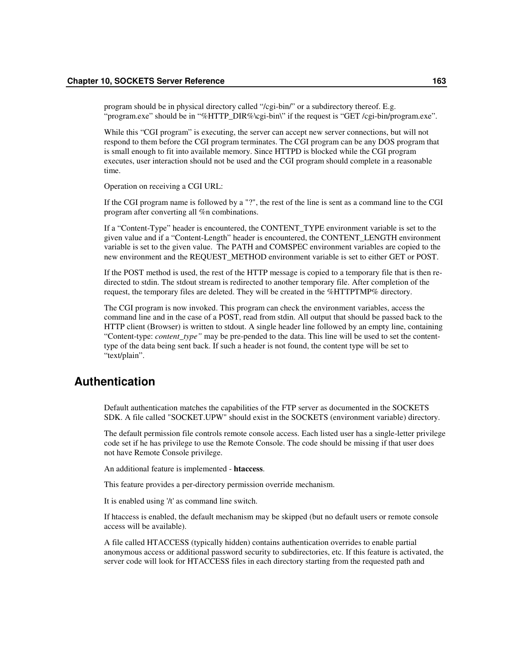program should be in physical directory called "/cgi-bin/" or a subdirectory thereof. E.g. "program.exe" should be in "%HTTP\_DIR%\cgi-bin\" if the request is "GET /cgi-bin/program.exe".

While this "CGI program" is executing, the server can accept new server connections, but will not respond to them before the CGI program terminates. The CGI program can be any DOS program that is small enough to fit into available memory. Since HTTPD is blocked while the CGI program executes, user interaction should not be used and the CGI program should complete in a reasonable time.

Operation on receiving a CGI URL:

If the CGI program name is followed by a "?", the rest of the line is sent as a command line to the CGI program after converting all %n combinations.

If a "Content-Type" header is encountered, the CONTENT\_TYPE environment variable is set to the given value and if a "Content-Length" header is encountered, the CONTENT\_LENGTH environment variable is set to the given value. The PATH and COMSPEC environment variables are copied to the new environment and the REQUEST\_METHOD environment variable is set to either GET or POST.

If the POST method is used, the rest of the HTTP message is copied to a temporary file that is then redirected to stdin. The stdout stream is redirected to another temporary file. After completion of the request, the temporary files are deleted. They will be created in the %HTTPTMP% directory.

The CGI program is now invoked. This program can check the environment variables, access the command line and in the case of a POST, read from stdin. All output that should be passed back to the HTTP client (Browser) is written to stdout. A single header line followed by an empty line, containing "Content-type: *content\_type"* may be pre-pended to the data. This line will be used to set the contenttype of the data being sent back. If such a header is not found, the content type will be set to "text/plain".

# **Authentication**

Default authentication matches the capabilities of the FTP server as documented in the SOCKETS SDK. A file called "SOCKET.UPW" should exist in the SOCKETS (environment variable) directory.

The default permission file controls remote console access. Each listed user has a single-letter privilege code set if he has privilege to use the Remote Console. The code should be missing if that user does not have Remote Console privilege.

An additional feature is implemented - **htaccess**.

This feature provides a per-directory permission override mechanism.

It is enabled using '/t' as command line switch.

If htaccess is enabled, the default mechanism may be skipped (but no default users or remote console access will be available).

A file called HTACCESS (typically hidden) contains authentication overrides to enable partial anonymous access or additional password security to subdirectories, etc. If this feature is activated, the server code will look for HTACCESS files in each directory starting from the requested path and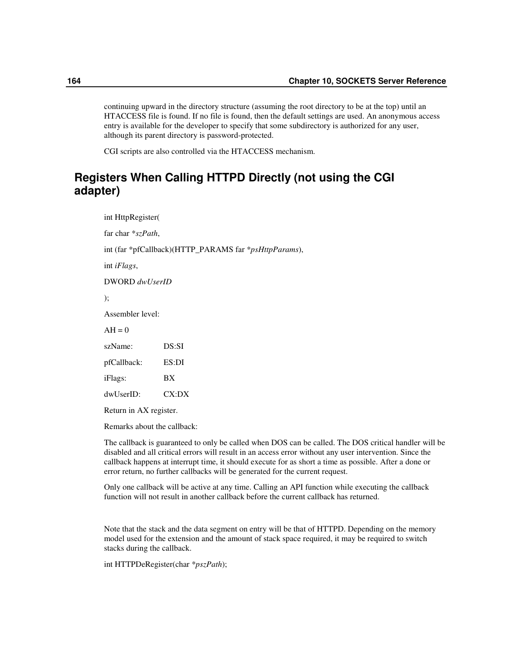continuing upward in the directory structure (assuming the root directory to be at the top) until an HTACCESS file is found. If no file is found, then the default settings are used. An anonymous access entry is available for the developer to specify that some subdirectory is authorized for any user, although its parent directory is password-protected.

CGI scripts are also controlled via the HTACCESS mechanism.

# **Registers When Calling HTTPD Directly (not using the CGI adapter)**

int HttpRegister( far char \**szPath*, int (far \*pfCallback)(HTTP\_PARAMS far \**psHttpParams*), int *iFlags*, DWORD *dwUserID* ); Assembler level:  $AH = 0$ szName: DS:SI pfCallback: ES:DI iFlags: BX dwUserID: CX:DX

Return in AX register.

Remarks about the callback:

The callback is guaranteed to only be called when DOS can be called. The DOS critical handler will be disabled and all critical errors will result in an access error without any user intervention. Since the callback happens at interrupt time, it should execute for as short a time as possible. After a done or error return, no further callbacks will be generated for the current request.

Only one callback will be active at any time. Calling an API function while executing the callback function will not result in another callback before the current callback has returned.

Note that the stack and the data segment on entry will be that of HTTPD. Depending on the memory model used for the extension and the amount of stack space required, it may be required to switch stacks during the callback.

int HTTPDeRegister(char \**pszPath*);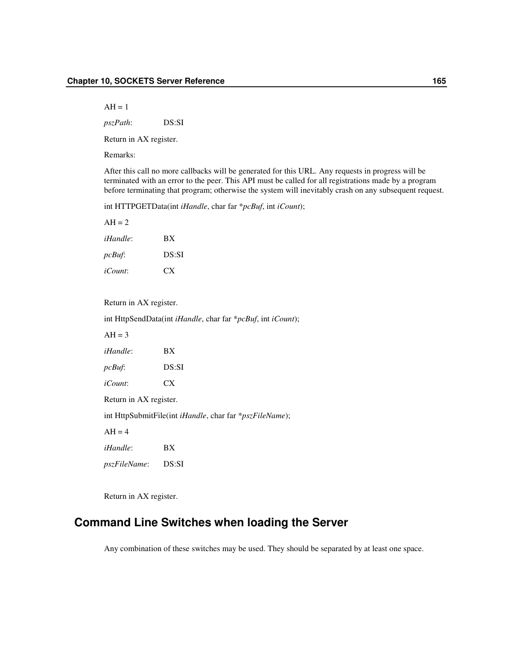$AH = 1$ 

*pszPath*: DS:SI

Return in AX register.

Remarks:

After this call no more callbacks will be generated for this URL. Any requests in progress will be terminated with an error to the peer. This API must be called for all registrations made by a program before terminating that program; otherwise the system will inevitably crash on any subsequent request.

int HTTPGETData(int *iHandle*, char far \**pcBuf*, int *iCount*);

| $AH = 2$          |       |
|-------------------|-------|
| <i>iHandle</i> :  | BX    |
| $pc$ <i>Buf</i> : | DS:SI |
| <i>iCount</i> :   | CX.   |

#### Return in AX register.

int HttpSendData(int *iHandle*, char far \**pcBuf*, int *iCount*);

 $AH = 3$ *iHandle*: BX *pcBuf*: DS:SI *iCount*: CX Return in AX register. int HttpSubmitFile(int *iHandle*, char far \**pszFileName*);  $AH = 4$ *iHandle*: BX *pszFileName*: DS:SI

Return in AX register.

# **Command Line Switches when loading the Server**

Any combination of these switches may be used. They should be separated by at least one space.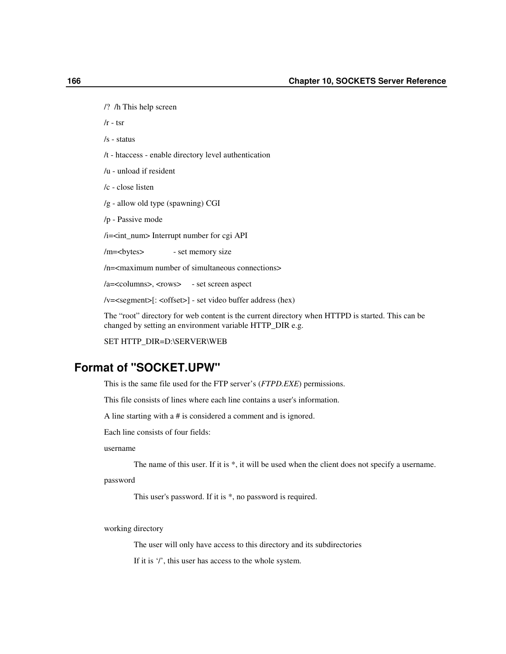/? /h This help screen

 $/r - tsr$ 

- /s status
- /t htaccess enable directory level authentication
- /u unload if resident
- /c close listen
- /g allow old type (spawning) CGI
- /p Passive mode

/i=<int\_num> Interrupt number for cgi API

/m=<br/>bytes> - set memory size

/n=<maximum number of simultaneous connections>

/a=<columns>, <rows> - set screen aspect

/v=<segment>[: <offset>] - set video buffer address (hex)

The "root" directory for web content is the current directory when HTTPD is started. This can be changed by setting an environment variable HTTP\_DIR e.g.

SET HTTP\_DIR=D:\SERVER\WEB

# **Format of "SOCKET.UPW"**

This is the same file used for the FTP server's (*FTPD.EXE*) permissions.

This file consists of lines where each line contains a user's information.

A line starting with a # is considered a comment and is ignored.

Each line consists of four fields:

#### username

The name of this user. If it is \*, it will be used when the client does not specify a username.

password

This user's password. If it is \*, no password is required.

working directory

The user will only have access to this directory and its subdirectories

If it is '/', this user has access to the whole system.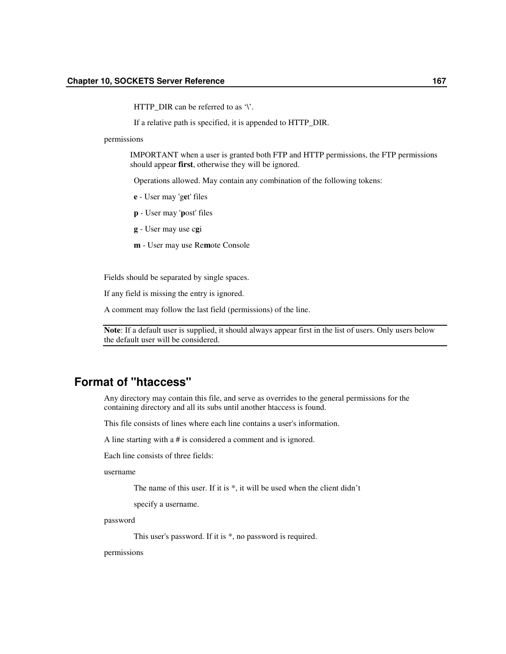HTTP DIR can be referred to as  $\mathcal{V}$ .

If a relative path is specified, it is appended to HTTP\_DIR.

permissions

IMPORTANT when a user is granted both FTP and HTTP permissions, the FTP permissions should appear **first**, otherwise they will be ignored.

Operations allowed. May contain any combination of the following tokens:

- **e** User may 'g**e**t' files
- **p** User may '**p**ost' files
- **g** User may use c**g**i
- **m** User may use Re**m**ote Console

Fields should be separated by single spaces.

If any field is missing the entry is ignored.

A comment may follow the last field (permissions) of the line.

**Note**: If a default user is supplied, it should always appear first in the list of users. Only users below the default user will be considered.

# **Format of "htaccess"**

Any directory may contain this file, and serve as overrides to the general permissions for the containing directory and all its subs until another htaccess is found.

This file consists of lines where each line contains a user's information.

A line starting with a # is considered a comment and is ignored.

Each line consists of three fields:

username

The name of this user. If it is \*, it will be used when the client didn't

specify a username.

password

This user's password. If it is \*, no password is required.

permissions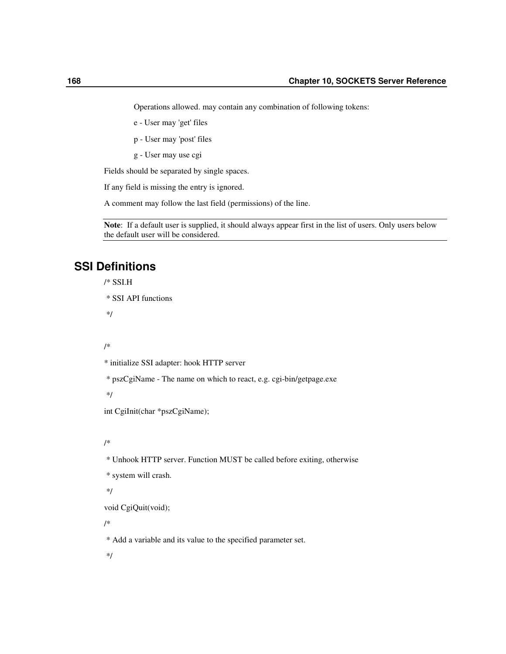Operations allowed. may contain any combination of following tokens:

e - User may 'get' files

p - User may 'post' files

g - User may use cgi

Fields should be separated by single spaces.

If any field is missing the entry is ignored.

A comment may follow the last field (permissions) of the line.

**Note**: If a default user is supplied, it should always appear first in the list of users. Only users below the default user will be considered.

# **SSI Definitions**

```
/* SSI.H
```

```
* SSI API functions
```
\*/

```
/*
```
\* initialize SSI adapter: hook HTTP server

\* pszCgiName - The name on which to react, e.g. cgi-bin/getpage.exe

\*/

int CgiInit(char \*pszCgiName);

/\*

\* Unhook HTTP server. Function MUST be called before exiting, otherwise

\* system will crash.

\*/

void CgiQuit(void);

/\*

\* Add a variable and its value to the specified parameter set.

\*/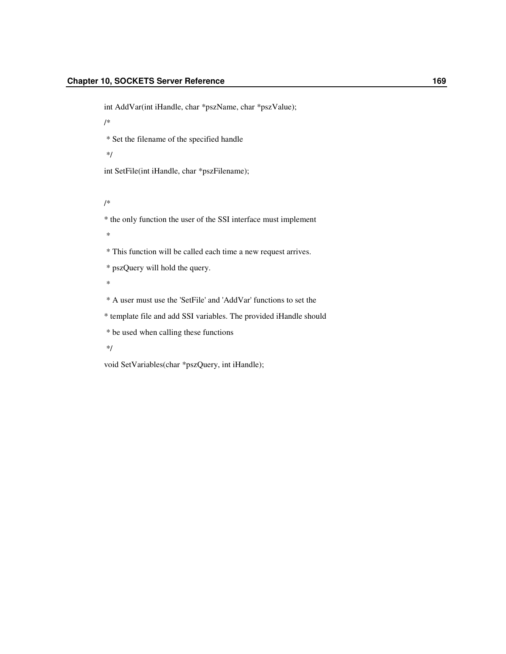int AddVar(int iHandle, char \*pszName, char \*pszValue);

/\*

\* Set the filename of the specified handle

\*/

int SetFile(int iHandle, char \*pszFilename);

/\*

\* the only function the user of the SSI interface must implement

\*

\* This function will be called each time a new request arrives.

\* pszQuery will hold the query.

\*

\* A user must use the 'SetFile' and 'AddVar' functions to set the

\* template file and add SSI variables. The provided iHandle should

\* be used when calling these functions

\*/

void SetVariables(char \*pszQuery, int iHandle);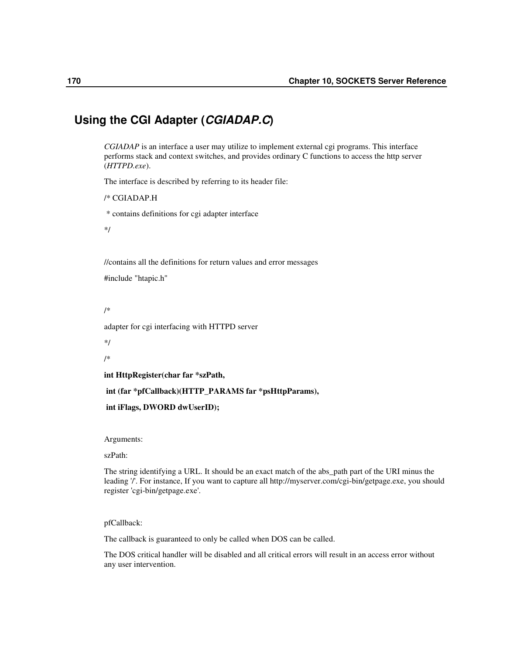# **Using the CGI Adapter (***CGIADAP.C***)**

*CGIADAP* is an interface a user may utilize to implement external cgi programs. This interface performs stack and context switches, and provides ordinary C functions to access the http server (*HTTPD.exe*).

The interface is described by referring to its header file:

```
/* CGIADAP.H
```
\* contains definitions for cgi adapter interface

\*/

//contains all the definitions for return values and error messages

#include "htapic.h"

/\*

adapter for cgi interfacing with HTTPD server

\*/

/\*

**int HttpRegister(char far \*szPath,**

**int (far \*pfCallback)(HTTP\_PARAMS far \*psHttpParams),**

```
int iFlags, DWORD dwUserID);
```
Arguments:

szPath:

The string identifying a URL. It should be an exact match of the abs\_path part of the URI minus the leading '/'. For instance, If you want to capture all http://myserver.com/cgi-bin/getpage.exe, you should register 'cgi-bin/getpage.exe'.

pfCallback:

The callback is guaranteed to only be called when DOS can be called.

The DOS critical handler will be disabled and all critical errors will result in an access error without any user intervention.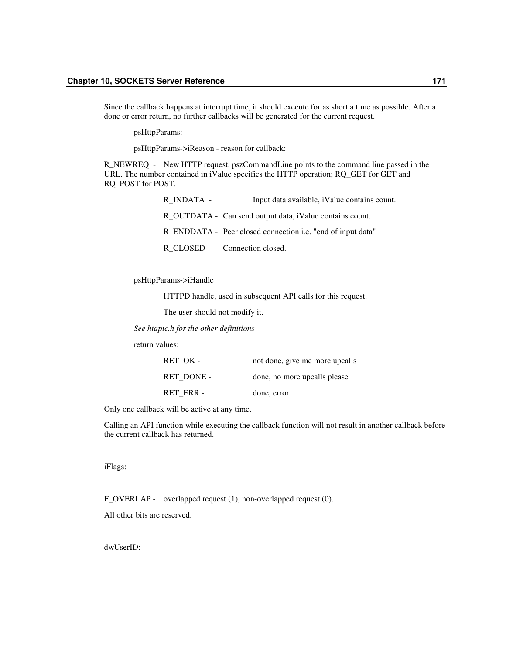Since the callback happens at interrupt time, it should execute for as short a time as possible. After a done or error return, no further callbacks will be generated for the current request.

psHttpParams:

psHttpParams->iReason - reason for callback:

R\_NEWREQ - New HTTP request. pszCommandLine points to the command line passed in the URL. The number contained in iValue specifies the HTTP operation; RQ\_GET for GET and RQ\_POST for POST.

| R INDATA - | Input data available, iValue contains count.                |
|------------|-------------------------------------------------------------|
|            | R OUTDATA - Can send output data, iValue contains count.    |
|            | R_ENDDATA - Peer closed connection i.e. "end of input data" |
|            | R CLOSED - Connection closed.                               |

psHttpParams->iHandle

HTTPD handle, used in subsequent API calls for this request.

The user should not modify it.

*See htapic.h for the other definitions*

return values:

| RET OK -   | not done, give me more upcalls |
|------------|--------------------------------|
| RET DONE - | done, no more upcalls please   |
| RET ERR -  | done, error                    |

Only one callback will be active at any time.

Calling an API function while executing the callback function will not result in another callback before the current callback has returned.

iFlags:

F\_OVERLAP - overlapped request (1), non-overlapped request (0).

All other bits are reserved.

dwUserID: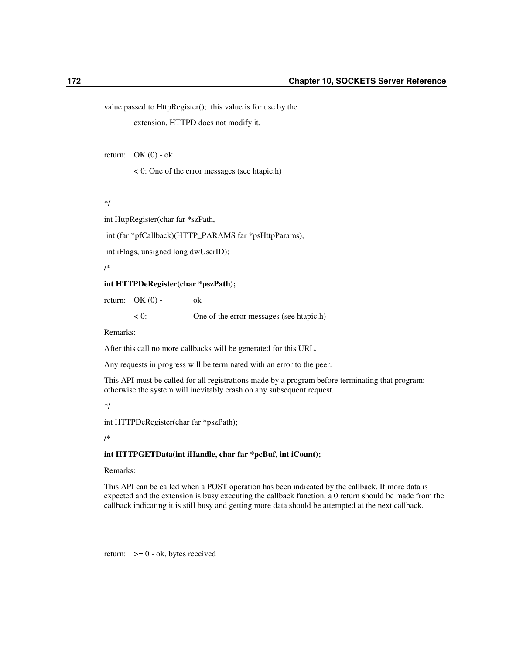value passed to HttpRegister(); this value is for use by the

extension, HTTPD does not modify it.

return:  $OK(0) - ok$ 

< 0: One of the error messages (see htapic.h)

\*/

int HttpRegister(char far \*szPath,

int (far \*pfCallback)(HTTP\_PARAMS far \*psHttpParams),

int iFlags, unsigned long dwUserID);

/\*

#### **int HTTPDeRegister(char \*pszPath);**

return:  $OK(0)$  - ok

< 0: - One of the error messages (see htapic.h)

Remarks:

After this call no more callbacks will be generated for this URL.

Any requests in progress will be terminated with an error to the peer.

This API must be called for all registrations made by a program before terminating that program; otherwise the system will inevitably crash on any subsequent request.

\*/

int HTTPDeRegister(char far \*pszPath);

/\*

#### **int HTTPGETData(int iHandle, char far \*pcBuf, int iCount);**

Remarks:

This API can be called when a POST operation has been indicated by the callback. If more data is expected and the extension is busy executing the callback function, a 0 return should be made from the callback indicating it is still busy and getting more data should be attempted at the next callback.

return:  $>= 0 - ok$ , bytes received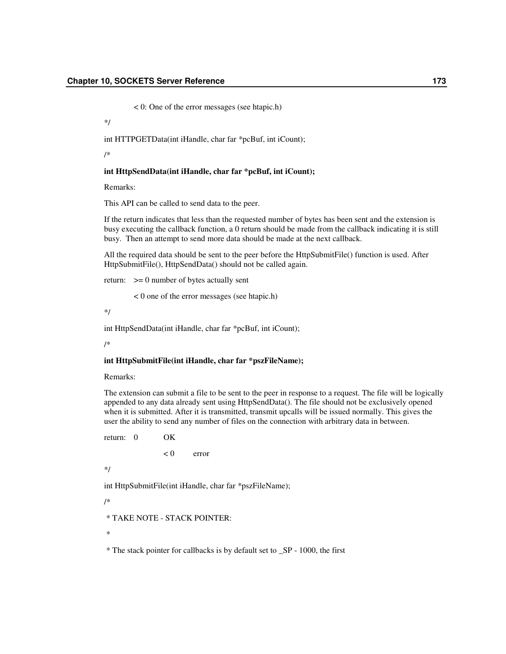< 0: One of the error messages (see htapic.h)

\*/

int HTTPGETData(int iHandle, char far \*pcBuf, int iCount);

/\*

#### **int HttpSendData(int iHandle, char far \*pcBuf, int iCount);**

Remarks:

This API can be called to send data to the peer.

If the return indicates that less than the requested number of bytes has been sent and the extension is busy executing the callback function, a 0 return should be made from the callback indicating it is still busy. Then an attempt to send more data should be made at the next callback.

All the required data should be sent to the peer before the HttpSubmitFile() function is used. After HttpSubmitFile(), HttpSendData() should not be called again.

return:  $>= 0$  number of bytes actually sent

< 0 one of the error messages (see htapic.h)

\*/

int HttpSendData(int iHandle, char far \*pcBuf, int iCount);

/\*

#### **int HttpSubmitFile(int iHandle, char far \*pszFileName);**

Remarks:

The extension can submit a file to be sent to the peer in response to a request. The file will be logically appended to any data already sent using HttpSendData(). The file should not be exclusively opened when it is submitted. After it is transmitted, transmit upcalls will be issued normally. This gives the user the ability to send any number of files on the connection with arbitrary data in between.

return: 0 OK  $< 0$  error \*/

int HttpSubmitFile(int iHandle, char far \*pszFileName);

/\*

\* TAKE NOTE - STACK POINTER:

\*

\* The stack pointer for callbacks is by default set to \_SP - 1000, the first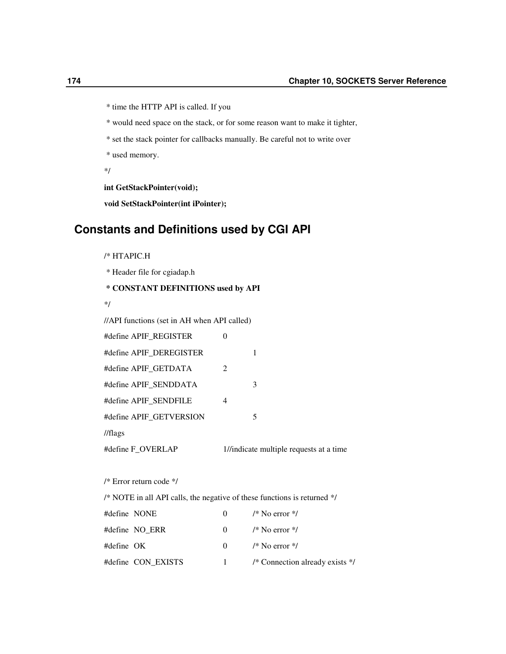- \* time the HTTP API is called. If you
- \* would need space on the stack, or for some reason want to make it tighter,
- \* set the stack pointer for callbacks manually. Be careful not to write over
- \* used memory.
- \*/

**int GetStackPointer(void);**

**void SetStackPointer(int iPointer);**

# **Constants and Definitions used by CGI API**

/\* HTAPIC.H \* Header file for cgiadap.h **\* CONSTANT DEFINITIONS used by API** \*/ //API functions (set in AH when API called) #define APIF\_REGISTER 0 #define APIF\_DEREGISTER 1 #define APIF\_GETDATA 2 #define APIF\_SENDDATA 3 #define APIF\_SENDFILE 4 #define APIF\_GETVERSION 5

//flags

#define F\_OVERLAP 1//indicate multiple requests at a time

/\* Error return code \*/

/\* NOTE in all API calls, the negative of these functions is returned \*/

| #define NONE |                    | $\Omega$     | $\frac{1}{8}$ No error $\frac{1}{8}$       |
|--------------|--------------------|--------------|--------------------------------------------|
|              | #define NO ERR     | $\mathbf{0}$ | /* No error $\frac{k}{2}$                  |
| #define OK   |                    | $\Omega$     | $\frac{1}{2}$ No error $\frac{1}{2}$       |
|              | #define CON EXISTS |              | /* Connection already exists $\frac{*}{ }$ |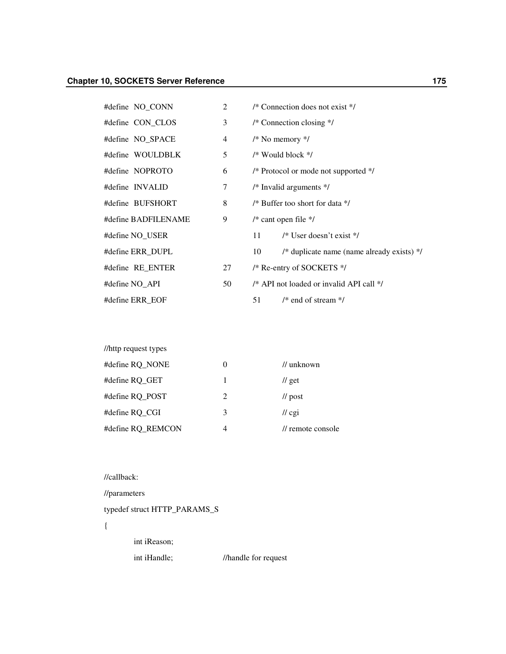| #define NO_CONN     | 2  | /* Connection does not exist $*/$                  |
|---------------------|----|----------------------------------------------------|
| #define CON_CLOS    | 3  | $/*$ Connection closing $*/$                       |
| #define NO_SPACE    | 4  | $/*$ No memory $*/$                                |
| #define WOULDBLK    | 5  | $/*$ Would block $*/$                              |
| #define NOPROTO     | 6  | /* Protocol or mode not supported */               |
| #define INVALID     | 7  | $/*$ Invalid arguments $*$ /                       |
| #define BUFSHORT    | 8  | /* Buffer too short for data */                    |
| #define BADFILENAME | 9  | /* cant open file $*/$                             |
| #define NO USER     |    | $/*$ User doesn't exist $*/$<br>11                 |
| #define ERR DUPL    |    | /* duplicate name (name already exists) $*/$<br>10 |
| #define RE_ENTER    | 27 | /* Re-entry of SOCKETS */                          |
| #define NO API      | 50 | /* API not loaded or invalid API call */           |
| #define ERR EOF     |    | $/*$ end of stream $*/$<br>51                      |

| //http request types |                |                           |
|----------------------|----------------|---------------------------|
| #define RQ_NONE      | 0              | // unknown                |
| #define RO GET       | 1              | $\frac{1}{\pi}$ get       |
| #define RO POST      | $\mathfrak{D}$ | $\frac{1}{\sqrt{2}}$ post |
| #define RO CGI       | 3              | $\pi$ cgi                 |
| #define RQ REMCON    | $\overline{4}$ | // remote console         |

## //callback:

//parameters

typedef struct HTTP\_PARAMS\_S

- {
- int iReason;
- int iHandle; //handle for request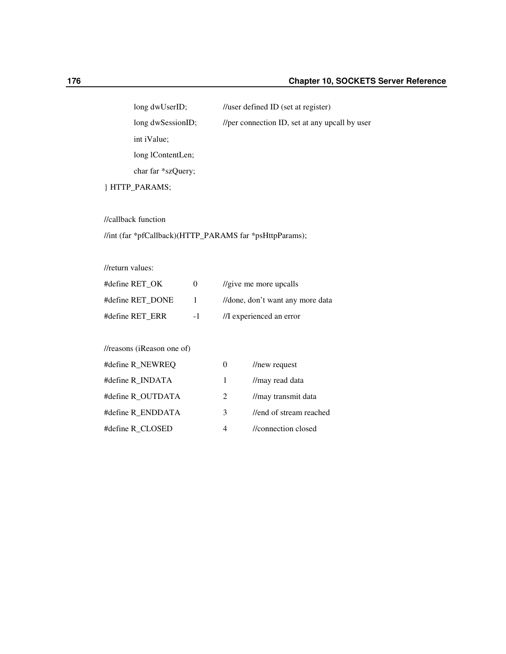long dwUserID; //user defined ID (set at register) long dwSessionID; //per connection ID, set at any upcall by user int iValue; long lContentLen; char far \*szQuery;

} HTTP\_PARAMS;

//callback function

### //int (far \*pfCallback)(HTTP\_PARAMS far \*psHttpParams);

//return values:

| #define RET OK   | $\mathbf{O}$ | $\frac{1}{2}$ ive me more upcalls |
|------------------|--------------|-----------------------------------|
| #define RET DONE | $\mathbf{I}$ | //done, don't want any more data  |
| #define RET ERR  | $-1$         | //I experienced an error          |

### //reasons (iReason one of)

| #define R_NEWREQ  | $_{0}$       | //new request               |
|-------------------|--------------|-----------------------------|
| #define R_INDATA  | $\mathbf{1}$ | //may read data             |
| #define R OUTDATA | 2            | //may transmit data         |
| #define R ENDDATA | 3            | //end of stream reached     |
| #define R CLOSED  | 4            | <i>l</i> /connection closed |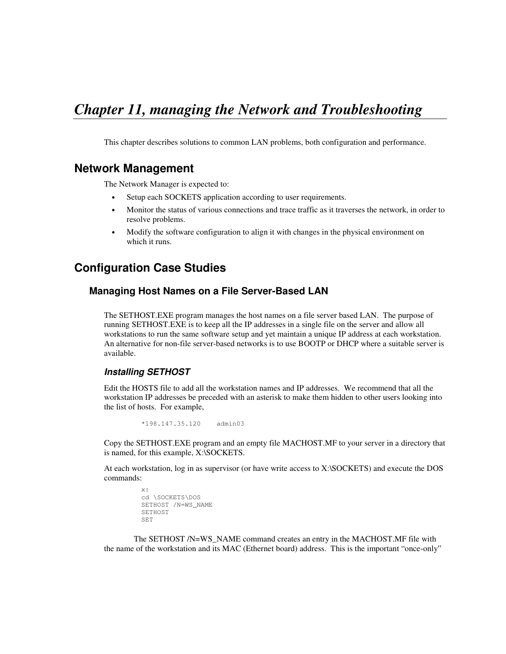# *Chapter 11, managing the Network and Troubleshooting*

This chapter describes solutions to common LAN problems, both configuration and performance.

# **Network Management**

The Network Manager is expected to:

- Setup each SOCKETS application according to user requirements.
- Monitor the status of various connections and trace traffic as it traverses the network, in order to resolve problems.
- Modify the software configuration to align it with changes in the physical environment on which it runs.

# **Configuration Case Studies**

# **Managing Host Names on a File Server-Based LAN**

The SETHOST.EXE program manages the host names on a file server based LAN. The purpose of running SETHOST.EXE is to keep all the IP addresses in a single file on the server and allow all workstations to run the same software setup and yet maintain a unique IP address at each workstation. An alternative for non-file server-based networks is to use BOOTP or DHCP where a suitable server is available.

# *Installing SETHOST*

Edit the HOSTS file to add all the workstation names and IP addresses. We recommend that all the workstation IP addresses be preceded with an asterisk to make them hidden to other users looking into the list of hosts. For example,

\*198.147.35.120 admin03

Copy the SETHOST.EXE program and an empty file MACHOST.MF to your server in a directory that is named, for this example, X:\SOCKETS.

At each workstation, log in as supervisor (or have write access to X:\SOCKETS) and execute the DOS commands:

```
x:
cd \SOCKETS\DOS
SETHOST /N=WS_NAME
SETHOST
SET
```
The SETHOST /N=WS\_NAME command creates an entry in the MACHOST.MF file with the name of the workstation and its MAC (Ethernet board) address. This is the important "once-only"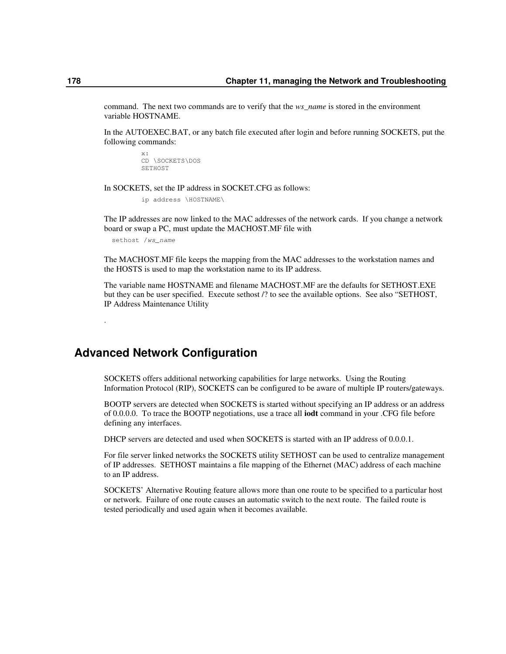command. The next two commands are to verify that the *ws\_name* is stored in the environment variable HOSTNAME.

In the AUTOEXEC.BAT, or any batch file executed after login and before running SOCKETS, put the following commands:

> x: CD \SOCKETS\DOS SETHOST

In SOCKETS, set the IP address in SOCKET.CFG as follows:

ip address \HOSTNAME\

The IP addresses are now linked to the MAC addresses of the network cards. If you change a network board or swap a PC, must update the MACHOST.MF file with

sethost /*ws\_name*

.

The MACHOST.MF file keeps the mapping from the MAC addresses to the workstation names and the HOSTS is used to map the workstation name to its IP address.

The variable name HOSTNAME and filename MACHOST.MF are the defaults for SETHOST.EXE but they can be user specified. Execute sethost /? to see the available options. See also "SETHOST, IP Address Maintenance Utility

**Advanced Network Configuration**

SOCKETS offers additional networking capabilities for large networks. Using the Routing Information Protocol (RIP), SOCKETS can be configured to be aware of multiple IP routers/gateways.

BOOTP servers are detected when SOCKETS is started without specifying an IP address or an address of 0.0.0.0. To trace the BOOTP negotiations, use a trace all **iodt** command in your .CFG file before defining any interfaces.

DHCP servers are detected and used when SOCKETS is started with an IP address of 0.0.0.1.

For file server linked networks the SOCKETS utility SETHOST can be used to centralize management of IP addresses. SETHOST maintains a file mapping of the Ethernet (MAC) address of each machine to an IP address.

SOCKETS' Alternative Routing feature allows more than one route to be specified to a particular host or network. Failure of one route causes an automatic switch to the next route. The failed route is tested periodically and used again when it becomes available.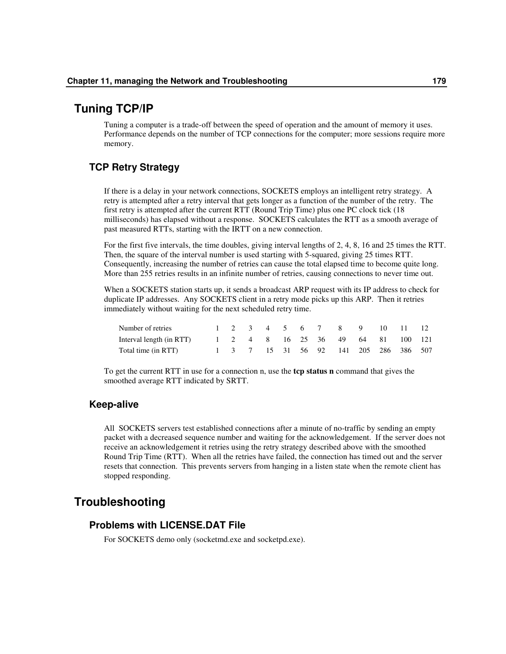# **Tuning TCP/IP**

Tuning a computer is a trade-off between the speed of operation and the amount of memory it uses. Performance depends on the number of TCP connections for the computer; more sessions require more memory.

# **TCP Retry Strategy**

If there is a delay in your network connections, SOCKETS employs an intelligent retry strategy. A retry is attempted after a retry interval that gets longer as a function of the number of the retry. The first retry is attempted after the current RTT (Round Trip Time) plus one PC clock tick (18 milliseconds) has elapsed without a response. SOCKETS calculates the RTT as a smooth average of past measured RTTs, starting with the IRTT on a new connection.

For the first five intervals, the time doubles, giving interval lengths of 2, 4, 8, 16 and 25 times the RTT. Then, the square of the interval number is used starting with 5-squared, giving 25 times RTT. Consequently, increasing the number of retries can cause the total elapsed time to become quite long. More than 255 retries results in an infinite number of retries, causing connections to never time out.

When a SOCKETS station starts up, it sends a broadcast ARP request with its IP address to check for duplicate IP addresses. Any SOCKETS client in a retry mode picks up this ARP. Then it retries immediately without waiting for the next scheduled retry time.

| Number of retries                                          |  |  |  |  |  | 1 2 3 4 5 6 7 8 9 10 11 12            |  |
|------------------------------------------------------------|--|--|--|--|--|---------------------------------------|--|
| Interval length (in RTT) 1 2 4 8 16 25 36 49 64 81 100 121 |  |  |  |  |  |                                       |  |
| Total time (in RTT)                                        |  |  |  |  |  | 1 3 7 15 31 56 92 141 205 286 386 507 |  |

To get the current RTT in use for a connection n, use the **tcp status n** command that gives the smoothed average RTT indicated by SRTT.

# **Keep-alive**

All SOCKETS servers test established connections after a minute of no-traffic by sending an empty packet with a decreased sequence number and waiting for the acknowledgement. If the server does not receive an acknowledgement it retries using the retry strategy described above with the smoothed Round Trip Time (RTT). When all the retries have failed, the connection has timed out and the server resets that connection. This prevents servers from hanging in a listen state when the remote client has stopped responding.

# **Troubleshooting**

# **Problems with LICENSE.DAT File**

For SOCKETS demo only (socketmd.exe and socketpd.exe).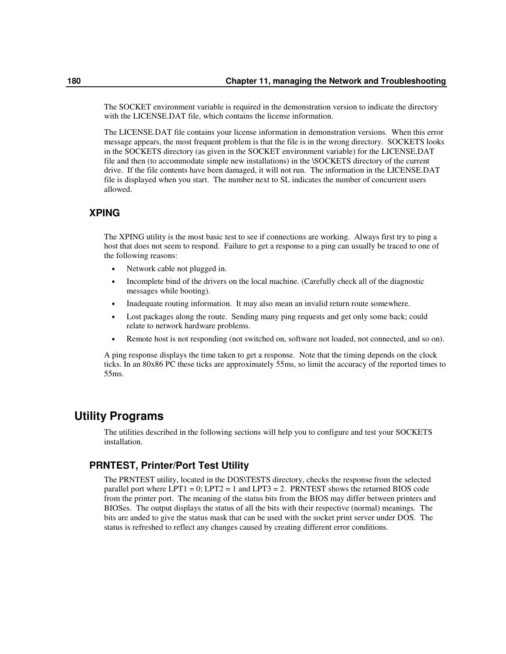The SOCKET environment variable is required in the demonstration version to indicate the directory with the LICENSE.DAT file, which contains the license information.

The LICENSE.DAT file contains your license information in demonstration versions. When this error message appears, the most frequent problem is that the file is in the wrong directory. SOCKETS looks in the SOCKETS directory (as given in the SOCKET environment variable) for the LICENSE.DAT file and then (to accommodate simple new installations) in the \SOCKETS directory of the current drive. If the file contents have been damaged, it will not run. The information in the LICENSE.DAT file is displayed when you start. The number next to SL indicates the number of concurrent users allowed.

# **XPING**

The XPING utility is the most basic test to see if connections are working. Always first try to ping a host that does not seem to respond. Failure to get a response to a ping can usually be traced to one of the following reasons:

- Network cable not plugged in.
- Incomplete bind of the drivers on the local machine. (Carefully check all of the diagnostic messages while booting).
- Inadequate routing information. It may also mean an invalid return route somewhere.
- Lost packages along the route. Sending many ping requests and get only some back; could relate to network hardware problems.
- Remote host is not responding (not switched on, software not loaded, not connected, and so on).

A ping response displays the time taken to get a response. Note that the timing depends on the clock ticks. In an 80x86 PC these ticks are approximately 55ms, so limit the accuracy of the reported times to 55ms.

# **Utility Programs**

The utilities described in the following sections will help you to configure and test your SOCKETS installation.

# **PRNTEST, Printer/Port Test Utility**

The PRNTEST utility, located in the DOS\TESTS directory, checks the response from the selected parallel port where  $LPT1 = 0$ ;  $LPT2 = 1$  and  $LPT3 = 2$ . PRNTEST shows the returned BIOS code from the printer port. The meaning of the status bits from the BIOS may differ between printers and BIOSes. The output displays the status of all the bits with their respective (normal) meanings. The bits are anded to give the status mask that can be used with the socket print server under DOS. The status is refreshed to reflect any changes caused by creating different error conditions.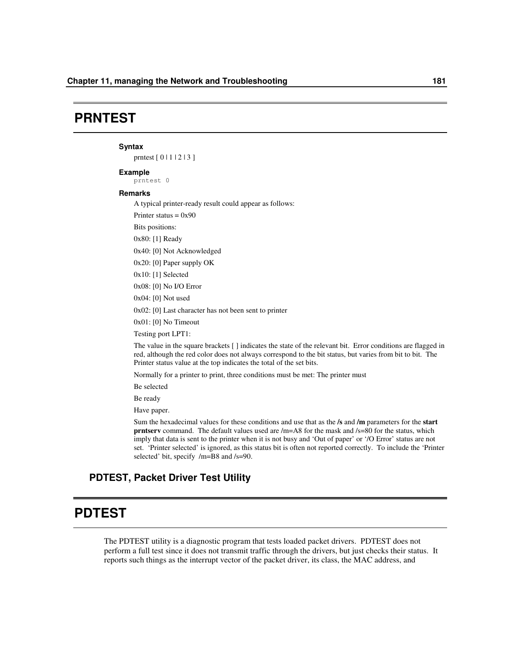# **PRNTEST**

#### **Syntax**

prntest [ 0 | 1 | 2 | 3 ]

#### **Example**

prntest 0

#### **Remarks**

A typical printer-ready result could appear as follows:

Printer status  $= 0x90$ 

Bits positions:

0x80: [1] Ready

0x40: [0] Not Acknowledged

0x20: [0] Paper supply OK

0x10: [1] Selected

0x08: [0] No I/O Error

0x04: [0] Not used

0x02: [0] Last character has not been sent to printer

0x01: [0] No Timeout

Testing port LPT1:

The value in the square brackets [ ] indicates the state of the relevant bit. Error conditions are flagged in red, although the red color does not always correspond to the bit status, but varies from bit to bit. The Printer status value at the top indicates the total of the set bits.

Normally for a printer to print, three conditions must be met: The printer must

Be selected

Be ready

Have paper.

Sum the hexadecimal values for these conditions and use that as the **/s** and **/m** parameters for the **start prntserv** command. The default values used are  $/m=$ A8 for the mask and  $/s=80$  for the status, which imply that data is sent to the printer when it is not busy and 'Out of paper' or '/O Error' status are not set. 'Printer selected' is ignored, as this status bit is often not reported correctly. To include the 'Printer selected' bit, specify /m=B8 and /s=90.

# **PDTEST, Packet Driver Test Utility**

# **PDTEST**

The PDTEST utility is a diagnostic program that tests loaded packet drivers. PDTEST does not perform a full test since it does not transmit traffic through the drivers, but just checks their status. It reports such things as the interrupt vector of the packet driver, its class, the MAC address, and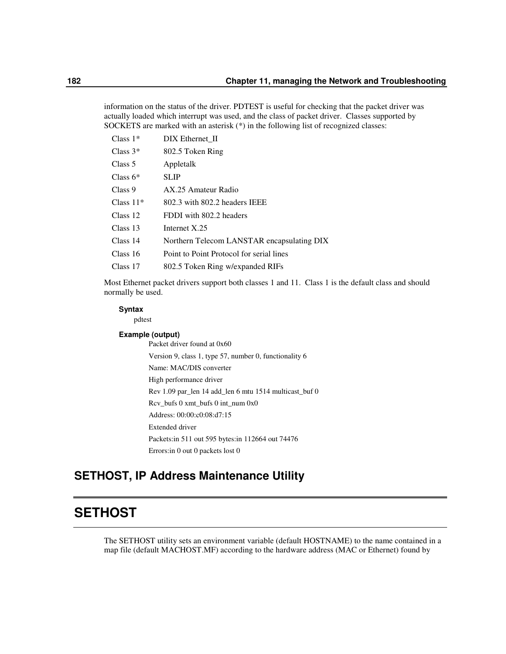information on the status of the driver. PDTEST is useful for checking that the packet driver was actually loaded which interrupt was used, and the class of packet driver. Classes supported by SOCKETS are marked with an asterisk (\*) in the following list of recognized classes:

| Class $1*$  | DIX Ethernet II                            |
|-------------|--------------------------------------------|
| Class $3^*$ | 802.5 Token Ring                           |
| Class 5     | Appletalk                                  |
| Class $6*$  | <b>SLIP</b>                                |
| Class 9     | AX 25 Amateur Radio                        |
| Class $11*$ | 802.3 with 802.2 headers IEEE              |
| Class 12    | FDDI with 802.2 headers                    |
| Class 13    | Internet X.25                              |
| Class 14    | Northern Telecom LANSTAR encapsulating DIX |
| Class 16    | Point to Point Protocol for serial lines   |
| Class 17    | 802.5 Token Ring w/expanded RIFs           |
|             |                                            |

Most Ethernet packet drivers support both classes 1 and 11. Class 1 is the default class and should normally be used.

#### **Syntax**

pdtest

#### **Example (output)**

Packet driver found at 0x60 Version 9, class 1, type 57, number 0, functionality 6 Name: MAC/DIS converter High performance driver Rev 1.09 par\_len 14 add\_len 6 mtu 1514 multicast\_buf 0 Rcv\_bufs 0 xmt\_bufs 0 int\_num 0x0 Address: 00:00:c0:08:d7:15 Extended driver Packets:in 511 out 595 bytes:in 112664 out 74476 Errors:in 0 out 0 packets lost 0

# **SETHOST, IP Address Maintenance Utility**

# **SETHOST**

The SETHOST utility sets an environment variable (default HOSTNAME) to the name contained in a map file (default MACHOST.MF) according to the hardware address (MAC or Ethernet) found by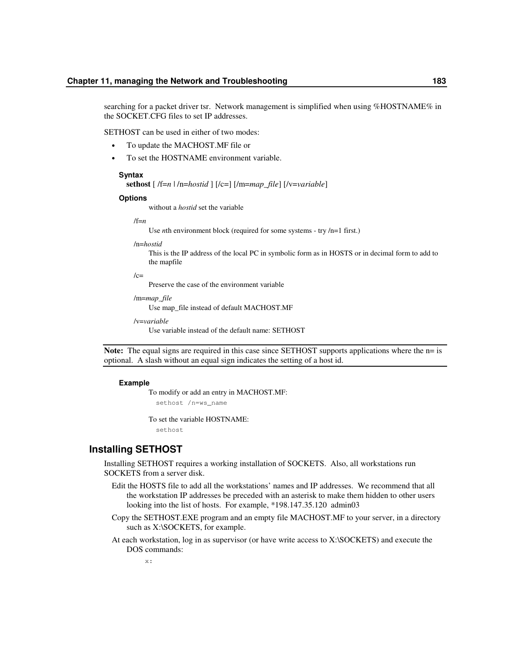searching for a packet driver tsr. Network management is simplified when using %HOSTNAME% in the SOCKET.CFG files to set IP addresses.

SETHOST can be used in either of two modes:

- To update the MACHOST.MF file or
- To set the HOSTNAME environment variable.

#### **Syntax**

**sethost** [ /f=*n* | /n=*hostid* ] [/c=] [/m=*map\_file*] [/v=*variable*]

#### **Options**

without a *hostid* set the variable

/f=*n*

Use *n*th environment block (required for some systems - try /n=1 first.)

/n=*hostid*

This is the IP address of the local PC in symbolic form as in HOSTS or in decimal form to add to the mapfile

 $/c=$ 

Preserve the case of the environment variable

/m=*map\_file*

Use map\_file instead of default MACHOST.MF

/v=*variable*

Use variable instead of the default name: SETHOST

**Note:** The equal signs are required in this case since SETHOST supports applications where the n= is optional. A slash without an equal sign indicates the setting of a host id.

#### **Example**

To modify or add an entry in MACHOST.MF: sethost /n=ws\_name

To set the variable HOSTNAME:

sethost

### **Installing SETHOST**

Installing SETHOST requires a working installation of SOCKETS. Also, all workstations run SOCKETS from a server disk.

- Edit the HOSTS file to add all the workstations' names and IP addresses. We recommend that all the workstation IP addresses be preceded with an asterisk to make them hidden to other users looking into the list of hosts. For example, \*198.147.35.120 admin03
- Copy the SETHOST.EXE program and an empty file MACHOST.MF to your server, in a directory such as X:\SOCKETS, for example.
- At each workstation, log in as supervisor (or have write access to X:\SOCKETS) and execute the DOS commands:

x: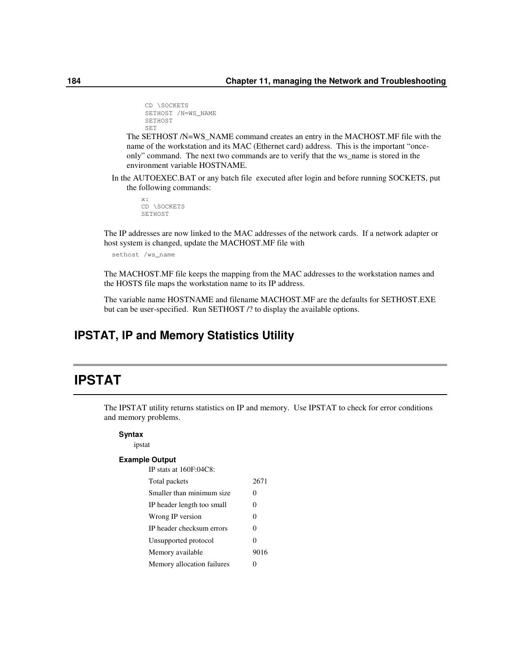```
CD \SOCKETS
SETHOST /N=WS_NAME
SETHOST
SET
```
The SETHOST /N=WS\_NAME command creates an entry in the MACHOST.MF file with the name of the workstation and its MAC (Ethernet card) address. This is the important "onceonly" command. The next two commands are to verify that the ws\_name is stored in the environment variable HOSTNAME.

In the AUTOEXEC.BAT or any batch file executed after login and before running SOCKETS, put the following commands:

x: CD \SOCKETS SETHOST

The IP addresses are now linked to the MAC addresses of the network cards. If a network adapter or host system is changed, update the MACHOST.MF file with

sethost /ws\_name

The MACHOST.MF file keeps the mapping from the MAC addresses to the workstation names and the HOSTS file maps the workstation name to its IP address.

The variable name HOSTNAME and filename MACHOST.MF are the defaults for SETHOST.EXE but can be user-specified. Run SETHOST /? to display the available options.

# **IPSTAT, IP and Memory Statistics Utility**

# **IPSTAT**

The IPSTAT utility returns statistics on IP and memory. Use IPSTAT to check for error conditions and memory problems.

#### **Syntax**

ipstat

#### **Example Output** IP stats at 160F:04C8:

| IP STATS AT TOUF 'U4C 8'   |      |
|----------------------------|------|
| Total packets              | 2671 |
| Smaller than minimum size  | 0    |
| IP header length too small | 0    |
| Wrong IP version           | 0    |
| IP header checksum errors  | 0    |
| Unsupported protocol       | 0    |
| Memory available           | 9016 |
| Memory allocation failures |      |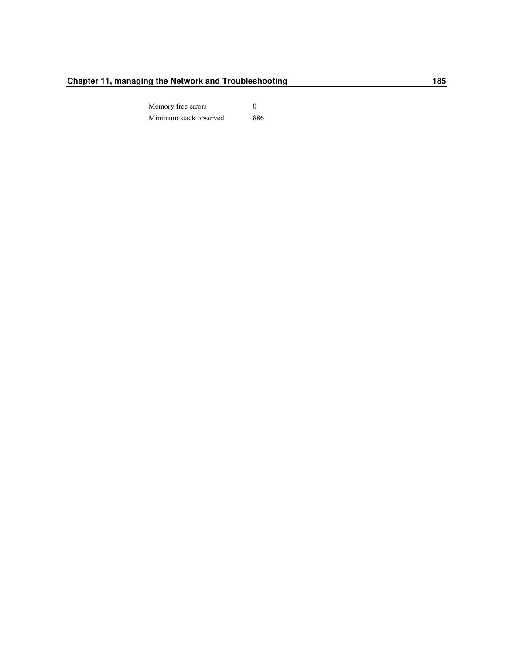Memory free errors 0 Minimum stack observed 886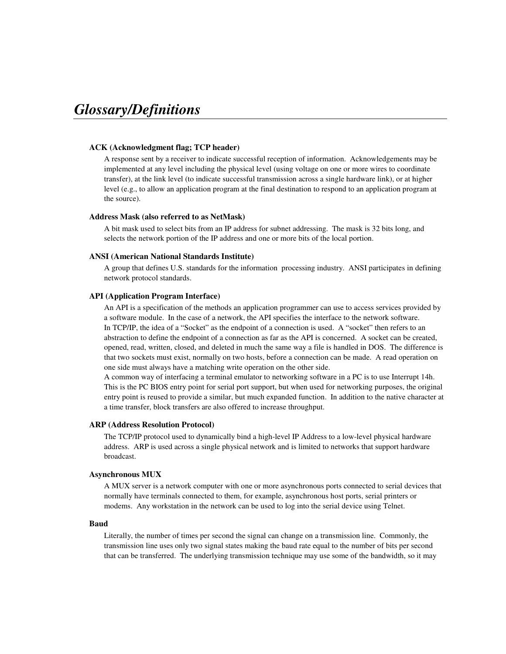# *Glossary/Definitions*

#### **ACK (Acknowledgment flag; TCP header)**

A response sent by a receiver to indicate successful reception of information. Acknowledgements may be implemented at any level including the physical level (using voltage on one or more wires to coordinate transfer), at the link level (to indicate successful transmission across a single hardware link), or at higher level (e.g., to allow an application program at the final destination to respond to an application program at the source).

#### **Address Mask (also referred to as NetMask)**

A bit mask used to select bits from an IP address for subnet addressing. The mask is 32 bits long, and selects the network portion of the IP address and one or more bits of the local portion.

#### **ANSI (American National Standards Institute)**

A group that defines U.S. standards for the information processing industry. ANSI participates in defining network protocol standards.

#### **API (Application Program Interface)**

An API is a specification of the methods an application programmer can use to access services provided by a software module. In the case of a network, the API specifies the interface to the network software. In TCP/IP, the idea of a "Socket" as the endpoint of a connection is used. A "socket" then refers to an abstraction to define the endpoint of a connection as far as the API is concerned. A socket can be created, opened, read, written, closed, and deleted in much the same way a file is handled in DOS. The difference is that two sockets must exist, normally on two hosts, before a connection can be made. A read operation on one side must always have a matching write operation on the other side.

A common way of interfacing a terminal emulator to networking software in a PC is to use Interrupt 14h. This is the PC BIOS entry point for serial port support, but when used for networking purposes, the original entry point is reused to provide a similar, but much expanded function. In addition to the native character at a time transfer, block transfers are also offered to increase throughput.

#### **ARP (Address Resolution Protocol)**

The TCP/IP protocol used to dynamically bind a high-level IP Address to a low-level physical hardware address. ARP is used across a single physical network and is limited to networks that support hardware broadcast.

#### **Asynchronous MUX**

A MUX server is a network computer with one or more asynchronous ports connected to serial devices that normally have terminals connected to them, for example, asynchronous host ports, serial printers or modems. Any workstation in the network can be used to log into the serial device using Telnet.

#### **Baud**

Literally, the number of times per second the signal can change on a transmission line. Commonly, the transmission line uses only two signal states making the baud rate equal to the number of bits per second that can be transferred. The underlying transmission technique may use some of the bandwidth, so it may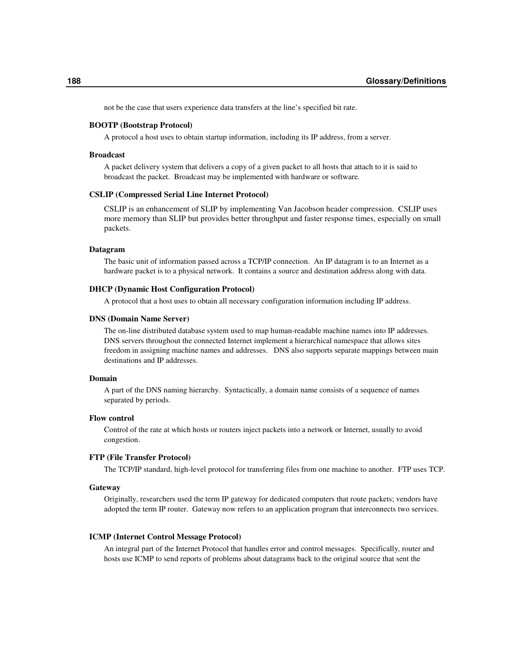not be the case that users experience data transfers at the line's specified bit rate.

#### **BOOTP (Bootstrap Protocol)**

A protocol a host uses to obtain startup information, including its IP address, from a server.

#### **Broadcast**

A packet delivery system that delivers a copy of a given packet to all hosts that attach to it is said to broadcast the packet. Broadcast may be implemented with hardware or software.

#### **CSLIP (Compressed Serial Line Internet Protocol)**

CSLIP is an enhancement of SLIP by implementing Van Jacobson header compression. CSLIP uses more memory than SLIP but provides better throughput and faster response times, especially on small packets.

#### **Datagram**

The basic unit of information passed across a TCP/IP connection. An IP datagram is to an Internet as a hardware packet is to a physical network. It contains a source and destination address along with data.

#### **DHCP (Dynamic Host Configuration Protocol)**

A protocol that a host uses to obtain all necessary configuration information including IP address.

#### **DNS (Domain Name Server)**

The on-line distributed database system used to map human-readable machine names into IP addresses. DNS servers throughout the connected Internet implement a hierarchical namespace that allows sites freedom in assigning machine names and addresses. DNS also supports separate mappings between main destinations and IP addresses.

#### **Domain**

A part of the DNS naming hierarchy. Syntactically, a domain name consists of a sequence of names separated by periods.

#### **Flow control**

Control of the rate at which hosts or routers inject packets into a network or Internet, usually to avoid congestion.

#### **FTP (File Transfer Protocol)**

The TCP/IP standard, high-level protocol for transferring files from one machine to another. FTP uses TCP.

#### **Gateway**

Originally, researchers used the term IP gateway for dedicated computers that route packets; vendors have adopted the term IP router. Gateway now refers to an application program that interconnects two services.

#### **ICMP (Internet Control Message Protocol)**

An integral part of the Internet Protocol that handles error and control messages. Specifically, router and hosts use ICMP to send reports of problems about datagrams back to the original source that sent the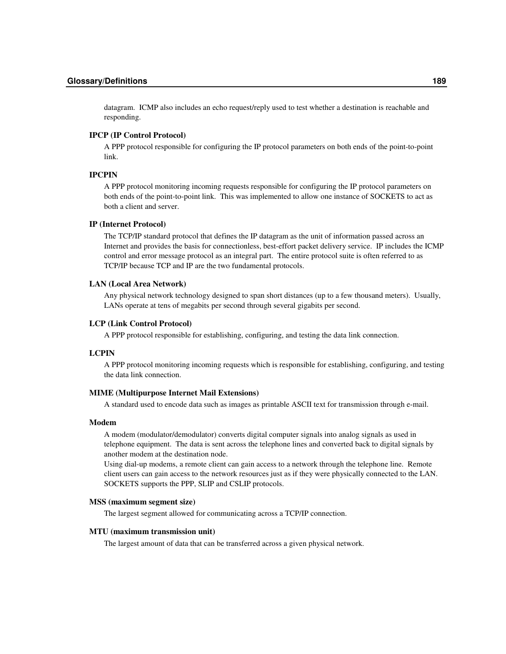datagram. ICMP also includes an echo request/reply used to test whether a destination is reachable and responding.

### **IPCP (IP Control Protocol)**

A PPP protocol responsible for configuring the IP protocol parameters on both ends of the point-to-point link.

#### **IPCPIN**

A PPP protocol monitoring incoming requests responsible for configuring the IP protocol parameters on both ends of the point-to-point link. This was implemented to allow one instance of SOCKETS to act as both a client and server.

#### **IP (Internet Protocol)**

The TCP/IP standard protocol that defines the IP datagram as the unit of information passed across an Internet and provides the basis for connectionless, best-effort packet delivery service. IP includes the ICMP control and error message protocol as an integral part. The entire protocol suite is often referred to as TCP/IP because TCP and IP are the two fundamental protocols.

#### **LAN (Local Area Network)**

Any physical network technology designed to span short distances (up to a few thousand meters). Usually, LANs operate at tens of megabits per second through several gigabits per second.

#### **LCP (Link Control Protocol)**

A PPP protocol responsible for establishing, configuring, and testing the data link connection.

### **LCPIN**

A PPP protocol monitoring incoming requests which is responsible for establishing, configuring, and testing the data link connection.

#### **MIME (Multipurpose Internet Mail Extensions)**

A standard used to encode data such as images as printable ASCII text for transmission through e-mail.

#### **Modem**

A modem (modulator/demodulator) converts digital computer signals into analog signals as used in telephone equipment. The data is sent across the telephone lines and converted back to digital signals by another modem at the destination node.

Using dial-up modems, a remote client can gain access to a network through the telephone line. Remote client users can gain access to the network resources just as if they were physically connected to the LAN. SOCKETS supports the PPP, SLIP and CSLIP protocols.

#### **MSS (maximum segment size)**

The largest segment allowed for communicating across a TCP/IP connection.

#### **MTU (maximum transmission unit)**

The largest amount of data that can be transferred across a given physical network.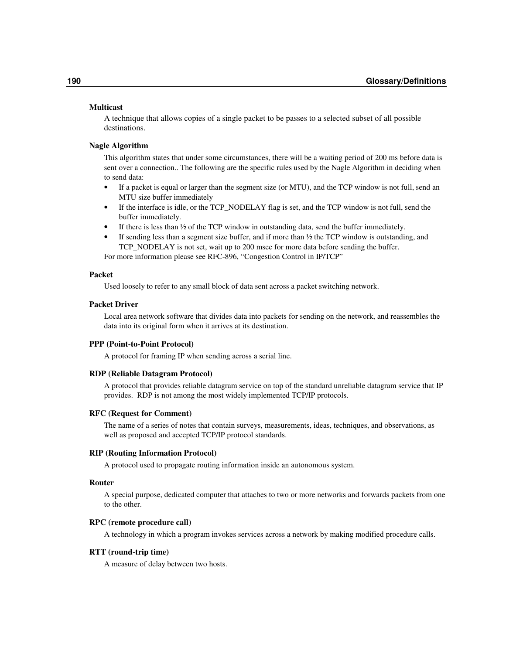#### **Multicast**

A technique that allows copies of a single packet to be passes to a selected subset of all possible destinations.

#### **Nagle Algorithm**

This algorithm states that under some circumstances, there will be a waiting period of 200 ms before data is sent over a connection.. The following are the specific rules used by the Nagle Algorithm in deciding when to send data:

- If a packet is equal or larger than the segment size (or MTU), and the TCP window is not full, send an MTU size buffer immediately
- If the interface is idle, or the TCP\_NODELAY flag is set, and the TCP window is not full, send the buffer immediately.
- If there is less than  $\frac{1}{2}$  of the TCP window in outstanding data, send the buffer immediately.
- If sending less than a segment size buffer, and if more than  $\frac{1}{2}$  the TCP window is outstanding, and TCP\_NODELAY is not set, wait up to 200 msec for more data before sending the buffer.

For more information please see RFC-896, "Congestion Control in IP/TCP"

#### **Packet**

Used loosely to refer to any small block of data sent across a packet switching network.

#### **Packet Driver**

Local area network software that divides data into packets for sending on the network, and reassembles the data into its original form when it arrives at its destination.

#### **PPP (Point-to-Point Protocol)**

A protocol for framing IP when sending across a serial line.

#### **RDP (Reliable Datagram Protocol)**

A protocol that provides reliable datagram service on top of the standard unreliable datagram service that IP provides. RDP is not among the most widely implemented TCP/IP protocols.

#### **RFC (Request for Comment)**

The name of a series of notes that contain surveys, measurements, ideas, techniques, and observations, as well as proposed and accepted TCP/IP protocol standards.

#### **RIP (Routing Information Protocol)**

A protocol used to propagate routing information inside an autonomous system.

#### **Router**

A special purpose, dedicated computer that attaches to two or more networks and forwards packets from one to the other.

#### **RPC (remote procedure call)**

A technology in which a program invokes services across a network by making modified procedure calls.

#### **RTT (round-trip time)**

A measure of delay between two hosts.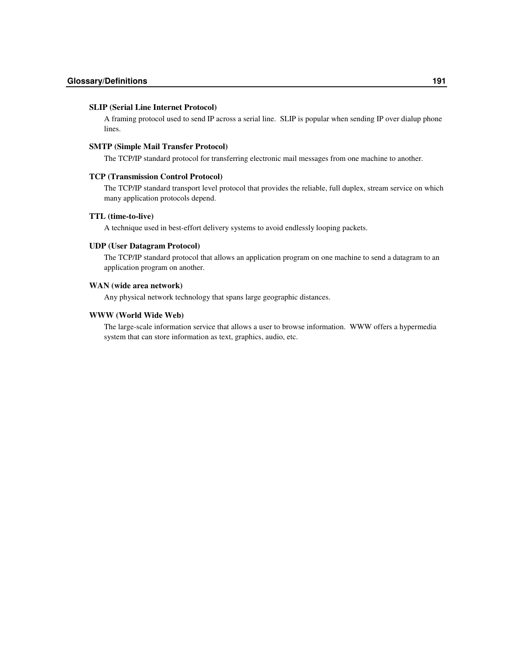#### **SLIP (Serial Line Internet Protocol)**

A framing protocol used to send IP across a serial line. SLIP is popular when sending IP over dialup phone lines.

#### **SMTP (Simple Mail Transfer Protocol)**

The TCP/IP standard protocol for transferring electronic mail messages from one machine to another.

#### **TCP (Transmission Control Protocol)**

The TCP/IP standard transport level protocol that provides the reliable, full duplex, stream service on which many application protocols depend.

#### **TTL (time-to-live)**

A technique used in best-effort delivery systems to avoid endlessly looping packets.

#### **UDP (User Datagram Protocol)**

The TCP/IP standard protocol that allows an application program on one machine to send a datagram to an application program on another.

### **WAN (wide area network)**

Any physical network technology that spans large geographic distances.

#### **WWW (World Wide Web)**

The large-scale information service that allows a user to browse information. WWW offers a hypermedia system that can store information as text, graphics, audio, etc.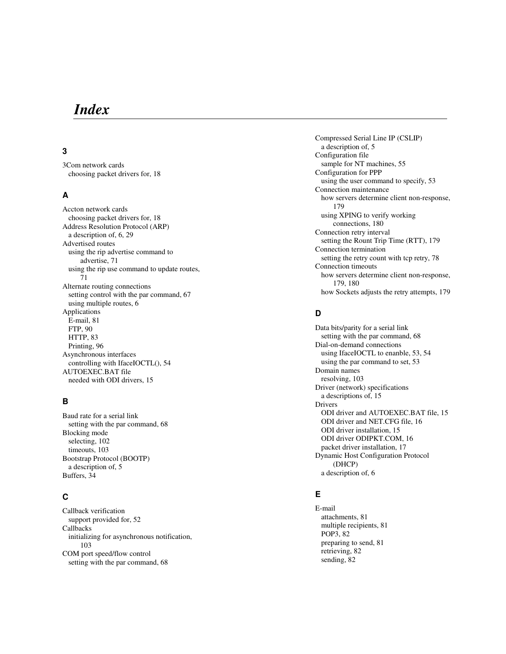# *In de x*

# **3**

3Com network cards choosing packet drivers for, 18

### **A**

Accton network cards choosing packet drivers for, 18 Address Resolution Protocol (ARP) a description of, 6, 29 Advertised routes using the rip advertise command to advertise, 71 using the rip use command to update routes, 7 1 Alternate routing connections setting control with the par command, 67 using multiple routes, 6 Applications E-mail, 81 F T P , 9 0 HTTP, 83 Printing, 96 Asynchronous interfaces controlling with IfaceIOCTL(), 54 AUTOEXEC.BAT file needed with ODI drivers, 15

# **B**

Baud rate for a serial link setting with the par command, 68 Blocking mode selecting, 102 timeouts, 103 Bootstrap Protocol (BOOTP) a description of, 5 Buffers, 34

# **C**

Callback verification support provided for, 52 Callbacks initializing for asynchronous notification, 1 0 3 COM port speed/flow control setting with the par command, 68

Compressed Serial Line IP (CSLIP) a description of, 5 Configuration file sample for NT machines, 55 Configuration for PPP using the user command to specify, 53 Connection maintenance how servers determine client non-response, 1 7 9 using XPING to verify working connections, 180 Connection retry interval setting the Rount Trip Time (RTT), 179 Connection termination setting the retry count with tcp retry, 78 Connection timeouts how servers determine client non-response, 179, 180 how Sockets adjusts the retry attempts, 179

# **D**

Data bits/parity for a serial link setting with the par command, 68 Dial-on-demand connections using IfaceIOCTL to enanble, 53, 54 using the par command to set, 53 Domain names resolving, 103 Driver (network) specifications a descriptions of, 15 Drivers ODI driver and AUTOEXEC.BAT file, 15 ODI driver and NET.CFG file, 16 ODI driver installation, 15 ODI driver ODIPKT.COM, 16 packet driver installation, 17 Dynamic Host Configuration Protocol ( D H C P ) a description of, 6

### **E**

E-m a i l attachments, 81 multiple recipients, 81 POP3, 82 preparing to send, 81 retrieving, 82 sending, 82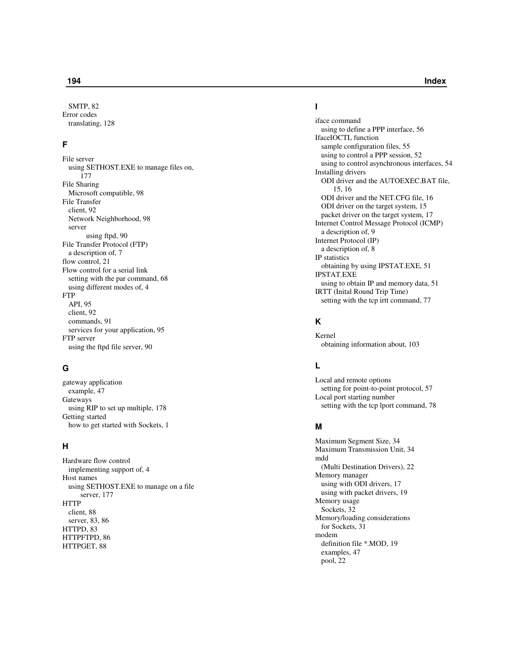SMTP, 82 Error codes translating, 128

### **F**

File server using SETHOST.EXE to manage files on, 1 7 7 File Sharing Microsoft compatible, 98 File Transfer client, 92 Network Neighborhood, 98 serve r<br>using ftpd, 90 File Transfer Protocol (FTP) a description of, 7 flow control, 21 Flow control for a serial link setting with the par command, 68 using different modes of, 4 F T rp<br>Api, 95 client, 92 c o m m a n d s , 9 1 services for your application, 95 FTP server

# **G**

gateway application example, 47 Gateways using RIP to set up multiple, 178 Getting started how to get started with Sockets, 1

using the ftpd file server, 90

#### **H**

Hardware flow control implementing support of, 4 Host names using SETHOST.EXE to manage on a file server, 177 H T T P client, 88 server, 83, 86 H T T P D , 8 3 HTTPFTPD, 86 HTTPGET, 88

# **I**

iface command using to define a PPP interface, 56 IfaceIOCTL function sample configuration files, 55 using to control a PPP session, 52 using to control asynchronous interfaces, 54 Installing drivers ODI driver and the AUTOEXEC.BAT file, 1 5 , 1 6 ODI driver and the NET.CFG file, 16 ODI driver on the target system, 15 packet driver on the target system, 17 Internet Control Message Protocol (ICMP) a description of, 9 Internet Protocol (IP) a description of, 8 IP statistics obtaining by using IPSTAT.EXE, 51 IPSTAT.EXE using to obtain IP and memory data, 51 IRTT (Inital Round Trip Time) setting with the tcp irtt command, 77

# **K**

Kernel obtaining information about, 103

# **L**

Local and remote options setting for point-to-point protocol, 57 Local port starting number setting with the tcp lport command, 78

### **M**

Maximum Segment Size, 34 Maximum Transmission Unit, 34 m d d (Multi Destination Drivers), 22 Memory manager using with ODI drivers, 17 using with packet drivers, 19 Memory usage Sockets, 32 Memory/loading considerations for Sockets, 31 m o d e m definition file \*.MOD, 19 examples, 47 pool, 22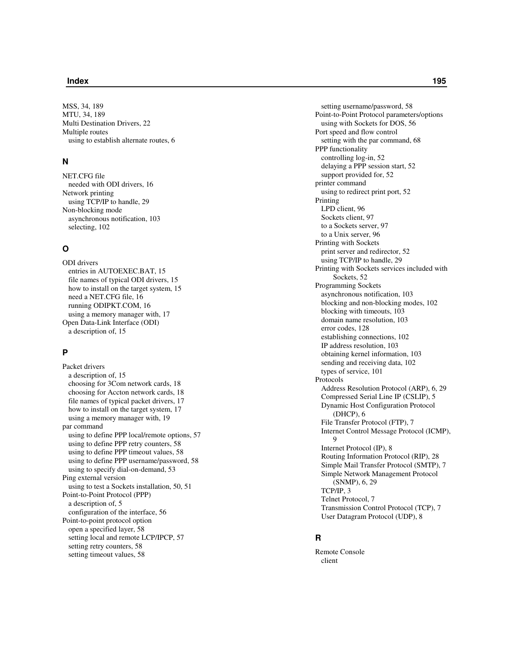MSS, 34, 189 MTU, 34, 189 Multi Destination Drivers, 22 Multiple routes using to establish alternate routes, 6

# **N**

NET.CFG file needed with ODI drivers, 16 Network printing using TCP/IP to handle, 29 Non-blocking mode asynchronous notification, 103 selecting, 102

## **O**

ODI drivers entries in AUTOEXEC.BAT, 15 file names of typical ODI drivers, 15 how to install on the target system, 15 need a NET.CFG file, 16 running ODIPKT.COM, 16 using a memory manager with, 17 Open Data-Link Interface (ODI) a description of, 15

# **P**

Packet drivers a description of, 15 choosing for 3Com network cards, 18 choosing for Accton network cards, 18 file names of typical packet drivers, 17 how to install on the target system, 17 using a memory manager with, 19 par command using to define PPP local/remote options, 57 using to define PPP retry counters, 58 using to define PPP timeout values, 58 using to define PPP username/password, 58 using to specify dial-on-demand, 53 Ping external version using to test a Sockets installation, 50, 51 Point-to-Point Protocol (PPP) a description of, 5 configuration of the interface, 56 Point-to-point protocol option open a specified layer, 58 setting local and remote LCP/IPCP, 57 setting retry counters, 58 setting timeout values, 58

setting username/password, 58 Point-to-Point Protocol parameters/options using with Sockets for DOS, 56 Port speed and flow control setting with the par command, 68 PPP functionality controlling log-in, 52 delaying a PPP session start, 52 support provided for, 52 printer command using to redirect print port, 52 Printing LPD client, 96 Sockets client, 97 to a Sockets server, 97 to a Unix server, 96 Printing with Sockets print server and redirector, 52 using TCP/IP to handle, 29 Printing with Sockets services included with Sockets, 52 Programming Sockets asynchronous notification, 103 blocking and non-blocking modes, 102 blocking with timeouts, 103 domain name resolution, 103 error codes, 128 establishing connections, 102 IP address resolution, 103 obtaining kernel information, 103 sending and receiving data, 102 types of service, 101 Protocols Address Resolution Protocol (ARP), 6, 29 Compressed Serial Line IP (CSLIP), 5 Dynamic Host Configuration Protocol (DHCP), 6 File Transfer Protocol (FTP), 7 Internet Control Message Protocol (ICMP), 9 Internet Protocol (IP), 8 Routing Information Protocol (RIP), 28 Simple Mail Transfer Protocol (SMTP), 7 Simple Network Management Protocol (SNMP), 6, 29 TCP/IP, 3 Telnet Protocol, 7 Transmission Control Protocol (TCP), 7 User Datagram Protocol (UDP), 8

# **R**

Remote Console client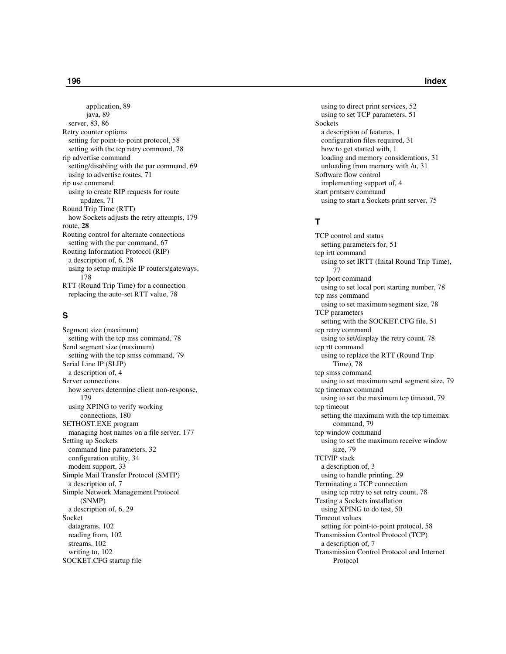application, 89 java, 89 server, 83, 86 Retry counter options setting for point-to-point protocol, 58 setting with the tcp retry command, 78 rip advertise command setting/disabling with the par command, 69 using to advertise routes, 71 rip use command using to create RIP requests for route updates, 71 Round Trip Time (RTT) how Sockets adjusts the retry attempts, 179 route, 28 Routing control for alternate connections setting with the par command, 67 Routing Information Protocol (RIP) a description of, 6, 28 using to setup multiple IP routers/gateways, 1 7 8 RTT (Round Trip Time) for a connection replacing the auto-set RTT value, 78

# **S**

Segment size (maximum) setting with the tcp mss command, 78 Send segment size (maximum) setting with the tcp smss command, 79 Serial Line IP (SLIP) a description of, 4 Server connections how servers determine client non-response, 1 7 9 using XPING to verify working connections, 180 SETHOST.EXE program managing host names on a file server, 177 Setting up Sockets command line parameters, 32 configuration utility, 34 modem support, 33 Simple Mail Transfer Protocol (SMTP) a description of, 7 Simple Network Management Protocol ( S N M P ) a description of, 6, 29 Socket datagrams, 102 reading from, 102 streams, 102 writing to, 102 SOCKET.CFG startup file

using to direct print services, 52 using to set TCP parameters, 51 Sockets a description of features, 1 configuration files required, 31 how to get started with, 1 loading and memory considerations, 31 unloading from memory with /u, 31 Software flow control implementing support of, 4 start prntserv command using to start a Sockets print server, 75

# **T**

TCP control and status setting parameters for, 51 tcp irtt command using to set IRTT (Inital Round Trip Time), 7 7 tcp lport command using to set local port starting number, 78 tcp mss command using to set maximum segment size, 78 TCP parameters setting with the SOCKET.CFG file, 51 tcp retry command using to set/display the retry count, 78 tcp rtt command using to replace the RTT (Round Trip Time), 78 tcp smss command using to set maximum send segment size, 79 tcp timemax command using to set the maximum tcp timeout, 79 tcp timeout setting the maximum with the tcp timemax command, 79 tcp window command using to set the maximum receive window size, 79 TCP/IP stack a description of, 3 using to handle printing, 29 Terminating a TCP connection using tcp retry to set retry count, 78 Testing a Sockets installation using XPING to do test, 50 Timeout values setting for point-to-point protocol, 58 Transmission Control Protocol (TCP) a description of, 7 Transmission Control Protocol and Internet Protocol